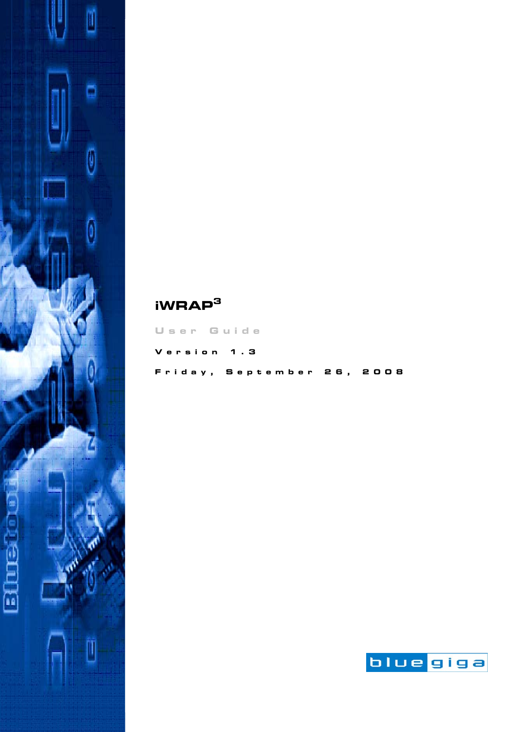

# **User Guide Version 1.3 Friday, September 26, 2008**

**iWRAP<sup>3</sup>**

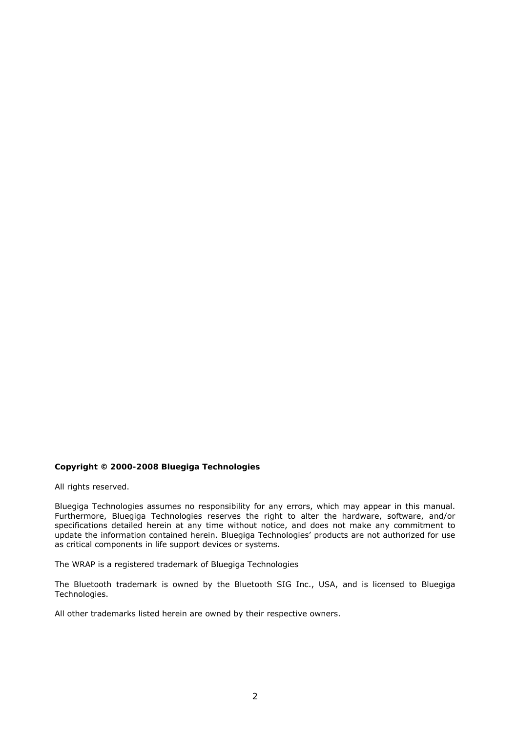#### **Copyright © 2000-2008 Bluegiga Technologies**

All rights reserved.

Bluegiga Technologies assumes no responsibility for any errors, which may appear in this manual. Furthermore, Bluegiga Technologies reserves the right to alter the hardware, software, and/or specifications detailed herein at any time without notice, and does not make any commitment to update the information contained herein. Bluegiga Technologies' products are not authorized for use as critical components in life support devices or systems.

The WRAP is a registered trademark of Bluegiga Technologies

The *Bluetooth* trademark is owned by the *Bluetooth* SIG Inc., USA, and is licensed to Bluegiga Technologies.

All other trademarks listed herein are owned by their respective owners.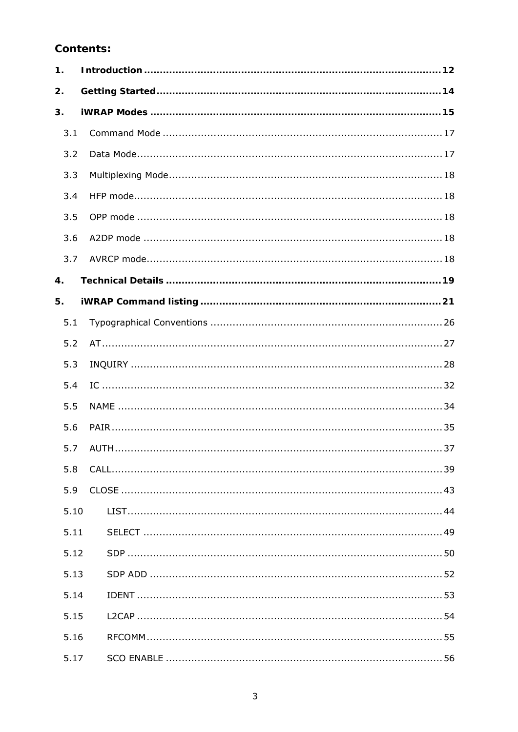# **Contents:**

| 1.   |  |  |  |
|------|--|--|--|
| 2.   |  |  |  |
| 3.   |  |  |  |
| 3.1  |  |  |  |
| 3.2  |  |  |  |
| 3.3  |  |  |  |
| 3.4  |  |  |  |
| 3.5  |  |  |  |
| 3.6  |  |  |  |
| 3.7  |  |  |  |
| 4.   |  |  |  |
| 5.   |  |  |  |
| 5.1  |  |  |  |
| 5.2  |  |  |  |
| 5.3  |  |  |  |
| 5.4  |  |  |  |
| 5.5  |  |  |  |
| 5.6  |  |  |  |
| 5.7  |  |  |  |
| 5.8  |  |  |  |
| 5.9  |  |  |  |
| 5.10 |  |  |  |
| 5.11 |  |  |  |
| 5.12 |  |  |  |
| 5.13 |  |  |  |
| 5.14 |  |  |  |
| 5.15 |  |  |  |
| 5.16 |  |  |  |
| 5.17 |  |  |  |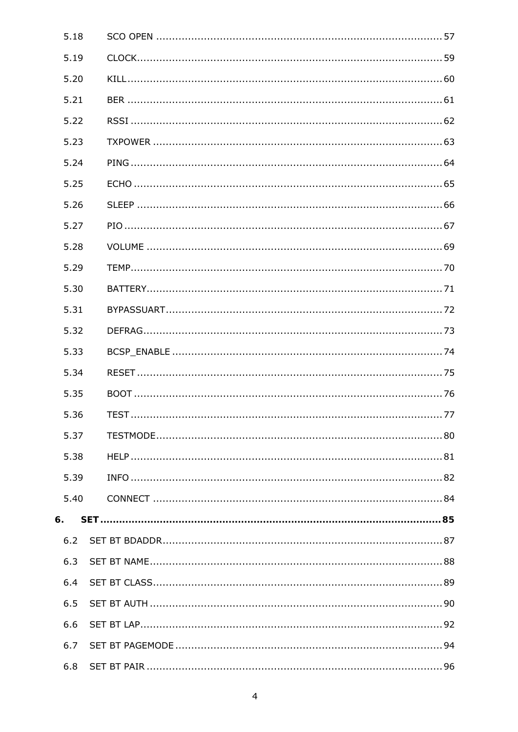| 5.18 |  |
|------|--|
| 5.19 |  |
| 5.20 |  |
| 5.21 |  |
| 5.22 |  |
| 5.23 |  |
| 5.24 |  |
| 5.25 |  |
| 5.26 |  |
| 5.27 |  |
| 5.28 |  |
| 5.29 |  |
| 5.30 |  |
| 5.31 |  |
| 5.32 |  |
| 5.33 |  |
| 5.34 |  |
| 5.35 |  |
| 5.36 |  |
| 5.37 |  |
| 5.38 |  |
| 5.39 |  |
| 5.40 |  |
| 6.   |  |
| 6.2  |  |
| 6.3  |  |
| 6.4  |  |
| 6.5  |  |
| 6.6  |  |
| 6.7  |  |
| 6.8  |  |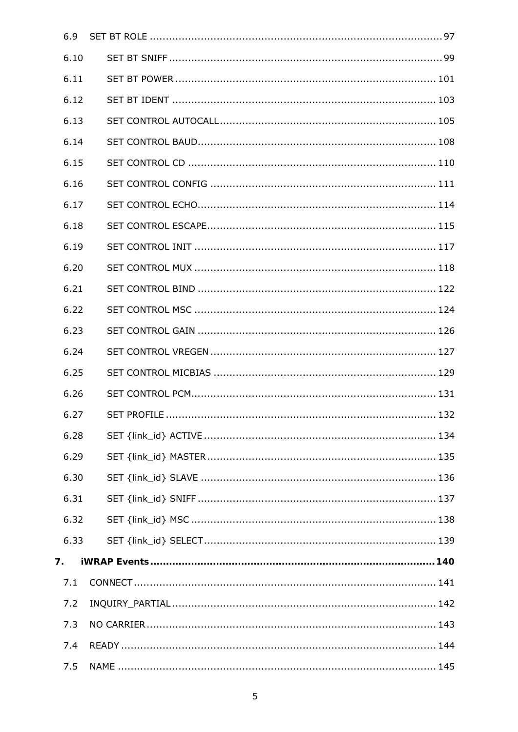| 6.9  |  |
|------|--|
| 6.10 |  |
| 6.11 |  |
| 6.12 |  |
| 6.13 |  |
| 6.14 |  |
| 6.15 |  |
| 6.16 |  |
| 6.17 |  |
| 6.18 |  |
| 6.19 |  |
| 6.20 |  |
| 6.21 |  |
| 6.22 |  |
| 6.23 |  |
| 6.24 |  |
| 6.25 |  |
| 6.26 |  |
| 6.27 |  |
| 6.28 |  |
| 6.29 |  |
| 6.30 |  |
| 6.31 |  |
| 6.32 |  |
| 6.33 |  |
| 7.   |  |
| 7.1  |  |
| 7.2  |  |
| 7.3  |  |
| 7.4  |  |
| 7.5  |  |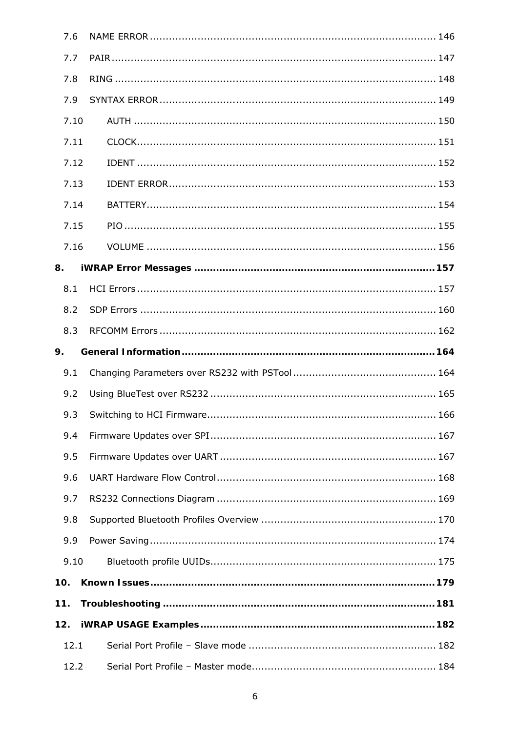| 7.6  |  |
|------|--|
| 7.7  |  |
| 7.8  |  |
| 7.9  |  |
| 7.10 |  |
| 7.11 |  |
| 7.12 |  |
| 7.13 |  |
| 7.14 |  |
| 7.15 |  |
| 7.16 |  |
| 8.   |  |
| 8.1  |  |
| 8.2  |  |
| 8.3  |  |
| 9.   |  |
| 9.1  |  |
| 9.2  |  |
| 9.3  |  |
| 9.4  |  |
| 9.5  |  |
| 9.6  |  |
| 9.7  |  |
| 9.8  |  |
| 9.9  |  |
| 9.10 |  |
| 10.  |  |
| 11.  |  |
| 12.  |  |
| 12.1 |  |
| 12.2 |  |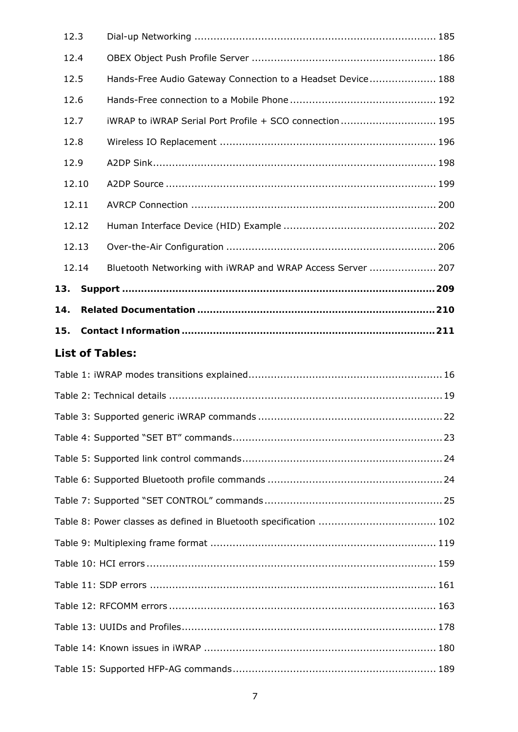|     | 12.3  |                                                             |  |
|-----|-------|-------------------------------------------------------------|--|
|     | 12.4  |                                                             |  |
|     | 12.5  | Hands-Free Audio Gateway Connection to a Headset Device 188 |  |
|     | 12.6  |                                                             |  |
|     | 12.7  | iWRAP to iWRAP Serial Port Profile + SCO connection 195     |  |
|     | 12.8  |                                                             |  |
|     | 12.9  |                                                             |  |
|     | 12.10 |                                                             |  |
|     | 12.11 |                                                             |  |
|     | 12.12 |                                                             |  |
|     | 12.13 |                                                             |  |
|     | 12.14 | Bluetooth Networking with iWRAP and WRAP Access Server  207 |  |
| 13. |       |                                                             |  |
| 14. |       |                                                             |  |
| 15. |       |                                                             |  |
|     |       | <b>List of Tables:</b>                                      |  |
|     |       |                                                             |  |
|     |       |                                                             |  |
|     |       |                                                             |  |
|     |       |                                                             |  |
|     |       |                                                             |  |
|     |       |                                                             |  |
|     |       |                                                             |  |
|     |       |                                                             |  |
|     |       |                                                             |  |
|     |       |                                                             |  |
|     |       |                                                             |  |
|     |       |                                                             |  |
|     |       |                                                             |  |
|     |       |                                                             |  |
|     |       |                                                             |  |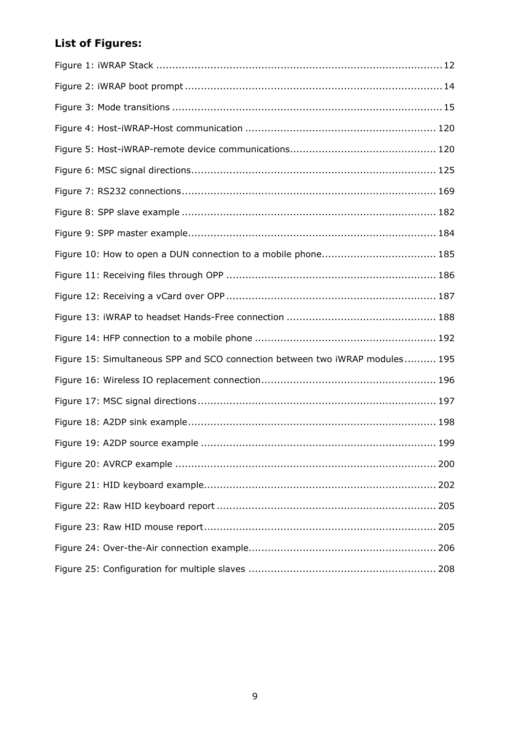# **List of Figures:**

| Figure 15: Simultaneous SPP and SCO connection between two iWRAP modules 195 |
|------------------------------------------------------------------------------|
|                                                                              |
|                                                                              |
|                                                                              |
|                                                                              |
|                                                                              |
|                                                                              |
|                                                                              |
|                                                                              |
|                                                                              |
|                                                                              |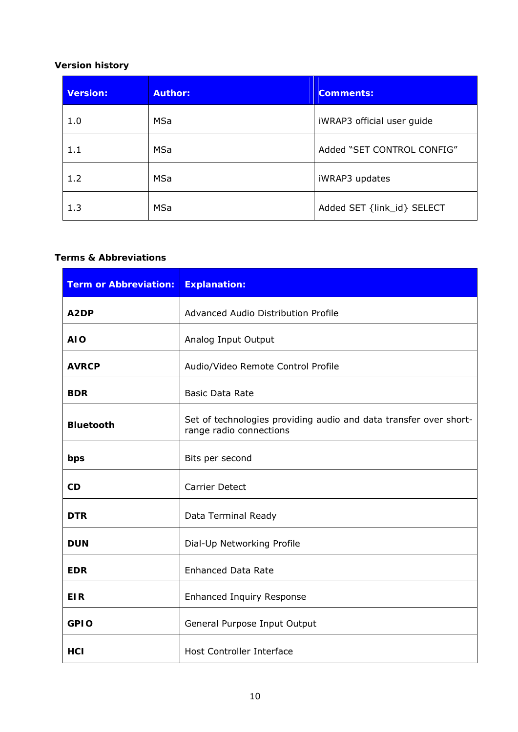## **Version history**

| <b>Version:</b> | <b>Author:</b> | <b>Comments:</b>           |
|-----------------|----------------|----------------------------|
| 1.0             | <b>MSa</b>     | iWRAP3 official user guide |
| 1.1             | <b>MSa</b>     | Added "SET CONTROL CONFIG" |
| 1.2             | MSa            | iWRAP3 updates             |
| 1.3             | MSa            | Added SET {link_id} SELECT |

#### **Terms & Abbreviations**

| <b>Term or Abbreviation:</b> | <b>Explanation:</b>                                                                          |
|------------------------------|----------------------------------------------------------------------------------------------|
| A <sub>2</sub> DP            | Advanced Audio Distribution Profile                                                          |
| <b>AIO</b>                   | Analog Input Output                                                                          |
| <b>AVRCP</b>                 | Audio/Video Remote Control Profile                                                           |
| <b>BDR</b>                   | <b>Basic Data Rate</b>                                                                       |
| <b>Bluetooth</b>             | Set of technologies providing audio and data transfer over short-<br>range radio connections |
| bps                          | Bits per second                                                                              |
| CD                           | <b>Carrier Detect</b>                                                                        |
| <b>DTR</b>                   | Data Terminal Ready                                                                          |
| <b>DUN</b>                   | Dial-Up Networking Profile                                                                   |
| <b>EDR</b>                   | <b>Enhanced Data Rate</b>                                                                    |
| <b>EIR</b>                   | <b>Enhanced Inquiry Response</b>                                                             |
| <b>GPIO</b>                  | General Purpose Input Output                                                                 |
| <b>HCI</b>                   | <b>Host Controller Interface</b>                                                             |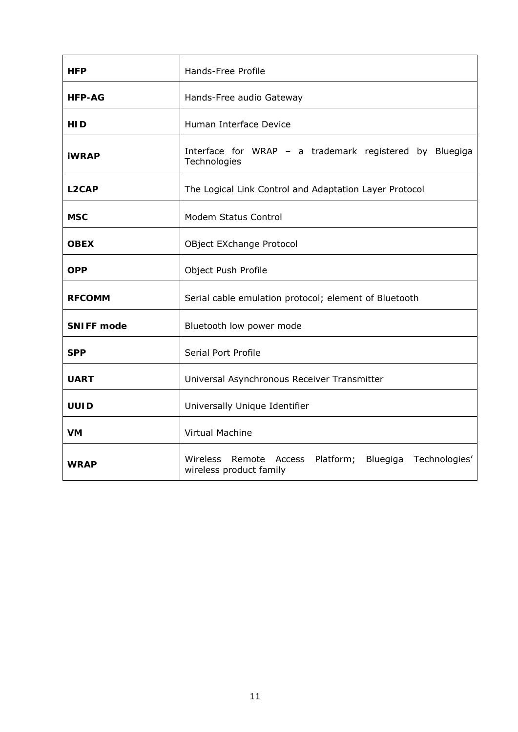| <b>HFP</b>         | Hands-Free Profile                                                                       |  |
|--------------------|------------------------------------------------------------------------------------------|--|
| <b>HFP-AG</b>      | Hands-Free audio Gateway                                                                 |  |
| HID                | Human Interface Device                                                                   |  |
| <b>iWRAP</b>       | Interface for WRAP - a trademark registered by Bluegiga<br>Technologies                  |  |
| L <sub>2</sub> CAP | The Logical Link Control and Adaptation Layer Protocol                                   |  |
| <b>MSC</b>         | Modem Status Control                                                                     |  |
| <i><b>OBEX</b></i> | OBject EXchange Protocol                                                                 |  |
| <b>OPP</b>         | Object Push Profile                                                                      |  |
| <b>RFCOMM</b>      | Serial cable emulation protocol; element of Bluetooth                                    |  |
| <b>SNIFF</b> mode  | Bluetooth low power mode                                                                 |  |
| <b>SPP</b>         | Serial Port Profile                                                                      |  |
| <b>UART</b>        | Universal Asynchronous Receiver Transmitter                                              |  |
| <b>UUID</b>        | Universally Unique Identifier                                                            |  |
| <b>VM</b>          | <b>Virtual Machine</b>                                                                   |  |
| <i><b>WRAP</b></i> | Platform; Bluegiga Technologies'<br>Wireless<br>Remote Access<br>wireless product family |  |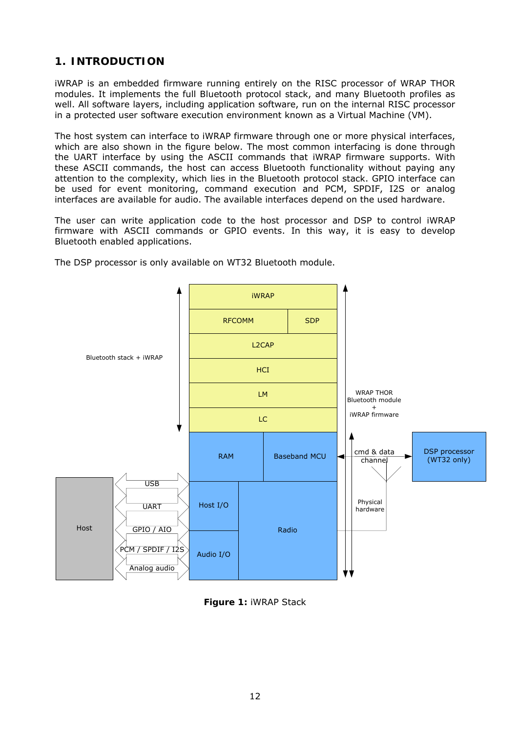## **1. INTRODUCTION**

<span id="page-11-0"></span>iWRAP is an embedded firmware running entirely on the RISC processor of WRAP THOR modules. It implements the full *Bluetooth* protocol stack, and many *Bluetooth* profiles as well. All software layers, including application software, run on the internal RISC processor in a protected user software execution environment known as a Virtual Machine (VM).

The host system can interface to iWRAP firmware through one or more physical interfaces, which are also shown in the figure below. The most common interfacing is done through the UART interface by using the ASCII commands that iWRAP firmware supports. With these ASCII commands, the host can access *Bluetooth* functionality without paying any attention to the complexity, which lies in the *Bluetooth* protocol stack. GPIO interface can be used for event monitoring, command execution and PCM, SPDIF, I2S or analog interfaces are available for audio. The available interfaces depend on the used hardware.

The user can write application code to the host processor and DSP to control iWRAP firmware with ASCII commands or GPIO events. In this way, it is easy to develop *Bluetooth* enabled applications.



The DSP processor is only available on WT32 *Bluetooth* module.

<span id="page-11-1"></span>**Figure 1:** iWRAP Stack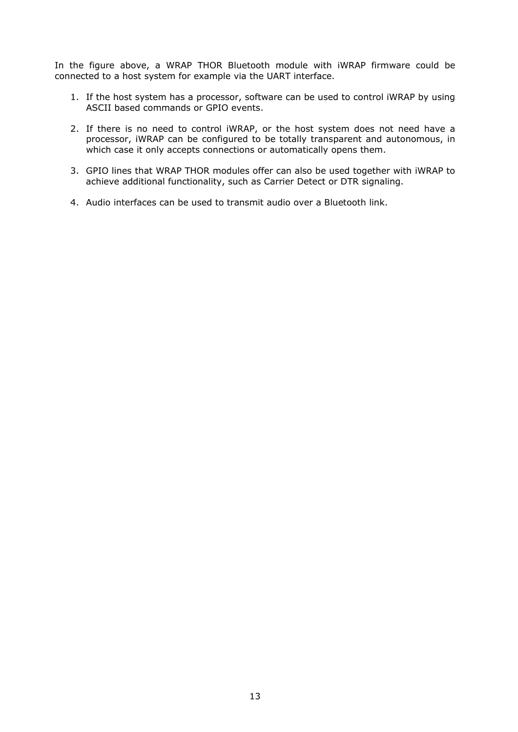In the figure above, a WRAP THOR *Bluetooth* module with iWRAP firmware could be connected to a host system for example via the UART interface.

- 1. If the host system has a processor, software can be used to control iWRAP by using ASCII based commands or GPIO events.
- 2. If there is no need to control iWRAP, or the host system does not need have a processor, iWRAP can be configured to be totally transparent and autonomous, in which case it only accepts connections or automatically opens them.
- 3. GPIO lines that WRAP THOR modules offer can also be used together with iWRAP to achieve additional functionality, such as Carrier Detect or DTR signaling.
- 4. Audio interfaces can be used to transmit audio over a *Bluetooth* link.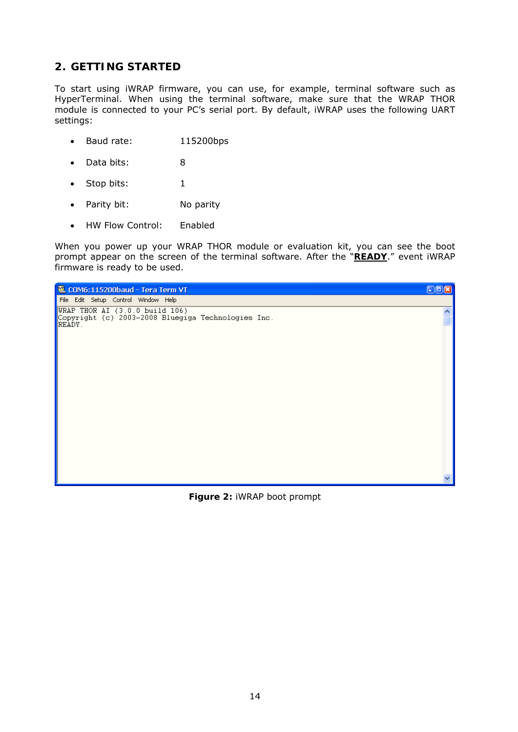## <span id="page-13-0"></span>**2. GETTING STARTED**

To start using iWRAP firmware, you can use, for example, terminal software such as *HyperTerminal*. When using the terminal software, make sure that the WRAP THOR module is connected to your PC's serial port. By default, iWRAP uses the following UART settings:

- Baud rate: 115200bps
- Data bits: 8
- Stop bits: 1
- Parity bit: No parity
- HW Flow Control: Enabled

When you power up your WRAP THOR module or evaluation kit, you can see the boot prompt appear on the screen of the terminal software. After the "**READY**." event iWRAP firmware is ready to be used.

<span id="page-13-1"></span>

**Figure 2:** iWRAP boot prompt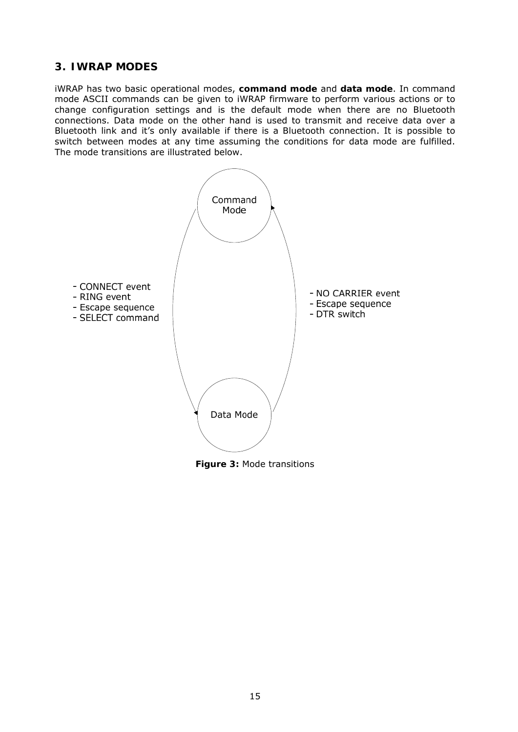## <span id="page-14-0"></span>**3. IWRAP MODES**

iWRAP has two basic operational modes, **command mode** and **data mode**. In command mode ASCII commands can be given to iWRAP firmware to perform various actions or to change configuration settings and is the default mode when there are no *Bluetooth* connections. Data mode on the other hand is used to transmit and receive data over a *Bluetooth* link and it's only available if there is a *Bluetooth* connection. It is possible to switch between modes at any time assuming the conditions for data mode are fulfilled. The mode transitions are illustrated below.



<span id="page-14-1"></span>**Figure 3:** Mode transitions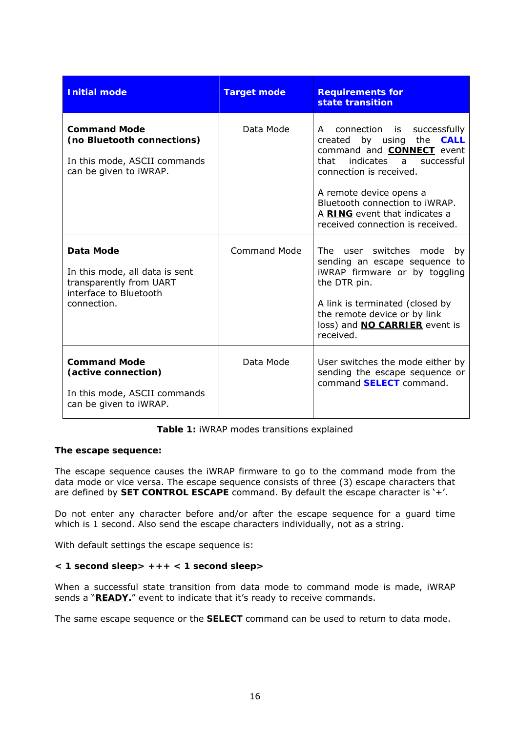| <b>Initial mode</b>                                                                                                    | <b>Target mode</b>  | <b>Requirements for</b><br>state transition                                                                                                                                                                                                                                                               |
|------------------------------------------------------------------------------------------------------------------------|---------------------|-----------------------------------------------------------------------------------------------------------------------------------------------------------------------------------------------------------------------------------------------------------------------------------------------------------|
| <b>Command Mode</b><br>(no Bluetooth connections)<br>In this mode, ASCII commands<br>can be given to iWRAP.            | Data Mode           | connection is successfully<br>A<br>created by using the <b>CALL</b><br>command and <b>CONNECT</b> event<br>indicates a<br>that<br>successful<br>connection is received.<br>A remote device opens a<br>Bluetooth connection to iWRAP.<br>A RING event that indicates a<br>received connection is received. |
| <b>Data Mode</b><br>In this mode, all data is sent<br>transparently from UART<br>interface to Bluetooth<br>connection. | <b>Command Mode</b> | The user switches mode<br>by<br>sending an escape sequence to<br>iWRAP firmware or by toggling<br>the DTR pin.<br>A link is terminated (closed by<br>the remote device or by link<br>loss) and <b>NO CARRIER</b> event is<br>received.                                                                    |
| <b>Command Mode</b><br>(active connection)<br>In this mode, ASCII commands<br>can be given to iWRAP.                   | Data Mode           | User switches the mode either by<br>sending the escape sequence or<br>command <b>SELECT</b> command.                                                                                                                                                                                                      |

**Table 1:** iWRAP modes transitions explained

#### <span id="page-15-0"></span>**The escape sequence:**

The escape sequence causes the iWRAP firmware to go to the command mode from the data mode or vice versa. The escape sequence consists of three (3) escape characters that are defined by **[SET CONTROL ESCAPE](#page-114-0)** command. By default the escape character is '+'.

Do not enter any character before and/or after the escape sequence for a guard time which is 1 second. Also send the escape characters individually, not as a string.

With default settings the escape sequence is:

#### **< 1 second sleep> +++ < 1 second sleep>**

When a successful state transition from data mode to command mode is made, iWRAP sends a "**READY.**" event to indicate that it's ready to receive commands.

The same escape sequence or the **[SELECT](#page-48-0)** command can be used to return to data mode.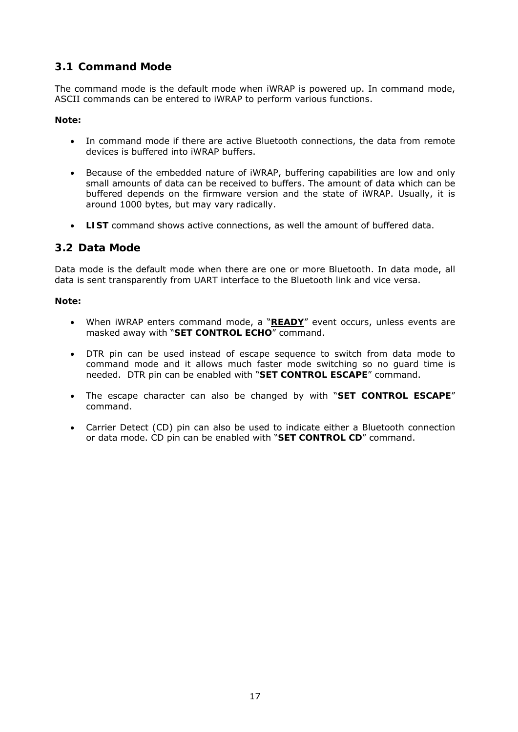## <span id="page-16-0"></span>**3.1 Command Mode**

The command mode is the default mode when iWRAP is powered up. In command mode, ASCII commands can be entered to iWRAP to perform various functions.

#### **Note:**

- In command mode if there are active *Bluetooth* connections, the data from remote devices is buffered into iWRAP buffers.
- Because of the embedded nature of iWRAP, buffering capabilities are low and only small amounts of data can be received to buffers. The amount of data which can be buffered depends on the firmware version and the state of iWRAP. Usually, it is around 1000 bytes, but may vary radically.
- **[LIST](#page-43-0)** command shows active connections, as well the amount of buffered data.

## <span id="page-16-1"></span>**3.2 Data Mode**

Data mode is the default mode when there are one or more *Bluetooth*. In data mode, all data is sent transparently from UART interface to the *Bluetooth* link and vice versa.

#### **Note:**

- When iWRAP enters command mode, a "**READY**" event occurs, unless events are masked away with "4**[SET CONTROL ECH](#page-17-1)O**" command.
- DTR pin can be used instead of escape sequence to switch from data mode to command mode and it allows much faster mode switching so no guard time is needed. DTR pin can be enabled with "**[SET CONTROL ESCAPE](#page-114-0)**" command.
- The escape character can also be changed by with "**[SET CONTROL ESCAPE](#page-114-0)**" command.
- Carrier Detect (CD) pin can also be used to indicate either a *Bluetooth* connection or data mode. CD pin can be enabled with "**[SET CONTROL CD](#page-109-0)**" command.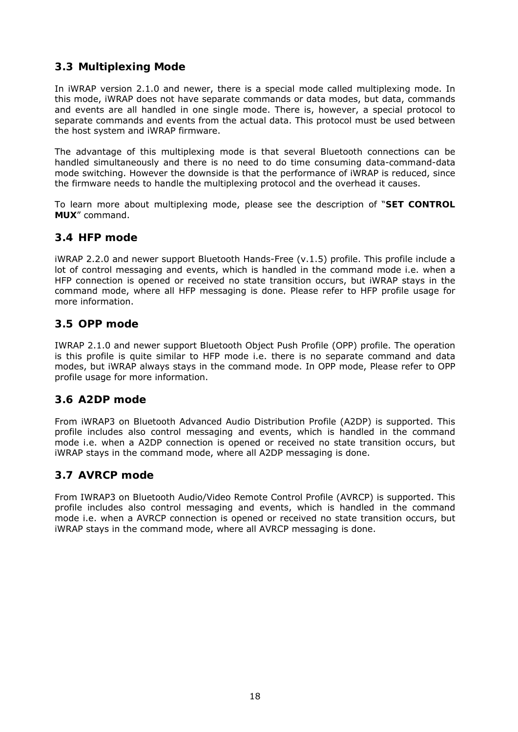## <span id="page-17-0"></span>**3.3 Multiplexing Mode**

In iWRAP version 2.1.0 and newer, there is a special mode called multiplexing mode. In this mode, iWRAP does not have separate commands or data modes, but data, commands and events are all handled in one single mode. There is, however, a special protocol to separate commands and events from the actual data. This protocol must be used between the host system and iWRAP firmware.

The advantage of this multiplexing mode is that several *Bluetooth* connections can be handled simultaneously and there is no need to do time consuming data-command-data mode switching. However the downside is that the performance of iWRAP is reduced, since the firmware needs to handle the multiplexing protocol and the overhead it causes.

To learn more about multiplexing mode, please see the description of "**[SET CONTROL](#page-117-0)  [MUX](#page-117-0)**" command.

#### <span id="page-17-1"></span>**3.4 HFP mode**

iWRAP 2.2.0 and newer support *Bluetooth* Hands-Free (v.1.5) profile. This profile include a lot of control messaging and events, which is handled in the command mode i.e. when a HFP connection is opened or received no state transition occurs, but iWRAP stays in the command mode, where all HFP messaging is done. Please refer to HFP profile usage for more information.

#### <span id="page-17-2"></span>**3.5 OPP mode**

IWRAP 2.1.0 and newer support *Bluetooth* Object Push Profile (OPP) profile. The operation is this profile is quite similar to HFP mode i.e. there is no separate command and data modes, but iWRAP always stays in the command mode. In OPP mode, Please refer to OPP profile usage for more information.

### <span id="page-17-3"></span>**3.6 A2DP mode**

From iWRAP3 on *Bluetooth* Advanced Audio Distribution Profile (A2DP) is supported. This profile includes also control messaging and events, which is handled in the command mode i.e. when a A2DP connection is opened or received no state transition occurs, but iWRAP stays in the command mode, where all A2DP messaging is done.

### <span id="page-17-4"></span>**3.7 AVRCP mode**

From IWRAP3 on *Bluetooth* Audio/Video Remote Control Profile (AVRCP) is supported. This profile includes also control messaging and events, which is handled in the command mode i.e. when a AVRCP connection is opened or received no state transition occurs, but iWRAP stays in the command mode, where all AVRCP messaging is done.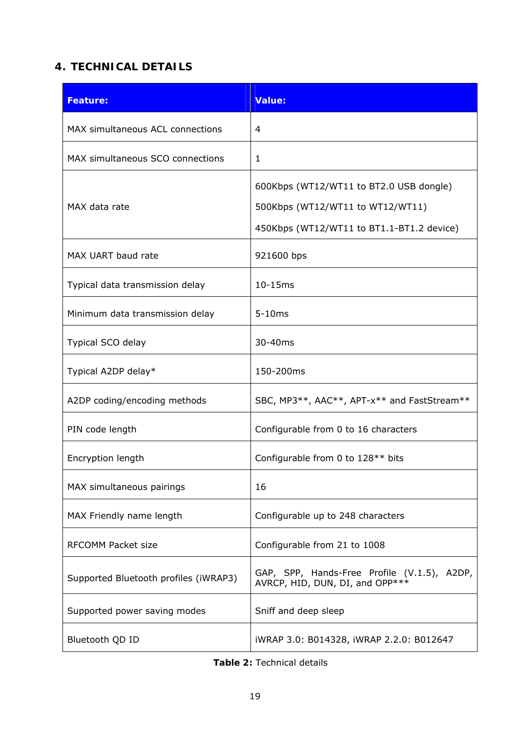# <span id="page-18-0"></span>**4. TECHNICAL DETAILS**

| <b>Feature:</b>                       | Value:                                                                                                                   |
|---------------------------------------|--------------------------------------------------------------------------------------------------------------------------|
| MAX simultaneous ACL connections      | 4                                                                                                                        |
| MAX simultaneous SCO connections      | 1                                                                                                                        |
| MAX data rate                         | 600Kbps (WT12/WT11 to BT2.0 USB dongle)<br>500Kbps (WT12/WT11 to WT12/WT11)<br>450Kbps (WT12/WT11 to BT1.1-BT1.2 device) |
| MAX UART baud rate                    | 921600 bps                                                                                                               |
| Typical data transmission delay       | 10-15ms                                                                                                                  |
| Minimum data transmission delay       | $5-10ms$                                                                                                                 |
| Typical SCO delay                     | 30-40ms                                                                                                                  |
| Typical A2DP delay*                   | 150-200ms                                                                                                                |
| A2DP coding/encoding methods          | SBC, MP3**, AAC**, APT-x** and FastStream**                                                                              |
| PIN code length                       | Configurable from 0 to 16 characters                                                                                     |
| Encryption length                     | Configurable from 0 to 128 <sup>**</sup> bits                                                                            |
| MAX simultaneous pairings             | 16                                                                                                                       |
| MAX Friendly name length              | Configurable up to 248 characters                                                                                        |
| <b>RFCOMM Packet size</b>             | Configurable from 21 to 1008                                                                                             |
| Supported Bluetooth profiles (iWRAP3) | GAP, SPP, Hands-Free Profile (V.1.5), A2DP,<br>AVRCP, HID, DUN, DI, and OPP***                                           |
| Supported power saving modes          | Sniff and deep sleep                                                                                                     |
| Bluetooth QD ID                       | iWRAP 3.0: B014328, iWRAP 2.2.0: B012647                                                                                 |

<span id="page-18-1"></span>

|--|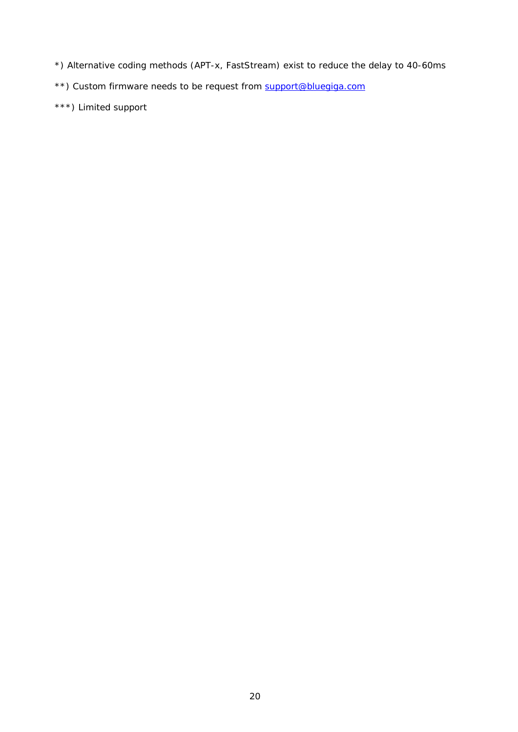- *\*) Alternative coding methods (APT-x, FastStream) exist to reduce the delay to 40-60ms*
- *\*\*) Custom firmware needs to be request from [support@bluegiga.com](mailto:support@bluegiga.com)*
- *\*\*\*) Limited support*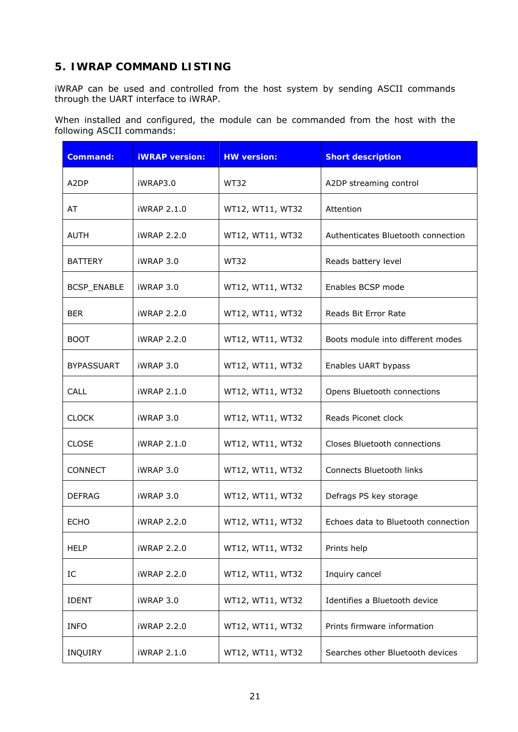# <span id="page-20-0"></span>**5. IWRAP COMMAND LISTING**

iWRAP can be used and controlled from the host system by sending ASCII commands through the UART interface to iWRAP.

When installed and configured, the module can be commanded from the host with the following ASCII commands:

| <b>Command:</b>   | <b>iWRAP</b> version: | <b>HW version:</b> | <b>Short description</b>                  |  |
|-------------------|-----------------------|--------------------|-------------------------------------------|--|
| A <sub>2</sub> DP | iWRAP3.0              | <b>WT32</b>        | A2DP streaming control                    |  |
| AT                | iWRAP 2.1.0           | WT12, WT11, WT32   | Attention                                 |  |
| <b>AUTH</b>       | iWRAP 2.2.0           | WT12, WT11, WT32   | Authenticates <i>Bluetooth</i> connection |  |
| <b>BATTERY</b>    | iWRAP 3.0             | WT32               | Reads battery level                       |  |
| BCSP_ENABLE       | iWRAP 3.0             | WT12, WT11, WT32   | Enables BCSP mode                         |  |
| <b>BER</b>        | <b>iWRAP 2.2.0</b>    | WT12, WT11, WT32   | Reads Bit Error Rate                      |  |
| <b>BOOT</b>       | <b>iWRAP 2.2.0</b>    | WT12, WT11, WT32   | Boots module into different modes         |  |
| <b>BYPASSUART</b> | iWRAP 3.0             | WT12, WT11, WT32   | Enables UART bypass                       |  |
| <b>CALL</b>       | iWRAP 2.1.0           | WT12, WT11, WT32   | Opens Bluetooth connections               |  |
| <b>CLOCK</b>      | iWRAP 3.0             | WT12, WT11, WT32   | Reads Piconet clock                       |  |
| <b>CLOSE</b>      | iWRAP 2.1.0           | WT12, WT11, WT32   | Closes Bluetooth connections              |  |
| <b>CONNECT</b>    | iWRAP 3.0             | WT12, WT11, WT32   | Connects Bluetooth links                  |  |
| <b>DEFRAG</b>     | iWRAP 3.0             | WT12, WT11, WT32   | Defrags PS key storage                    |  |
| <b>ECHO</b>       | iWRAP 2.2.0           | WT12, WT11, WT32   | Echoes data to Bluetooth connection       |  |
| <b>HELP</b>       | iWRAP 2.2.0           | WT12, WT11, WT32   | Prints help                               |  |
| IC                | iWRAP 2.2.0           | WT12, WT11, WT32   | Inquiry cancel                            |  |
| <b>IDENT</b>      | iWRAP 3.0             | WT12, WT11, WT32   | Identifies a Bluetooth device             |  |
| <b>INFO</b>       | iWRAP 2.2.0           | WT12, WT11, WT32   | Prints firmware information               |  |
| INQUIRY           | iWRAP 2.1.0           | WT12, WT11, WT32   | Searches other Bluetooth devices          |  |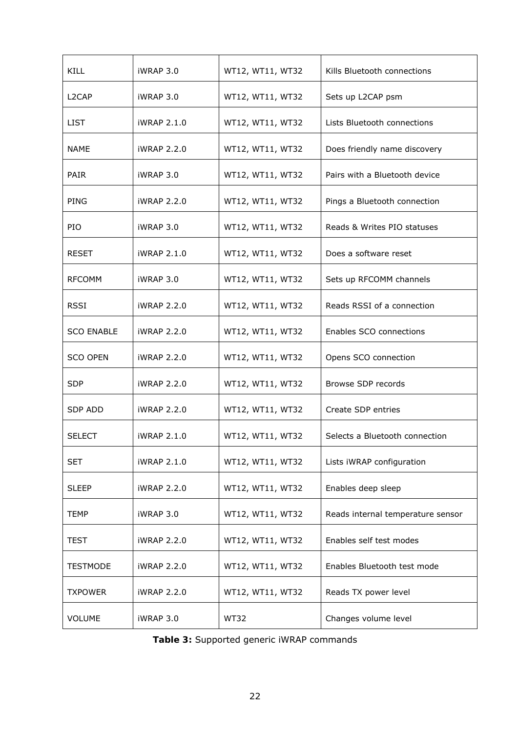| <b>KILL</b>        | iWRAP 3.0          | WT12, WT11, WT32 | Kills Bluetooth connections       |  |
|--------------------|--------------------|------------------|-----------------------------------|--|
| L <sub>2</sub> CAP | iWRAP 3.0          | WT12, WT11, WT32 | Sets up L2CAP psm                 |  |
| <b>LIST</b>        | <b>iWRAP 2.1.0</b> | WT12, WT11, WT32 | Lists Bluetooth connections       |  |
| NAME               | <b>iWRAP 2.2.0</b> | WT12, WT11, WT32 | Does friendly name discovery      |  |
| <b>PAIR</b>        | iWRAP 3.0          | WT12, WT11, WT32 | Pairs with a Bluetooth device     |  |
| <b>PING</b>        | <b>iWRAP 2.2.0</b> | WT12, WT11, WT32 | Pings a Bluetooth connection      |  |
| <b>PIO</b>         | iWRAP 3.0          | WT12, WT11, WT32 | Reads & Writes PIO statuses       |  |
| <b>RESET</b>       | <b>iWRAP 2.1.0</b> | WT12, WT11, WT32 | Does a software reset             |  |
| <b>RFCOMM</b>      | iWRAP 3.0          | WT12, WT11, WT32 | Sets up RFCOMM channels           |  |
| <b>RSSI</b>        | <b>iWRAP 2.2.0</b> | WT12, WT11, WT32 | Reads RSSI of a connection        |  |
| <b>SCO ENABLE</b>  | <b>iWRAP 2.2.0</b> | WT12, WT11, WT32 | Enables SCO connections           |  |
| <b>SCO OPEN</b>    | <b>iWRAP 2.2.0</b> | WT12, WT11, WT32 | Opens SCO connection              |  |
| <b>SDP</b>         | <b>iWRAP 2.2.0</b> | WT12, WT11, WT32 | Browse SDP records                |  |
| <b>SDP ADD</b>     | <b>iWRAP 2.2.0</b> | WT12, WT11, WT32 | Create SDP entries                |  |
| <b>SELECT</b>      | iWRAP 2.1.0        | WT12, WT11, WT32 | Selects a Bluetooth connection    |  |
| <b>SET</b>         | <b>iWRAP 2.1.0</b> | WT12, WT11, WT32 | Lists iWRAP configuration         |  |
| <b>SLEEP</b>       | <b>iWRAP 2.2.0</b> | WT12, WT11, WT32 | Enables deep sleep                |  |
| <b>TEMP</b>        | iWRAP 3.0          | WT12, WT11, WT32 | Reads internal temperature sensor |  |
| <b>TEST</b>        | <b>iWRAP 2.2.0</b> | WT12, WT11, WT32 | Enables self test modes           |  |
| <b>TESTMODE</b>    | <b>iWRAP 2.2.0</b> | WT12, WT11, WT32 | Enables Bluetooth test mode       |  |
| <b>TXPOWER</b>     | <b>iWRAP 2.2.0</b> | WT12, WT11, WT32 | Reads TX power level              |  |
| <b>VOLUME</b>      | iWRAP 3.0          | <b>WT32</b>      | Changes volume level              |  |

<span id="page-21-0"></span>

|  | Table 3: Supported generic iWRAP commands |  |
|--|-------------------------------------------|--|
|--|-------------------------------------------|--|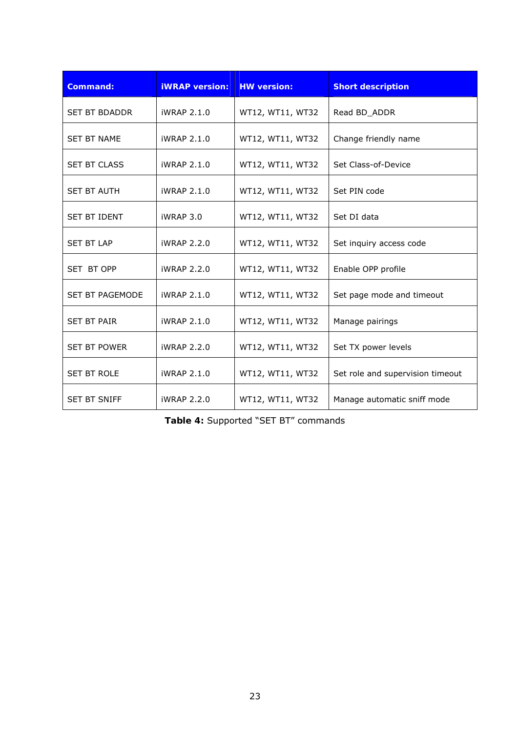| <b>Command:</b>        | <b>iWRAP</b> version: | <b>HW</b> version: | <b>Short description</b>         |
|------------------------|-----------------------|--------------------|----------------------------------|
| <b>SET BT BDADDR</b>   | iWRAP 2.1.0           | WT12, WT11, WT32   | Read BD_ADDR                     |
| <b>SET BT NAME</b>     | iWRAP 2.1.0           | WT12, WT11, WT32   | Change friendly name             |
| <b>SET BT CLASS</b>    | iWRAP 2.1.0           | WT12, WT11, WT32   | Set Class-of-Device              |
| <b>SET BT AUTH</b>     | iWRAP 2.1.0           | WT12, WT11, WT32   | Set PIN code                     |
| <b>SET BT IDENT</b>    | iWRAP 3.0             | WT12, WT11, WT32   | Set DI data                      |
| <b>SET BT LAP</b>      | iWRAP 2.2.0           | WT12, WT11, WT32   | Set inquiry access code          |
| SET BT OPP             | iWRAP 2.2.0           | WT12, WT11, WT32   | Enable OPP profile               |
| <b>SET BT PAGEMODE</b> | iWRAP 2.1.0           | WT12, WT11, WT32   | Set page mode and timeout        |
| <b>SET BT PAIR</b>     | iWRAP 2.1.0           | WT12, WT11, WT32   | Manage pairings                  |
| <b>SET BT POWER</b>    | iWRAP 2.2.0           | WT12, WT11, WT32   | Set TX power levels              |
| <b>SET BT ROLE</b>     | iWRAP 2.1.0           | WT12, WT11, WT32   | Set role and supervision timeout |
| <b>SET BT SNIFF</b>    | iWRAP 2.2.0           | WT12, WT11, WT32   | Manage automatic sniff mode      |

<span id="page-22-0"></span>**Table 4:** Supported "SET BT" commands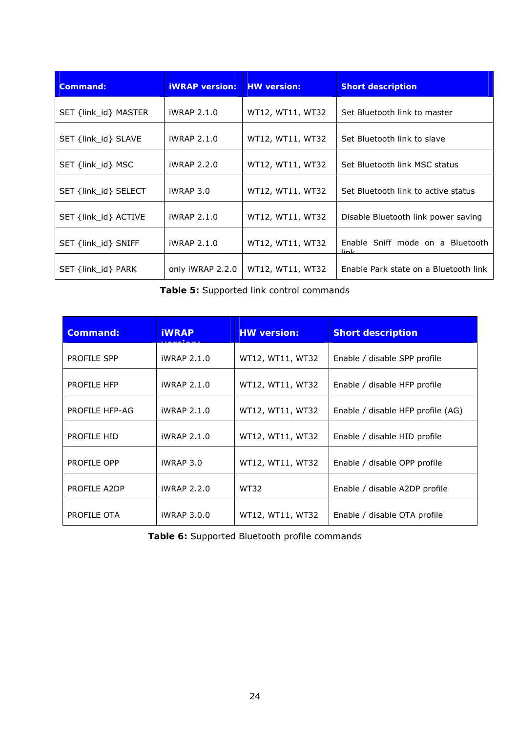| Command:             | <b>iWRAP</b> version: | <b>HW</b> version: | <b>Short description</b>                 |
|----------------------|-----------------------|--------------------|------------------------------------------|
| SET {link_id} MASTER | iWRAP 2.1.0           | WT12, WT11, WT32   | Set Bluetooth link to master             |
| SET {link_id} SLAVE  | iWRAP 2.1.0           | WT12, WT11, WT32   | Set Bluetooth link to slave              |
| SET {link_id} MSC    | iWRAP 2.2.0           | WT12, WT11, WT32   | Set Bluetooth link MSC status            |
| SET {link id} SELECT | iWRAP 3.0             | WT12, WT11, WT32   | Set Bluetooth link to active status      |
| SET {link_id} ACTIVE | iWRAP 2.1.0           | WT12, WT11, WT32   | Disable Bluetooth link power saving      |
| SET {link id} SNIFF  | iWRAP 2.1.0           | WT12, WT11, WT32   | Enable Sniff mode on a Bluetooth<br>link |
| SET {link_id} PARK   | only iWRAP 2.2.0      | WT12, WT11, WT32   | Enable Park state on a Bluetooth link    |

**Table 5:** Supported link control commands

<span id="page-23-0"></span>

| <b>Command:</b>    | <b>iWRAP</b> | <b>HW version:</b> | <b>Short description</b>          |
|--------------------|--------------|--------------------|-----------------------------------|
| <b>PROFILE SPP</b> | iWRAP 2.1.0  | WT12, WT11, WT32   | Enable / disable SPP profile      |
| PROFILE HFP        | iWRAP 2.1.0  | WT12, WT11, WT32   | Enable / disable HFP profile      |
| PROFILE HFP-AG     | iWRAP 2.1.0  | WT12, WT11, WT32   | Enable / disable HFP profile (AG) |
| PROFILE HID        | iWRAP 2.1.0  | WT12, WT11, WT32   | Enable / disable HID profile      |
| PROFILE OPP        | iWRAP 3.0    | WT12, WT11, WT32   | Enable / disable OPP profile      |
| PROFILE A2DP       | iWRAP 2.2.0  | <b>WT32</b>        | Enable / disable A2DP profile     |
| PROFILE OTA        | iWRAP 3.0.0  | WT12, WT11, WT32   | Enable / disable OTA profile      |

<span id="page-23-1"></span>**Table 6:** Supported Bluetooth profile commands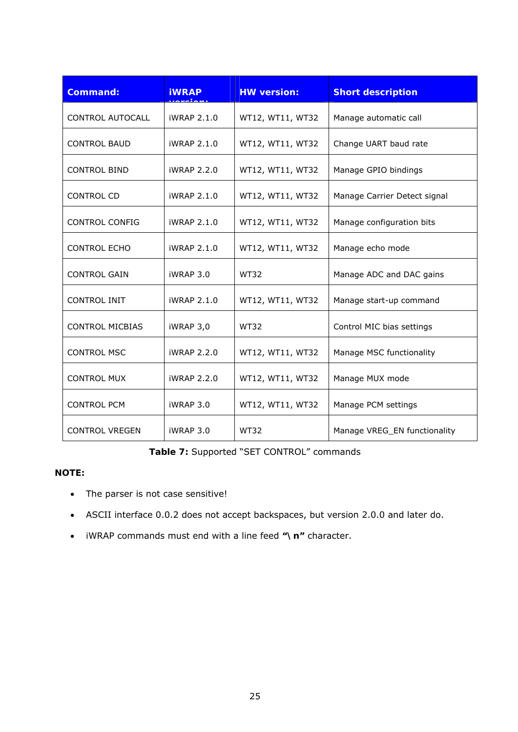| <b>Command:</b>         | <b>iWRAP</b>       | <b>HW version:</b> | <b>Short description</b>     |
|-------------------------|--------------------|--------------------|------------------------------|
| <b>CONTROL AUTOCALL</b> | iWRAP 2.1.0        | WT12, WT11, WT32   | Manage automatic call        |
| <b>CONTROL BAUD</b>     | iWRAP 2.1.0        | WT12, WT11, WT32   | Change UART baud rate        |
| <b>CONTROL BIND</b>     | iWRAP 2.2.0        | WT12, WT11, WT32   | Manage GPIO bindings         |
| <b>CONTROL CD</b>       | iWRAP 2.1.0        | WT12, WT11, WT32   | Manage Carrier Detect signal |
| <b>CONTROL CONFIG</b>   | iWRAP 2.1.0        | WT12, WT11, WT32   | Manage configuration bits    |
| <b>CONTROL ECHO</b>     | iWRAP 2.1.0        | WT12, WT11, WT32   | Manage echo mode             |
| <b>CONTROL GAIN</b>     | iWRAP 3.0          | <b>WT32</b>        | Manage ADC and DAC gains     |
| <b>CONTROL INIT</b>     | iWRAP 2.1.0        | WT12, WT11, WT32   | Manage start-up command      |
| <b>CONTROL MICBIAS</b>  | iWRAP 3,0          | <b>WT32</b>        | Control MIC bias settings    |
| <b>CONTROL MSC</b>      | iWRAP 2.2.0        | WT12, WT11, WT32   | Manage MSC functionality     |
| <b>CONTROL MUX</b>      | <b>iWRAP 2.2.0</b> | WT12, WT11, WT32   | Manage MUX mode              |
| <b>CONTROL PCM</b>      | iWRAP 3.0          | WT12, WT11, WT32   | Manage PCM settings          |
| <b>CONTROL VREGEN</b>   | iWRAP 3.0          | <b>WT32</b>        | Manage VREG_EN functionality |

**Table 7:** Supported "SET CONTROL" commands

## <span id="page-24-0"></span>**NOTE:**

- The parser is not case sensitive!
- ASCII interface 0.0.2 does not accept backspaces, but version 2.0.0 and later do.
- iWRAP commands must end with a line feed **"\n"** character.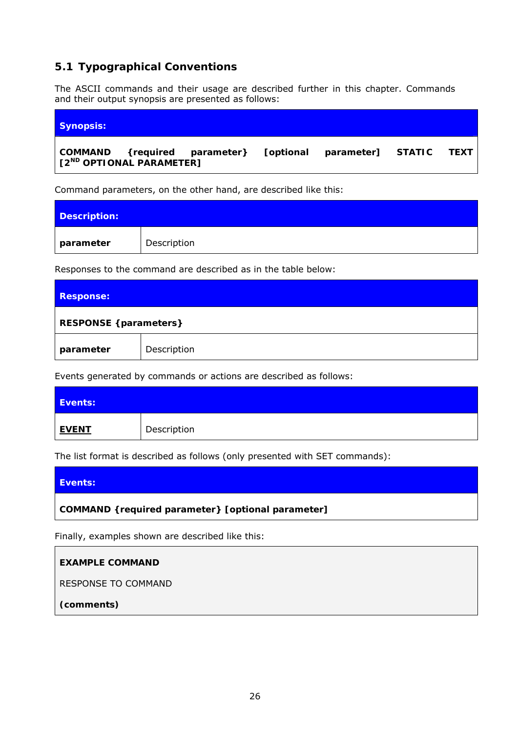# <span id="page-25-0"></span>**5.1 Typographical Conventions**

The ASCII commands and their usage are described further in this chapter. Commands and their output synopsis are presented as follows:

| <b>Synopsis:</b>                     |  |  |  |
|--------------------------------------|--|--|--|
| [2 <sup>ND</sup> OPTIONAL PARAMETER] |  |  |  |

Command parameters, on the other hand, are described like this:

| <b>Description:</b> |             |
|---------------------|-------------|
| parameter           | Description |

Responses to the command are described as in the table below:

| <b>Response:</b>                      |             |  |
|---------------------------------------|-------------|--|
| <b>RESPONSE</b> { <i>parameters</i> } |             |  |
| parameter                             | Description |  |

Events generated by commands or actions are described as follows:

| Events:      |             |
|--------------|-------------|
| <u>EVENT</u> | Description |

The list format is described as follows (only presented with SET commands):

| Events:                                            |
|----------------------------------------------------|
| COMMAND { required parameter} [optional parameter] |
|                                                    |

Finally, examples shown are described like this:

#### **EXAMPLE COMMAND**

RESPONSE TO COMMAND

*(comments)*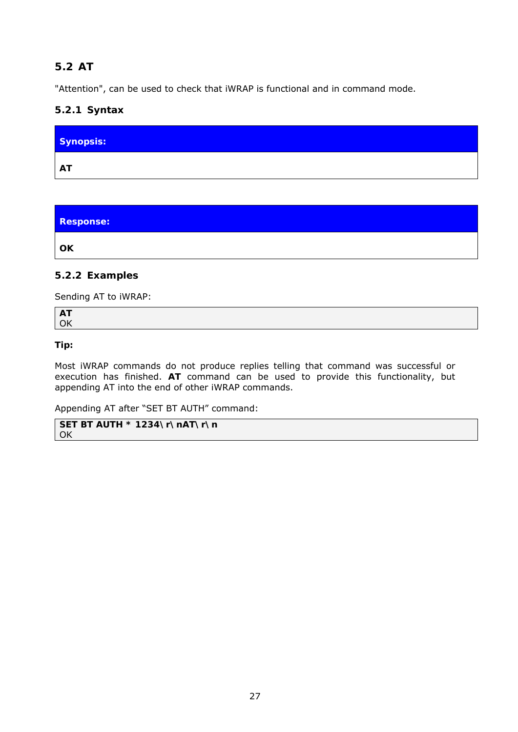# <span id="page-26-0"></span>**5.2 AT**

"Attention", can be used to check that iWRAP is functional and in command mode.

## **5.2.1 Syntax**

| Synopsis: |  |
|-----------|--|
| <b>AT</b> |  |

**Response: OK** 

## **5.2.2 Examples**

Sending AT to iWRAP:

**AT**  OK

#### **Tip:**

Most iWRAP commands do not produce replies telling that command was successful or execution has finished. **AT** command can be used to provide this functionality, but appending AT into the end of other iWRAP commands.

Appending AT after "SET BT AUTH" command:

```
SET BT AUTH * 1234\r\nAT\r\n 
OK
```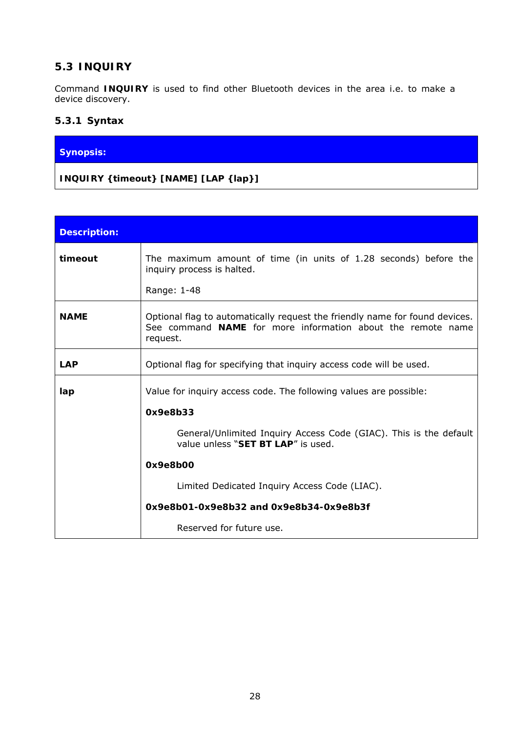# <span id="page-27-0"></span>**5.3 INQUIRY**

Command **INQUIRY** is used to find other *Bluetooth* devices in the area i.e. to make a device discovery.

## **5.3.1 Syntax**

## **Synopsis:**

## **INQUIRY {***timeout***} [NAME] [LAP {***lap***}]**

| <b>Description:</b> |                                                                                                                                                        |  |  |
|---------------------|--------------------------------------------------------------------------------------------------------------------------------------------------------|--|--|
| timeout             | The maximum amount of time (in units of 1.28 seconds) before the<br>inquiry process is halted.                                                         |  |  |
|                     | Range: 1-48                                                                                                                                            |  |  |
| <b>NAME</b>         | Optional flag to automatically request the friendly name for found devices.<br>See command NAME for more information about the remote name<br>request. |  |  |
| <b>LAP</b>          | Optional flag for specifying that inquiry access code will be used.                                                                                    |  |  |
| lap                 | Value for inquiry access code. The following values are possible:                                                                                      |  |  |
|                     | 0x9e8b33                                                                                                                                               |  |  |
|                     | General/Unlimited Inquiry Access Code (GIAC). This is the default<br>value unless "SET BT LAP" is used.                                                |  |  |
|                     | 0x9e8b00                                                                                                                                               |  |  |
|                     | Limited Dedicated Inquiry Access Code (LIAC).                                                                                                          |  |  |
|                     | 0x9e8b01-0x9e8b32 and 0x9e8b34-0x9e8b3f                                                                                                                |  |  |
|                     | Reserved for future use.                                                                                                                               |  |  |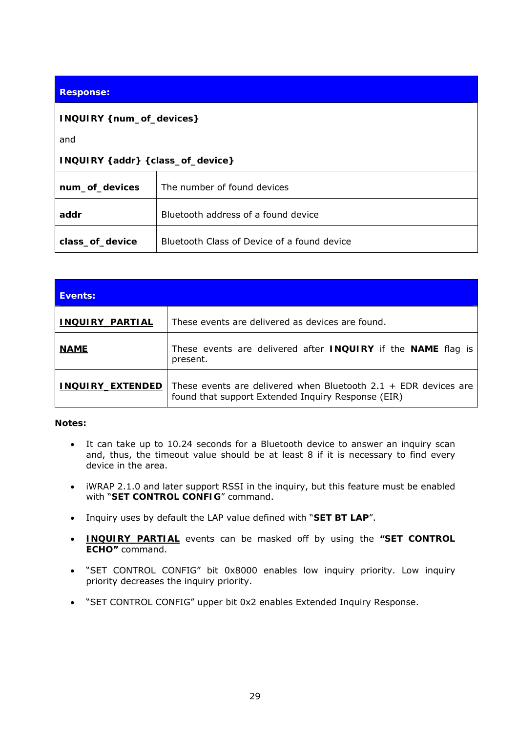#### **Response:**

#### **INQUIRY {***num\_of\_devices***}**

and

#### **INQUIRY {***addr***} {***class\_of\_device***}**

| num_of_devices  | The number of found devices                        |
|-----------------|----------------------------------------------------|
| addr            | <i>Bluetooth</i> address of a found device         |
| class_of_device | <i>Bluetooth</i> Class of Device of a found device |

| Events:                           |                                                                                                                       |
|-----------------------------------|-----------------------------------------------------------------------------------------------------------------------|
| <b>INQUIRY_PARTIAL</b>            | These events are delivered as devices are found.                                                                      |
| <b>NAME</b>                       | These events are delivered after <b>INQUIRY</b> if the <b>NAME</b> flag is<br>present.                                |
| <b>EXTENDED</b><br><b>INQUIRY</b> | These events are delivered when Bluetooth 2.1 + EDR devices are<br>found that support Extended Inquiry Response (EIR) |

#### **Notes:**

- It can take up to 10.24 seconds for a *Bluetooth* device to answer an inquiry scan and, thus, the timeout value should be at least 8 if it is necessary to find every device in the area.
- iWRAP 2.1.0 and later support RSSI in the inquiry, but this feature must be enabled with "**SET CONTROL CONFIG**" command.
- Inquiry uses by default the LAP value defined with "**SET BT LAP**".
- **INQUIRY\_PARTIAL** events can be masked off by using the **"SET CONTROL ECHO"** command.
- "SET CONTROL CONFIG" bit 0x8000 enables low inquiry priority. Low inquiry priority decreases the inquiry priority.
- "SET CONTROL CONFIG" upper bit 0x2 enables Extended Inquiry Response.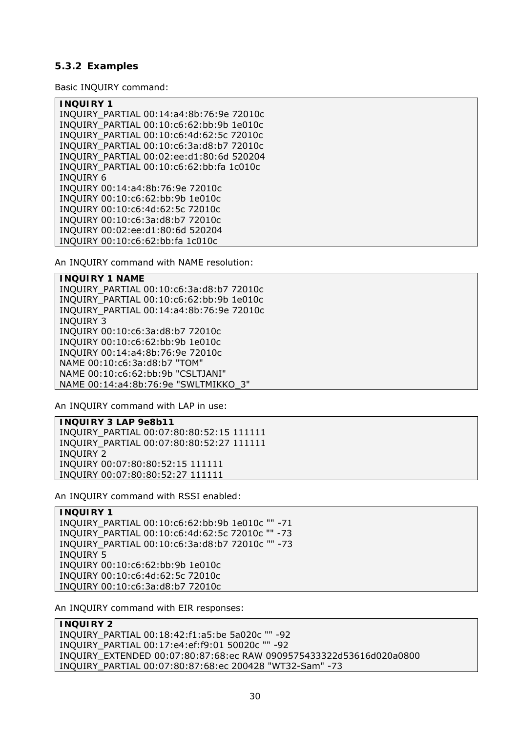#### **5.3.2 Examples**

Basic INQUIRY command:

| <b>INQUIRY 1</b>                         |
|------------------------------------------|
| INQUIRY_PARTIAL 00:14:a4:8b:76:9e 72010c |
| INQUIRY PARTIAL 00:10:c6:62:bb:9b 1e010c |
| INQUIRY_PARTIAL 00:10:c6:4d:62:5c 72010c |
| INQUIRY PARTIAL 00:10:c6:3a:d8:b7 72010c |
| INQUIRY_PARTIAL 00:02:ee:d1:80:6d 520204 |
| INQUIRY PARTIAL 00:10:c6:62:bb:fa 1c010c |
| <b>INQUIRY 6</b>                         |
| INQUIRY 00:14:a4:8b:76:9e 72010c         |
| INQUIRY 00:10:c6:62:bb:9b 1e010c         |
| INQUIRY 00:10:c6:4d:62:5c 72010c         |
| INQUIRY 00:10:c6:3a:d8:b7 72010c         |
| INQUIRY 00:02:ee:d1:80:6d 520204         |
| INQUIRY 00:10:c6:62:bb:fa 1c010c         |

An INQUIRY command with NAME resolution:

**INQUIRY 1 NAME**  INQUIRY\_PARTIAL 00:10:c6:3a:d8:b7 72010c INQUIRY\_PARTIAL 00:10:c6:62:bb:9b 1e010c INQUIRY\_PARTIAL 00:14:a4:8b:76:9e 72010c INQUIRY 3 INQUIRY 00:10:c6:3a:d8:b7 72010c INQUIRY 00:10:c6:62:bb:9b 1e010c INQUIRY 00:14:a4:8b:76:9e 72010c NAME 00:10:c6:3a:d8:b7 "TOM" NAME 00:10:c6:62:bb:9b "CSLTJANI" NAME 00:14:a4:8b:76:9e "SWLTMIKKO\_3"

An INQUIRY command with LAP in use:

**INQUIRY 3 LAP 9e8b11** 

INQUIRY\_PARTIAL 00:07:80:80:52:15 111111 INQUIRY\_PARTIAL 00:07:80:80:52:27 111111 INQUIRY 2 INQUIRY 00:07:80:80:52:15 111111 INQUIRY 00:07:80:80:52:27 111111

An INQUIRY command with RSSI enabled:

**INQUIRY 1**  INQUIRY\_PARTIAL 00:10:c6:62:bb:9b 1e010c "" -71 INQUIRY\_PARTIAL 00:10:c6:4d:62:5c 72010c "" -73 INQUIRY\_PARTIAL 00:10:c6:3a:d8:b7 72010c "" -73 INQUIRY 5 INQUIRY 00:10:c6:62:bb:9b 1e010c INQUIRY 00:10:c6:4d:62:5c 72010c INQUIRY 00:10:c6:3a:d8:b7 72010c

An INQUIRY command with EIR responses:

**INQUIRY 2**  INQUIRY\_PARTIAL 00:18:42:f1:a5:be 5a020c "" -92 INQUIRY\_PARTIAL 00:17:e4:ef:f9:01 50020c "" -92 INQUIRY\_EXTENDED 00:07:80:87:68:ec RAW 0909575433322d53616d020a0800 INQUIRY\_PARTIAL 00:07:80:87:68:ec 200428 "WT32-Sam" -73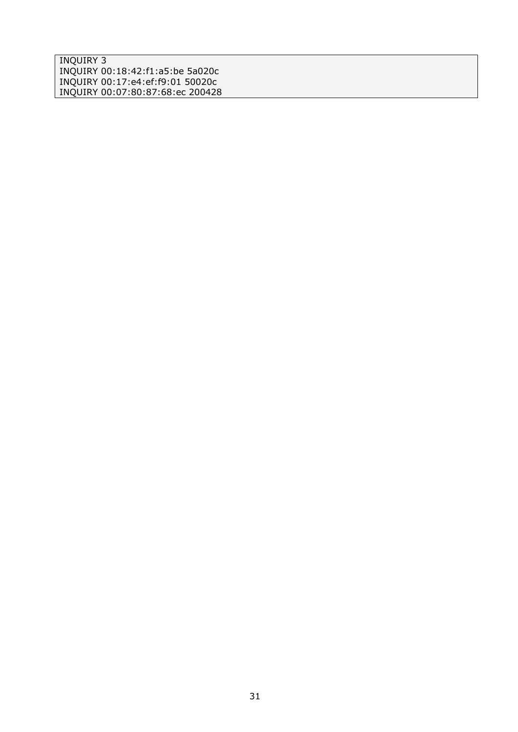INQUIRY 3 INQUIRY 00:18:42:f1:a5:be 5a020c INQUIRY 00:17:e4:ef:f9:01 50020c INQUIRY 00:07:80:87:68:ec 200428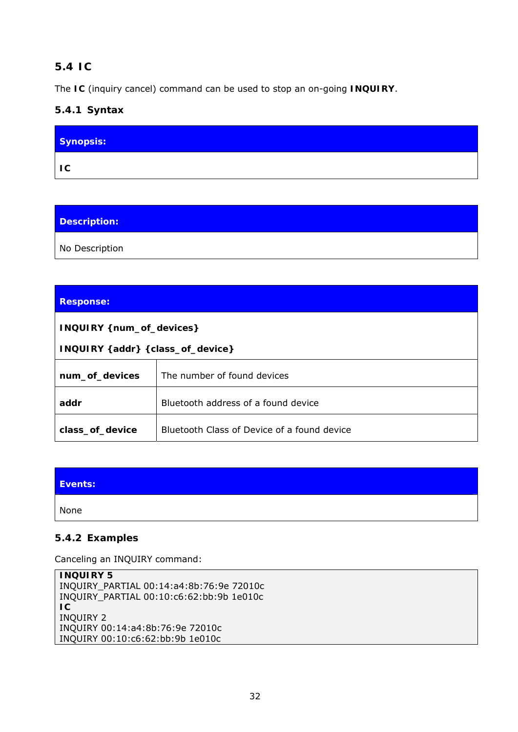# <span id="page-31-0"></span>**5.4 IC**

The **IC** (inquiry cancel) command can be used to stop an on-going **INQUIRY**.

# **5.4.1 Syntax**

| Synopsis:                |  |
|--------------------------|--|
| $\overline{\mathsf{IC}}$ |  |

## **Description:**

No Description

### **Response:**

**INQUIRY {***num\_of\_devices***}** 

**INQUIRY {***addr***} {***class\_of\_device***}** 

| num_of_devices  | The number of found devices                        |
|-----------------|----------------------------------------------------|
| addr            | <i>Bluetooth</i> address of a found device         |
| class_of_device | <i>Bluetooth</i> Class of Device of a found device |

| Events: |  |
|---------|--|
| None    |  |

### **5.4.2 Examples**

Canceling an INQUIRY command:

```
INQUIRY 5 
INQUIRY_PARTIAL 00:14:a4:8b:76:9e 72010c 
INQUIRY_PARTIAL 00:10:c6:62:bb:9b 1e010c 
IC 
INQUIRY 2 
INQUIRY 00:14:a4:8b:76:9e 72010c 
INQUIRY 00:10:c6:62:bb:9b 1e010c
```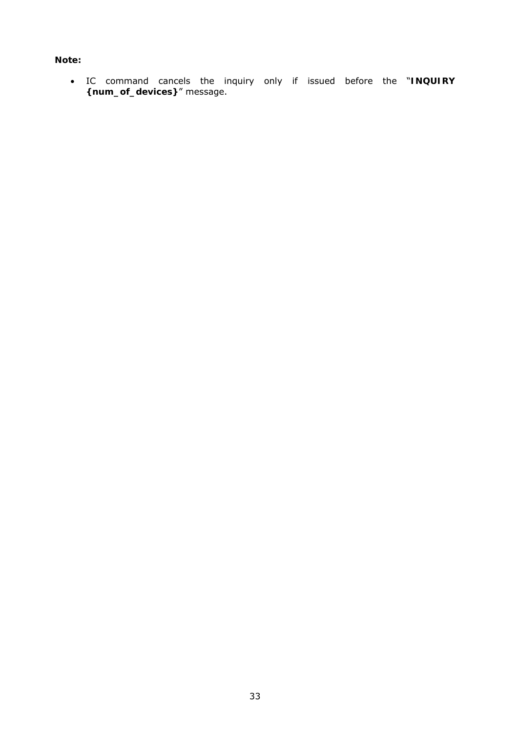#### **Note:**

 IC command cancels the inquiry only if issued before the "**INQUIRY {num\_of\_devices}**" message.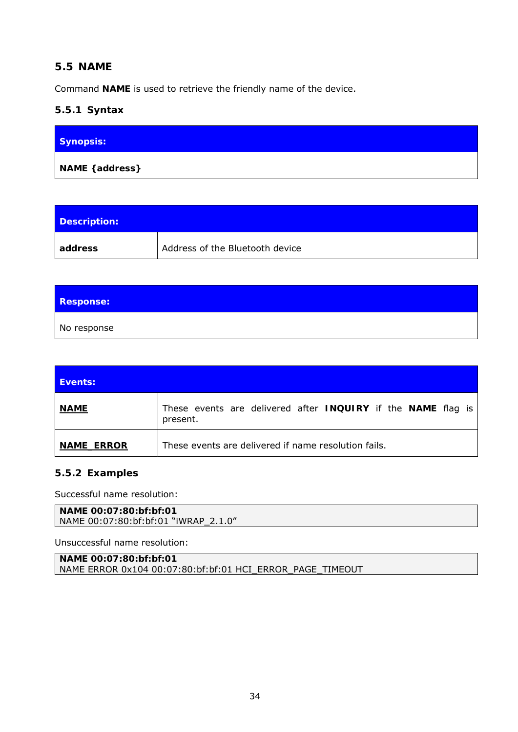# <span id="page-33-0"></span>**5.5 NAME**

Command **NAME** is used to retrieve the friendly name of the device.

## **5.5.1 Syntax**

| <b>Synopsis:</b> |  |
|------------------|--|
| NAME { address}  |  |

| Description: |                                 |
|--------------|---------------------------------|
| address      | Address of the Bluetooth device |

| <b>Response:</b> |  |  |
|------------------|--|--|
| No response      |  |  |

| Events:           |                                                                          |
|-------------------|--------------------------------------------------------------------------|
| <b>NAME</b>       | These events are delivered after INQUIRY if the NAME flag is<br>present. |
| <b>NAME ERROR</b> | These events are delivered if name resolution fails.                     |

### **5.5.2 Examples**

Successful name resolution:

```
NAME 00:07:80:bf:bf:01 
NAME 00:07:80:bf:bf:01 "iWRAP_2.1.0"
```
Unsuccessful name resolution:

**NAME 00:07:80:bf:bf:01**  NAME ERROR 0x104 00:07:80:bf:bf:01 HCI\_ERROR\_PAGE\_TIMEOUT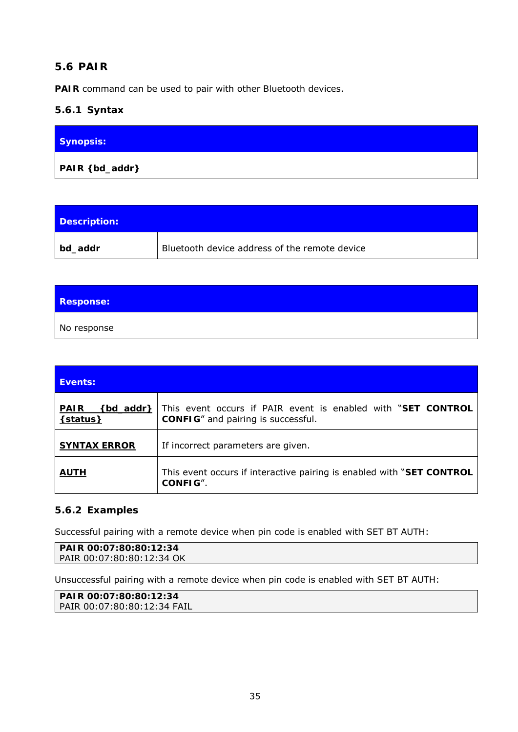# <span id="page-34-0"></span>**5.6 PAIR**

**PAIR** command can be used to pair with other *Bluetooth* devices.

## **5.6.1 Syntax**

| <b>Synopsis:</b> |  |
|------------------|--|
| PAIR { bd_addr}  |  |

| Description: |                                               |
|--------------|-----------------------------------------------|
| bd_addr      | Bluetooth device address of the remote device |

| <b>Response:</b> |  |  |
|------------------|--|--|
| No response      |  |  |

| <b>Events:</b>                      |                                                                                                           |
|-------------------------------------|-----------------------------------------------------------------------------------------------------------|
| <b>PAIR</b><br>bd addr}<br>{status} | This event occurs if PAIR event is enabled with "SET CONTROL<br><b>CONFIG"</b> and pairing is successful. |
| <b>SYNTAX ERROR</b>                 | If incorrect parameters are given.                                                                        |
| <b>AUTH</b>                         | This event occurs if interactive pairing is enabled with "SET CONTROL"<br>CONFIG".                        |

### **5.6.2 Examples**

Successful pairing with a remote device when pin code is enabled with SET BT AUTH:

```
PAIR 00:07:80:80:12:34 
PAIR 00:07:80:80:12:34 OK
```
Unsuccessful pairing with a remote device when pin code is enabled with SET BT AUTH:

```
PAIR 00:07:80:80:12:34 
PAIR 00:07:80:80:12:34 FAIL
```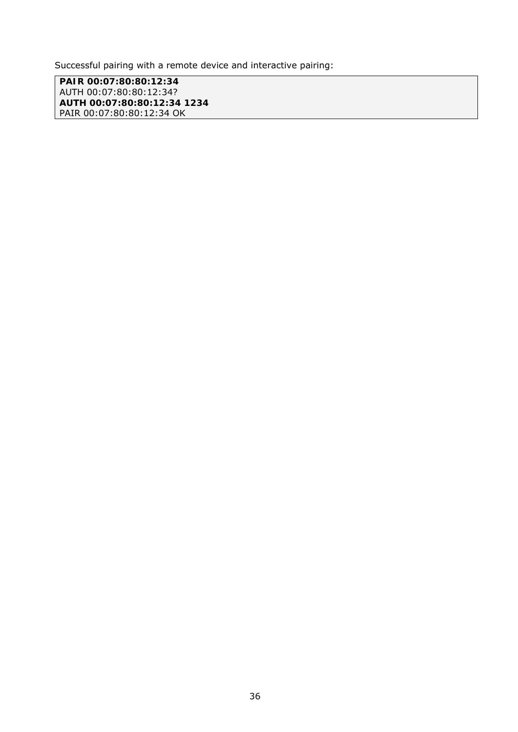Successful pairing with a remote device and interactive pairing:

**PAIR 00:07:80:80:12:34**  AUTH 00:07:80:80:12:34? **AUTH 00:07:80:80:12:34 1234**  PAIR 00:07:80:80:12:34 OK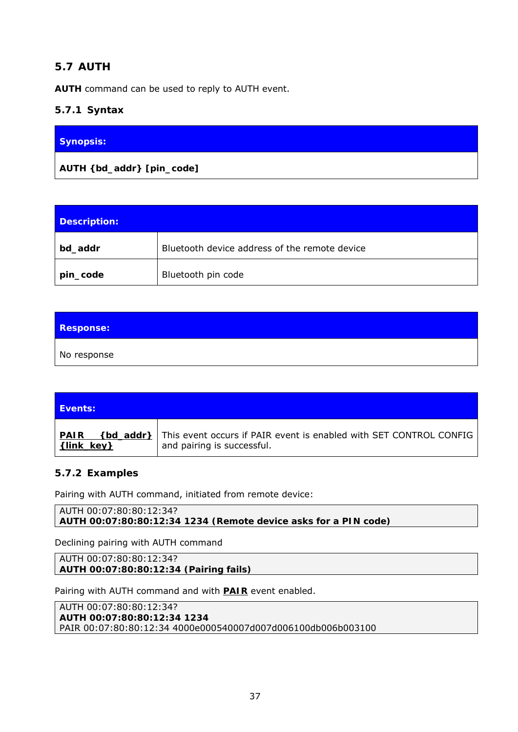# **5.7 AUTH**

**AUTH** command can be used to reply to AUTH event.

# **5.7.1 Syntax**

| Synopsis: |  |
|-----------|--|
|           |  |

| Description: |                                                      |
|--------------|------------------------------------------------------|
| bd_addr      | <i>Bluetooth</i> device address of the remote device |
| pin_code     | Bluetooth pin code                                   |

| <b>Response:</b> |  |
|------------------|--|
| No response      |  |

| <b>Events:</b>                         |                                                                                                  |
|----------------------------------------|--------------------------------------------------------------------------------------------------|
| <b>PAIR</b><br>{bd_addr}<br>{link key} | This event occurs if PAIR event is enabled with SET CONTROL CONFIG<br>and pairing is successful. |

## **5.7.2 Examples**

Pairing with AUTH command, initiated from remote device:

AUTH 00:07:80:80:12:34? **AUTH 00:07:80:80:12:34 1234** *(Remote device asks for a PIN code)*

Declining pairing with AUTH command

AUTH 00:07:80:80:12:34? **AUTH 00:07:80:80:12:34** *(Pairing fails)*

Pairing with AUTH command and with **PAIR** event enabled.

AUTH 00:07:80:80:12:34? **AUTH 00:07:80:80:12:34 1234**  PAIR 00:07:80:80:12:34 4000e000540007d007d006100db006b003100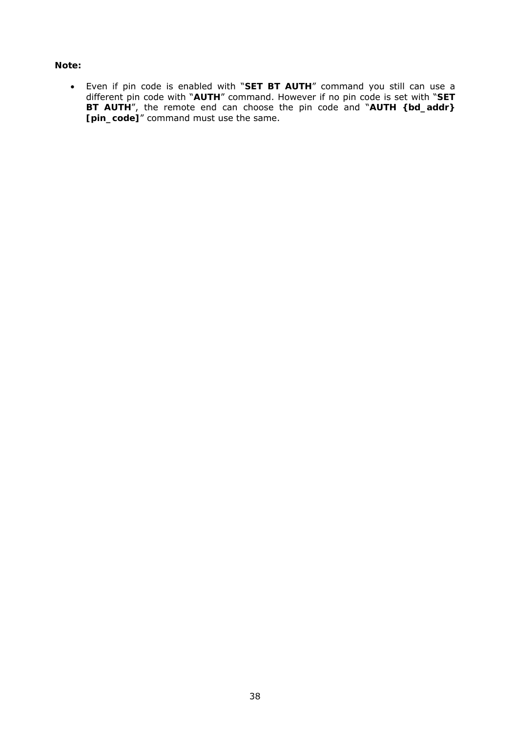#### **Note:**

 Even if pin code is enabled with "**SET BT AUTH**" command you still can use a different pin code with "**AUTH**" command. However if no pin code is set with "**SET BT AUTH**", the remote end can choose the pin code and "**AUTH {bd\_addr} [pin\_code]**" command must use the same.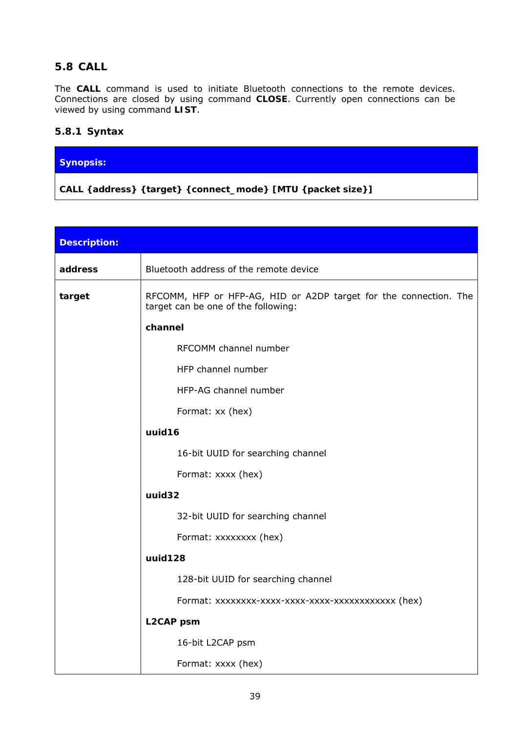# **5.8 CALL**

The **CALL** command is used to initiate *Bluetooth* connections to the remote devices. Connections are closed by using command **CLOSE**. Currently open connections can be viewed by using command **LIST**.

### **5.8.1 Syntax**

### **Synopsis:**

**CALL {***address***} {***target***} {***connect\_mode***} [MTU {***packet size}***]** 

| <b>Description:</b> |                                                                                                          |  |  |
|---------------------|----------------------------------------------------------------------------------------------------------|--|--|
| address             | Bluetooth address of the remote device                                                                   |  |  |
| target              | RFCOMM, HFP or HFP-AG, HID or A2DP target for the connection. The<br>target can be one of the following: |  |  |
|                     | channel                                                                                                  |  |  |
|                     | RFCOMM channel number                                                                                    |  |  |
|                     | HFP channel number                                                                                       |  |  |
|                     | HFP-AG channel number                                                                                    |  |  |
|                     | Format: xx (hex)<br>uuid16                                                                               |  |  |
|                     |                                                                                                          |  |  |
|                     | 16-bit UUID for searching channel                                                                        |  |  |
|                     | Format: xxxx (hex)                                                                                       |  |  |
|                     | uuid32                                                                                                   |  |  |
|                     | 32-bit UUID for searching channel                                                                        |  |  |
|                     | Format: xxxxxxxx (hex)                                                                                   |  |  |
|                     | uuid128                                                                                                  |  |  |
|                     | 128-bit UUID for searching channel                                                                       |  |  |
|                     | Format: xxxxxxxx-xxxx-xxxx-xxxx-xxxxxxxxxxxx (hex)                                                       |  |  |
|                     | <b>L2CAP</b> psm                                                                                         |  |  |
|                     | 16-bit L2CAP psm                                                                                         |  |  |
|                     | Format: xxxx (hex)                                                                                       |  |  |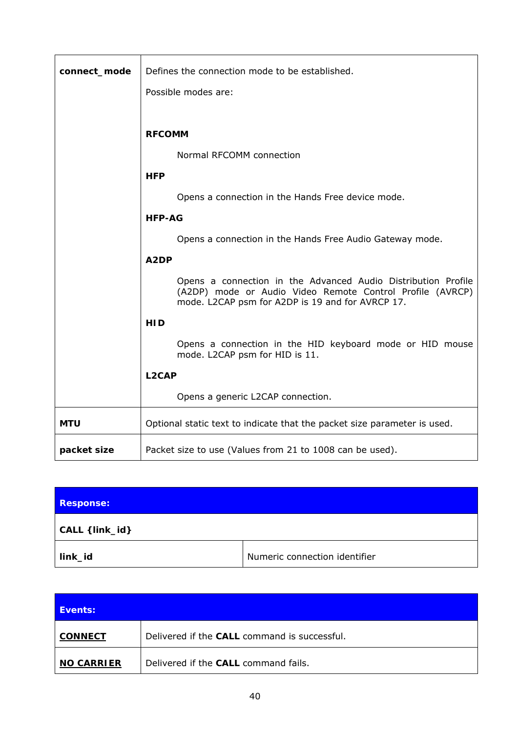| connect_mode | Defines the connection mode to be established.                                                                                                                                 |  |  |
|--------------|--------------------------------------------------------------------------------------------------------------------------------------------------------------------------------|--|--|
|              | Possible modes are:                                                                                                                                                            |  |  |
|              |                                                                                                                                                                                |  |  |
|              | <b>RFCOMM</b>                                                                                                                                                                  |  |  |
|              | Normal RFCOMM connection                                                                                                                                                       |  |  |
|              | <b>HFP</b>                                                                                                                                                                     |  |  |
|              | Opens a connection in the Hands Free device mode.                                                                                                                              |  |  |
|              | <b>HFP-AG</b>                                                                                                                                                                  |  |  |
|              | Opens a connection in the Hands Free Audio Gateway mode.                                                                                                                       |  |  |
|              | A <sub>2</sub> DP                                                                                                                                                              |  |  |
|              | Opens a connection in the Advanced Audio Distribution Profile<br>(A2DP) mode or Audio Video Remote Control Profile (AVRCP)<br>mode. L2CAP psm for A2DP is 19 and for AVRCP 17. |  |  |
|              | <b>HID</b>                                                                                                                                                                     |  |  |
|              | Opens a connection in the HID keyboard mode or HID mouse<br>mode. L2CAP psm for HID is 11.                                                                                     |  |  |
|              | L <sub>2</sub> CAP                                                                                                                                                             |  |  |
|              | Opens a generic L2CAP connection.                                                                                                                                              |  |  |
| <b>MTU</b>   | Optional static text to indicate that the packet size parameter is used.                                                                                                       |  |  |
| packet size  | Packet size to use (Values from 21 to 1008 can be used).                                                                                                                       |  |  |

| <b>Response:</b> |                               |  |
|------------------|-------------------------------|--|
| CALL { link_id}  |                               |  |
| link_id          | Numeric connection identifier |  |

| Events:           |                                              |
|-------------------|----------------------------------------------|
| <b>CONNECT</b>    | Delivered if the CALL command is successful. |
| <b>NO CARRIER</b> | Delivered if the CALL command fails.         |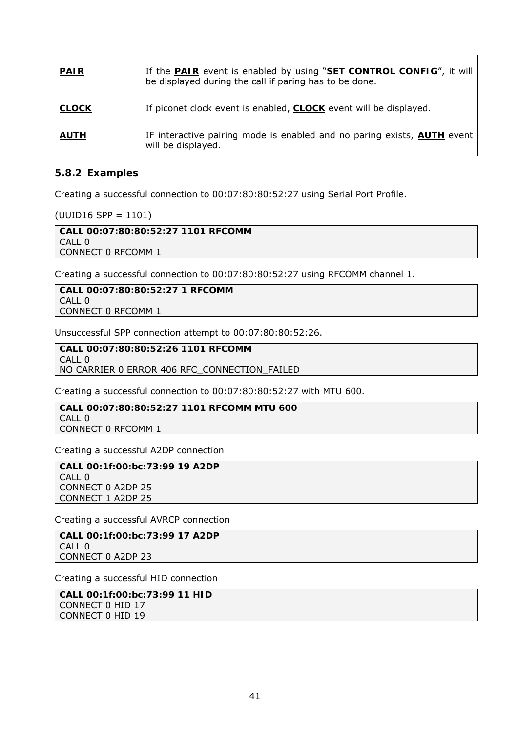| <b>PAIR</b>  | If the <b>PAIR</b> event is enabled by using "SET CONTROL CONFIG", it will<br>be displayed during the call if paring has to be done. |
|--------------|--------------------------------------------------------------------------------------------------------------------------------------|
| <b>CLOCK</b> | If piconet clock event is enabled, <b>CLOCK</b> event will be displayed.                                                             |
| <b>AUTH</b>  | IF interactive pairing mode is enabled and no paring exists, <b>AUTH</b> event<br>will be displayed.                                 |

### **5.8.2 Examples**

Creating a successful connection to 00:07:80:80:52:27 using Serial Port Profile.

(UUID16 SPP = 1101)

**CALL 00:07:80:80:52:27 1101 RFCOMM**  CALL 0 CONNECT 0 RFCOMM 1

Creating a successful connection to 00:07:80:80:52:27 using RFCOMM channel 1.

**CALL 00:07:80:80:52:27 1 RFCOMM**  CALL 0 CONNECT 0 RFCOMM 1

Unsuccessful SPP connection attempt to 00:07:80:80:52:26.

**CALL 00:07:80:80:52:26 1101 RFCOMM**   $CAII$  0 NO CARRIER 0 ERROR 406 RFC\_CONNECTION\_FAILED

Creating a successful connection to 00:07:80:80:52:27 with MTU 600.

**CALL 00:07:80:80:52:27 1101 RFCOMM MTU 600**  CALL 0 CONNECT 0 RFCOMM 1

Creating a successful A2DP connection

**CALL 00:1f:00:bc:73:99 19 A2DP**  CALL 0 CONNECT 0 A2DP 25 CONNECT 1 A2DP 25

Creating a successful AVRCP connection

**CALL 00:1f:00:bc:73:99 17 A2DP**  CALL 0 CONNECT 0 A2DP 23

Creating a successful HID connection

**CALL 00:1f:00:bc:73:99 11 HID**  CONNECT 0 HID 17 CONNECT 0 HID 19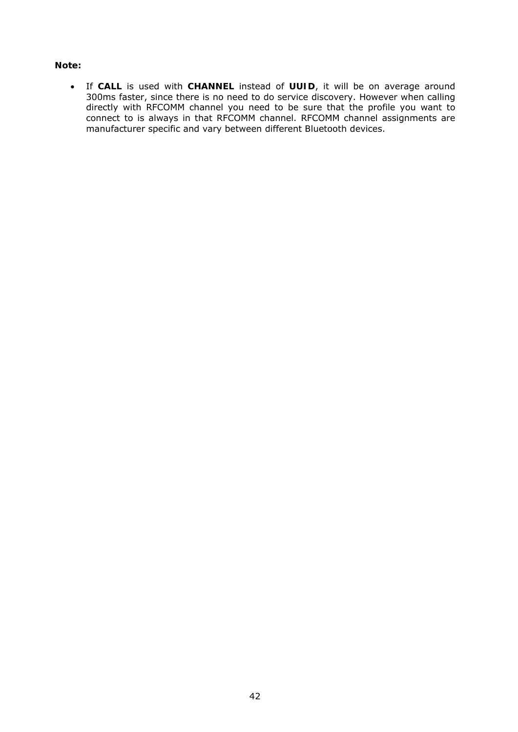#### **Note:**

 If **CALL** is used with **CHANNEL** instead of **UUID**, it will be on average around 300ms faster, since there is no need to do service discovery. However when calling directly with RFCOMM channel you need to be sure that the profile you want to connect to is always in that RFCOMM channel. RFCOMM channel assignments are manufacturer specific and vary between different *Bluetooth* devices.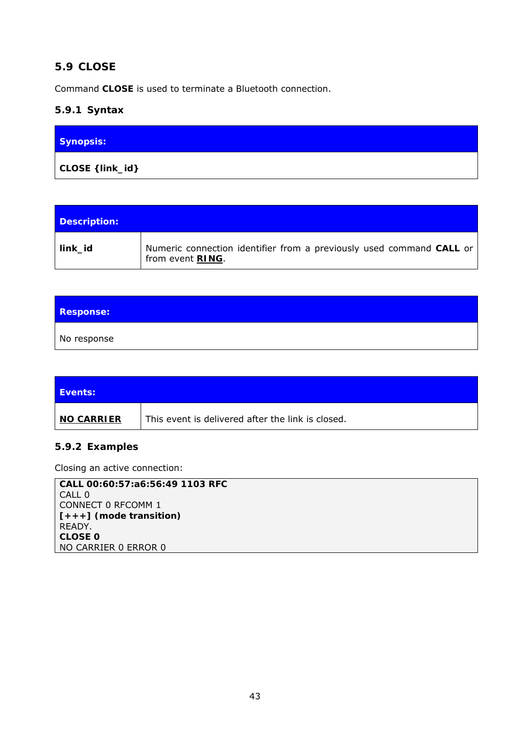# **5.9 CLOSE**

Command **CLOSE** is used to terminate a *Bluetooth* connection.

# **5.9.1 Syntax**

| <b>Synopsis:</b> |  |
|------------------|--|
| CLOSE { link_id} |  |

| Description: |                                                                                                  |
|--------------|--------------------------------------------------------------------------------------------------|
| link_id      | Numeric connection identifier from a previously used command CALL or<br>from event <b>RING</b> . |

| <b>Response:</b> |  |
|------------------|--|
| No response      |  |

| <b>Events:</b> |                                                   |
|----------------|---------------------------------------------------|
| ∣ NO CARRIER   | This event is delivered after the link is closed. |

# **5.9.2 Examples**

Closing an active connection:

| CALL 00:60:57:a6:56:49 1103 RFC |
|---------------------------------|
| CALL 0                          |
| CONNECT 0 RFCOMM 1              |
| $[+++]$ (mode transition)       |
| READY.                          |
| <b>CLOSE 0</b>                  |
| NO CARRIER 0 ERROR 0            |
|                                 |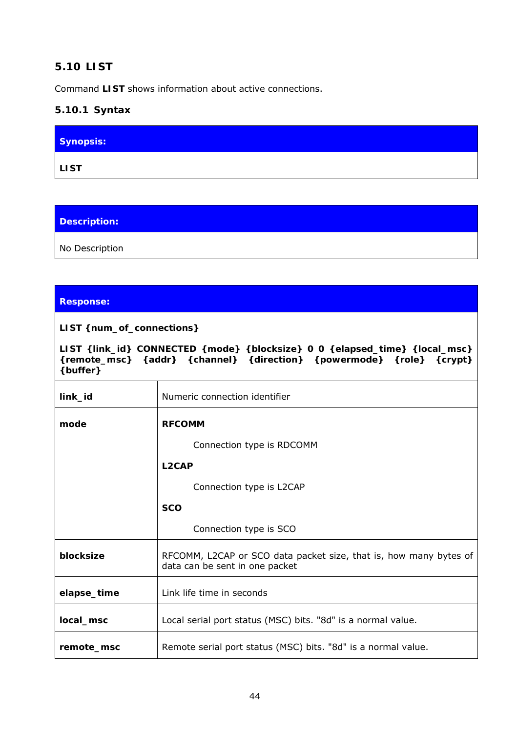# **5.10 LIST**

Command **LIST** shows information about active connections.

# **5.10.1 Syntax**

| Synopsis:   |  |
|-------------|--|
| <b>LIST</b> |  |

**Description:** 

No Description

## **Response:**

**LIST {***num\_of\_connections***}** 

**LIST {***link\_id***} CONNECTED {***mode***} {***blocksize***} 0 0 {***elapsed\_time***} {***local\_msc***} {***remote\_msc***} {***addr***} {***channel***} {***direction***} {***powermode***} {***role***} {***crypt***} {buffer}** 

| link_id     | Numeric connection identifier                                                                       |
|-------------|-----------------------------------------------------------------------------------------------------|
| mode        | <b>RFCOMM</b>                                                                                       |
|             | Connection type is RDCOMM                                                                           |
|             | L <sub>2</sub> CAP                                                                                  |
|             | Connection type is L2CAP                                                                            |
|             | <b>SCO</b>                                                                                          |
|             | Connection type is SCO                                                                              |
| blocksize   | RFCOMM, L2CAP or SCO data packet size, that is, how many bytes of<br>data can be sent in one packet |
| elapse_time | Link life time in seconds                                                                           |
| local_msc   | Local serial port status (MSC) bits. "8d" is a normal value.                                        |
| remote msc  | Remote serial port status (MSC) bits. "8d" is a normal value.                                       |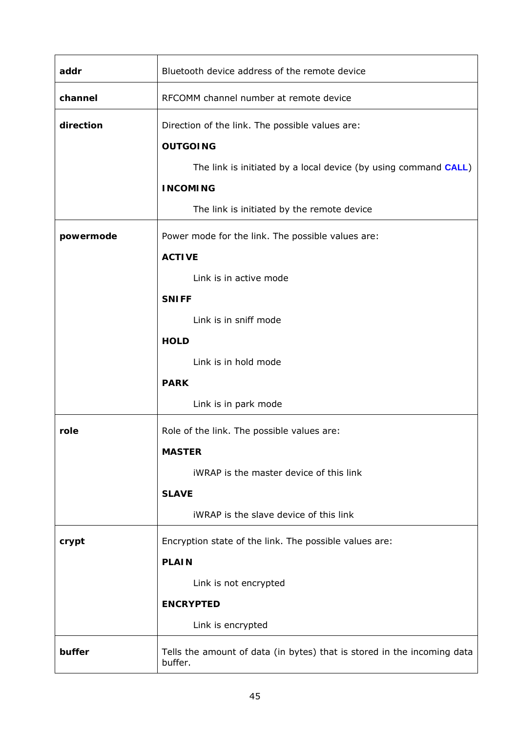| addr      | Bluetooth device address of the remote device                                      |  |
|-----------|------------------------------------------------------------------------------------|--|
| channel   | RFCOMM channel number at remote device                                             |  |
| direction | Direction of the link. The possible values are:<br><b>OUTGOING</b>                 |  |
|           | The link is initiated by a local device (by using command CALL)                    |  |
|           | <b>INCOMING</b>                                                                    |  |
|           | The link is initiated by the remote device                                         |  |
| powermode | Power mode for the link. The possible values are:                                  |  |
|           | <b>ACTIVE</b>                                                                      |  |
|           | Link is in active mode                                                             |  |
|           | <b>SNIFF</b>                                                                       |  |
|           | Link is in sniff mode                                                              |  |
|           | <b>HOLD</b>                                                                        |  |
|           | Link is in hold mode                                                               |  |
|           | <b>PARK</b>                                                                        |  |
|           | Link is in park mode                                                               |  |
| role      | Role of the link. The possible values are:                                         |  |
|           | <b>MASTER</b>                                                                      |  |
|           | iWRAP is the master device of this link                                            |  |
|           | <b>SLAVE</b>                                                                       |  |
|           | iWRAP is the slave device of this link                                             |  |
| crypt     | Encryption state of the link. The possible values are:                             |  |
|           | <b>PLAIN</b>                                                                       |  |
|           | Link is not encrypted                                                              |  |
|           | <b>ENCRYPTED</b>                                                                   |  |
|           | Link is encrypted                                                                  |  |
| buffer    | Tells the amount of data (in bytes) that is stored in the incoming data<br>buffer. |  |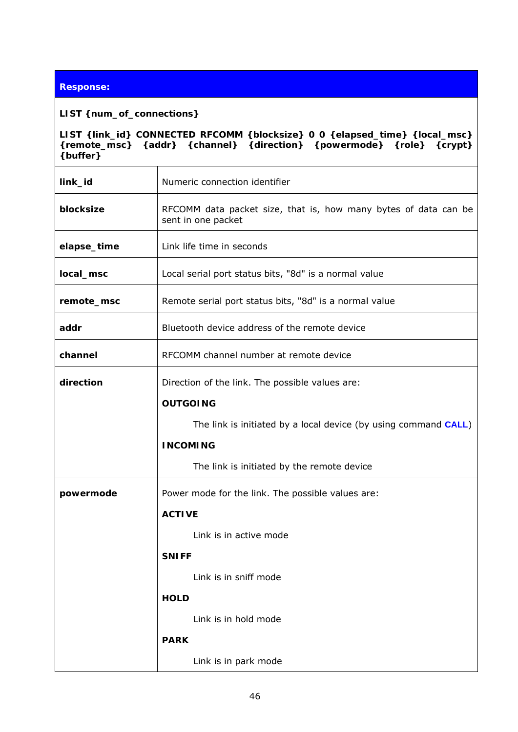### **Response:**

#### **LIST {***num\_of\_connections***}**

 $\mathbf{\overline{1}}$ 

**LIST {***link\_id***} CONNECTED RFCOMM {***blocksize***} 0 0 {***elapsed\_time***} {***local\_msc***} {***remote\_msc***} {***addr***} {***channel***} {***direction***} {***powermode***} {***role***} {***crypt***} {buffer}** 

| link_id     | Numeric connection identifier                                                         |  |  |
|-------------|---------------------------------------------------------------------------------------|--|--|
| blocksize   | RFCOMM data packet size, that is, how many bytes of data can be<br>sent in one packet |  |  |
| elapse_time | Link life time in seconds                                                             |  |  |
| local_msc   | Local serial port status bits, "8d" is a normal value                                 |  |  |
| remote_msc  | Remote serial port status bits, "8d" is a normal value                                |  |  |
| addr        | Bluetooth device address of the remote device                                         |  |  |
| channel     | RFCOMM channel number at remote device                                                |  |  |
| direction   | Direction of the link. The possible values are:                                       |  |  |
|             | <b>OUTGOING</b>                                                                       |  |  |
|             | The link is initiated by a local device (by using command CALL)                       |  |  |
|             | <b>INCOMING</b>                                                                       |  |  |
|             | The link is initiated by the remote device                                            |  |  |
| powermode   | Power mode for the link. The possible values are:                                     |  |  |
|             | <b>ACTIVE</b>                                                                         |  |  |
|             | Link is in active mode                                                                |  |  |
|             | <b>SNIFF</b>                                                                          |  |  |
|             |                                                                                       |  |  |
|             | Link is in sniff mode                                                                 |  |  |
|             | <b>HOLD</b>                                                                           |  |  |
|             | Link is in hold mode                                                                  |  |  |
|             | <b>PARK</b>                                                                           |  |  |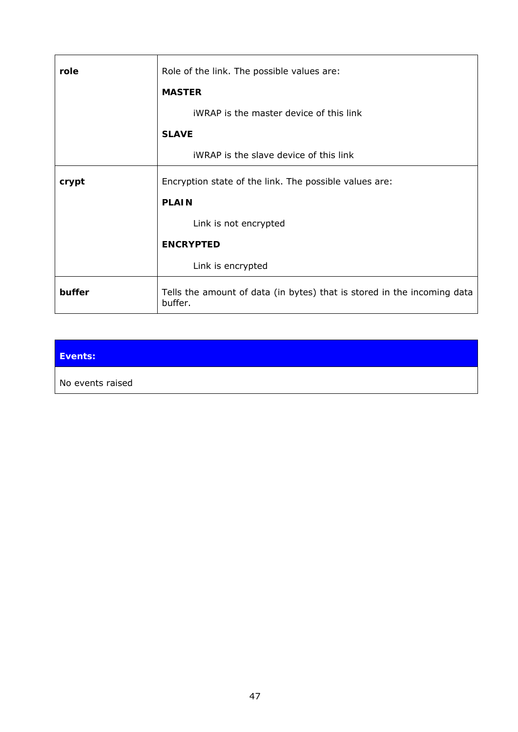| role   | Role of the link. The possible values are:<br><b>MASTER</b>                        |
|--------|------------------------------------------------------------------------------------|
|        | <b>iWRAP</b> is the master device of this link                                     |
|        | <b>SLAVE</b>                                                                       |
|        | <b>iWRAP</b> is the slave device of this link                                      |
| crypt  | Encryption state of the link. The possible values are:                             |
|        | <b>PLAIN</b>                                                                       |
|        | Link is not encrypted                                                              |
|        | <b>ENCRYPTED</b>                                                                   |
|        | Link is encrypted                                                                  |
| buffer | Tells the amount of data (in bytes) that is stored in the incoming data<br>buffer. |

| Events:          |  |
|------------------|--|
| No events raised |  |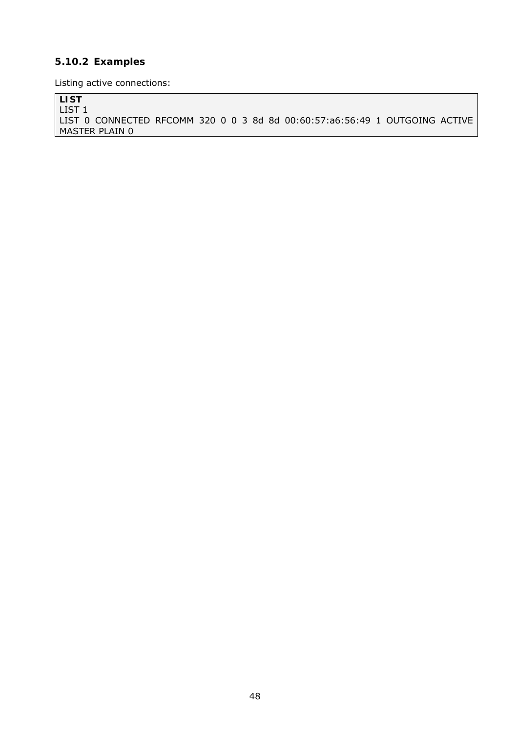# **5.10.2 Examples**

Listing active connections:

**LIST** 

LIST 1 LIST 0 CONNECTED RFCOMM 320 0 0 3 8d 8d 00:60:57:a6:56:49 1 OUTGOING ACTIVE MASTER PLAIN 0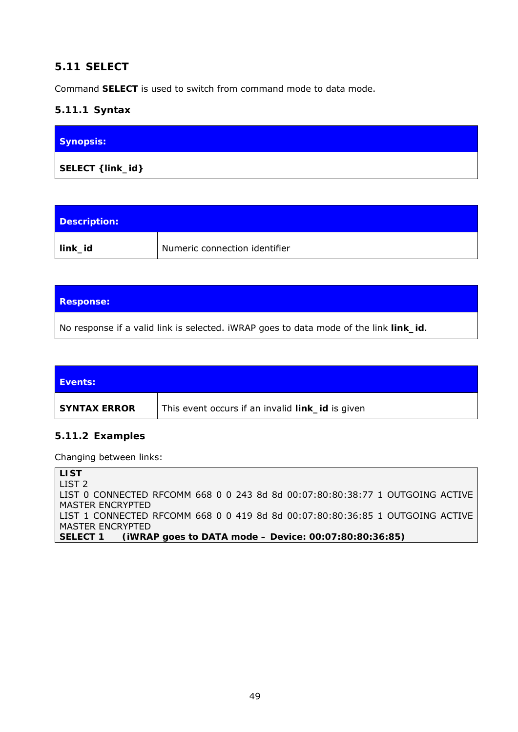# **5.11 SELECT**

Command **SELECT** is used to switch from command mode to data mode.

## **5.11.1 Syntax**

| <b>Synopsis:</b>  |  |
|-------------------|--|
| SELECT { link_id} |  |

| Description: |                               |
|--------------|-------------------------------|
| link_id      | Numeric connection identifier |

### **Response:**

No response if a valid link is selected. iWRAP goes to data mode of the link *link\_id*.

| <b>Events:</b> |                                                         |
|----------------|---------------------------------------------------------|
| SYNTAX ERROR   | This event occurs if an invalid <i>link_id</i> is given |

## **5.11.2 Examples**

Changing between links:

**LIST**  LIST 2 LIST 0 CONNECTED RFCOMM 668 0 0 243 8d 8d 00:07:80:80:38:77 1 OUTGOING ACTIVE MASTER ENCRYPTED LIST 1 CONNECTED RFCOMM 668 0 0 419 8d 8d 00:07:80:80:36:85 1 OUTGOING ACTIVE MASTER ENCRYPTED **SELECT 1** *(iWRAP goes to DATA mode – Device: 00:07:80:80:36:85)*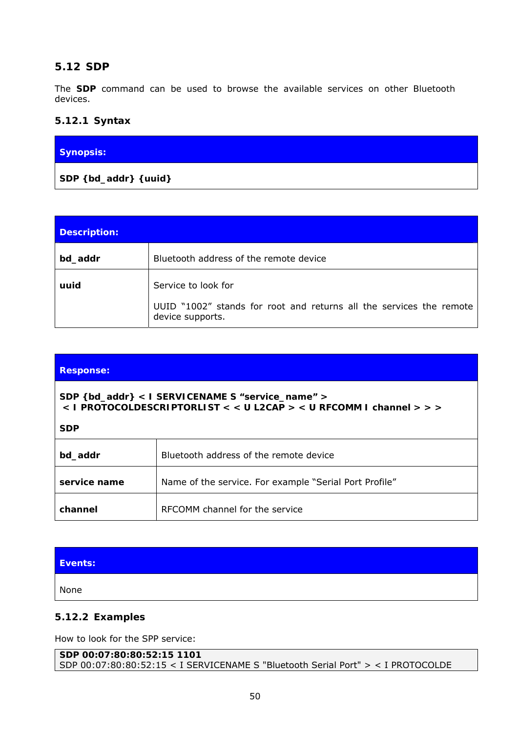# **5.12 SDP**

The **SDP** command can be used to browse the available services on other *Bluetooth* devices.

## **5.12.1 Syntax**

| Synopsis:                             |  |
|---------------------------------------|--|
| $\vert$ SDP { $bd\_addr$ } { $uuid$ } |  |

| <b>Description:</b> |                                                                                                                |
|---------------------|----------------------------------------------------------------------------------------------------------------|
| bd_addr             | Bluetooth address of the remote device                                                                         |
| uuid                | Service to look for<br>UUID "1002" stands for root and returns all the services the remote<br>device supports. |

| <b>Response:</b>                                                                                                                        |                                                        |  |
|-----------------------------------------------------------------------------------------------------------------------------------------|--------------------------------------------------------|--|
| SDP { bd_addr } < I SERVICENAME S "service_name" ><br>< I PROTOCOLDESCRIPTORLIST < < U L2CAP > < U RFCOMM I channel > > ><br><b>SDP</b> |                                                        |  |
| bd_addr                                                                                                                                 | <i>Bluetooth</i> address of the remote device          |  |
| service name                                                                                                                            | Name of the service. For example "Serial Port Profile" |  |
| channel                                                                                                                                 | RECOMM channel for the service                         |  |

| Events: |  |
|---------|--|
| None    |  |

# **5.12.2 Examples**

How to look for the SPP service:

```
SDP 00:07:80:80:52:15 1101 
SDP 00:07:80:80:52:15 < I SERVICENAME S "Bluetooth Serial Port" > < I PROTOCOLDE
```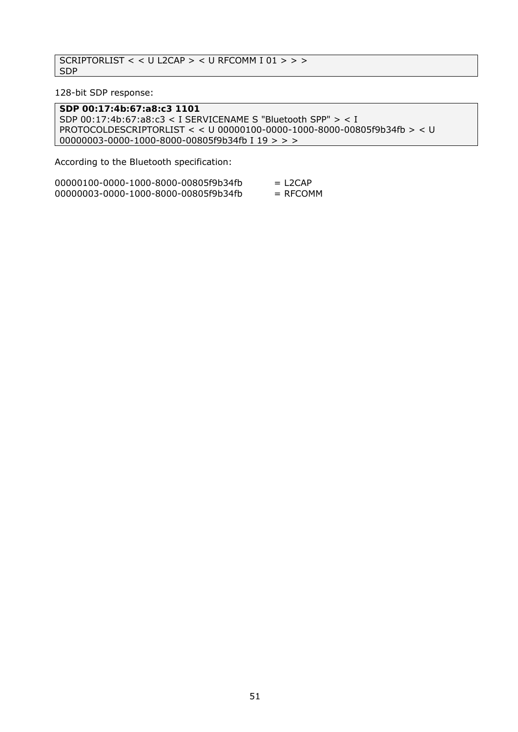```
SCRIPTORLIST < < U L2CAP > < U RFCOMM I 01 > > > 
SDP
```
128-bit SDP response:

**SDP 00:17:4b:67:a8:c3 1101**  SDP 00:17:4b:67:a8:c3 < I SERVICENAME S "Bluetooth SPP" > < I PROTOCOLDESCRIPTORLIST < < U 00000100-0000-1000-8000-00805f9b34fb > < U 00000003-0000-1000-8000-00805f9b34fb I 19 > > >

According to the *Bluetooth* specification:

| 00000100-0000-1000-8000-00805f9b34fb | $=$ L <sub>2</sub> CAP |
|--------------------------------------|------------------------|
| 00000003-0000-1000-8000-00805f9b34fb | $=$ RFCOMM             |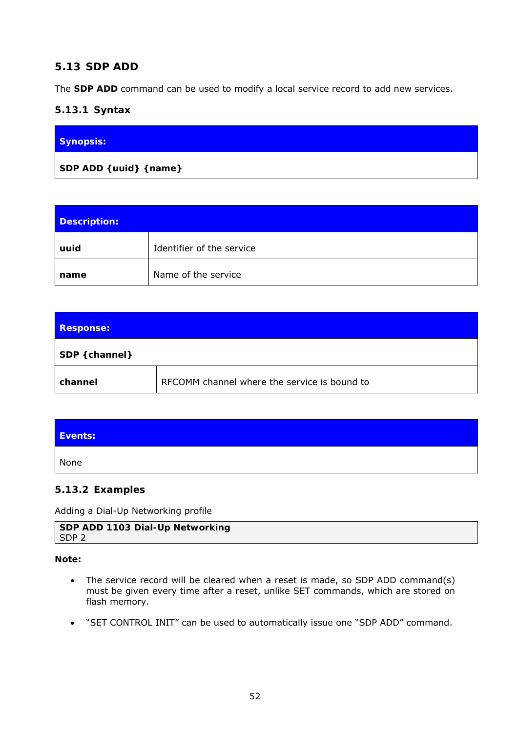# **5.13 SDP ADD**

The **SDP ADD** command can be used to modify a local service record to add new services.

## **5.13.1 Syntax**

| Synopsis:               |  |
|-------------------------|--|
| SDP ADD { uuid} { name} |  |

| Description: |                           |
|--------------|---------------------------|
| uuid         | Identifier of the service |
| name         | Name of the service       |

| <b>Response:</b> |                                              |
|------------------|----------------------------------------------|
| SDP { channer}   |                                              |
| channel          | RFCOMM channel where the service is bound to |

| Events: |  |
|---------|--|
| None    |  |

## **5.13.2 Examples**

Adding a Dial-Up Networking profile

| SDP ADD 1103 Dial-Up Networking |  |
|---------------------------------|--|
| l SDP 2                         |  |

#### **Note:**

- The service record will be cleared when a reset is made, so SDP ADD command(s) must be given every time after a reset, unlike SET commands, which are stored on flash memory.
- "SET CONTROL INIT" can be used to automatically issue one "SDP ADD" command.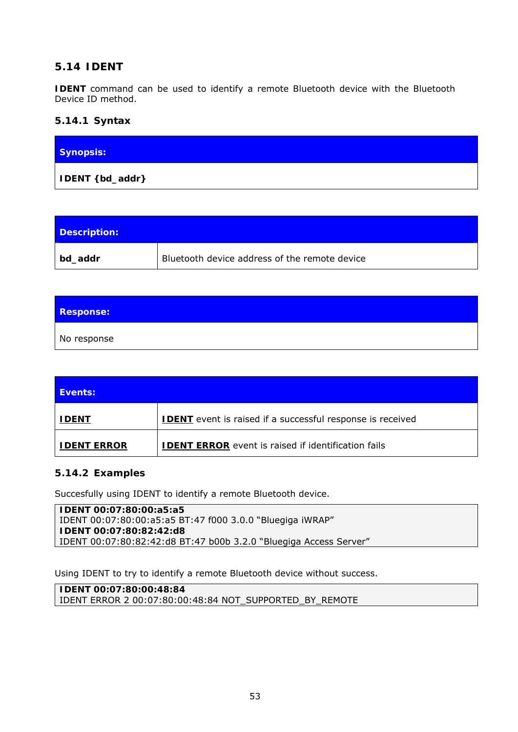# **5.14 IDENT**

**IDENT** command can be used to identify a remote *Bluetooth* device with the *Bluetooth* Device ID method.

### **5.14.1 Syntax**

| <b>Synopsis:</b>  |  |  |
|-------------------|--|--|
| IDENT { bd_addr } |  |  |

| Description: |                                               |
|--------------|-----------------------------------------------|
| bd_addr      | Bluetooth device address of the remote device |

| <b>Response:</b> |  |
|------------------|--|
| No response      |  |

| Events:            |                                                                   |
|--------------------|-------------------------------------------------------------------|
| <b>IDENT</b>       | <b>IDENT</b> event is raised if a successful response is received |
| <b>IDENT ERROR</b> | <b>IDENT ERROR</b> event is raised if identification fails        |

## **5.14.2 Examples**

Succesfully using IDENT to identify a remote Bluetooth device.

**IDENT 00:07:80:00:a5:a5**  IDENT 00:07:80:00:a5:a5 BT:47 f000 3.0.0 "Bluegiga iWRAP" **IDENT 00:07:80:82:42:d8**  IDENT 00:07:80:82:42:d8 BT:47 b00b 3.2.0 "Bluegiga Access Server"

Using IDENT to try to identify a remote Bluetooth device without success.

**IDENT 00:07:80:00:48:84**  IDENT ERROR 2 00:07:80:00:48:84 NOT\_SUPPORTED\_BY\_REMOTE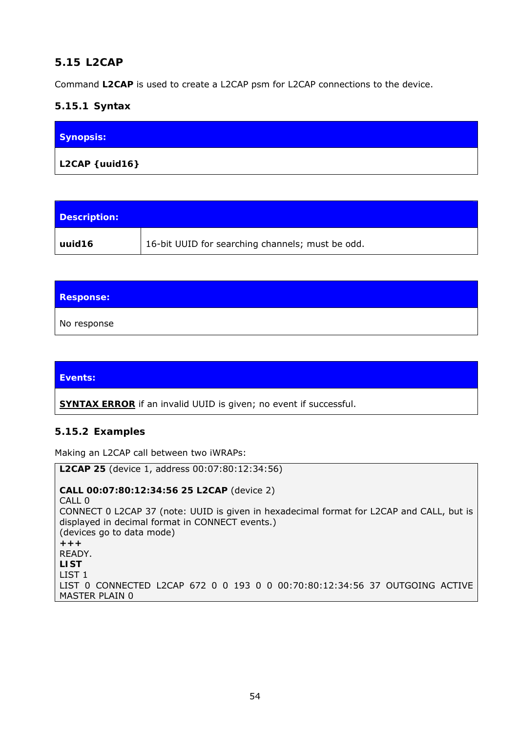# **5.15 L2CAP**

Command **L2CAP** is used to create a L2CAP psm for L2CAP connections to the device.

## **5.15.1 Syntax**

| <b>Synopsis:</b> |  |
|------------------|--|
| L2CAP { uuid16}  |  |

| Description: |                                                  |
|--------------|--------------------------------------------------|
| uuid 16      | 16-bit UUID for searching channels; must be odd. |

| <b>Response:</b> |  |
|------------------|--|
| No response      |  |

| Events: |  |  |  |
|---------|--|--|--|
|         |  |  |  |

**SYNTAX ERROR** if an invalid UUID is given; no event if successful.

## **5.15.2 Examples**

Making an L2CAP call between two iWRAPs:

**L2CAP 25** (device 1, address 00:07:80:12:34:56) **CALL 00:07:80:12:34:56 25 L2CAP** (device 2) CALL 0 CONNECT 0 L2CAP 37 (note: UUID is given in hexadecimal format for L2CAP and CALL, but is displayed in decimal format in CONNECT events.) (devices go to data mode) **+++**  READY. **LIST**  LIST 1 LIST 0 CONNECTED L2CAP 672 0 0 193 0 0 00:70:80:12:34:56 37 OUTGOING ACTIVE MASTER PLAIN 0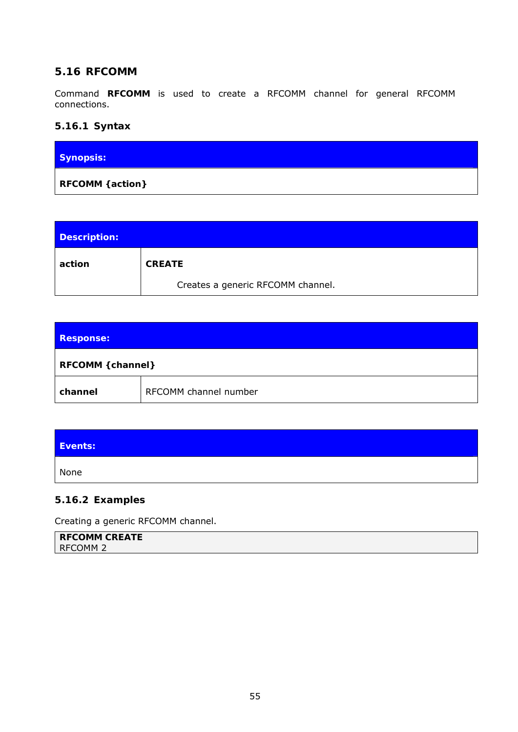## **5.16 RFCOMM**

Command **RFCOMM** is used to create a RFCOMM channel for general RFCOMM connections.

## **5.16.1 Syntax**

| <b>Synopsis:</b> |  |
|------------------|--|
| RFCOMM { action} |  |

| Description: |                                   |
|--------------|-----------------------------------|
| action       | <b>CREATE</b>                     |
|              | Creates a generic RFCOMM channel. |

| <b>Response:</b>  |                       |  |
|-------------------|-----------------------|--|
| RFCOMM { channel} |                       |  |
| channel           | RFCOMM channel number |  |

| Events: |  |
|---------|--|
| None    |  |

### **5.16.2 Examples**

Creating a generic RFCOMM channel.

| <b>RFCOMM CREATE</b> |  |
|----------------------|--|
| <b>RFCOMM 2</b>      |  |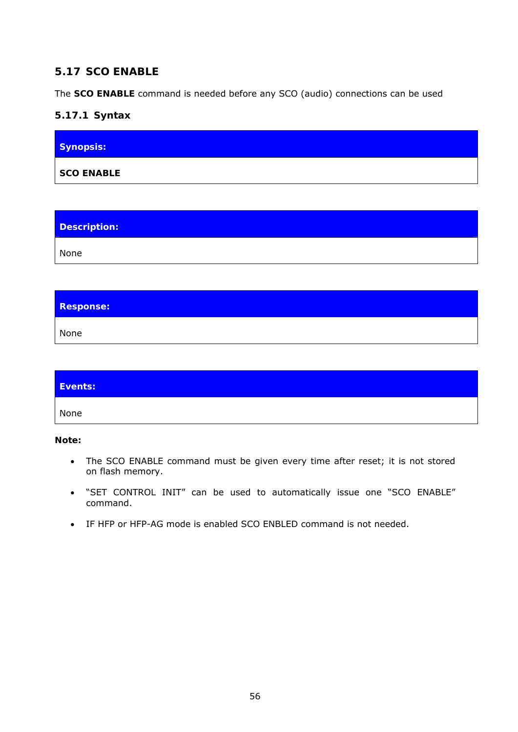# **5.17 SCO ENABLE**

The **SCO ENABLE** command is needed before any SCO (audio) connections can be used

## **5.17.1 Syntax**

| Synopsis:         |  |  |
|-------------------|--|--|
| <b>SCO ENABLE</b> |  |  |

| Description: |  |
|--------------|--|
| None         |  |

| <b>Response:</b> |  |
|------------------|--|
| None             |  |

| Events: |  |
|---------|--|
| None    |  |

**Note:** 

- The SCO ENABLE command must be given every time after reset; it is not stored on flash memory.
- "SET CONTROL INIT" can be used to automatically issue one "SCO ENABLE" command.
- IF HFP or HFP-AG mode is enabled SCO ENBLED command is not needed.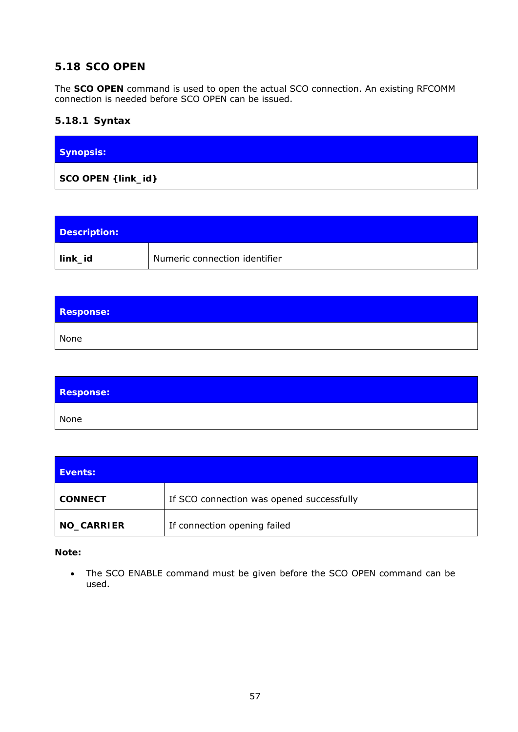# **5.18 SCO OPEN**

The **SCO OPEN** command is used to open the actual SCO connection. An existing RFCOMM connection is needed before SCO OPEN can be issued.

## **5.18.1 Syntax**

| <b>Synopsis:</b>    |  |  |
|---------------------|--|--|
| SCO OPEN { link_id} |  |  |

| Description: |                               |
|--------------|-------------------------------|
| link_id      | Numeric connection identifier |

| <b>Response:</b> |  |
|------------------|--|
| None             |  |

| <b>Response:</b> |  |
|------------------|--|
| None             |  |

| Events:        |                                           |
|----------------|-------------------------------------------|
| <b>CONNECT</b> | If SCO connection was opened successfully |
| NO_CARRIER     | If connection opening failed              |

### **Note:**

 The SCO ENABLE command must be given before the SCO OPEN command can be used.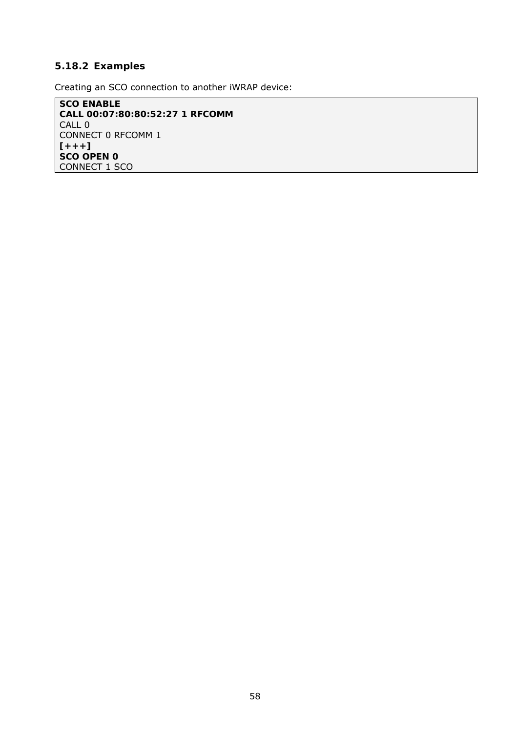## **5.18.2 Examples**

Creating an SCO connection to another iWRAP device:

**SCO ENABLE CALL 00:07:80:80:52:27 1 RFCOMM**  CALL 0 CONNECT 0 RFCOMM 1 **[+++] SCO OPEN 0**  CONNECT 1 SCO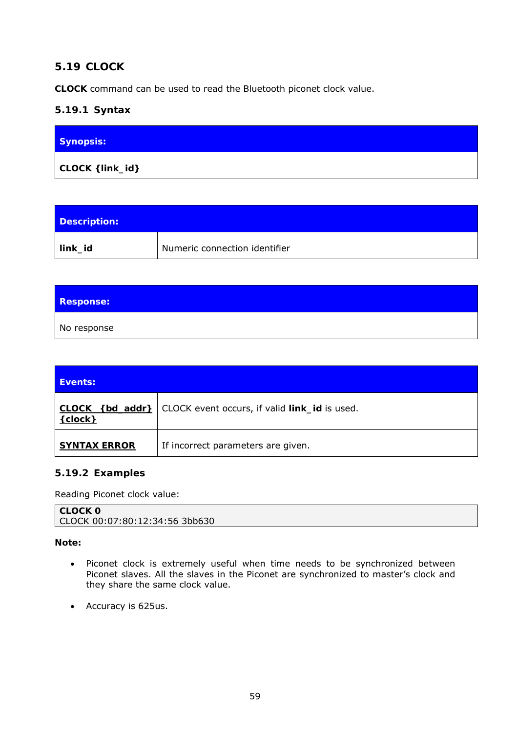# **5.19 CLOCK**

**CLOCK** command can be used to read the *Bluetooth* piconet clock value.

# **5.19.1 Syntax**

| <b>Synopsis:</b> |  |
|------------------|--|
| CLOCK { link_id} |  |

| Description: |                               |
|--------------|-------------------------------|
| link_id      | Numeric connection identifier |

| <b>Response:</b> |  |  |
|------------------|--|--|
| No response      |  |  |

| Events:                      |                                                      |
|------------------------------|------------------------------------------------------|
| CLOCK {bd_addr}<br>${clock}$ | CLOCK event occurs, if valid <i>link_id</i> is used. |
| <b>SYNTAX ERROR</b>          | If incorrect parameters are given.                   |

# **5.19.2 Examples**

Reading Piconet clock value:

| CLOCK 0                        |
|--------------------------------|
| CLOCK 00:07:80:12:34:56 3bb630 |

## **Note:**

- Piconet clock is extremely useful when time needs to be synchronized between Piconet slaves. All the slaves in the Piconet are synchronized to master's clock and they share the same clock value.
- Accuracy is 625us.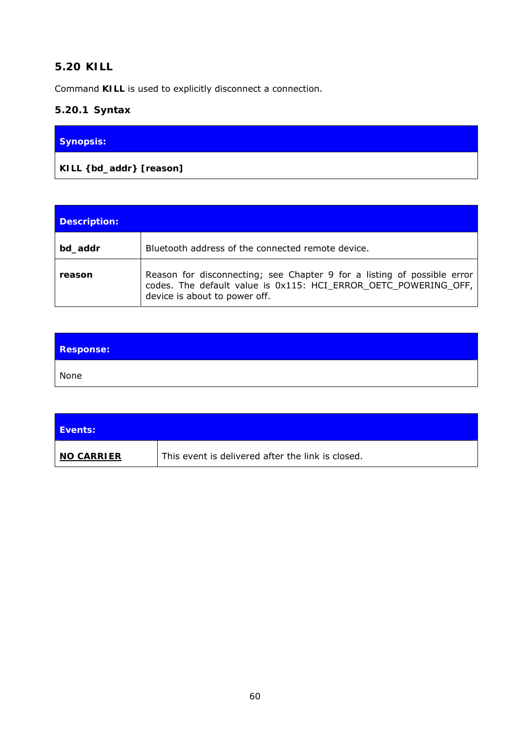# **5.20 KILL**

Command **KILL** is used to explicitly disconnect a connection.

# **5.20.1 Syntax**

| Synopsis: |  |
|-----------|--|
|           |  |

| <b>Description:</b> |                                                                                                                                                                             |
|---------------------|-----------------------------------------------------------------------------------------------------------------------------------------------------------------------------|
| bd_addr             | Bluetooth address of the connected remote device.                                                                                                                           |
| reason              | Reason for disconnecting; see Chapter 9 for a listing of possible error<br>codes. The default value is 0x115: HCI_ERROR_OETC_POWERING_OFF,<br>device is about to power off. |

| <b>Response:</b> |  |
|------------------|--|
| None             |  |

| <b>Events:</b>    |                                                   |
|-------------------|---------------------------------------------------|
| <b>NO CARRIER</b> | This event is delivered after the link is closed. |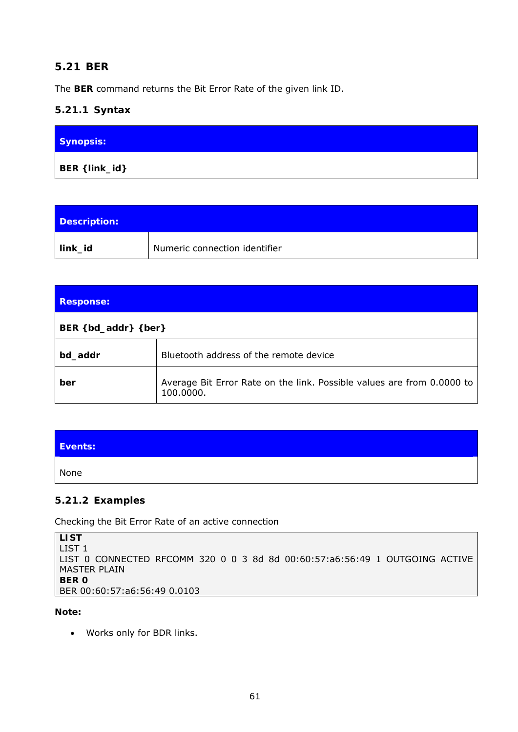# **5.21 BER**

The **BER** command returns the Bit Error Rate of the given link ID.

## **5.21.1 Syntax**

| Synopsis:      |  |
|----------------|--|
| BER { link_id} |  |

| Description: |                               |
|--------------|-------------------------------|
| link_id      | Numeric connection identifier |

| <b>Response:</b>               |                                                                                     |
|--------------------------------|-------------------------------------------------------------------------------------|
| BER $\{ bd\_addr\}$ $\{ ber\}$ |                                                                                     |
| bd_addr                        | Bluetooth address of the remote device                                              |
| ber                            | Average Bit Error Rate on the link. Possible values are from 0.0000 to<br>100.0000. |

| Events: |  |
|---------|--|
| None    |  |

## **5.21.2 Examples**

Checking the Bit Error Rate of an active connection

```
LIST 
LIST 1 
LIST 0 CONNECTED RFCOMM 320 0 0 3 8d 8d 00:60:57:a6:56:49 1 OUTGOING ACTIVE 
MASTER PLAIN 
BER 0 
BER 00:60:57:a6:56:49 0.0103
```
**Note:** 

Works only for BDR links.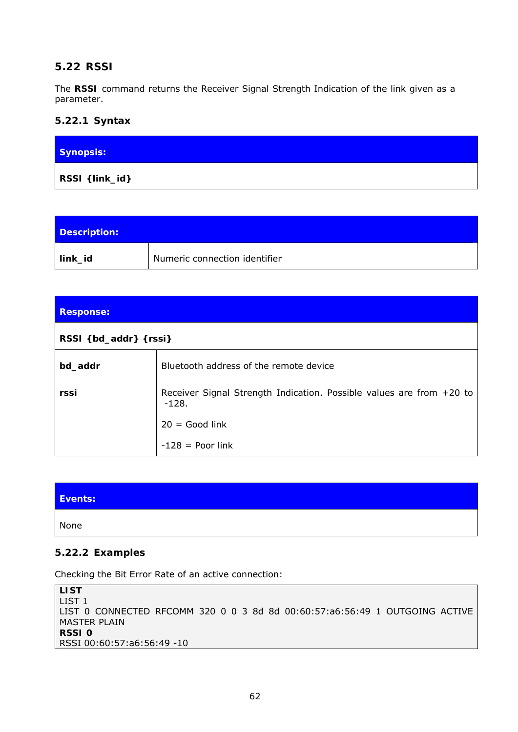# **5.22 RSSI**

The **RSSI** command returns the Receiver Signal Strength Indication of the link given as a parameter.

### **5.22.1 Syntax**

| Synopsis:      |  |
|----------------|--|
| RSSI {link_id} |  |

| Description: |                               |
|--------------|-------------------------------|
| link_id      | Numeric connection identifier |

| <b>Response:</b>      |                                                                                 |
|-----------------------|---------------------------------------------------------------------------------|
| RSSI {bd_addr} {rssi} |                                                                                 |
| bd_addr               | Bluetooth address of the remote device                                          |
| rssi                  | Receiver Signal Strength Indication. Possible values are from +20 to<br>$-128.$ |
|                       | $20 = Good link$                                                                |
|                       | $-128$ = Poor link                                                              |

| Events: |  |
|---------|--|
| None    |  |

#### **5.22.2 Examples**

Checking the Bit Error Rate of an active connection:

**LIST**  LIST 1 LIST 0 CONNECTED RFCOMM 320 0 0 3 8d 8d 00:60:57:a6:56:49 1 OUTGOING ACTIVE MASTER PLAIN **RSSI 0**  RSSI 00:60:57:a6:56:49 -10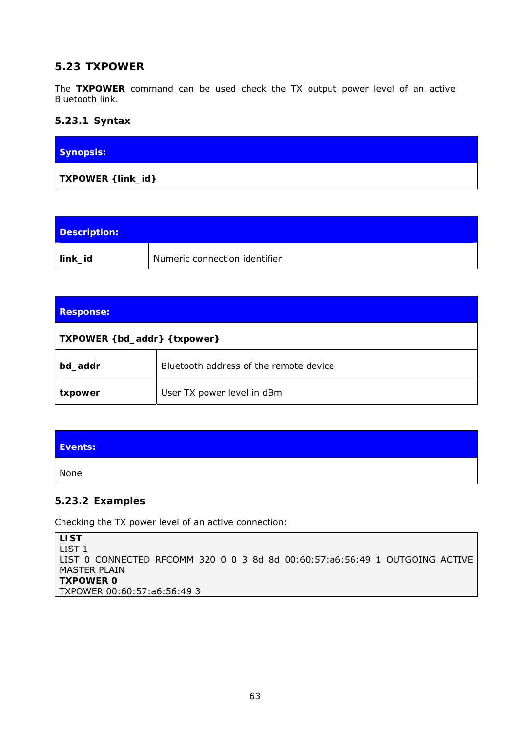# **5.23 TXPOWER**

The **TXPOWER** command can be used check the TX output power level of an active *Bluetooth* link.

### **5.23.1 Syntax**

| <b>Synopsis:</b>   |  |  |
|--------------------|--|--|
| TXPOWER { link_id} |  |  |

| Description: |                               |
|--------------|-------------------------------|
| link_id      | Numeric connection identifier |

| <b>Response:</b>              |                                               |  |
|-------------------------------|-----------------------------------------------|--|
| TXPOWER { bd_addr} { txpower} |                                               |  |
| bd_addr                       | <i>Bluetooth</i> address of the remote device |  |
| txpower                       | User TX power level in dBm                    |  |

| Events: |  |
|---------|--|
| None    |  |

## **5.23.2 Examples**

Checking the TX power level of an active connection:

```
LIST 
LIST 1 
LIST 0 CONNECTED RFCOMM 320 0 0 3 8d 8d 00:60:57:a6:56:49 1 OUTGOING ACTIVE 
MASTER PLAIN 
TXPOWER 0 
TXPOWER 00:60:57:a6:56:49 3
```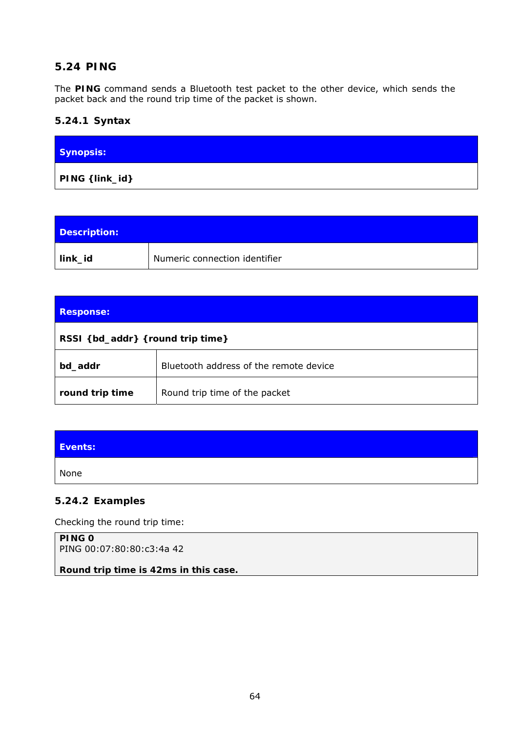# **5.24 PING**

The **PING** command sends a *Bluetooth* test packet to the other device, which sends the packet back and the round trip time of the packet is shown.

## **5.24.1 Syntax**

| Synopsis:           |  |
|---------------------|--|
| $PING \{ link_id\}$ |  |

| Description: |                               |
|--------------|-------------------------------|
| link_id      | Numeric connection identifier |

| Response:                        |                                               |  |
|----------------------------------|-----------------------------------------------|--|
| RSSI {bd_addr} {round trip time} |                                               |  |
| bd_addr                          | <i>Bluetooth</i> address of the remote device |  |
| round trip time                  | Round trip time of the packet                 |  |

| Events: |  |  |
|---------|--|--|
| None    |  |  |
|         |  |  |

## **5.24.2 Examples**

Checking the round trip time:

**PING 0**  PING 00:07:80:80:c3:4a 42

*Round trip time is 42ms in this case.*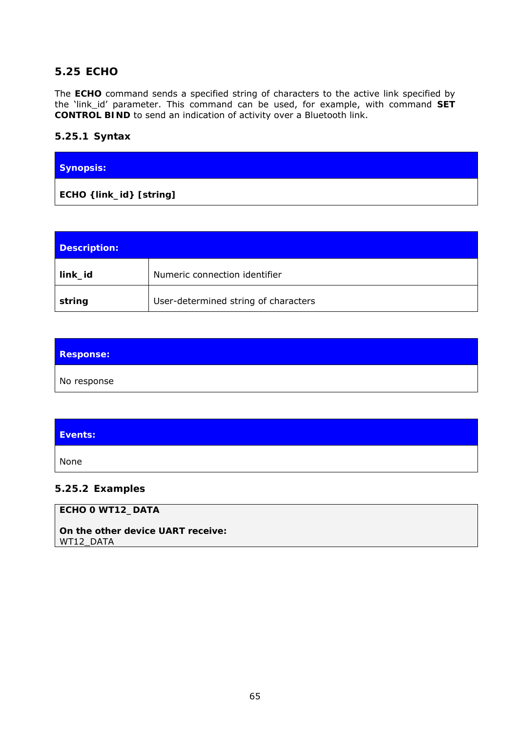### **5.25 ECHO**

The **ECHO** command sends a specified string of characters to the active link specified by the 'link\_id' parameter. This command can be used, for example, with command **SET CONTROL BIND** to send an indication of activity over a *Bluetooth* link.

#### **5.25.1 Syntax**

| Synopsis:                |  |
|--------------------------|--|
| ECHO { link_id} [string] |  |

| Description: |                                      |
|--------------|--------------------------------------|
| link_id      | Numeric connection identifier        |
| string       | User-determined string of characters |

| <b>Response:</b> |  |
|------------------|--|
| No response      |  |

| Events: |  |
|---------|--|
| None    |  |
|         |  |

#### **5.25.2 Examples**

### **ECHO 0 WT12\_DATA**

*On the other device UART receive:*  WT12\_DATA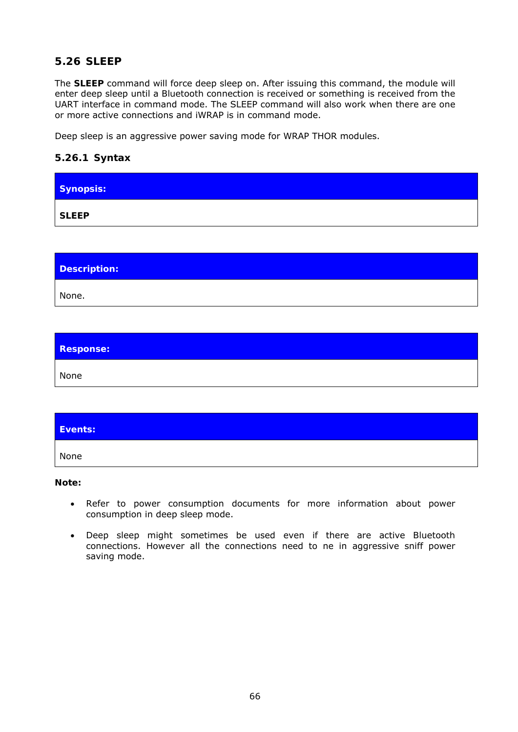# **5.26 SLEEP**

The **SLEEP** command will force deep sleep on. After issuing this command, the module will enter deep sleep until a *Bluetooth* connection is received or something is received from the UART interface in command mode. The SLEEP command will also work when there are one or more active connections and iWRAP is in command mode.

Deep sleep is an aggressive power saving mode for WRAP THOR modules.

## **5.26.1 Syntax**

| Synopsis:    |  |  |  |
|--------------|--|--|--|
| <b>SLEEP</b> |  |  |  |

| Description: |  |
|--------------|--|
| None.        |  |

| <b>Response:</b> |  |
|------------------|--|
| None             |  |

| Events: |  |
|---------|--|
| None    |  |

#### **Note:**

- Refer to power consumption documents for more information about power consumption in deep sleep mode.
- Deep sleep might sometimes be used even if there are active *Bluetooth*  connections. However all the connections need to ne in aggressive sniff power saving mode.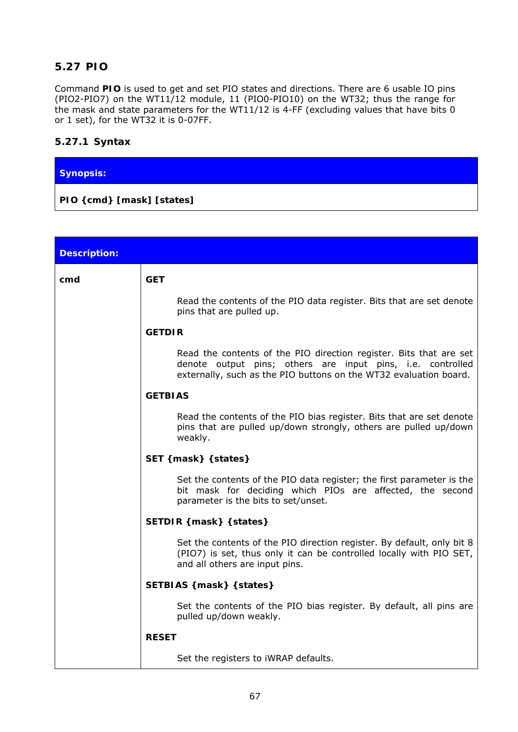# **5.27 PIO**

Command **PIO** is used to get and set PIO states and directions. There are 6 usable IO pins (PIO2-PIO7) on the WT11/12 module, 11 (PIO0-PIO10) on the WT32; thus the range for the mask and state parameters for the WT11/12 is 4-FF (excluding values that have bits 0 or 1 set), for the WT32 it is 0-07FF.

### **5.27.1 Syntax**

| Synopsis:                         |  |  |
|-----------------------------------|--|--|
| $ $ PIO { $cmd$ } [mask] [states] |  |  |

| <b>Description:</b> |                                                                                                                                                                                                       |  |
|---------------------|-------------------------------------------------------------------------------------------------------------------------------------------------------------------------------------------------------|--|
| cmd                 | <b>GET</b>                                                                                                                                                                                            |  |
|                     | Read the contents of the PIO data register. Bits that are set denote<br>pins that are pulled up.                                                                                                      |  |
|                     | <b>GETDIR</b>                                                                                                                                                                                         |  |
|                     | Read the contents of the PIO direction register. Bits that are set<br>denote output pins; others are input pins, i.e. controlled<br>externally, such as the PIO buttons on the WT32 evaluation board. |  |
|                     | <b>GETBIAS</b>                                                                                                                                                                                        |  |
|                     | Read the contents of the PIO bias register. Bits that are set denote<br>pins that are pulled up/down strongly, others are pulled up/down<br>weakly.                                                   |  |
|                     | SET { mask} { states}                                                                                                                                                                                 |  |
|                     | Set the contents of the PIO data register; the first parameter is the<br>bit mask for deciding which PIOs are affected, the second<br>parameter is the bits to set/unset.                             |  |
|                     | SETDIR { mask} { states}                                                                                                                                                                              |  |
|                     | Set the contents of the PIO direction register. By default, only bit 8<br>(PIO7) is set, thus only it can be controlled locally with PIO SET,<br>and all others are input pins.                       |  |
|                     | SETBIAS {mask} { states}                                                                                                                                                                              |  |
|                     | Set the contents of the PIO bias register. By default, all pins are<br>pulled up/down weakly.                                                                                                         |  |
|                     | <b>RESET</b>                                                                                                                                                                                          |  |
|                     | Set the registers to iWRAP defaults.                                                                                                                                                                  |  |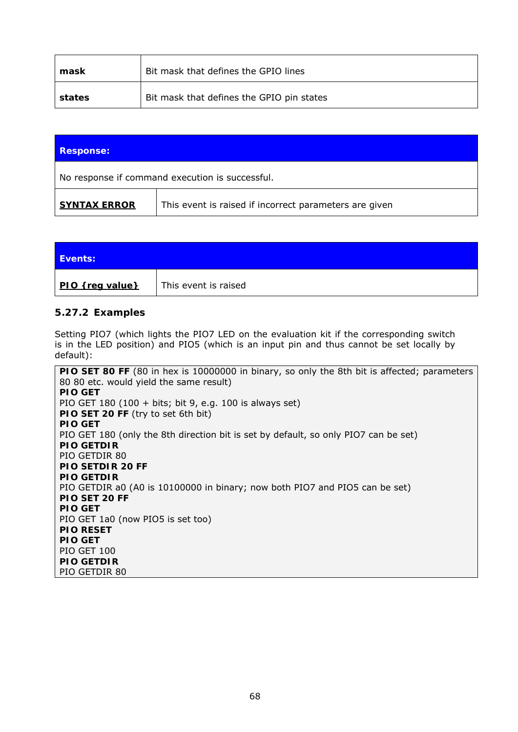| mask   | Bit mask that defines the GPIO lines      |
|--------|-------------------------------------------|
| states | Bit mask that defines the GPIO pin states |

| <b>Response:</b>                                                              |                                                 |  |
|-------------------------------------------------------------------------------|-------------------------------------------------|--|
|                                                                               | No response if command execution is successful. |  |
| This event is raised if incorrect parameters are given<br><b>SYNTAX ERROR</b> |                                                 |  |

| <b>Events:</b>  |                      |
|-----------------|----------------------|
| PIO {req value} | This event is raised |

#### **5.27.2 Examples**

Setting PIO7 (which lights the PIO7 LED on the evaluation kit if the corresponding switch is in the LED position) and PIO5 (which is an input pin and thus cannot be set locally by default):

**PIO SET 80 FF** (80 in hex is 10000000 in binary, so only the 8th bit is affected; parameters 80 80 etc. would yield the same result) **PIO GET**  PIO GET 180 (100 + bits; bit 9, e.g. 100 is always set) **PIO SET 20 FF** (try to set 6th bit) **PIO GET**  PIO GET 180 (only the 8th direction bit is set by default, so only PIO7 can be set) **PIO GETDIR**  PIO GETDIR 80 **PIO SETDIR 20 FF PIO GETDIR**  PIO GETDIR a0 (A0 is 10100000 in binary; now both PIO7 and PIO5 can be set) **PIO SET 20 FF PIO GET**  PIO GET 1a0 (now PIO5 is set too) **PIO RESET PIO GET**  PIO GET 100 **PIO GETDIR**  PIO GETDIR 80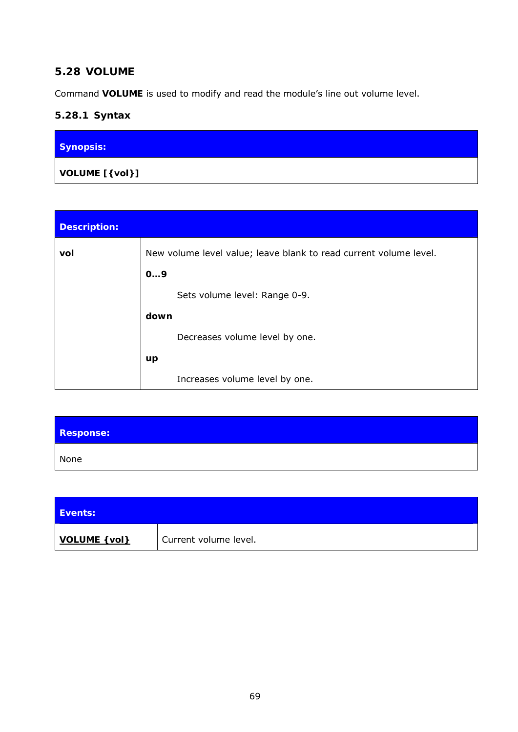## **5.28 VOLUME**

Command **VOLUME** is used to modify and read the module's line out volume level.

# **5.28.1 Syntax**

| Synopsis:      |  |
|----------------|--|
| VOLUME [{vol}] |  |

| <b>Description:</b> |                                                                   |
|---------------------|-------------------------------------------------------------------|
| vol                 | New volume level value; leave blank to read current volume level. |
|                     | 09                                                                |
|                     | Sets volume level: Range 0-9.                                     |
|                     | down                                                              |
|                     | Decreases volume level by one.                                    |
|                     | up                                                                |
|                     | Increases volume level by one.                                    |

| <b>Response:</b> |  |
|------------------|--|
| None             |  |

| <b>Events:</b> |                       |
|----------------|-----------------------|
| VOLUME { vol}  | Current volume level. |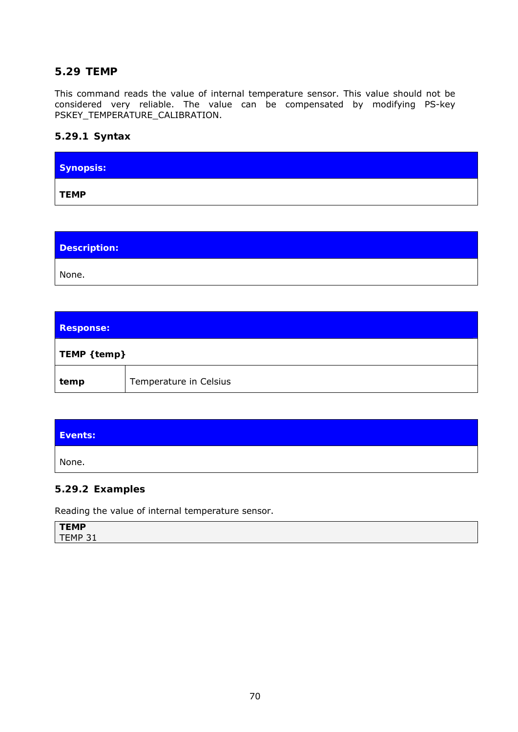### **5.29 TEMP**

This command reads the value of internal temperature sensor. This value should not be considered very reliable. The value can be compensated by modifying PS-key PSKEY\_TEMPERATURE\_CALIBRATION.

#### **5.29.1 Syntax**

| Synopsis:   |  |  |
|-------------|--|--|
| <b>TEMP</b> |  |  |

| Description: |  |  |
|--------------|--|--|
| None.        |  |  |

| <b>Response:</b> |                        |
|------------------|------------------------|
| TEMP { temp}     |                        |
| temp             | Temperature in Celsius |

| Events: |  |
|---------|--|
| None.   |  |

#### **5.29.2 Examples**

Reading the value of internal temperature sensor.

| <b>TEMP</b>                          |  |  |  |
|--------------------------------------|--|--|--|
| EMP 31<br>$\tau$<br><b>.</b><br>$ -$ |  |  |  |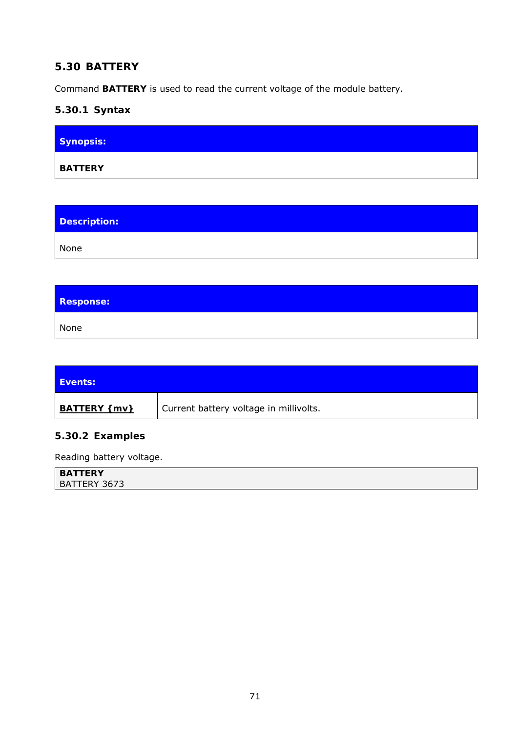# **5.30 BATTERY**

Command **BATTERY** is used to read the current voltage of the module battery.

# **5.30.1 Syntax**

| Synopsis:      |  |  |
|----------------|--|--|
| <b>BATTERY</b> |  |  |

| <b>Description:</b> |  |
|---------------------|--|
| None                |  |

| <b>Response:</b> |  |
|------------------|--|
| None             |  |

| <b>Events:</b> |                                        |
|----------------|----------------------------------------|
| BATTERY { mv}  | Current battery voltage in millivolts. |

# **5.30.2 Examples**

Reading battery voltage.

| <b>BATTERY</b> |  |
|----------------|--|
| BATTERY 3673   |  |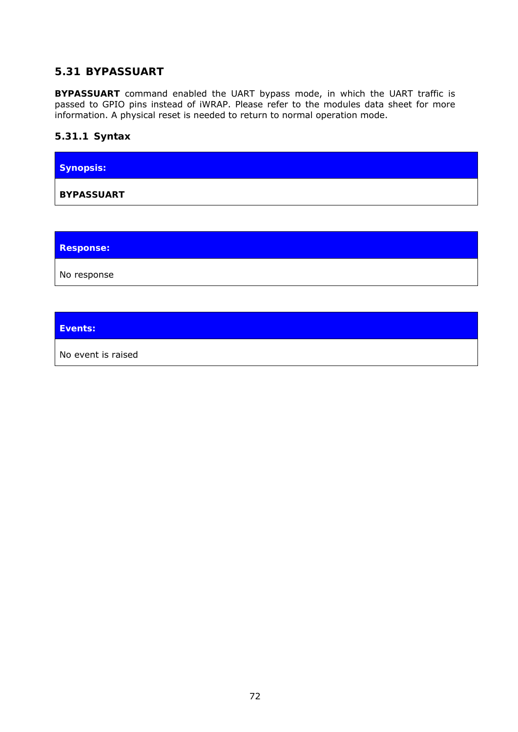## **5.31 BYPASSUART**

**BYPASSUART** command enabled the UART bypass mode, in which the UART traffic is passed to GPIO pins instead of iWRAP. Please refer to the modules data sheet for more information. A physical reset is needed to return to normal operation mode.

#### **5.31.1 Syntax**

**Synopsis: BYPASSUART** 

**Response:** 

No response

**Events:** 

No event is raised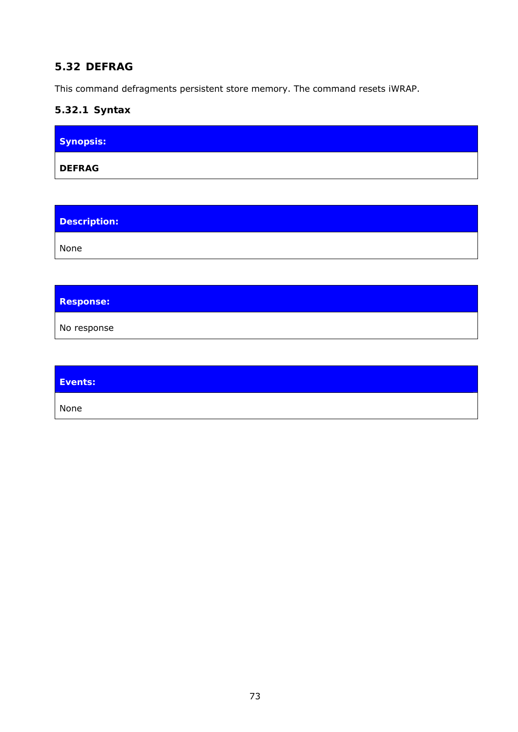# **5.32 DEFRAG**

This command defragments persistent store memory. The command resets iWRAP.

# **5.32.1 Syntax**

| Synopsis:     |  |  |
|---------------|--|--|
| <b>DEFRAG</b> |  |  |

| <b>Description:</b> |  |
|---------------------|--|
| None                |  |

## **Response:**

No response

| Events: |  |
|---------|--|
| None    |  |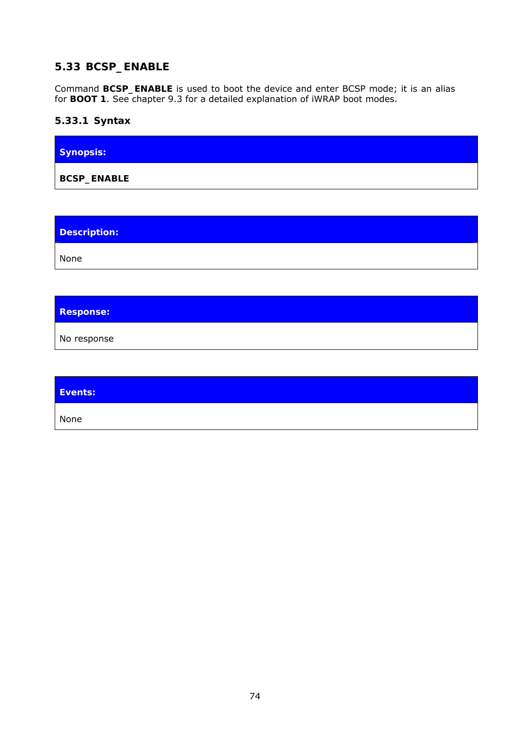# **5.33 BCSP\_ENABLE**

Command **BCSP\_ENABLE** is used to boot the device and enter BCSP mode; it is an alias for **BOOT 1**. See chapter [9.3](#page-165-0) for a detailed explanation of iWRAP boot modes.

# **5.33.1 Syntax**

| <b>Synopsis:</b>   |  |
|--------------------|--|
| <b>BCSP_ENABLE</b> |  |

**Description:** 

None

**Response:** 

No response

| Events: |  |
|---------|--|
| None    |  |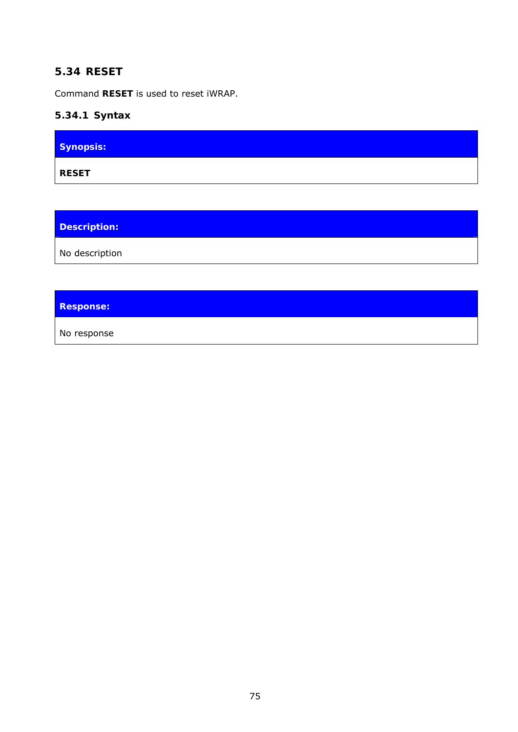## **5.34 RESET**

Command **RESET** is used to reset iWRAP.

# **5.34.1 Syntax**

| Synopsis:    |  |
|--------------|--|
| <b>RESET</b> |  |

**Description:** 

No description

# **Response:**

No response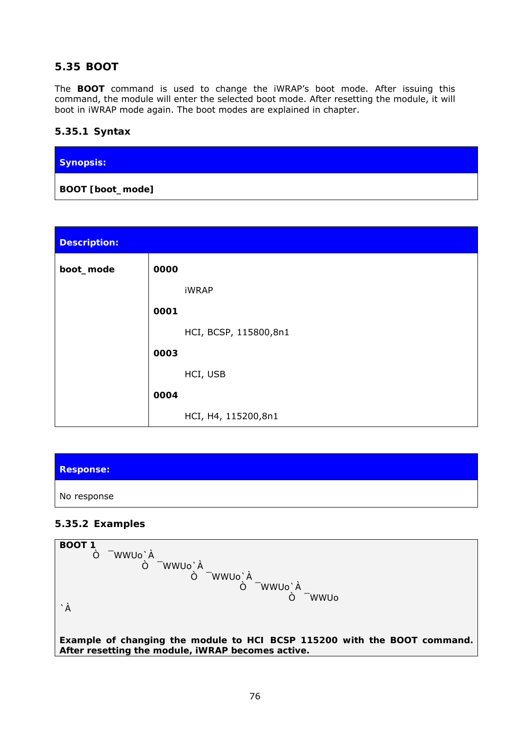# **5.35 BOOT**

The **BOOT** command is used to change the iWRAP's boot mode. After issuing this command, the module will enter the selected boot mode. After resetting the module, it will boot in iWRAP mode again. The boot modes are explained in chapter.

#### **5.35.1 Syntax**

| Synopsis:                 |  |  |
|---------------------------|--|--|
| BOOT [ <i>boot_mode</i> ] |  |  |

| <b>Description:</b> |                       |
|---------------------|-----------------------|
| boot_mode           | 0000                  |
|                     | <b>iWRAP</b>          |
|                     | 0001                  |
|                     | HCI, BCSP, 115800,8n1 |
|                     | 0003                  |
|                     | HCI, USB              |
|                     | 0004                  |
|                     | HCI, H4, 115200,8n1   |

| <b>Response:</b> |  |
|------------------|--|
| No response      |  |

#### **5.35.2 Examples**

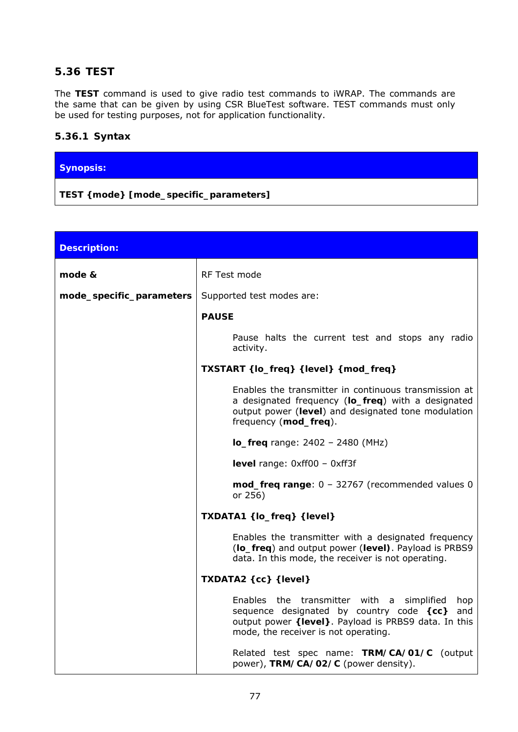## **5.36 TEST**

The **TEST** command is used to give radio test commands to iWRAP. The commands are the same that can be given by using CSR BlueTest software. TEST commands must only be used for testing purposes, not for application functionality.

#### **5.36.1 Syntax**

#### **Synopsis:**

**TEST {***mode***} [***mode\_specific\_parameters***]** 

| <b>Description:</b>      |                                                                                                                                                                                                     |
|--------------------------|-----------------------------------------------------------------------------------------------------------------------------------------------------------------------------------------------------|
| mode &                   | RF Test mode                                                                                                                                                                                        |
| mode_specific_parameters | Supported test modes are:                                                                                                                                                                           |
|                          | <b>PAUSE</b>                                                                                                                                                                                        |
|                          | Pause halts the current test and stops any radio<br>activity.                                                                                                                                       |
|                          | TXSTART {lo_freq} {level} {mod_freq}                                                                                                                                                                |
|                          | Enables the transmitter in continuous transmission at<br>a designated frequency (lo_freq) with a designated<br>output power (level) and designated tone modulation<br>frequency (mod_freq).         |
|                          | $lo_{frac}$ range: 2402 - 2480 (MHz)                                                                                                                                                                |
|                          | <b>level</b> range: $0 \times f(00 - 0 \times f(3))$                                                                                                                                                |
|                          | $mod\_freq$ range: $0 - 32767$ (recommended values 0<br>or 256)                                                                                                                                     |
|                          | TXDATA1 {lo_freq} {level}                                                                                                                                                                           |
|                          | Enables the transmitter with a designated frequency<br>(lo_freq) and output power (level). Payload is PRBS9<br>data. In this mode, the receiver is not operating.                                   |
|                          | TXDATA2 {cc} {level}                                                                                                                                                                                |
|                          | Enables the transmitter with a simplified<br>hop<br>sequence designated by country code {cc}<br>and<br>output power {level}. Payload is PRBS9 data. In this<br>mode, the receiver is not operating. |
|                          | Related test spec name: TRM/CA/01/C (output<br>power), TRM/CA/02/C (power density).                                                                                                                 |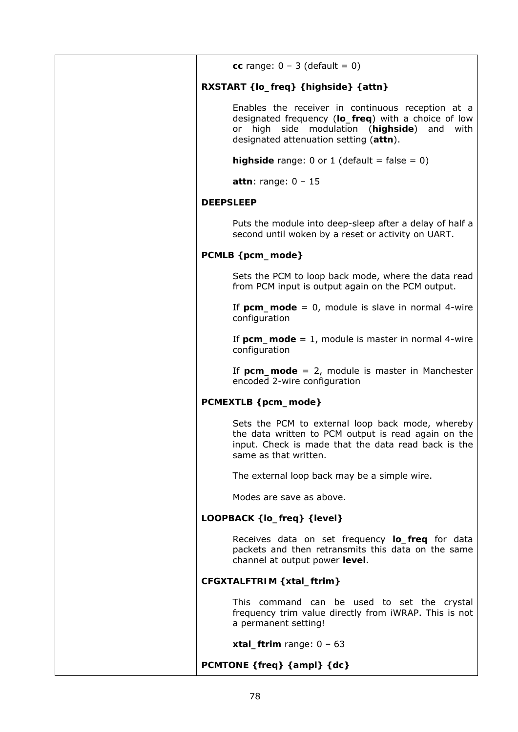| cc range: $0 - 3$ (default = 0)                                                                                                                                                                         |
|---------------------------------------------------------------------------------------------------------------------------------------------------------------------------------------------------------|
| RXSTART {lo_freq} {highside} {attn}                                                                                                                                                                     |
| Enables the receiver in continuous reception at a<br>designated frequency (lo_freq) with a choice of low<br>or high side modulation (highside)<br>and<br>with<br>designated attenuation setting (attn). |
| <b>highside</b> range: 0 or 1 (default = false = 0)                                                                                                                                                     |
| attn: range: $0 - 15$                                                                                                                                                                                   |
| <b>DEEPSLEEP</b>                                                                                                                                                                                        |
| Puts the module into deep-sleep after a delay of half a<br>second until woken by a reset or activity on UART.                                                                                           |
| PCMLB {pcm_mode}                                                                                                                                                                                        |
| Sets the PCM to loop back mode, where the data read<br>from PCM input is output again on the PCM output.                                                                                                |
| If $perm\_mode = 0$ , module is slave in normal 4-wire<br>configuration                                                                                                                                 |
| If $perm\_mode = 1$ , module is master in normal 4-wire<br>configuration                                                                                                                                |
| If $perm\_mode = 2$ , module is master in Manchester<br>encoded 2-wire configuration                                                                                                                    |
| PCMEXTLB {pcm_mode}                                                                                                                                                                                     |
| Sets the PCM to external loop back mode, whereby<br>the data written to PCM output is read again on the<br>input. Check is made that the data read back is the<br>same as that written.                 |
| The external loop back may be a simple wire.                                                                                                                                                            |
| Modes are save as above.                                                                                                                                                                                |
| LOOPBACK {lo_freq} {level}                                                                                                                                                                              |
| Receives data on set frequency <b>lo_freq</b> for data<br>packets and then retransmits this data on the same<br>channel at output power level.                                                          |
| CFGXTALFTRIM { xtal_ftrim}                                                                                                                                                                              |
| This command can be used to set the crystal<br>frequency trim value directly from iWRAP. This is not<br>a permanent setting!                                                                            |
| xtal_ftrim range: $0 - 63$                                                                                                                                                                              |
| PCMTONE {freq} {ampl} {dc}                                                                                                                                                                              |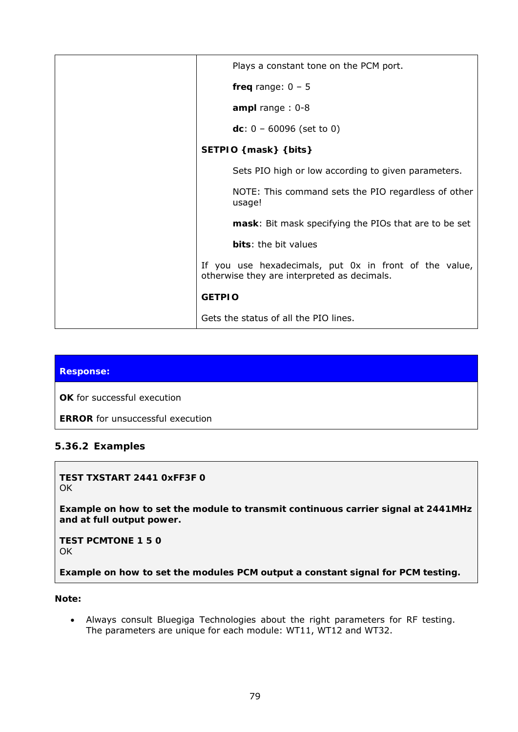| Plays a constant tone on the PCM port.                                                                |
|-------------------------------------------------------------------------------------------------------|
| freq range: $0 - 5$                                                                                   |
| ampl range: $0-8$                                                                                     |
| dc: $0 - 60096$ (set to 0)                                                                            |
| SETPIO {mask} {bits}                                                                                  |
| Sets PIO high or low according to given parameters.                                                   |
| NOTE: This command sets the PIO regardless of other<br>usage!                                         |
| mask: Bit mask specifying the PIOs that are to be set                                                 |
| bits: the bit values                                                                                  |
| If you use hexadecimals, put 0x in front of the value,<br>otherwise they are interpreted as decimals. |
| <b>GETPIO</b>                                                                                         |
| Gets the status of all the PIO lines.                                                                 |

#### **Response:**

**OK** for successful execution

**ERROR** for unsuccessful execution

#### **5.36.2 Examples**

**TEST TXSTART 2441 0xFF3F 0**  OK

*Example on how to set the module to transmit continuous carrier signal at 2441MHz and at full output power.* 

**TEST PCMTONE 1 5 0**  OK

*Example on how to set the modules PCM output a constant signal for PCM testing.*

#### **Note:**

 Always consult Bluegiga Technologies about the right parameters for RF testing. The parameters are unique for each module: WT11, WT12 and WT32.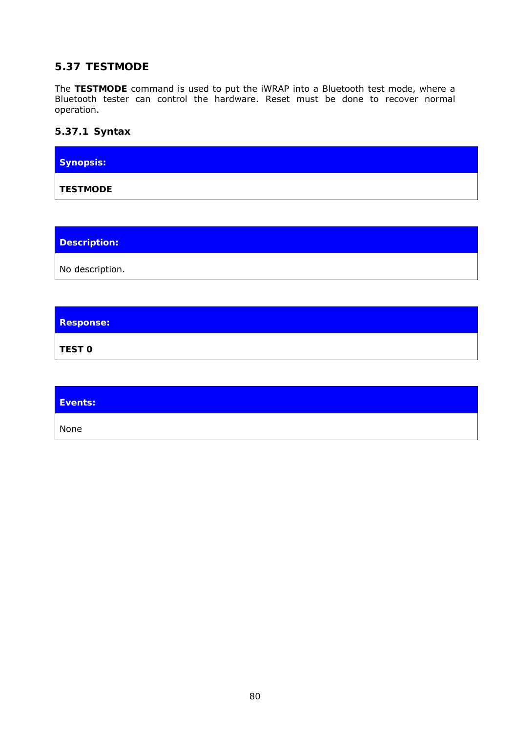# **5.37 TESTMODE**

The **TESTMODE** command is used to put the iWRAP into a *Bluetooth* test mode, where a *Bluetooth* tester can control the hardware. Reset must be done to recover normal operation.

#### **5.37.1 Syntax**

| Synopsis:       |  |  |
|-----------------|--|--|
| <b>TESTMODE</b> |  |  |

**Description:** 

No description.

**Response:** 

**TEST 0**

| Events: |  |
|---------|--|
| None    |  |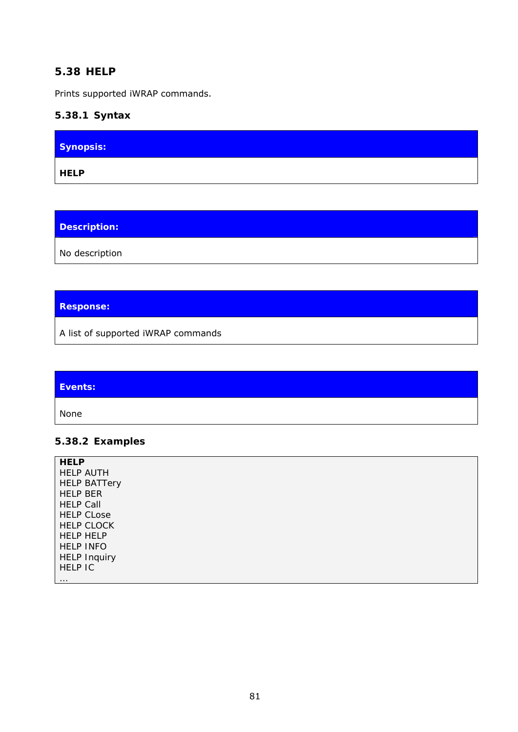#### **5.38 HELP**

Prints supported iWRAP commands.

## **5.38.1 Syntax**

| Synopsis:   |  |
|-------------|--|
| <b>HELP</b> |  |

**Description:** 

No description

# **Response:**

A list of supported iWRAP commands

| Events: |  |
|---------|--|
| None    |  |

## **5.38.2 Examples**

| <b>HELP</b>         |
|---------------------|
| <b>HELP AUTH</b>    |
| <b>HELP BATTery</b> |
| <b>HELP BER</b>     |
| <b>HELP Call</b>    |
| <b>HELP CLose</b>   |
| <b>HELP CLOCK</b>   |
| <b>HELP HELP</b>    |
| <b>HELP INFO</b>    |
| <b>HELP Inquiry</b> |
| <b>HELP IC</b>      |
| $\cdots$            |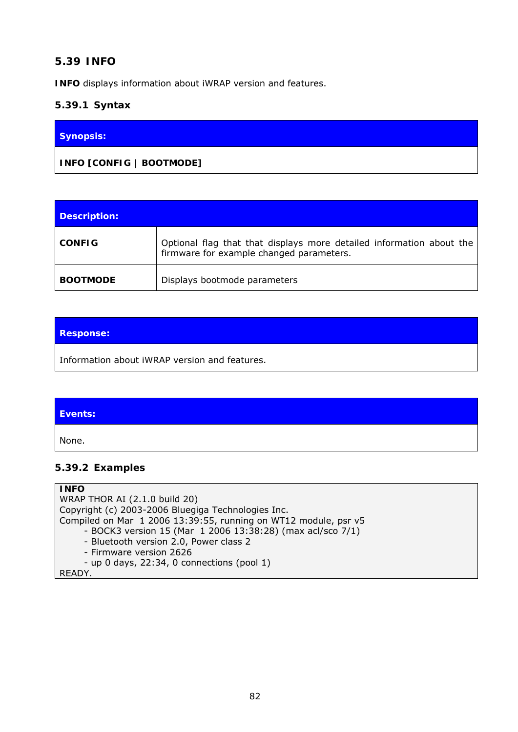## **5.39 INFO**

**INFO** displays information about iWRAP version and features.

#### **5.39.1 Syntax**

#### **Synopsis:**

**INFO [***CONFIG | BOOTMODE***]** 

| Description:    |                                                                                                                  |
|-----------------|------------------------------------------------------------------------------------------------------------------|
| <b>CONFIG</b>   | Optional flag that that displays more detailed information about the<br>firmware for example changed parameters. |
| <b>BOOTMODE</b> | Displays bootmode parameters                                                                                     |

#### **Response:**

Information about iWRAP version and features.

#### **Events:**

None.

#### **5.39.2 Examples**

#### **INFO**  WRAP THOR AI (2.1.0 build 20) Copyright (c) 2003-2006 Bluegiga Technologies Inc. Compiled on Mar 1 2006 13:39:55, running on WT12 module, psr v5 - BOCK3 version 15 (Mar 1 2006 13:38:28) (max acl/sco 7/1) - Bluetooth version 2.0, Power class 2 - Firmware version 2626 - up 0 days, 22:34, 0 connections (pool 1) READY.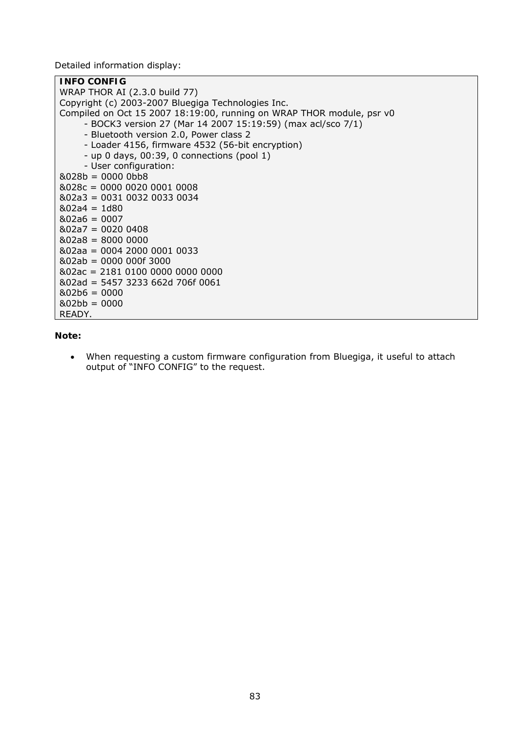Detailed information display:

| <b>INFO CONFIG</b>                                                    |
|-----------------------------------------------------------------------|
| WRAP THOR AI (2.3.0 build 77)                                         |
| Copyright (c) 2003-2007 Bluegiga Technologies Inc.                    |
| Compiled on Oct 15 2007 18:19:00, running on WRAP THOR module, psr v0 |
| - BOCK3 version 27 (Mar 14 2007 15:19:59) (max acl/sco 7/1)           |
| - Bluetooth version 2.0, Power class 2                                |
| - Loader 4156, firmware 4532 (56-bit encryption)                      |
| - up 0 days, 00:39, 0 connections (pool 1)                            |
| - User configuration:                                                 |
| $&028b = 0000 0bb8$                                                   |
| $&028c = 0000 0020 0001 0008$                                         |
| &02a3 = 0031 0032 0033 0034                                           |
| $&02a4 = 1d80$                                                        |
| $&02a6 = 0007$                                                        |
| $&02a7 = 00200408$                                                    |
| $&02a8 = 8000 0000$                                                   |
| &02aa = 0004 2000 0001 0033                                           |
| $&02ab = 0000 000f 3000$                                              |
| &02ac = 2181 0100 0000 0000 0000                                      |
| &02ad = 5457 3233 662d 706f 0061                                      |
| $&02b6 = 0000$                                                        |
| $&02bb = 0000$                                                        |
| READY.                                                                |

#### **Note:**

 When requesting a custom firmware configuration from Bluegiga, it useful to attach output of "INFO CONFIG" to the request.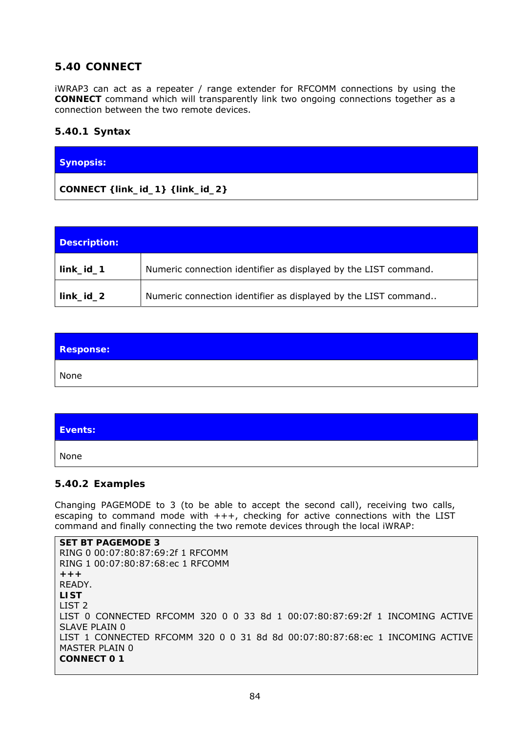# **5.40 CONNECT**

iWRAP3 can act as a repeater / range extender for RFCOMM connections by using the **CONNECT** command which will transparently link two ongoing connections together as a connection between the two remote devices.

#### **5.40.1 Syntax**

# **Synopsis:**

**CONNECT {***link\_id\_1***} {***link\_id\_2***}** 

| Description: |                                                                 |
|--------------|-----------------------------------------------------------------|
| $link_id_1$  | Numeric connection identifier as displayed by the LIST command. |
| link_id_2    | Numeric connection identifier as displayed by the LIST command  |

| Response: |  |
|-----------|--|
| None      |  |

| Events: |  |
|---------|--|
| None    |  |

#### **5.40.2 Examples**

Changing PAGEMODE to 3 (to be able to accept the second call), receiving two calls, escaping to command mode with  $+++$ , checking for active connections with the LIST command and finally connecting the two remote devices through the local iWRAP:

**SET BT PAGEMODE 3**  RING 0 00:07:80:87:69:2f 1 RFCOMM RING 1 00:07:80:87:68:ec 1 RFCOMM **+++**  READY. **LIST**  LIST 2 LIST 0 CONNECTED RFCOMM 320 0 0 33 8d 1 00:07:80:87:69:2f 1 INCOMING ACTIVE SLAVE PLAIN 0 LIST 1 CONNECTED RFCOMM 320 0 0 31 8d 8d 00:07:80:87:68:ec 1 INCOMING ACTIVE MASTER PLAIN 0 **CONNECT 0 1**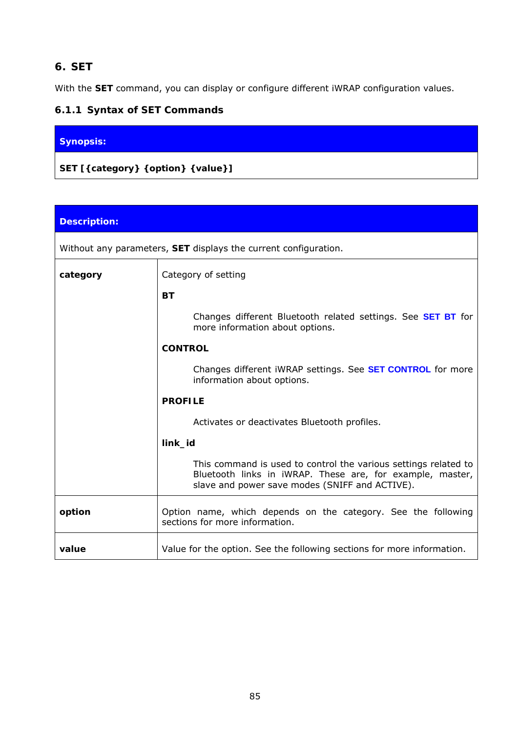# **6. SET**

With the **SET** command, you can display or configure different iWRAP configuration values.

# **6.1.1 Syntax of SET Commands**

# **Synopsis:**

**SET [{***category***} {***option***} {***value***}]** 

| <b>Description:</b> |                                                                                                                                                                                |  |  |  |  |
|---------------------|--------------------------------------------------------------------------------------------------------------------------------------------------------------------------------|--|--|--|--|
|                     | Without any parameters, SET displays the current configuration.                                                                                                                |  |  |  |  |
| category            | Category of setting                                                                                                                                                            |  |  |  |  |
|                     | <b>BT</b>                                                                                                                                                                      |  |  |  |  |
|                     | Changes different <i>Bluetooth</i> related settings. See <b>SET BT</b> for<br>more information about options.                                                                  |  |  |  |  |
|                     | <b>CONTROL</b>                                                                                                                                                                 |  |  |  |  |
|                     | Changes different iWRAP settings. See <b>SET CONTROL</b> for more<br>information about options.                                                                                |  |  |  |  |
|                     | <b>PROFILE</b>                                                                                                                                                                 |  |  |  |  |
|                     | Activates or deactivates Bluetooth profiles.                                                                                                                                   |  |  |  |  |
|                     | link_id                                                                                                                                                                        |  |  |  |  |
|                     | This command is used to control the various settings related to<br>Bluetooth links in iWRAP. These are, for example, master,<br>slave and power save modes (SNIFF and ACTIVE). |  |  |  |  |
| option              | Option name, which depends on the category. See the following<br>sections for more information.                                                                                |  |  |  |  |
| value               | Value for the option. See the following sections for more information.                                                                                                         |  |  |  |  |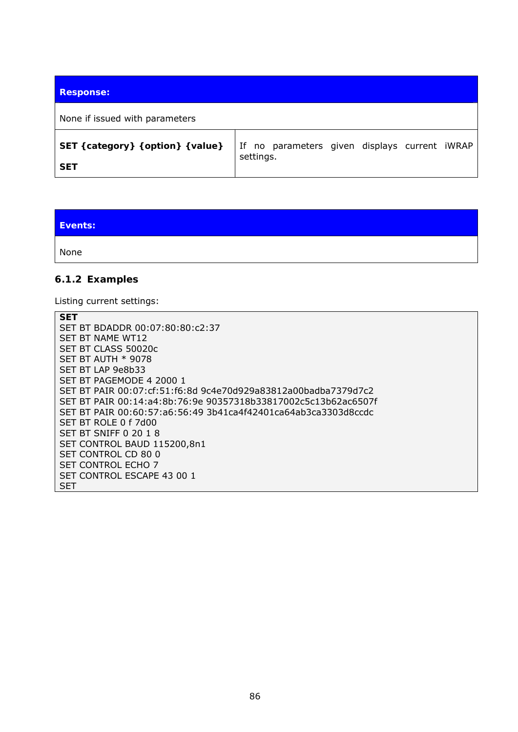| <b>Response:</b>                                 |                                                            |  |  |
|--------------------------------------------------|------------------------------------------------------------|--|--|
| None if issued with parameters                   |                                                            |  |  |
| SET { category} { option} { value}<br><b>SET</b> | If no parameters given displays current iWRAP<br>settings. |  |  |

**Events:**  None

## **6.1.2 Examples**

Listing current settings:

| <b>SET</b>                                                     |
|----------------------------------------------------------------|
| SET BT BDADDR 00:07:80:80:c2:37                                |
| SET BT NAME WT12                                               |
| SET BT CLASS 50020c                                            |
| SET BT AUTH $*$ 9078                                           |
| SET BT LAP 9e8b33                                              |
| SET BT PAGEMODE 4 2000 1                                       |
| SET BT PAIR 00:07:cf:51:f6:8d 9c4e70d929a83812a00badba7379d7c2 |
| SET BT PAIR 00:14:a4:8b:76:9e 90357318b33817002c5c13b62ac6507f |
| SET BT PAIR 00:60:57:a6:56:49 3b41ca4f42401ca64ab3ca3303d8ccdc |
| SET BT ROLE 0 f 7d00                                           |
| SET BT SNIFF 0 20 1 8                                          |
| SET CONTROL BAUD 115200,8n1                                    |
| SET CONTROL CD 80 0                                            |
| <b>SET CONTROL ECHO 7</b>                                      |
| SET CONTROL ESCAPE 43 00 1                                     |
| SET                                                            |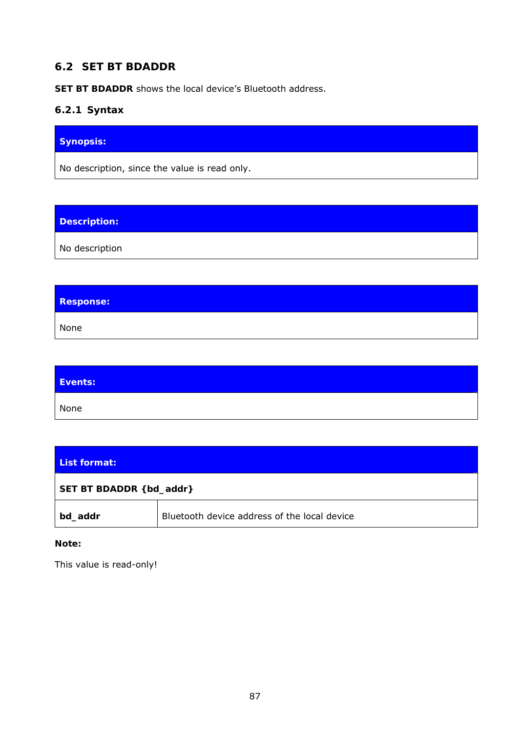# **6.2 SET BT BDADDR**

**SET BT BDADDR** shows the local device's *Bluetooth* address.

## **6.2.1 Syntax**

# **Synopsis:**

No description, since the value is read only.

# **Description:**

No description

# **Response:**  None

| Events: |  |
|---------|--|
| None    |  |

| List format:             |                                              |  |
|--------------------------|----------------------------------------------|--|
| SET BT BDADDR { bd_addr} |                                              |  |
| bd_addr                  | Bluetooth device address of the local device |  |

#### **Note:**

This value is read-only!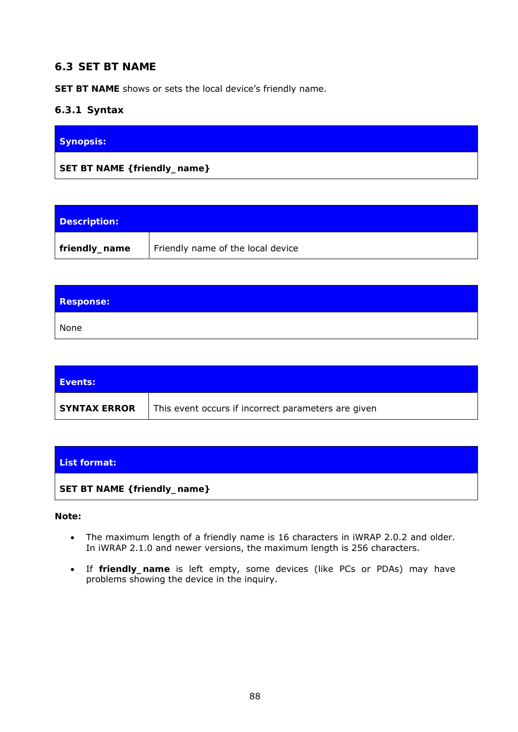# **6.3 SET BT NAME**

**SET BT NAME** shows or sets the local device's friendly name.

## **6.3.1 Syntax**

| Synopsis:                    |  |
|------------------------------|--|
| SET BT NAME { friendly_name} |  |

| Description:  |                                   |
|---------------|-----------------------------------|
| friendly_name | Friendly name of the local device |

| <b>Response:</b> |  |
|------------------|--|
| None             |  |

| <b>Events:</b>      |                                                     |
|---------------------|-----------------------------------------------------|
| <b>SYNTAX ERROR</b> | This event occurs if incorrect parameters are given |

| List format:                 |  |
|------------------------------|--|
| SET BT NAME { friendly_name} |  |

**Note:** 

- The maximum length of a friendly name is 16 characters in iWRAP 2.0.2 and older. In iWRAP 2.1.0 and newer versions, the maximum length is 256 characters.
- If *friendly\_name* is left empty, some devices (like PCs or PDAs) may have problems showing the device in the inquiry.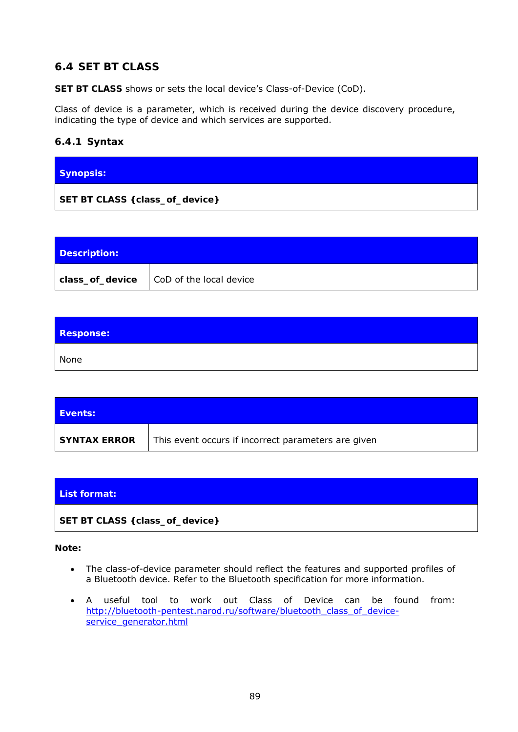# **6.4 SET BT CLASS**

**SET BT CLASS** shows or sets the local device's Class-of-Device (CoD).

Class of device is a parameter, which is received during the device discovery procedure, indicating the type of device and which services are supported.

## **6.4.1 Syntax**

| <b>Synopsis:</b> |  |
|------------------|--|
|                  |  |

| Description: |                                              |
|--------------|----------------------------------------------|
|              | $class_of\_device$   CoD of the local device |

| <b>Response:</b> |  |
|------------------|--|
| None             |  |

| Events:             |                                                     |
|---------------------|-----------------------------------------------------|
| <b>SYNTAX ERROR</b> | This event occurs if incorrect parameters are given |



#### **Note:**

- The class-of-device parameter should reflect the features and supported profiles of a *Bluetooth* device. Refer to the *Bluetooth* specification for more information.
- A useful tool to work out Class of Device can be found from: [http://bluetooth-pentest.narod.ru/software/bluetooth\\_class\\_of\\_device](http://bluetooth-pentest.narod.ru/software/bluetooth_class_of_device-service_generator.html)[service\\_generator.html](http://bluetooth-pentest.narod.ru/software/bluetooth_class_of_device-service_generator.html)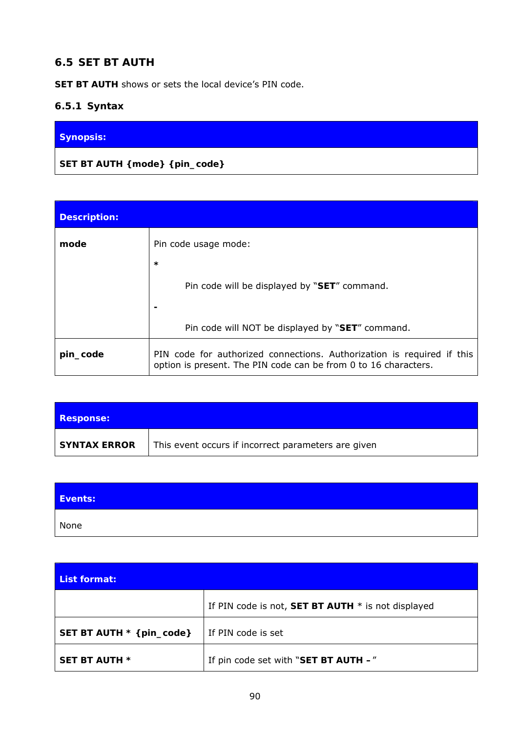# **6.5 SET BT AUTH**

**SET BT AUTH** shows or sets the local device's PIN code.

# **6.5.1 Syntax**

# **Synopsis:**

**SET BT AUTH {***mode***} {***pin\_code***}** 

| <b>Description:</b> |                                                                                                                                           |
|---------------------|-------------------------------------------------------------------------------------------------------------------------------------------|
| mode                | Pin code usage mode:                                                                                                                      |
|                     | $\star$                                                                                                                                   |
|                     | Pin code will be displayed by "SET" command.                                                                                              |
|                     |                                                                                                                                           |
|                     | Pin code will NOT be displayed by "SET" command.                                                                                          |
| pin_code            | PIN code for authorized connections. Authorization is required if this<br>option is present. The PIN code can be from 0 to 16 characters. |

| <b>Response:</b>    |                                                     |
|---------------------|-----------------------------------------------------|
| <b>SYNTAX ERROR</b> | This event occurs if incorrect parameters are given |

| Events: |  |
|---------|--|
| None    |  |

| List format:              |                                                      |  |
|---------------------------|------------------------------------------------------|--|
|                           | If PIN code is not, SET BT AUTH $*$ is not displayed |  |
| SET BT AUTH * { pin_code} | If PIN code is set                                   |  |
| <b>SET BT AUTH *</b>      | If pin code set with "SET BT AUTH -"                 |  |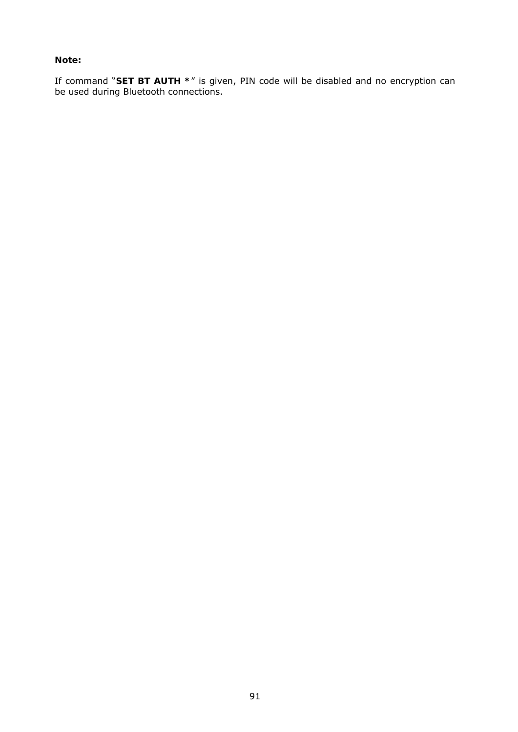#### **Note:**

If command "*SET BT AUTH \**" is given, PIN code will be disabled and no encryption can be used during *Bluetooth* connections.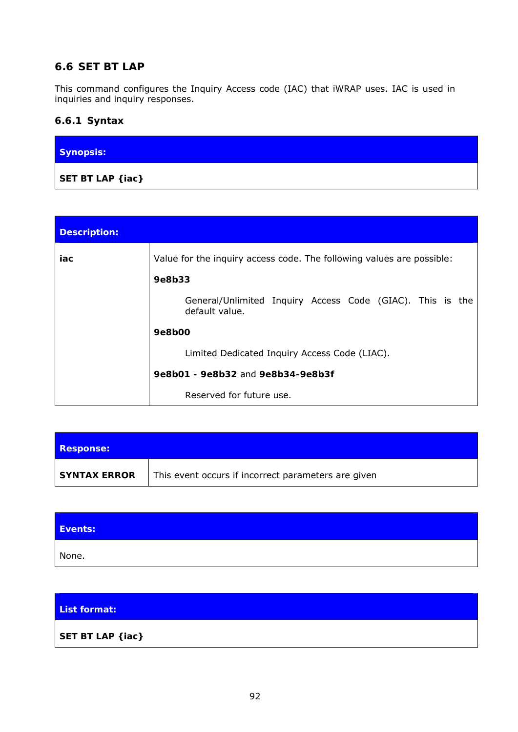# **6.6 SET BT LAP**

This command configures the Inquiry Access code (IAC) that iWRAP uses. IAC is used in inquiries and inquiry responses.

# **6.6.1 Syntax**

| Synopsis:                 |  |
|---------------------------|--|
| SET BT LAP { <i>iac</i> } |  |

| <b>Description:</b> |                                                                                 |
|---------------------|---------------------------------------------------------------------------------|
| iac                 | Value for the inquiry access code. The following values are possible:<br>9e8b33 |
|                     | General/Unlimited Inquiry Access Code (GIAC). This is the<br>default value.     |
|                     | 9e8b00                                                                          |
|                     | Limited Dedicated Inquiry Access Code (LIAC).                                   |
|                     | 9e8b01 - 9e8b32 and 9e8b34-9e8b3f                                               |
|                     | Reserved for future use.                                                        |

| <b>Response:</b>    |                                                     |
|---------------------|-----------------------------------------------------|
| <b>SYNTAX ERROR</b> | This event occurs if incorrect parameters are given |

| Events: |  |
|---------|--|
| None.   |  |

# **List format: SET BT LAP {***iac***}**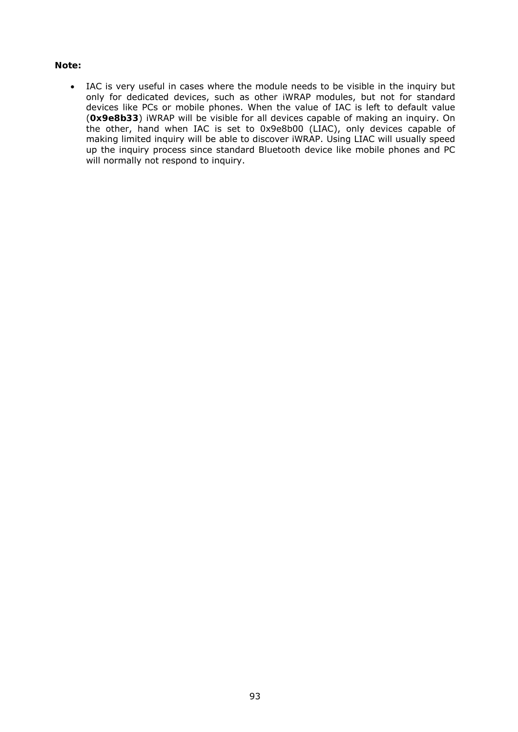#### **Note:**

 IAC is very useful in cases where the module needs to be visible in the inquiry but only for dedicated devices, such as other iWRAP modules, but not for standard devices like PCs or mobile phones. When the value of IAC is left to default value (**0x9e8b33**) iWRAP will be visible for all devices capable of making an inquiry. On the other, hand when IAC is set to 0x9e8b00 (LIAC), only devices capable of making limited inquiry will be able to discover iWRAP. Using LIAC will usually speed up the inquiry process since standard *Bluetooth* device like mobile phones and PC will normally not respond to inquiry.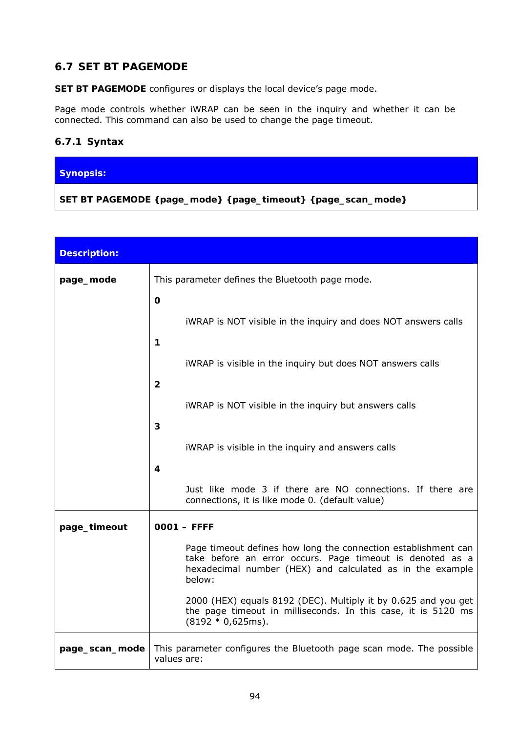# **6.7 SET BT PAGEMODE**

**SET BT PAGEMODE** configures or displays the local device's page mode.

Page mode controls whether iWRAP can be seen in the inquiry and whether it can be connected. This command can also be used to change the page timeout.

## **6.7.1 Syntax**

#### **Synopsis:**

**SET BT PAGEMODE {***page\_mode***} {***page\_timeout***} {***page\_scan\_mode***}** 

| <b>Description:</b> |                                                                                                                                                                                                    |  |  |
|---------------------|----------------------------------------------------------------------------------------------------------------------------------------------------------------------------------------------------|--|--|
| page_mode           | This parameter defines the <i>Bluetooth</i> page mode.                                                                                                                                             |  |  |
|                     | $\mathbf 0$                                                                                                                                                                                        |  |  |
|                     | iWRAP is NOT visible in the inquiry and does NOT answers calls                                                                                                                                     |  |  |
|                     | 1                                                                                                                                                                                                  |  |  |
|                     | iWRAP is visible in the inquiry but does NOT answers calls                                                                                                                                         |  |  |
|                     | $\mathbf{2}$                                                                                                                                                                                       |  |  |
|                     | iWRAP is NOT visible in the inquiry but answers calls                                                                                                                                              |  |  |
|                     | 3                                                                                                                                                                                                  |  |  |
|                     | iWRAP is visible in the inquiry and answers calls<br>4                                                                                                                                             |  |  |
|                     | Just like mode 3 if there are NO connections. If there are                                                                                                                                         |  |  |
|                     | connections, it is like mode 0. (default value)                                                                                                                                                    |  |  |
| page_timeout        | $0001 - FFFF$                                                                                                                                                                                      |  |  |
|                     | Page timeout defines how long the connection establishment can<br>take before an error occurs. Page timeout is denoted as a<br>hexadecimal number (HEX) and calculated as in the example<br>below: |  |  |
|                     | 2000 (HEX) equals 8192 (DEC). Multiply it by 0.625 and you get<br>the page timeout in milliseconds. In this case, it is 5120 ms<br>$(8192 * 0,625ms).$                                             |  |  |
| page_scan_mode      | This parameter configures the <i>Bluetooth</i> page scan mode. The possible<br>values are:                                                                                                         |  |  |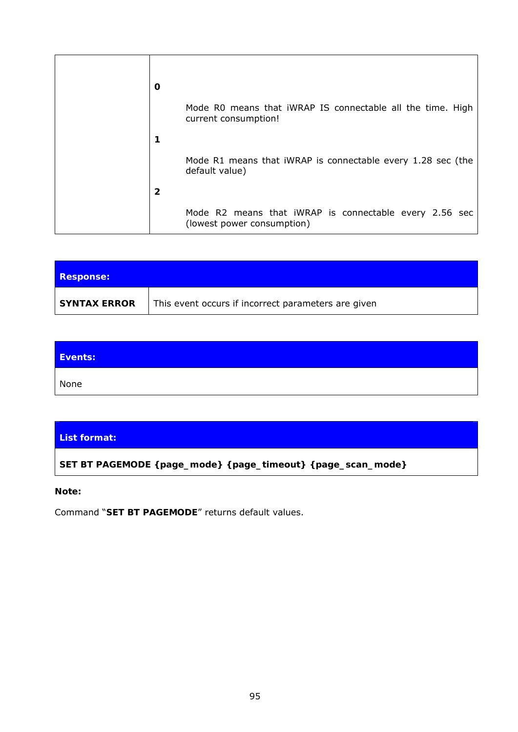| O |                                                                                      |
|---|--------------------------------------------------------------------------------------|
|   | Mode R0 means that iWRAP IS connectable all the time. High<br>current consumption!   |
|   |                                                                                      |
|   | Mode R1 means that iWRAP is connectable every 1.28 sec (the<br>default value)        |
| 2 |                                                                                      |
|   | Mode R2 means that iWRAP is connectable every 2.56 sec<br>(lowest power consumption) |

| <b>Response:</b>    |                                                     |
|---------------------|-----------------------------------------------------|
| <b>SYNTAX ERROR</b> | This event occurs if incorrect parameters are given |

| Events: |  |
|---------|--|
| None    |  |

## **List format:**

**SET BT PAGEMODE {***page\_mode***} {***page\_timeout***} {***page\_scan\_mode***}**

#### **Note:**

Command "**SET BT PAGEMODE**" returns default values.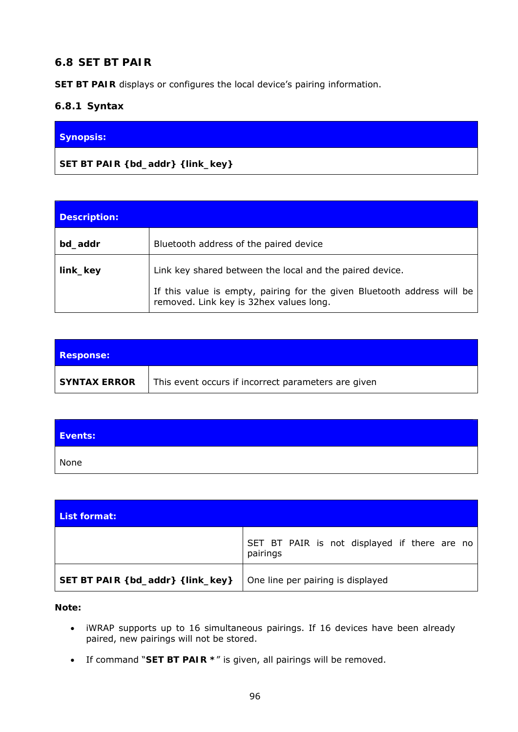# **6.8 SET BT PAIR**

**SET BT PAIR** displays or configures the local device's pairing information.

#### **6.8.1 Syntax**

#### **Synopsis:**

**SET BT PAIR {***bd\_addr***} {***link\_key***}** 

| <b>Description:</b> |                                                                                                                                                                                |
|---------------------|--------------------------------------------------------------------------------------------------------------------------------------------------------------------------------|
| bd addr             | Bluetooth address of the paired device                                                                                                                                         |
| link_key            | Link key shared between the local and the paired device.<br>If this value is empty, pairing for the given Bluetooth address will be<br>removed. Link key is 32hex values long. |

| <b>Response:</b>    |                                                     |
|---------------------|-----------------------------------------------------|
| <b>SYNTAX ERROR</b> | This event occurs if incorrect parameters are given |

| Events: |  |
|---------|--|
| None    |  |

| List format:                       |                                                          |
|------------------------------------|----------------------------------------------------------|
|                                    | SET BT PAIR is not displayed if there are no<br>pairings |
| SET BT PAIR { bd_addr} { link_key} | One line per pairing is displayed                        |

**Note:** 

- iWRAP supports up to 16 simultaneous pairings. If 16 devices have been already paired, new pairings will not be stored.
- If command "**SET BT PAIR \***" is given, all pairings will be removed.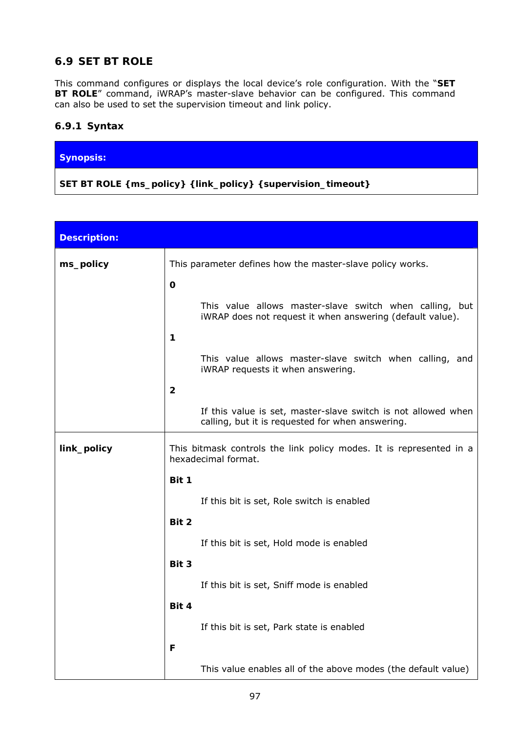# **6.9 SET BT ROLE**

This command configures or displays the local device's role configuration. With the "**SET BT ROLE**" command, iWRAP's master-slave behavior can be configured. This command can also be used to set the supervision timeout and link policy.

#### **6.9.1 Syntax**

#### **Synopsis:**

**SET BT ROLE {***ms\_policy***} {***link\_policy***} {***supervision\_timeout***}** 

| <b>Description:</b> |                                                                                                                      |  |  |
|---------------------|----------------------------------------------------------------------------------------------------------------------|--|--|
| ms_policy           | This parameter defines how the master-slave policy works.                                                            |  |  |
|                     | $\mathbf 0$                                                                                                          |  |  |
|                     | This value allows master-slave switch when calling, but<br>iWRAP does not request it when answering (default value). |  |  |
|                     | 1                                                                                                                    |  |  |
|                     | This value allows master-slave switch when calling, and<br>iWRAP requests it when answering.                         |  |  |
|                     | $\overline{2}$                                                                                                       |  |  |
|                     | If this value is set, master-slave switch is not allowed when<br>calling, but it is requested for when answering.    |  |  |
| link_policy         | This bitmask controls the link policy modes. It is represented in a<br>hexadecimal format.                           |  |  |
|                     | Bit 1                                                                                                                |  |  |
|                     | If this bit is set, Role switch is enabled                                                                           |  |  |
|                     | Bit 2                                                                                                                |  |  |
|                     | If this bit is set, Hold mode is enabled                                                                             |  |  |
|                     | Bit 3                                                                                                                |  |  |
|                     | If this bit is set, Sniff mode is enabled                                                                            |  |  |
|                     | Bit 4                                                                                                                |  |  |
|                     | If this bit is set, Park state is enabled                                                                            |  |  |
|                     | F                                                                                                                    |  |  |
|                     | This value enables all of the above modes (the default value)                                                        |  |  |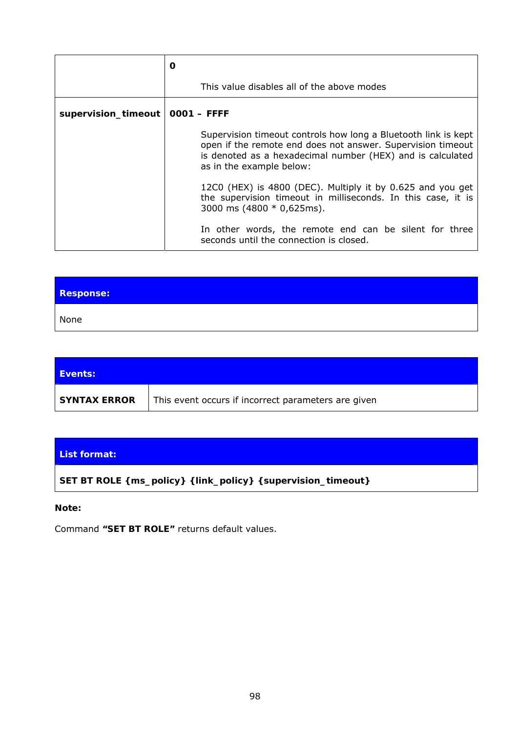|                                   | O                                                                                                                                                                                                                              |  |
|-----------------------------------|--------------------------------------------------------------------------------------------------------------------------------------------------------------------------------------------------------------------------------|--|
|                                   | This value disables all of the above modes                                                                                                                                                                                     |  |
| supervision_timeout   0001 - FFFF |                                                                                                                                                                                                                                |  |
|                                   | Supervision timeout controls how long a <i>Bluetooth</i> link is kept<br>open if the remote end does not answer. Supervision timeout<br>is denoted as a hexadecimal number (HEX) and is calculated<br>as in the example below: |  |
|                                   | 12C0 (HEX) is 4800 (DEC). Multiply it by 0.625 and you get<br>the supervision timeout in milliseconds. In this case, it is<br>3000 ms $(4800 * 0,625 \text{ms})$ .                                                             |  |
|                                   | In other words, the remote end can be silent for three<br>seconds until the connection is closed.                                                                                                                              |  |

| <b>Response:</b> |  |
|------------------|--|
| None             |  |

| <b>Events:</b>      |                                                     |
|---------------------|-----------------------------------------------------|
| <b>SYNTAX ERROR</b> | This event occurs if incorrect parameters are given |

| List format:                                                                           |
|----------------------------------------------------------------------------------------|
| SET BT ROLE {        ms_policy} {         link_policy} {          supervision_timeout} |

#### **Note:**

Command **"SET BT ROLE"** returns default values.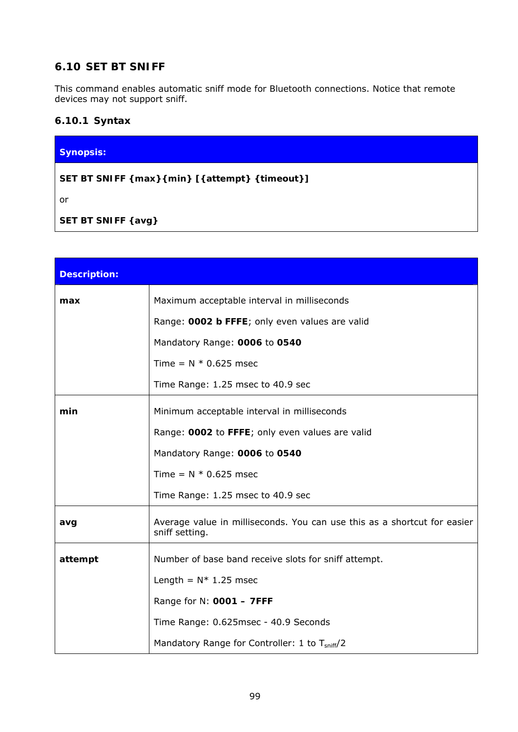# **6.10 SET BT SNIFF**

This command enables automatic sniff mode for *Bluetooth* connections. Notice that remote devices may not support sniff.

## **6.10.1 Syntax**

# **Synopsis: SET BT SNIFF {***max***}{***min***} [{***attempt***} {***timeout***}]**

or

**SET BT SNIFF {***avg***}** 

| <b>Description:</b> |                                                                                            |  |
|---------------------|--------------------------------------------------------------------------------------------|--|
| max                 | Maximum acceptable interval in milliseconds                                                |  |
|                     | Range: 0002 b FFFE; only even values are valid                                             |  |
|                     | Mandatory Range: 0006 to 0540                                                              |  |
|                     | Time = $N * 0.625$ msec                                                                    |  |
|                     | Time Range: 1.25 msec to 40.9 sec                                                          |  |
| min                 | Minimum acceptable interval in milliseconds                                                |  |
|                     | Range: 0002 to FFFE; only even values are valid                                            |  |
|                     | Mandatory Range: 0006 to 0540                                                              |  |
|                     | Time = $N * 0.625$ msec                                                                    |  |
|                     | Time Range: 1.25 msec to 40.9 sec                                                          |  |
| avg                 | Average value in milliseconds. You can use this as a shortcut for easier<br>sniff setting. |  |
| attempt             | Number of base band receive slots for sniff attempt.                                       |  |
|                     | Length = $N*$ 1.25 msec                                                                    |  |
|                     | Range for N: 0001 - 7FFF                                                                   |  |
|                     | Time Range: 0.625msec - 40.9 Seconds                                                       |  |
|                     | Mandatory Range for Controller: 1 to T <sub>sniff</sub> /2                                 |  |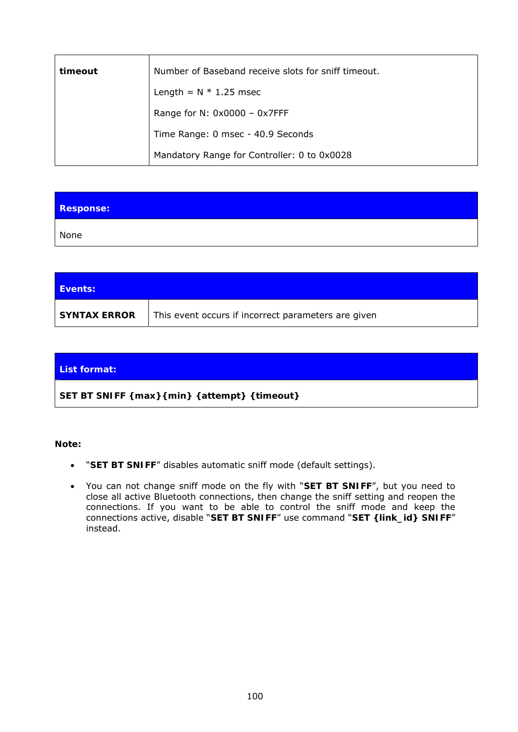| timeout | Number of Baseband receive slots for sniff timeout. |  |
|---------|-----------------------------------------------------|--|
|         | Length = $N * 1.25$ msec                            |  |
|         | Range for N: $0x0000 - 0x7$ FFF                     |  |
|         | Time Range: 0 msec - 40.9 Seconds                   |  |
|         | Mandatory Range for Controller: 0 to 0x0028         |  |

| <b>Response:</b> |  |
|------------------|--|
| None             |  |

| <b>Events:</b>      |                                                     |
|---------------------|-----------------------------------------------------|
| <b>SYNTAX ERROR</b> | This event occurs if incorrect parameters are given |

# **List format: SET BT SNIFF {***max***}{***min***} {***attempt***} {***timeout***}**

**Note:** 

- "**SET BT SNIFF**" disables automatic sniff mode (default settings).
- You can not change sniff mode on the fly with "**SET BT SNIFF**", but you need to close all active *Bluetooth* connections, then change the sniff setting and reopen the connections. If you want to be able to control the sniff mode and keep the connections active, disable "**SET BT SNIFF**" use command "**SET {link\_id} SNIFF**" instead.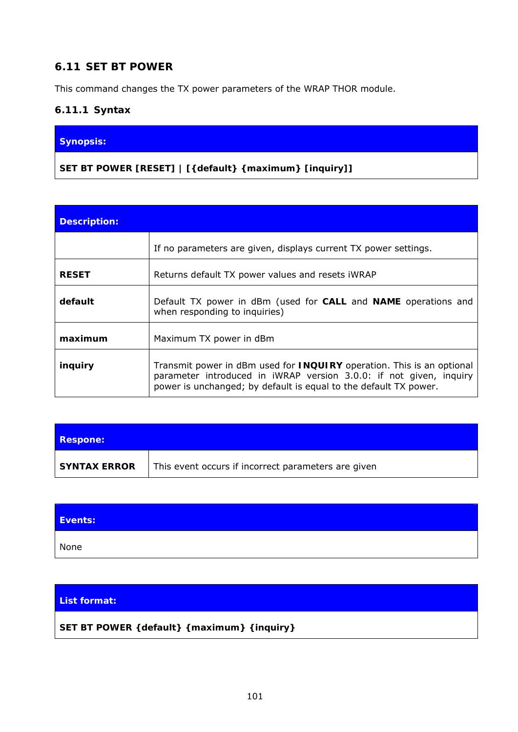# **6.11 SET BT POWER**

This command changes the TX power parameters of the WRAP THOR module.

## **6.11.1 Syntax**

#### **Synopsis:**

**SET BT POWER [RESET] | [{***default***} {***maximum***} [***inquiry***]]** 

| <b>Description:</b> |                                                                                                                                                                                                                        |  |  |  |
|---------------------|------------------------------------------------------------------------------------------------------------------------------------------------------------------------------------------------------------------------|--|--|--|
|                     | If no parameters are given, displays current TX power settings.                                                                                                                                                        |  |  |  |
| <b>RESET</b>        | Returns default TX power values and resets iWRAP                                                                                                                                                                       |  |  |  |
| default             | Default TX power in dBm (used for CALL and NAME operations and<br>when responding to inquiries)                                                                                                                        |  |  |  |
| maximum             | Maximum TX power in dBm                                                                                                                                                                                                |  |  |  |
| inquiry             | Transmit power in dBm used for <b>INQUIRY</b> operation. This is an optional<br>parameter introduced in iWRAP version 3.0.0: if not given, inquiry<br>power is unchanged; by default is equal to the default TX power. |  |  |  |

| <b>Respone:</b>     |                                                     |
|---------------------|-----------------------------------------------------|
| <b>SYNTAX ERROR</b> | This event occurs if incorrect parameters are given |

| Events: |  |
|---------|--|
| None    |  |

#### **List format:**

## **SET BT POWER {***default***} {***maximum***} {***inquiry***}**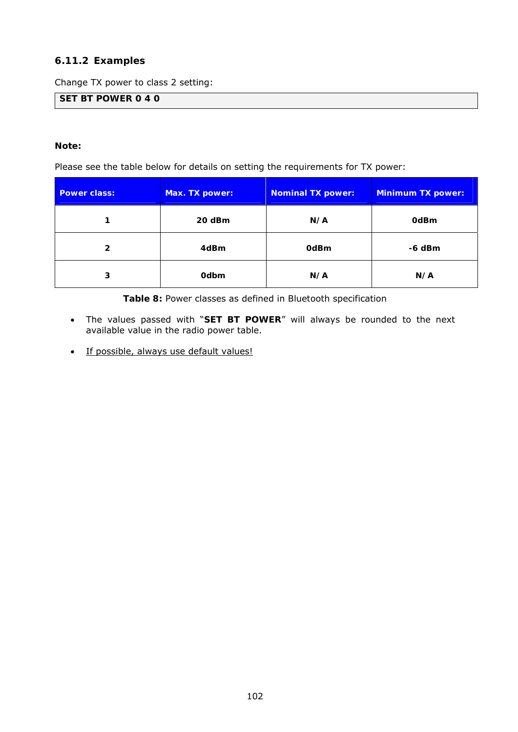## **6.11.2 Examples**

Change TX power to class 2 setting:

**SET BT POWER 0 4 0** 

#### **Note:**

Please see the table below for details on setting the requirements for TX power:

| <b>Power class:</b> | Max. TX power: | Nominal TX power: | <b>Minimum TX power:</b> |  |
|---------------------|----------------|-------------------|--------------------------|--|
|                     | 20 dBm         | N/A               | <b>OdBm</b>              |  |
| 2                   | 4dBm           | 0dBm              | $-6$ dBm                 |  |
| <b>Odbm</b><br>3    |                | N/A               | N/A                      |  |

**Table 8:** Power classes as defined in *Bluetooth* specification

- The values passed with "**SET BT POWER**" will always be rounded to the next available value in the radio power table.
- If possible, always use default values!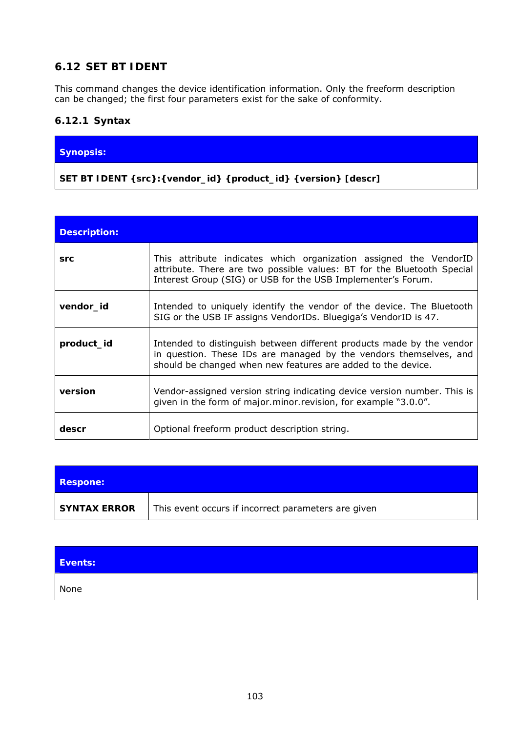# **6.12 SET BT IDENT**

This command changes the device identification information. Only the freeform description can be changed; the first four parameters exist for the sake of conformity.

## **6.12.1 Syntax**

#### **Synopsis:**

**SET BT IDENT {***src***}:{***vendor\_id***} {***product\_id***} {***version***} [***descr***]** 

| <b>Description:</b> |                                                                                                                                                                                                             |
|---------------------|-------------------------------------------------------------------------------------------------------------------------------------------------------------------------------------------------------------|
| <b>src</b>          | This attribute indicates which organization assigned the VendorID<br>attribute. There are two possible values: BT for the Bluetooth Special<br>Interest Group (SIG) or USB for the USB Implementer's Forum. |
| vendor_id           | Intended to uniquely identify the vendor of the device. The Bluetooth<br>SIG or the USB IF assigns VendorIDs. Bluegiga's VendorID is 47.                                                                    |
| product_id          | Intended to distinguish between different products made by the vendor<br>in question. These IDs are managed by the vendors themselves, and<br>should be changed when new features are added to the device.  |
| version             | Vendor-assigned version string indicating device version number. This is<br>given in the form of <i>major minor revision</i> , for example "3.0.0".                                                         |
| descr               | Optional freeform product description string.                                                                                                                                                               |

| <b>Respone:</b> |                                                     |
|-----------------|-----------------------------------------------------|
| SYNTAX ERROR    | This event occurs if incorrect parameters are given |

| Events: |  |
|---------|--|
| None    |  |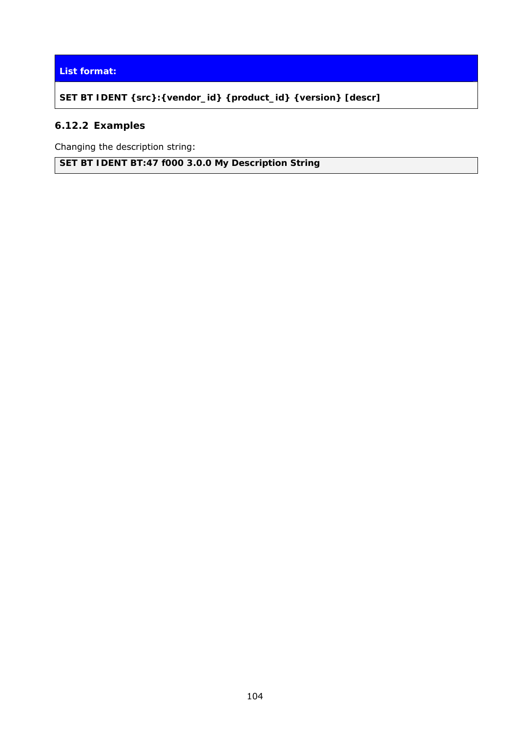#### **List format:**

**SET BT IDENT {***src***}:{***vendor\_id***} {***product\_id***} {***version***} [***descr***]**

# **6.12.2 Examples**

Changing the description string:

**SET BT IDENT BT:47 f000 3.0.0 My Description String**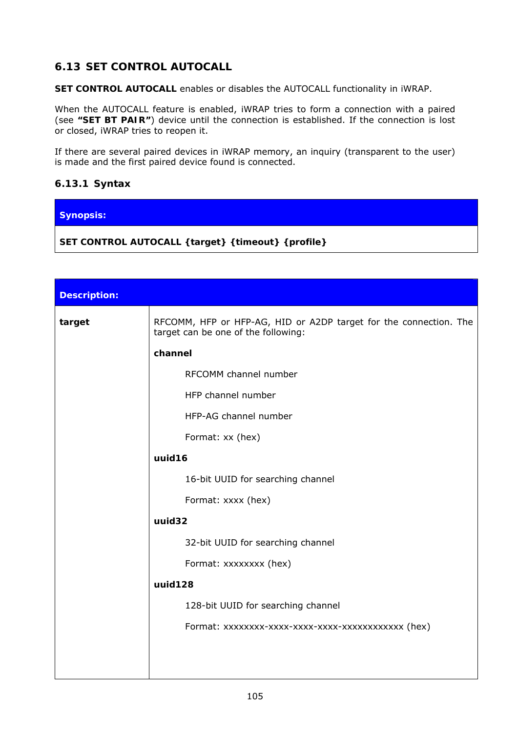# **6.13 SET CONTROL AUTOCALL**

**SET CONTROL AUTOCALL** enables or disables the AUTOCALL functionality in iWRAP.

When the AUTOCALL feature is enabled, iWRAP tries to form a connection with a paired (see **"SET BT PAIR"**) device until the connection is established. If the connection is lost or closed, iWRAP tries to reopen it.

If there are several paired devices in iWRAP memory, an inquiry (transparent to the user) is made and the first paired device found is connected.

#### **6.13.1 Syntax**

# **Synopsis:**

**SET CONTROL AUTOCALL {***target***} {***timeout***} {***profile***}** 

| <b>Description:</b> |                                                                                                          |
|---------------------|----------------------------------------------------------------------------------------------------------|
| target              | RFCOMM, HFP or HFP-AG, HID or A2DP target for the connection. The<br>target can be one of the following: |
|                     | channel                                                                                                  |
|                     | RFCOMM channel number                                                                                    |
|                     | HFP channel number                                                                                       |
|                     | HFP-AG channel number                                                                                    |
|                     | Format: xx (hex)                                                                                         |
|                     | uuid16                                                                                                   |
|                     | 16-bit UUID for searching channel                                                                        |
|                     | Format: xxxx (hex)                                                                                       |
|                     | uuid32                                                                                                   |
|                     | 32-bit UUID for searching channel                                                                        |
|                     | Format: xxxxxxxx (hex)                                                                                   |
|                     | uuid128                                                                                                  |
|                     | 128-bit UUID for searching channel                                                                       |
|                     | Format: xxxxxxxx-xxxx-xxxx-xxxxx-xxxxxxxxxxx (hex)                                                       |
|                     |                                                                                                          |
|                     |                                                                                                          |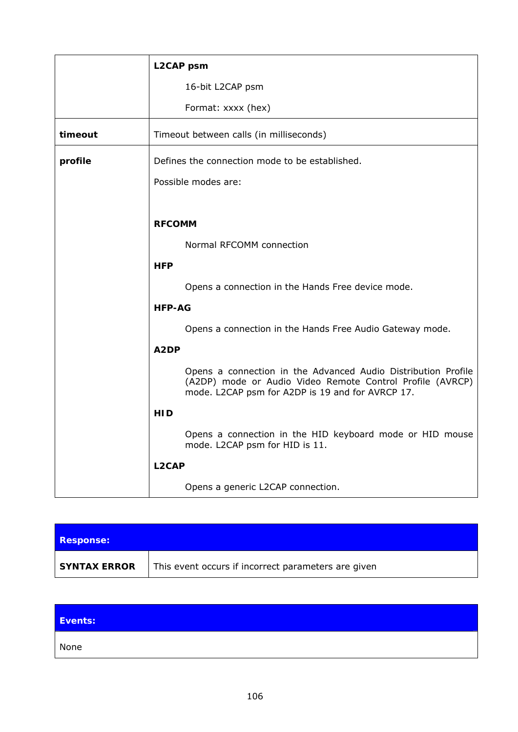|         | <b>L2CAP</b> psm                                                                                                                                                               |  |  |  |
|---------|--------------------------------------------------------------------------------------------------------------------------------------------------------------------------------|--|--|--|
|         | 16-bit L2CAP psm                                                                                                                                                               |  |  |  |
|         | Format: xxxx (hex)                                                                                                                                                             |  |  |  |
| timeout | Timeout between calls (in milliseconds)                                                                                                                                        |  |  |  |
| profile | Defines the connection mode to be established.                                                                                                                                 |  |  |  |
|         | Possible modes are:                                                                                                                                                            |  |  |  |
|         |                                                                                                                                                                                |  |  |  |
|         | <b>RFCOMM</b>                                                                                                                                                                  |  |  |  |
|         | Normal RFCOMM connection                                                                                                                                                       |  |  |  |
|         | <b>HFP</b>                                                                                                                                                                     |  |  |  |
|         | Opens a connection in the Hands Free device mode.                                                                                                                              |  |  |  |
|         | <b>HFP-AG</b>                                                                                                                                                                  |  |  |  |
|         | Opens a connection in the Hands Free Audio Gateway mode.                                                                                                                       |  |  |  |
|         | A2DP                                                                                                                                                                           |  |  |  |
|         | Opens a connection in the Advanced Audio Distribution Profile<br>(A2DP) mode or Audio Video Remote Control Profile (AVRCP)<br>mode. L2CAP psm for A2DP is 19 and for AVRCP 17. |  |  |  |
|         | <b>HID</b>                                                                                                                                                                     |  |  |  |
|         | Opens a connection in the HID keyboard mode or HID mouse<br>mode. L2CAP psm for HID is 11.                                                                                     |  |  |  |
|         | L <sub>2</sub> CAP                                                                                                                                                             |  |  |  |
|         | Opens a generic L2CAP connection.                                                                                                                                              |  |  |  |

| <b>Response:</b>    |                                                     |
|---------------------|-----------------------------------------------------|
| <b>SYNTAX ERROR</b> | This event occurs if incorrect parameters are given |

| Events: |  |  |  |
|---------|--|--|--|
| None    |  |  |  |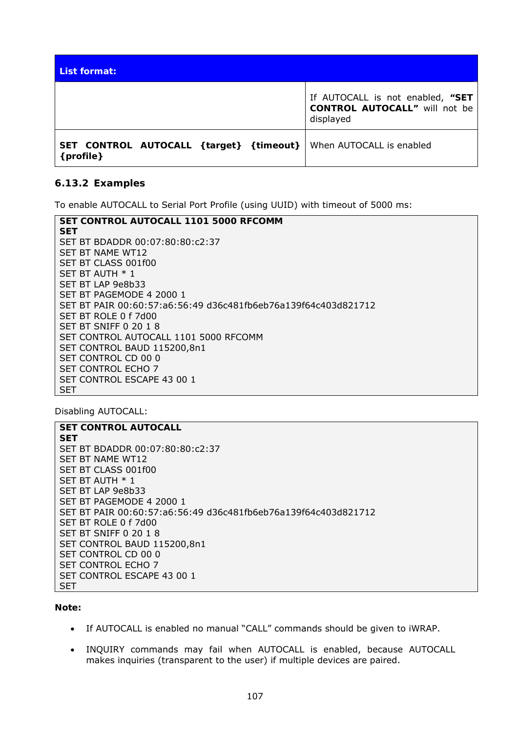| List format:                                           |                                                                                       |
|--------------------------------------------------------|---------------------------------------------------------------------------------------|
|                                                        | If AUTOCALL is not enabled, "SET<br><b>CONTROL AUTOCALL"</b> will not be<br>displayed |
| SET CONTROL AUTOCALL { target} { timeout}<br>{profile} | When AUTOCALL is enabled                                                              |

#### **6.13.2 Examples**

To enable AUTOCALL to Serial Port Profile (using UUID) with timeout of 5000 ms:

| SET CONTROL AUTOCALL 1101 5000 RFCOMM                          |  |  |
|----------------------------------------------------------------|--|--|
| <b>SET</b>                                                     |  |  |
| SET BT BDADDR 00:07:80:80:c2:37                                |  |  |
| SET BT NAME WT12                                               |  |  |
| SET BT CLASS 001f00                                            |  |  |
| SET BT AUTH $*1$                                               |  |  |
| SET BT LAP 9e8b33                                              |  |  |
| SET BT PAGEMODE 4 2000 1                                       |  |  |
| SET BT PAIR 00:60:57:a6:56:49 d36c481fb6eb76a139f64c403d821712 |  |  |
| SET BT ROLE 0 f 7d00                                           |  |  |
| SET BT SNIFF 0 20 1 8                                          |  |  |
| SET CONTROL AUTOCALL 1101 5000 RFCOMM                          |  |  |
| SET CONTROL BAUD 115200,8n1                                    |  |  |
| SET CONTROL CD 00 0                                            |  |  |
| <b>SET CONTROL ECHO 7</b>                                      |  |  |
| SET CONTROL ESCAPE 43 00 1                                     |  |  |
| <b>SET</b>                                                     |  |  |

Disabling AUTOCALL:

# **SET CONTROL AUTOCALL SET**

SET BT BDADDR 00:07:80:80:c2:37 SET BT NAME WT12 SET BT CLASS 001f00 SET BT AUTH \* 1 SET BT LAP 9e8b33 SET BT PAGEMODE 4 2000 1 SET BT PAIR 00:60:57:a6:56:49 d36c481fb6eb76a139f64c403d821712 SET BT ROLE 0 f 7d00 SET BT SNIFF 0 20 1 8 SET CONTROL BAUD 115200,8n1 SET CONTROL CD 00 0 SET CONTROL ECHO 7 SET CONTROL ESCAPE 43 00 1 SET

#### **Note:**

- If AUTOCALL is enabled no manual "CALL" commands should be given to iWRAP.
- INQUIRY commands may fail when AUTOCALL is enabled, because AUTOCALL makes inquiries (transparent to the user) if multiple devices are paired.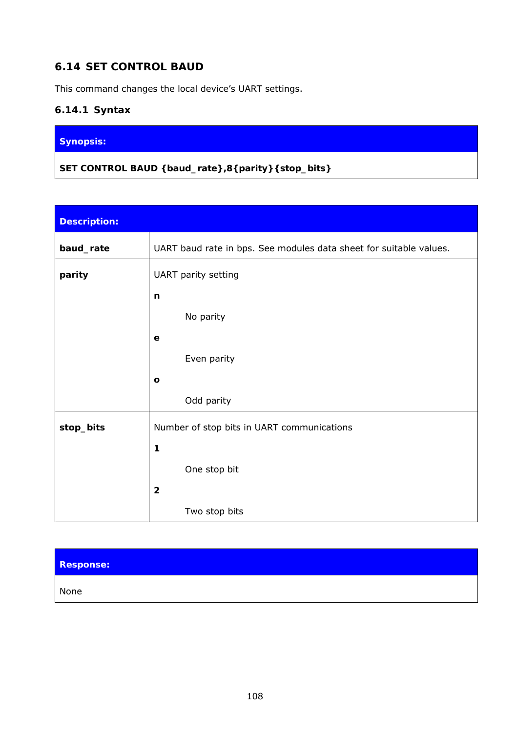# **6.14 SET CONTROL BAUD**

This command changes the local device's UART settings.

# **6.14.1 Syntax**

## **Synopsis:**

**SET CONTROL BAUD {***baud\_rate***},8{***parity***}{***stop\_bits***}** 

| <b>Description:</b> |                                                                    |
|---------------------|--------------------------------------------------------------------|
| baud_rate           | UART baud rate in bps. See modules data sheet for suitable values. |
| parity              | UART parity setting                                                |
|                     | n                                                                  |
|                     | No parity                                                          |
|                     | $\mathbf e$                                                        |
|                     | Even parity                                                        |
|                     | $\mathbf{o}$                                                       |
|                     | Odd parity                                                         |
| stop_bits           | Number of stop bits in UART communications                         |
|                     | 1                                                                  |
|                     | One stop bit                                                       |
|                     | $\overline{\mathbf{2}}$                                            |
|                     | Two stop bits                                                      |

# **Response:**

None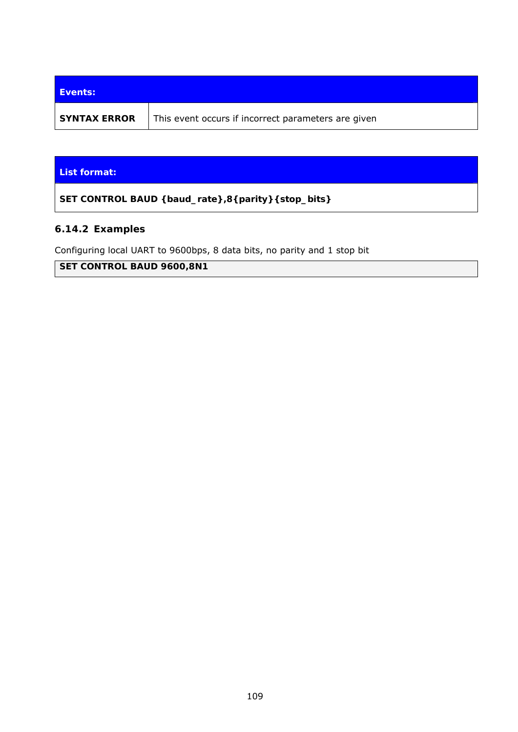| Events:             |                                                     |
|---------------------|-----------------------------------------------------|
| <b>SYNTAX ERROR</b> | This event occurs if incorrect parameters are given |

#### **List format:**

**SET CONTROL BAUD {***baud\_rate***},8{***parity***}{***stop\_bits***}**

### **6.14.2 Examples**

Configuring local UART to 9600bps, 8 data bits, no parity and 1 stop bit

**SET CONTROL BAUD 9600,8N1**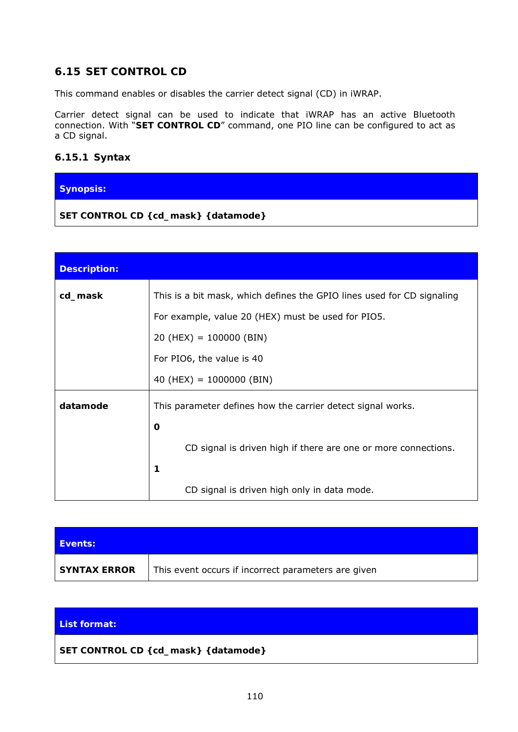## **6.15 SET CONTROL CD**

This command enables or disables the carrier detect signal (CD) in iWRAP.

Carrier detect signal can be used to indicate that iWRAP has an active *Bluetooth* connection. With "**SET CONTROL CD**" command, one PIO line can be configured to act as a CD signal.

### **6.15.1 Syntax**

### **Synopsis:**

**SET CONTROL CD {***cd\_mask***} {***datamode***}** 

| <b>Description:</b> |                                                                        |  |  |
|---------------------|------------------------------------------------------------------------|--|--|
| cd_mask             | This is a bit mask, which defines the GPIO lines used for CD signaling |  |  |
|                     | For example, value 20 (HEX) must be used for PIO5.                     |  |  |
|                     | $20$ (HEX) = 100000 (BIN)                                              |  |  |
|                     | For PIO6, the value is 40                                              |  |  |
|                     | 40 (HEX) = $1000000$ (BIN)                                             |  |  |
| datamode            | This parameter defines how the carrier detect signal works.            |  |  |
|                     | O                                                                      |  |  |
|                     | CD signal is driven high if there are one or more connections.         |  |  |
|                     | 1                                                                      |  |  |
|                     | CD signal is driven high only in data mode.                            |  |  |

| <b>Events:</b>      |                                                     |
|---------------------|-----------------------------------------------------|
| <b>SYNTAX ERROR</b> | This event occurs if incorrect parameters are given |

#### **List format:**

**SET CONTROL CD {***cd\_mask***} {***datamode***}**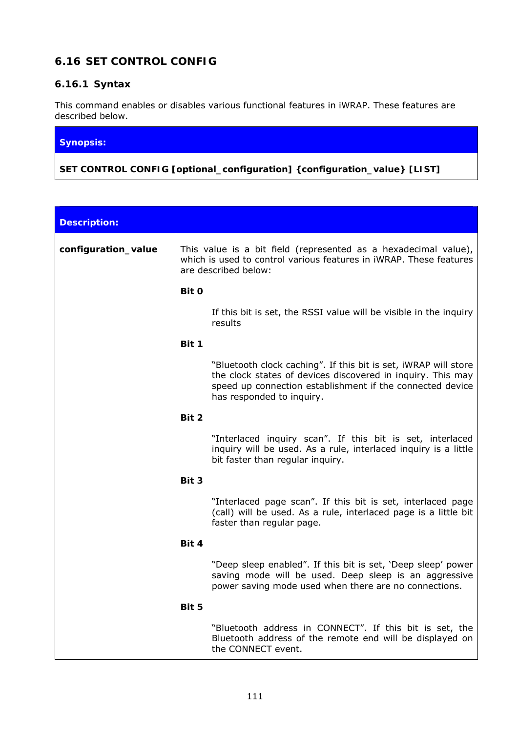# **6.16 SET CONTROL CONFIG**

## **6.16.1 Syntax**

This command enables or disables various functional features in iWRAP. These features are described below.

#### **Synopsis:**

**SET CONTROL CONFIG [***optional\_configuration***] {***configuration\_value***} [LIST]** 

| <b>Description:</b> |       |                                                                                                                                                                                                                          |
|---------------------|-------|--------------------------------------------------------------------------------------------------------------------------------------------------------------------------------------------------------------------------|
| configuration_value |       | This value is a bit field (represented as a hexadecimal value),<br>which is used to control various features in iWRAP. These features<br>are described below:                                                            |
|                     | Bit 0 |                                                                                                                                                                                                                          |
|                     |       | If this bit is set, the RSSI value will be visible in the inquiry<br>results                                                                                                                                             |
|                     | Bit 1 |                                                                                                                                                                                                                          |
|                     |       | "Bluetooth clock caching". If this bit is set, iWRAP will store<br>the clock states of devices discovered in inquiry. This may<br>speed up connection establishment if the connected device<br>has responded to inquiry. |
|                     | Bit 2 |                                                                                                                                                                                                                          |
|                     |       | "Interlaced inquiry scan". If this bit is set, interlaced<br>inquiry will be used. As a rule, interlaced inquiry is a little<br>bit faster than regular inquiry.                                                         |
|                     | Bit 3 |                                                                                                                                                                                                                          |
|                     |       | "Interlaced page scan". If this bit is set, interlaced page<br>(call) will be used. As a rule, interlaced page is a little bit<br>faster than regular page.                                                              |
|                     | Bit 4 |                                                                                                                                                                                                                          |
|                     |       | "Deep sleep enabled". If this bit is set, 'Deep sleep' power<br>saving mode will be used. Deep sleep is an aggressive<br>power saving mode used when there are no connections.                                           |
|                     | Bit 5 |                                                                                                                                                                                                                          |
|                     |       | "Bluetooth address in CONNECT". If this bit is set, the<br>Bluetooth address of the remote end will be displayed on<br>the CONNECT event.                                                                                |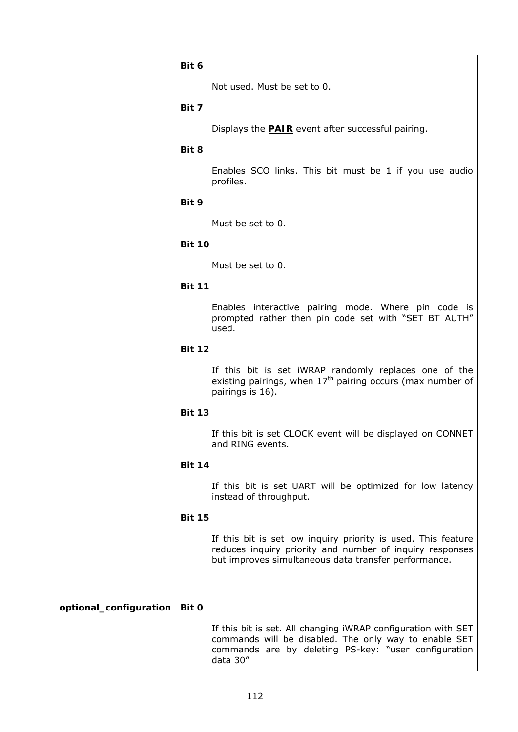|                        | Bit 6         |                                                                                                                                                                                            |
|------------------------|---------------|--------------------------------------------------------------------------------------------------------------------------------------------------------------------------------------------|
|                        |               | Not used. Must be set to 0.                                                                                                                                                                |
|                        | Bit 7         |                                                                                                                                                                                            |
|                        |               | Displays the <b>PAIR</b> event after successful pairing.                                                                                                                                   |
|                        | Bit 8         |                                                                                                                                                                                            |
|                        |               | Enables SCO links. This bit must be 1 if you use audio<br>profiles.                                                                                                                        |
|                        | Bit 9         |                                                                                                                                                                                            |
|                        |               | Must be set to 0.                                                                                                                                                                          |
|                        | <b>Bit 10</b> |                                                                                                                                                                                            |
|                        |               | Must be set to 0.                                                                                                                                                                          |
|                        | <b>Bit 11</b> |                                                                                                                                                                                            |
|                        |               | Enables interactive pairing mode. Where pin code is<br>prompted rather then pin code set with "SET BT AUTH"<br>used.                                                                       |
|                        | <b>Bit 12</b> |                                                                                                                                                                                            |
|                        |               | If this bit is set iWRAP randomly replaces one of the<br>existing pairings, when $17th$ pairing occurs (max number of<br>pairings is 16).                                                  |
|                        | <b>Bit 13</b> |                                                                                                                                                                                            |
|                        |               | If this bit is set CLOCK event will be displayed on CONNET<br>and RING events.                                                                                                             |
|                        | <b>Bit 14</b> |                                                                                                                                                                                            |
|                        |               | If this bit is set UART will be optimized for low latency<br>instead of throughput.                                                                                                        |
|                        | <b>Bit 15</b> |                                                                                                                                                                                            |
|                        |               | If this bit is set low inquiry priority is used. This feature<br>reduces inquiry priority and number of inquiry responses<br>but improves simultaneous data transfer performance.          |
| optional_configuration | Bit 0         |                                                                                                                                                                                            |
|                        |               | If this bit is set. All changing iWRAP configuration with SET<br>commands will be disabled. The only way to enable SET<br>commands are by deleting PS-key: "user configuration<br>data 30" |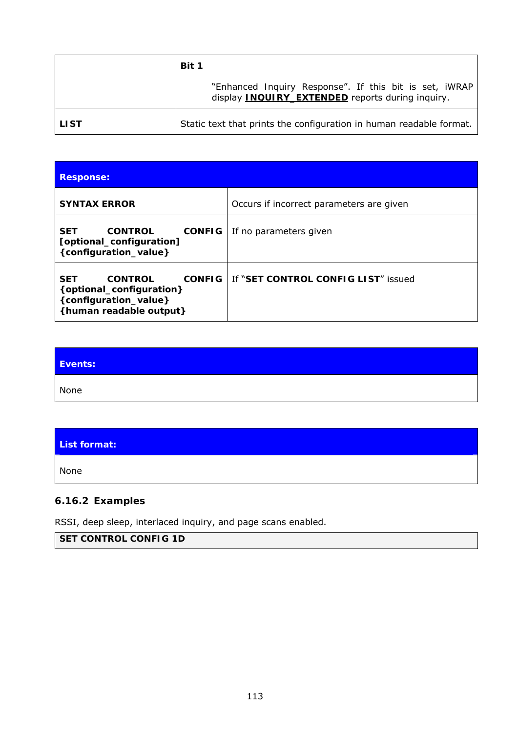|        | Bit 1                                                                                                             |
|--------|-------------------------------------------------------------------------------------------------------------------|
|        | "Enhanced Inquiry Response". If this bit is set, iWRAP<br>display <b>INQUIRY EXTENDED</b> reports during inquiry. |
| l LIST | Static text that prints the configuration in human readable format.                                               |

| <b>Response:</b>                                                                                                              |                                          |
|-------------------------------------------------------------------------------------------------------------------------------|------------------------------------------|
| <b>SYNTAX ERROR</b>                                                                                                           | Occurs if incorrect parameters are given |
| <b>CONTROL</b><br><b>CONFIG</b><br>SET<br>[optional_configuration]<br>{configuration_value}                                   | If no parameters given                   |
| <b>CONTROL</b><br><b>CONFIG</b><br><b>SET</b><br>{optional_configuration}<br>{configuration_value}<br>{human readable output} | If "SET CONTROL CONFIG LIST" issued      |

| Events: |  |
|---------|--|
| None    |  |

### **List format:**

None

# **6.16.2 Examples**

RSSI, deep sleep, interlaced inquiry, and page scans enabled.

## **SET CONTROL CONFIG 1D**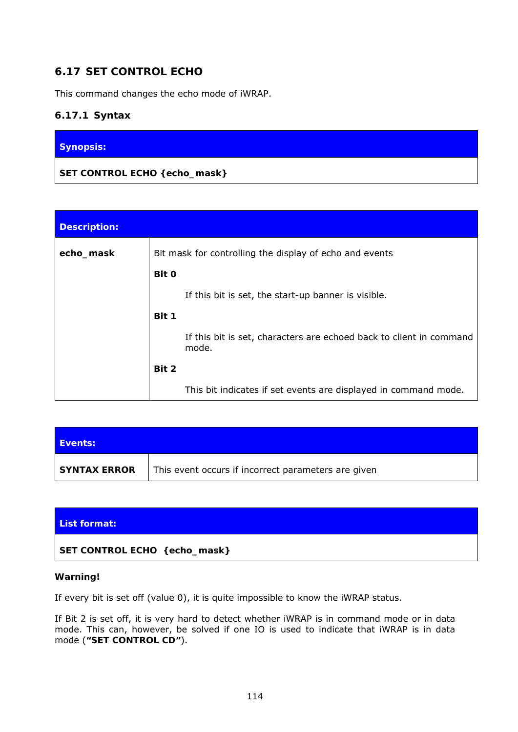## **6.17 SET CONTROL ECHO**

This command changes the echo mode of iWRAP.

### **6.17.1 Syntax**

### **Synopsis:**

### **SET CONTROL ECHO {***echo\_mask***}**

| <b>Description:</b> |       |                                                                              |
|---------------------|-------|------------------------------------------------------------------------------|
| echo_mask           |       | Bit mask for controlling the display of echo and events                      |
|                     | Bit 0 |                                                                              |
|                     |       | If this bit is set, the start-up banner is visible.                          |
|                     | Bit 1 |                                                                              |
|                     |       | If this bit is set, characters are echoed back to client in command<br>mode. |
|                     | Bit 2 |                                                                              |
|                     |       | This bit indicates if set events are displayed in command mode.              |

| Events:             |                                                     |
|---------------------|-----------------------------------------------------|
| <b>SYNTAX ERROR</b> | This event occurs if incorrect parameters are given |

#### **List format:**

### **SET CONTROL ECHO {***echo\_mask***}**

#### **Warning!**

If every bit is set off (value 0), it is quite impossible to know the iWRAP status.

If Bit 2 is set off, it is very hard to detect whether iWRAP is in command mode or in data mode. This can, however, be solved if one IO is used to indicate that iWRAP is in data mode (**"SET CONTROL CD"**).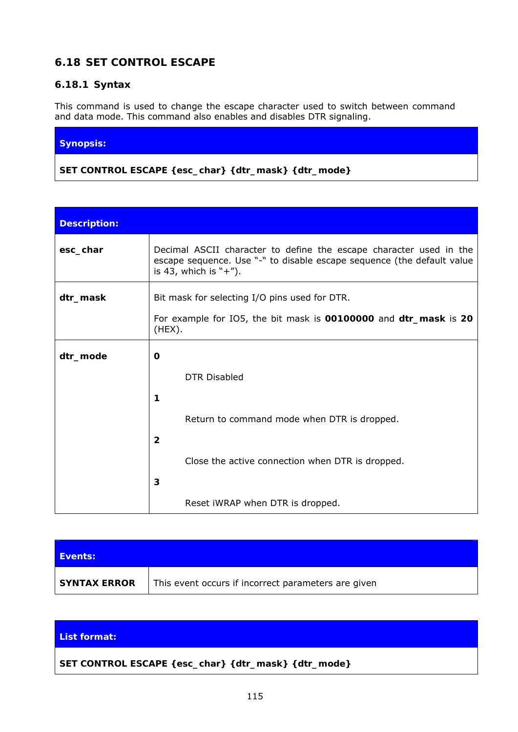## **6.18 SET CONTROL ESCAPE**

### **6.18.1 Syntax**

This command is used to change the escape character used to switch between command and data mode. This command also enables and disables DTR signaling.

#### **Synopsis:**

**SET CONTROL ESCAPE** *{esc\_char} {dtr\_mask} {dtr\_mode}*

| <b>Description:</b> |                                                                                                                                                                          |  |  |
|---------------------|--------------------------------------------------------------------------------------------------------------------------------------------------------------------------|--|--|
| esc_char            | Decimal ASCII character to define the escape character used in the<br>escape sequence. Use "-" to disable escape sequence (the default value<br>is 43, which is $"+'$ ). |  |  |
| dtr_mask            | Bit mask for selecting I/O pins used for DTR.                                                                                                                            |  |  |
|                     | For example for IO5, the bit mask is 00100000 and dtr_mask is 20<br>(HEX).                                                                                               |  |  |
| dtr_mode            | O                                                                                                                                                                        |  |  |
|                     | <b>DTR Disabled</b>                                                                                                                                                      |  |  |
|                     | 1                                                                                                                                                                        |  |  |
|                     | Return to command mode when DTR is dropped.                                                                                                                              |  |  |
|                     | $\overline{2}$                                                                                                                                                           |  |  |
|                     | Close the active connection when DTR is dropped.                                                                                                                         |  |  |
|                     | 3                                                                                                                                                                        |  |  |
|                     | Reset iWRAP when DTR is dropped.                                                                                                                                         |  |  |

| Events:             |                                                     |
|---------------------|-----------------------------------------------------|
| <b>SYNTAX ERROR</b> | This event occurs if incorrect parameters are given |

#### **List format:**

**SET CONTROL ESCAPE** *{esc\_char} {dtr\_mask} {dtr\_mode}*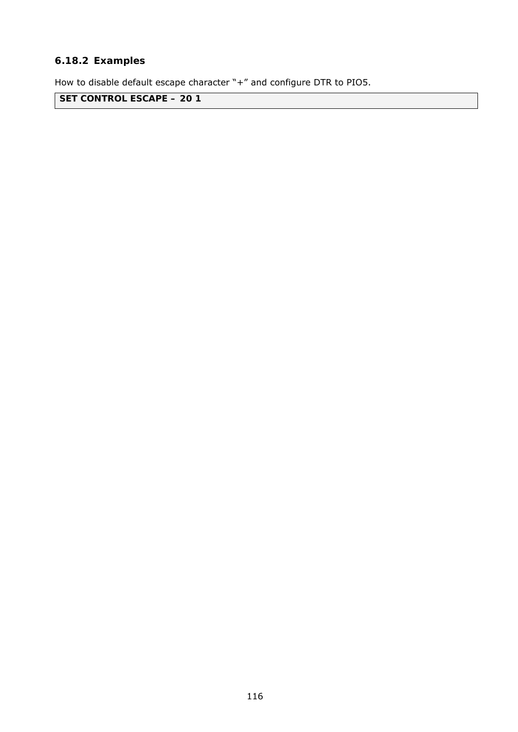## **6.18.2 Examples**

How to disable default escape character "+" and configure DTR to PIO5.

**SET CONTROL ESCAPE – 20 1**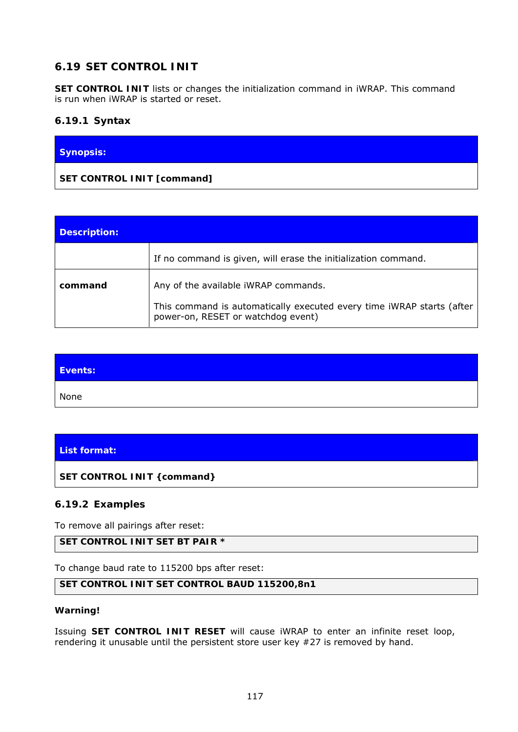# **6.19 SET CONTROL INIT**

**SET CONTROL INIT** lists or changes the initialization command in iWRAP. This command is run when iWRAP is started or reset.

### **6.19.1 Syntax**

| Synopsis:                  |  |
|----------------------------|--|
| SET CONTROL INIT [command] |  |

| <b>Description:</b> |                                                                                                             |
|---------------------|-------------------------------------------------------------------------------------------------------------|
|                     | If no command is given, will erase the initialization command.                                              |
| command             | Any of the available iWRAP commands.                                                                        |
|                     | This command is automatically executed every time iWRAP starts (after<br>power-on, RESET or watchdog event) |

| Events: |  |
|---------|--|
| None    |  |

## **List format:**

**SET CONTROL INIT {***command***}**

### **6.19.2 Examples**

To remove all pairings after reset:

## **SET CONTROL INIT SET BT PAIR \***

To change baud rate to 115200 bps after reset:

#### **SET CONTROL INIT SET CONTROL BAUD 115200,8n1**

#### **Warning!**

Issuing **SET CONTROL INIT RESET** will cause iWRAP to enter an infinite reset loop, rendering it unusable until the persistent store user key #27 is removed by hand.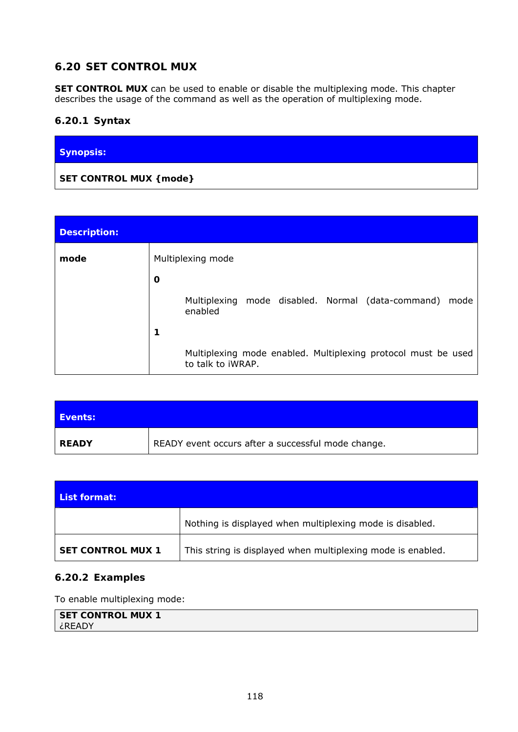# **6.20 SET CONTROL MUX**

**SET CONTROL MUX** can be used to enable or disable the multiplexing mode. This chapter describes the usage of the command as well as the operation of multiplexing mode.

### **6.20.1 Syntax**

| Synopsis:               |  |
|-------------------------|--|
| SET CONTROL MUX { mode} |  |

| <b>Description:</b> |                                                                                            |
|---------------------|--------------------------------------------------------------------------------------------|
| mode                | Multiplexing mode                                                                          |
|                     | O                                                                                          |
|                     | Multiplexing mode disabled. Normal (data-command)<br>mode<br>enabled                       |
|                     | 1                                                                                          |
|                     | Multiplexing mode enabled. Multiplexing protocol must be used<br>to talk to <i>i</i> WRAP. |

| <b>Events:</b> |                                                    |
|----------------|----------------------------------------------------|
| <b>READY</b>   | READY event occurs after a successful mode change. |

| List format:             |                                                             |
|--------------------------|-------------------------------------------------------------|
|                          | Nothing is displayed when multiplexing mode is disabled.    |
| <b>SET CONTROL MUX 1</b> | This string is displayed when multiplexing mode is enabled. |

### **6.20.2 Examples**

To enable multiplexing mode:

```
SET CONTROL MUX 1 
¿READY
```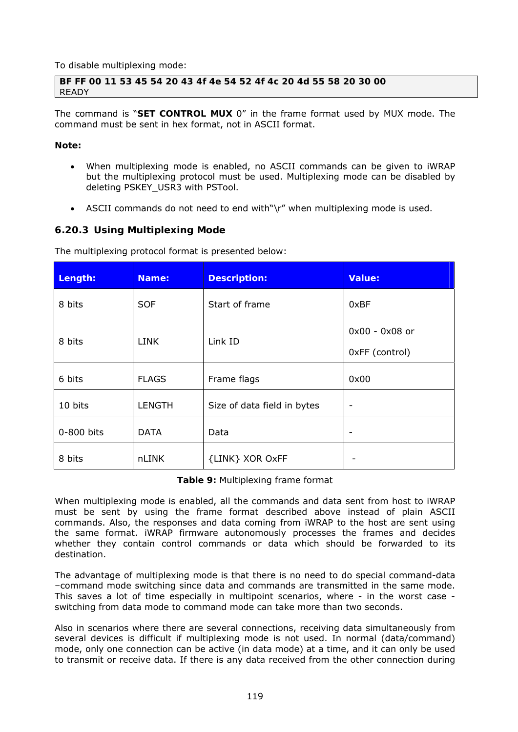To disable multiplexing mode:

**BF FF 00 11 53 45 54 20 43 4f 4e 54 52 4f 4c 20 4d 55 58 20 30 00**  READY

The command is "**SET CONTROL MUX** 0" in the frame format used by MUX mode. The command must be sent in hex format, not in ASCII format.

#### **Note:**

- When multiplexing mode is enabled, no ASCII commands can be given to iWRAP but the multiplexing protocol must be used. Multiplexing mode can be disabled by deleting PSKEY\_USR3 with PSTool.
- ASCII commands do not need to end with"\r" when multiplexing mode is used.

#### **6.20.3 Using Multiplexing Mode**

The multiplexing protocol format is presented below:

| Length:    | Name:         | <b>Description:</b>         | <b>Value:</b>  |
|------------|---------------|-----------------------------|----------------|
| 8 bits     | <b>SOF</b>    | Start of frame              | 0xBF           |
|            |               | 0x00 - 0x08 or              |                |
| 8 bits     | <b>LINK</b>   | Link ID                     | 0xFF (control) |
| 6 bits     | <b>FLAGS</b>  | Frame flags                 | 0x00           |
| 10 bits    | <b>LENGTH</b> | Size of data field in bytes | -              |
| 0-800 bits | <b>DATA</b>   | Data                        |                |
| 8 bits     | nLINK         | {LINK} XOR OxFF             |                |

**Table 9:** Multiplexing frame format

When multiplexing mode is enabled, all the commands and data sent from host to iWRAP must be sent by using the frame format described above instead of plain ASCII commands. Also, the responses and data coming from iWRAP to the host are sent using the same format. iWRAP firmware autonomously processes the frames and decides whether they contain control commands or data which should be forwarded to its destination.

The advantage of multiplexing mode is that there is no need to do special command-data –command mode switching since data and commands are transmitted in the same mode. This saves a lot of time especially in multipoint scenarios, where - in the worst case switching from data mode to command mode can take more than two seconds.

Also in scenarios where there are several connections, receiving data simultaneously from several devices is difficult if multiplexing mode is not used. In normal (data/command) mode, only one connection can be active (in data mode) at a time, and it can only be used to transmit or receive data. If there is any data received from the other connection during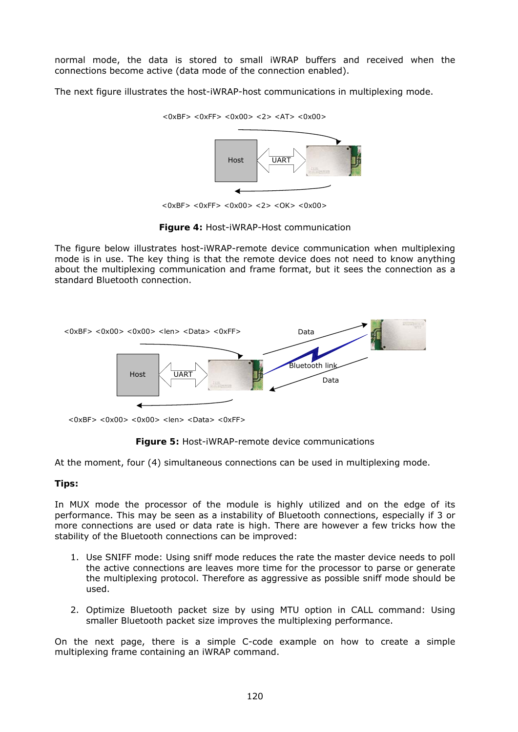normal mode, the data is stored to small iWRAP buffers and received when the connections become active (data mode of the connection enabled).

The next figure illustrates the host-iWRAP-host communications in multiplexing mode.



<0xBF> <0xFF> <0x00> <2> <OK> <0x00>

**Figure 4:** Host-iWRAP-Host communication

The figure below illustrates host-iWRAP-remote device communication when multiplexing mode is in use. The key thing is that the remote device does not need to know anything about the multiplexing communication and frame format, but it sees the connection as a standard *Bluetooth* connection.



 $<$ 0xBF> $<$ 0x00> $<$ 0x00> $<$ len> $<$ Data> $<$ 0xFF>



At the moment, four (4) simultaneous connections can be used in multiplexing mode.

#### **Tips:**

In MUX mode the processor of the module is highly utilized and on the edge of its performance. This may be seen as a instability of *Bluetooth* connections, especially if 3 or more connections are used or data rate is high. There are however a few tricks how the stability of the *Bluetooth* connections can be improved:

- 1. Use SNIFF mode: Using sniff mode reduces the rate the master device needs to poll the active connections are leaves more time for the processor to parse or generate the multiplexing protocol. Therefore as aggressive as possible sniff mode should be used.
- 2. Optimize *Bluetooth* packet size by using MTU option in CALL command: Using smaller *Bluetooth* packet size improves the multiplexing performance.

On the next page, there is a simple C-code example on how to create a simple multiplexing frame containing an iWRAP command.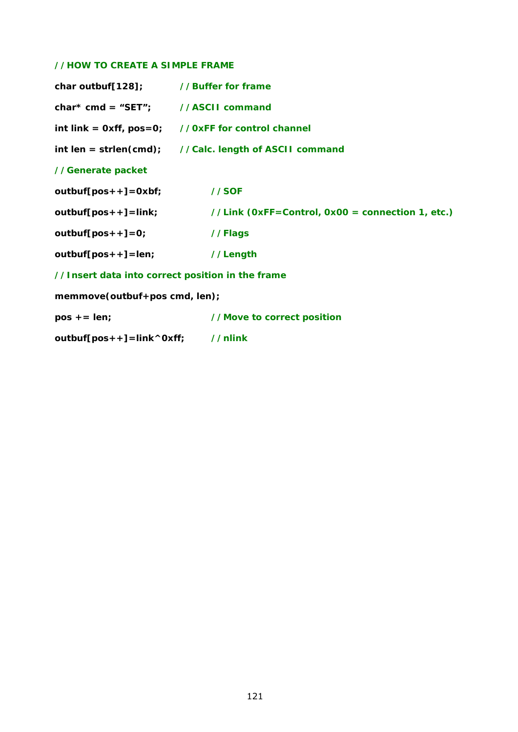#### *//HOW TO CREATE A SIMPLE FRAME*

| char outbuf[128]; //Buffer for frame             |                                                                 |
|--------------------------------------------------|-----------------------------------------------------------------|
| $char*$ cmd = "SET"; //ASCII command             |                                                                 |
|                                                  | int link = $0xff$ , $pos=0$ ; //0xFF for control channel        |
|                                                  | int len = strlen(cmd); $\qquad$ //Calc. length of ASCII command |
| //Generate packet                                |                                                                 |
| $outbuf[pos++]-Oxbf;$                            | //SOF                                                           |
| $outbuf[pos++]{=}link;$                          | //Link (0xFF=Control, 0x00 = connection 1, etc.)                |
| $outbuf[pos++]-0;$                               | //Flags                                                         |
| $outbuf[pos++] = len;$                           | //Length                                                        |
| //Insert data into correct position in the frame |                                                                 |
| memmove(outbuf+pos cmd, len);                    |                                                                 |
| $pos += len;$                                    | //Move to correct position                                      |

*outbuf[pos++]=link^0xff; //nlink*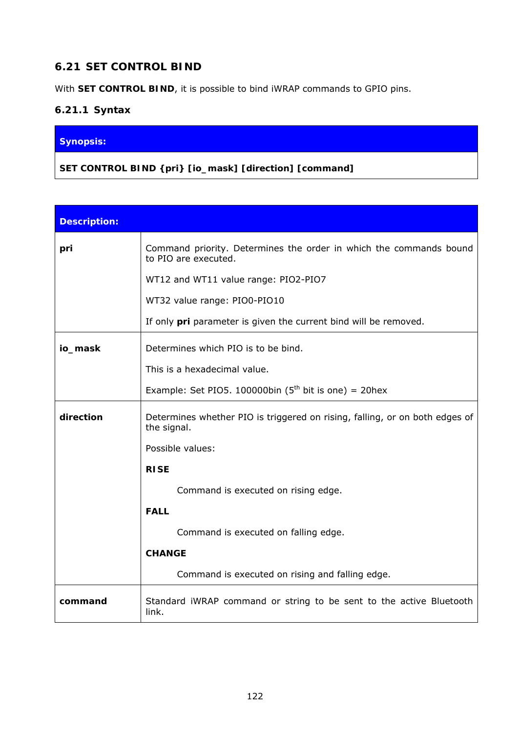# **6.21 SET CONTROL BIND**

With **SET CONTROL BIND**, it is possible to bind iWRAP commands to GPIO pins.

## **6.21.1 Syntax**

## **Synopsis:**

**SET CONTROL BIND {***pri***} [***io\_mask***] [***direction***] [***command***]** 

| <b>Description:</b> |                                                                                            |  |
|---------------------|--------------------------------------------------------------------------------------------|--|
| pri                 | Command priority. Determines the order in which the commands bound<br>to PIO are executed. |  |
|                     | WT12 and WT11 value range: PIO2-PIO7                                                       |  |
|                     | WT32 value range: PIO0-PIO10                                                               |  |
|                     | If only <i>pri</i> parameter is given the current bind will be removed.                    |  |
| io_mask             | Determines which PIO is to be bind.                                                        |  |
|                     | This is a hexadecimal value.                                                               |  |
|                     | Example: Set PIO5. 100000bin ( $5th$ bit is one) = 20hex                                   |  |
| direction           | Determines whether PIO is triggered on rising, falling, or on both edges of<br>the signal. |  |
|                     | Possible values:                                                                           |  |
|                     | <b>RISE</b>                                                                                |  |
|                     | Command is executed on rising edge.                                                        |  |
|                     | <b>FALL</b>                                                                                |  |
|                     | Command is executed on falling edge.                                                       |  |
|                     | <b>CHANGE</b>                                                                              |  |
|                     | Command is executed on rising and falling edge.                                            |  |
| command             | Standard iWRAP command or string to be sent to the active Bluetooth<br>link.               |  |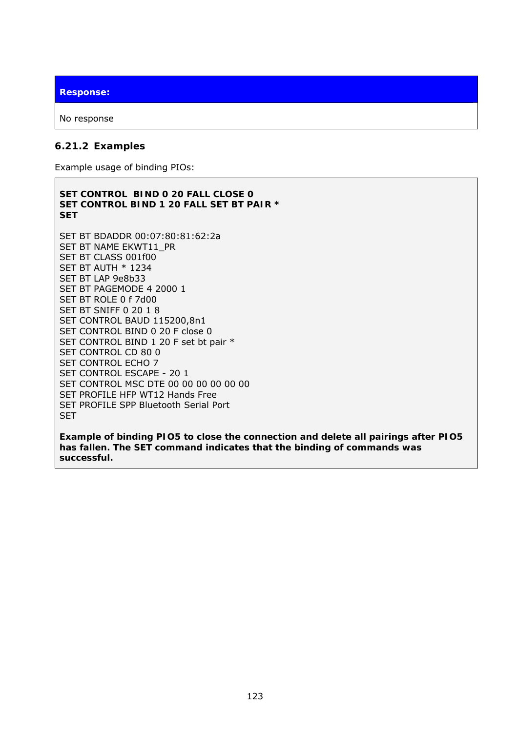**Response:** 

No response

#### **6.21.2 Examples**

Example usage of binding PIOs:

**SET CONTROL BIND 0 20 FALL CLOSE 0 SET CONTROL BIND 1 20 FALL SET BT PAIR \* SET**  SET BT BDADDR 00:07:80:81:62:2a SET BT NAME EKWT11\_PR SET BT CLASS 001f00 SET BT AUTH \* 1234 SET BT LAP 9e8b33 SET BT PAGEMODE 4 2000 1 SET BT ROLE 0 f 7d00 SET BT SNIFF 0 20 1 8 SET CONTROL BAUD 115200,8n1 SET CONTROL BIND 0 20 F close 0 SET CONTROL BIND 1 20 F set bt pair \* SET CONTROL CD 80 0 SET CONTROL ECHO 7 SET CONTROL ESCAPE - 20 1 SET CONTROL MSC DTE 00 00 00 00 00 00 SET PROFILE HFP WT12 Hands Free SET PROFILE SPP *Bluetooth* Serial Port SET

*Example of binding PIO5 to close the connection and delete all pairings after PIO5 has fallen. The SET command indicates that the binding of commands was successful.*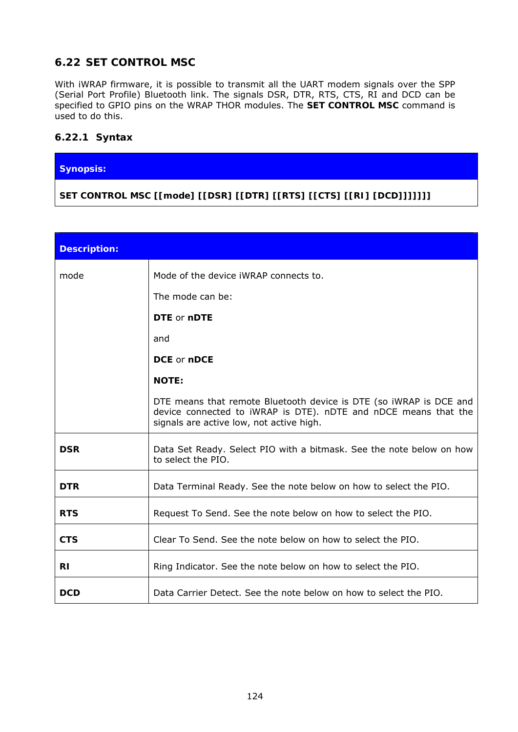# **6.22 SET CONTROL MSC**

With iWRAP firmware, it is possible to transmit all the UART modem signals over the SPP (Serial Port Profile) *Bluetooth* link. The signals DSR, DTR, RTS, CTS, RI and DCD can be specified to GPIO pins on the WRAP THOR modules. The **SET CONTROL MSC** command is used to do this.

### **6.22.1 Syntax**

#### **Synopsis:**

**SET CONTROL MSC [[***mode***] [[***DSR***] [[***DTR***] [[***RTS***] [[***CTS***] [[***RI***] [***DCD***]]]]]]]** 

| <b>Description:</b> |                                                                                                                                                                                          |
|---------------------|------------------------------------------------------------------------------------------------------------------------------------------------------------------------------------------|
| mode                | Mode of the device iWRAP connects to.                                                                                                                                                    |
|                     | The mode can be:                                                                                                                                                                         |
|                     | <b>DTE</b> or nDTE                                                                                                                                                                       |
|                     | and                                                                                                                                                                                      |
|                     | DCE or nDCE                                                                                                                                                                              |
|                     | <b>NOTE:</b>                                                                                                                                                                             |
|                     | DTE means that remote <i>Bluetooth</i> device is DTE (so iWRAP is DCE and<br>device connected to iWRAP is DTE). nDTE and nDCE means that the<br>signals are active low, not active high. |
| <b>DSR</b>          | Data Set Ready. Select PIO with a bitmask. See the note below on how<br>to select the PIO.                                                                                               |
| <b>DTR</b>          | Data Terminal Ready. See the note below on how to select the PIO.                                                                                                                        |
| <b>RTS</b>          | Request To Send. See the note below on how to select the PIO.                                                                                                                            |
| <b>CTS</b>          | Clear To Send. See the note below on how to select the PIO.                                                                                                                              |
| RI                  | Ring Indicator. See the note below on how to select the PIO.                                                                                                                             |
| DCD                 | Data Carrier Detect. See the note below on how to select the PIO.                                                                                                                        |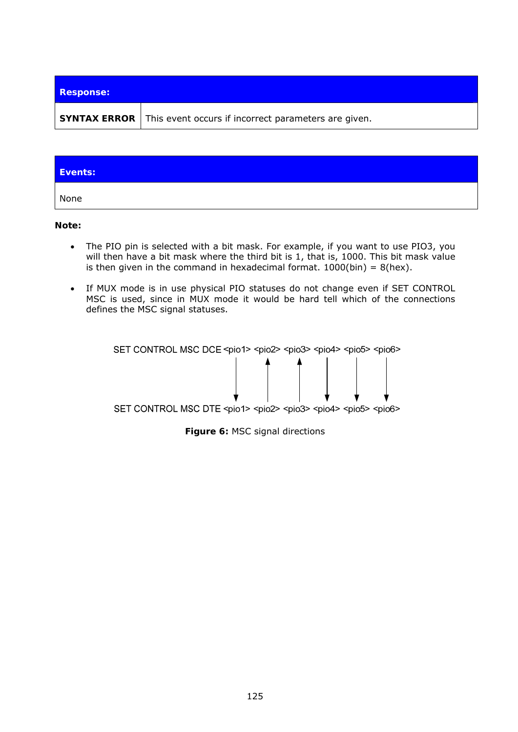| <b>Response:</b> |                                                                          |
|------------------|--------------------------------------------------------------------------|
|                  | <b>SYNTAX ERROR</b> This event occurs if incorrect parameters are given. |

| Events: |  |
|---------|--|
| None    |  |

**Note:** 

- The PIO pin is selected with a bit mask. For example, if you want to use PIO3, you will then have a bit mask where the third bit is 1, that is, 1000. This bit mask value is then given in the command in hexadecimal format.  $1000(bin) = 8(hex)$ .
- If MUX mode is in use physical PIO statuses do not change even if SET CONTROL MSC is used, since in MUX mode it would be hard tell which of the connections defines the MSC signal statuses.



**Figure 6:** MSC signal directions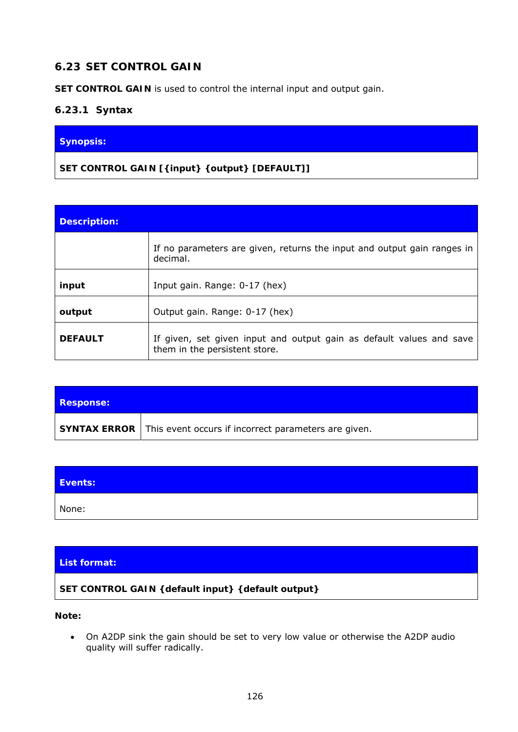# **6.23 SET CONTROL GAIN**

**SET CONTROL GAIN** is used to control the internal input and output gain.

### **6.23.1 Syntax**

#### **Synopsis:**

**SET CONTROL GAIN [{***input***} {***output***} [***DEFAULT***]]** 

| <b>Description:</b> |                                                                                                       |
|---------------------|-------------------------------------------------------------------------------------------------------|
|                     | If no parameters are given, returns the input and output gain ranges in<br>decimal.                   |
| input               | Input gain. Range: 0-17 (hex)                                                                         |
| output              | Output gain. Range: 0-17 (hex)                                                                        |
| <b>DEFAULT</b>      | If given, set given input and output gain as default values and save<br>them in the persistent store. |

| <b>Response:</b> |                                                                          |
|------------------|--------------------------------------------------------------------------|
|                  | <b>SYNTAX ERROR</b> This event occurs if incorrect parameters are given. |

| Events: |  |
|---------|--|
| None:   |  |

### **List format:**

#### **SET CONTROL GAIN {***default input***} {***default output***}**

**Note:**

 On A2DP sink the gain should be set to very low value or otherwise the A2DP audio quality will suffer radically.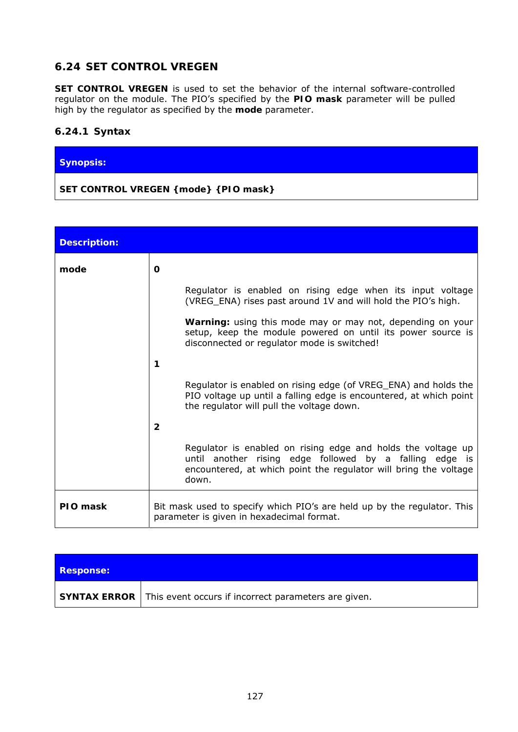# **6.24 SET CONTROL VREGEN**

**SET CONTROL VREGEN** is used to set the behavior of the internal software-controlled regulator on the module. The PIO's specified by the *PIO mask* parameter will be pulled high by the regulator as specified by the *mode* parameter.

### **6.24.1 Syntax**

#### **Synopsis:**

### **SET CONTROL VREGEN {***mode***} {***PIO mask***}**

| <b>Description:</b> |                                                                                                                                                                                                      |
|---------------------|------------------------------------------------------------------------------------------------------------------------------------------------------------------------------------------------------|
| mode                | O                                                                                                                                                                                                    |
|                     | Regulator is enabled on rising edge when its input voltage<br>(VREG_ENA) rises past around 1V and will hold the PIO's high.                                                                          |
|                     | Warning: using this mode may or may not, depending on your<br>setup, keep the module powered on until its power source is<br>disconnected or regulator mode is switched!                             |
|                     | 1                                                                                                                                                                                                    |
|                     | Regulator is enabled on rising edge (of VREG_ENA) and holds the<br>PIO voltage up until a falling edge is encountered, at which point<br>the regulator will pull the voltage down.                   |
|                     | $\mathbf{2}$                                                                                                                                                                                         |
|                     | Regulator is enabled on rising edge and holds the voltage up<br>until another rising edge followed by a falling edge is<br>encountered, at which point the regulator will bring the voltage<br>down. |
| PIO mask            | Bit mask used to specify which PIO's are held up by the regulator. This<br>parameter is given in hexadecimal format.                                                                                 |

| <b>Response:</b> |                                                                     |
|------------------|---------------------------------------------------------------------|
|                  | SYNTAX ERROR   This event occurs if incorrect parameters are given. |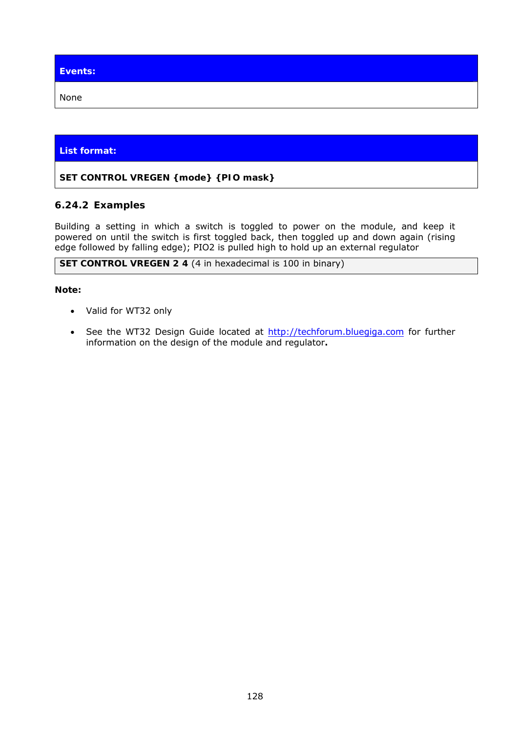**Events:**  None

## **List format:**

### **SET CONTROL VREGEN {***mode***} {***PIO mask***}**

## **6.24.2 Examples**

Building a setting in which a switch is toggled to power on the module, and keep it powered on until the switch is first toggled back, then toggled up and down again (rising edge followed by falling edge); PIO2 is pulled high to hold up an external regulator

**SET CONTROL VREGEN 2 4** (4 in hexadecimal is 100 in binary)

#### **Note:**

- Valid for WT32 only
- See the WT32 Design Guide located at [http://techforum.bluegiga.com](http://techforum.bluegiga.com/) for further information on the design of the module and regulator**.**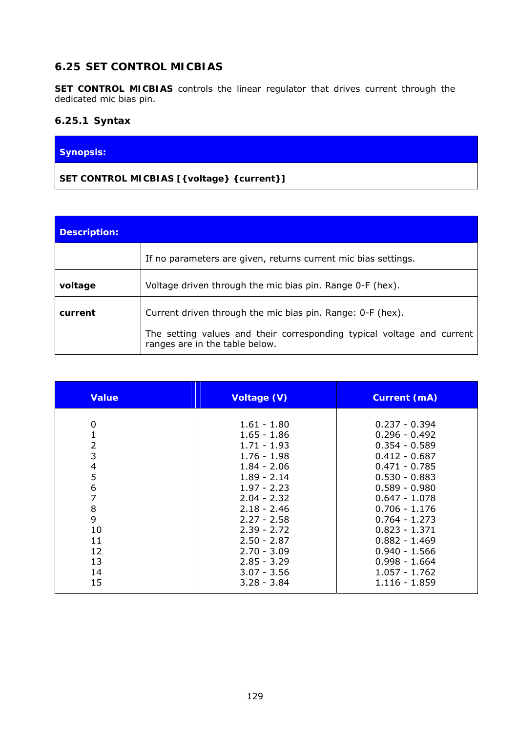## **6.25 SET CONTROL MICBIAS**

**SET CONTROL MICBIAS** controls the linear regulator that drives current through the dedicated mic bias pin.

### **6.25.1 Syntax**

### **Synopsis:**

## **SET CONTROL MICBIAS [{***voltage***} {***current***}]**

| Description: |                                                                                                          |
|--------------|----------------------------------------------------------------------------------------------------------|
|              | If no parameters are given, returns current mic bias settings.                                           |
| voltage      | Voltage driven through the mic bias pin. Range 0-F (hex).                                                |
| current      | Current driven through the mic bias pin. Range: 0-F (hex).                                               |
|              | The setting values and their corresponding typical voltage and current<br>ranges are in the table below. |

| <b>Value</b>   | Voltage (V)   | <b>Current (mA)</b> |
|----------------|---------------|---------------------|
| 0              | 1.61 - 1.80   | $0.237 - 0.394$     |
| 1              | $1.65 - 1.86$ | $0.296 - 0.492$     |
| $\overline{2}$ | $1.71 - 1.93$ | $0.354 - 0.589$     |
| 3              | $1.76 - 1.98$ | $0.412 - 0.687$     |
| 4              | $1.84 - 2.06$ | $0.471 - 0.785$     |
| 5              | $1.89 - 2.14$ | $0.530 - 0.883$     |
| 6              | $1.97 - 2.23$ | $0.589 - 0.980$     |
| 7              | $2.04 - 2.32$ | $0.647 - 1.078$     |
| 8              | $2.18 - 2.46$ | $0.706 - 1.176$     |
| 9              | $2.27 - 2.58$ | $0.764 - 1.273$     |
| 10             | $2.39 - 2.72$ | $0.823 - 1.371$     |
| 11             | $2.50 - 2.87$ | $0.882 - 1.469$     |
| 12             | $2.70 - 3.09$ | $0.940 - 1.566$     |
| 13             | $2.85 - 3.29$ | $0.998 - 1.664$     |
| 14             | $3.07 - 3.56$ | $1.057 - 1.762$     |
| 15             | $3.28 - 3.84$ | 1.116 - 1.859       |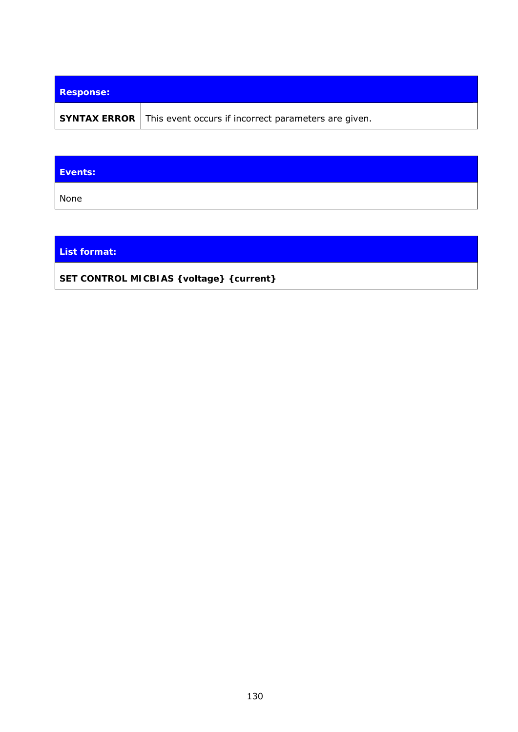| <b>Response:</b> |                                                                          |
|------------------|--------------------------------------------------------------------------|
|                  | <b>SYNTAX ERROR</b> This event occurs if incorrect parameters are given. |

| Events: |  |
|---------|--|
| None    |  |

**List format:** 

**SET CONTROL MICBIAS {***voltage***} {***current***}**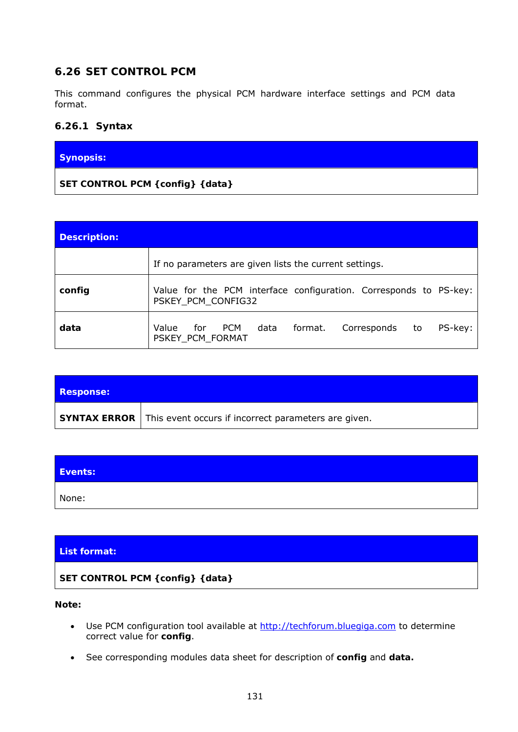## **6.26 SET CONTROL PCM**

This command configures the physical PCM hardware interface settings and PCM data format.

### **6.26.1 Syntax**

#### **Synopsis:**

**SET CONTROL PCM {***config***} {***data***}** 

| <b>Description:</b> |                                                                                                              |
|---------------------|--------------------------------------------------------------------------------------------------------------|
|                     | If no parameters are given lists the current settings.                                                       |
| config              | Value for the PCM interface configuration. Corresponds to PS-key:<br>PSKEY_PCM_CONFIG32                      |
| data                | data<br><b>PCM</b><br>PS-key:<br>Value<br>format.<br>Corresponds<br>for<br>$\mathsf{to}$<br>PSKEY PCM FORMAT |

| <b>Response:</b> |                                                                          |
|------------------|--------------------------------------------------------------------------|
|                  | <b>SYNTAX ERROR</b> This event occurs if incorrect parameters are given. |

| Events: |  |
|---------|--|
| None:   |  |

#### **List format:**

**SET CONTROL PCM {***config***} {***data***}**

#### **Note:**

- Use PCM configuration tool available at [http://techforum.bluegiga.com](http://techforum.bluegiga.com/) to determine correct value for *config*.
- See corresponding modules data sheet for description of *config* and *data.*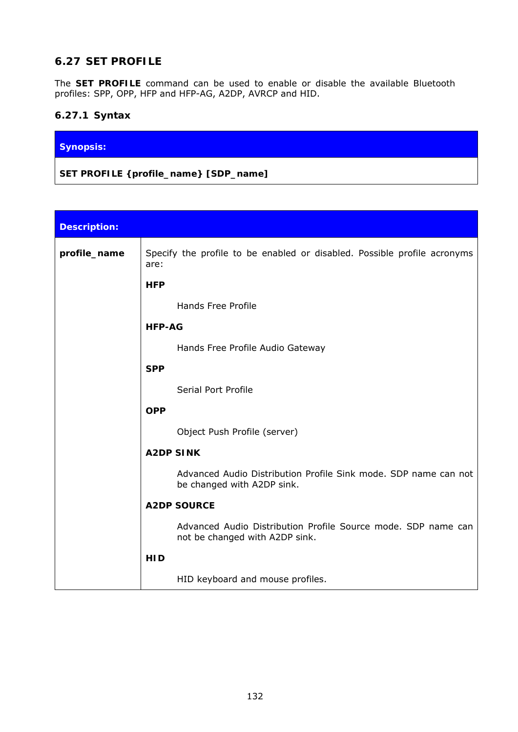## **6.27 SET PROFILE**

The **SET PROFILE** command can be used to enable or disable the available *Bluetooth* profiles: SPP, OPP, HFP and HFP-AG, A2DP, AVRCP and HID.

## **6.27.1 Syntax**

### **Synopsis:**

**SET PROFILE {***profile\_name***} [***SDP\_name***]** 

| <b>Description:</b> |                                                                                                 |
|---------------------|-------------------------------------------------------------------------------------------------|
| profile_name        | Specify the profile to be enabled or disabled. Possible profile acronyms<br>are:                |
|                     | <b>HFP</b>                                                                                      |
|                     | <b>Hands Free Profile</b>                                                                       |
|                     | <b>HFP-AG</b>                                                                                   |
|                     | Hands Free Profile Audio Gateway                                                                |
|                     | <b>SPP</b>                                                                                      |
|                     | Serial Port Profile                                                                             |
|                     | <b>OPP</b>                                                                                      |
|                     | Object Push Profile (server)                                                                    |
|                     | <b>A2DP SINK</b>                                                                                |
|                     | Advanced Audio Distribution Profile Sink mode. SDP name can not<br>be changed with A2DP sink.   |
|                     | <b>A2DP SOURCE</b>                                                                              |
|                     | Advanced Audio Distribution Profile Source mode. SDP name can<br>not be changed with A2DP sink. |
|                     | <b>HID</b>                                                                                      |
|                     | HID keyboard and mouse profiles.                                                                |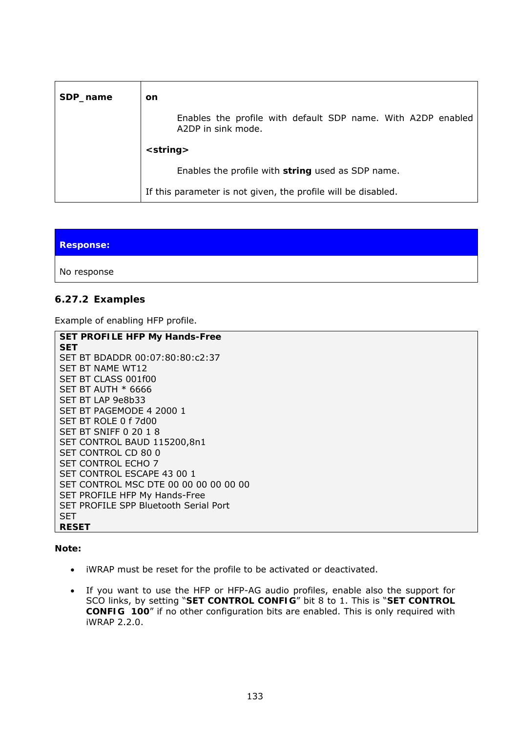| SDP_name | on                                                                                 |
|----------|------------------------------------------------------------------------------------|
|          | Enables the profile with default SDP name. With A2DP enabled<br>A2DP in sink mode. |
|          | $\langle string \rangle$                                                           |
|          | Enables the profile with <i>string</i> used as SDP name.                           |
|          | If this parameter is not given, the profile will be disabled.                      |

| <b>Response:</b> |  |  |
|------------------|--|--|
| No response      |  |  |

### **6.27.2 Examples**

Example of enabling HFP profile.

```
SET PROFILE HFP My Hands-Free 
SET 
SET BT BDADDR 00:07:80:80:c2:37 
SET BT NAME WT12 
SET BT CLASS 001f00 
SET BT AUTH * 6666 
SET BT LAP 9e8b33 
SET BT PAGEMODE 4 2000 1 
SET BT ROLE 0 f 7d00 
SET BT SNIFF 0 20 1 8 
SET CONTROL BAUD 115200,8n1 
SET CONTROL CD 80 0 
SET CONTROL ECHO 7 
SET CONTROL ESCAPE 43 00 1 
SET CONTROL MSC DTE 00 00 00 00 00 00 
SET PROFILE HFP My Hands-Free 
SET PROFILE SPP Bluetooth Serial Port 
SET 
RESET
```
**Note:** 

- iWRAP must be reset for the profile to be activated or deactivated.
- If you want to use the HFP or HFP-AG audio profiles, enable also the support for SCO links, by setting "**SET CONTROL CONFIG**" bit 8 to 1. This is "**SET CONTROL CONFIG 100**" if no other configuration bits are enabled. This is only required with iWRAP 2.2.0.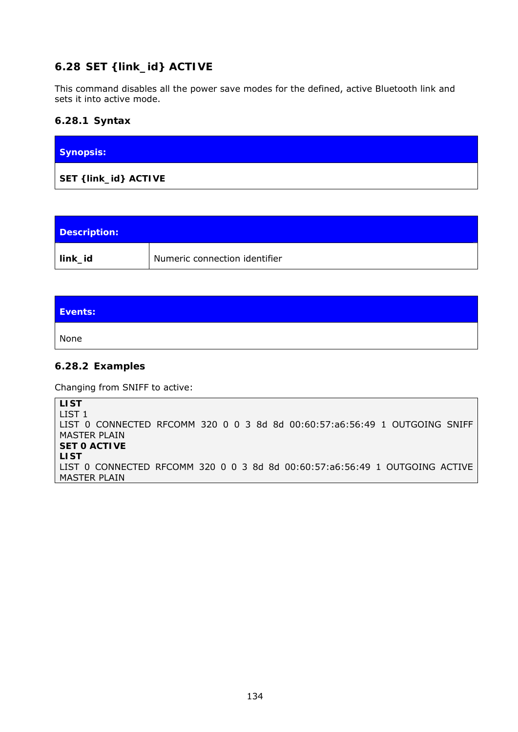# **6.28 SET {link\_id} ACTIVE**

This command disables all the power save modes for the defined, active *Bluetooth* link and sets it into active mode.

### **6.28.1 Syntax**

| Synopsis:                     |  |
|-------------------------------|--|
| SET { <i>link_id</i> } ACTIVE |  |

| Description: |                               |
|--------------|-------------------------------|
| link_id      | Numeric connection identifier |

| Events: |  |
|---------|--|
| None    |  |

#### **6.28.2 Examples**

Changing from SNIFF to active:

**LIST**  LIST 1 LIST 0 CONNECTED RFCOMM 320 0 0 3 8d 8d 00:60:57:a6:56:49 1 OUTGOING SNIFF MASTER PLAIN **SET 0 ACTIVE LIST**  LIST 0 CONNECTED RFCOMM 320 0 0 3 8d 8d 00:60:57:a6:56:49 1 OUTGOING ACTIVE MASTER PLAIN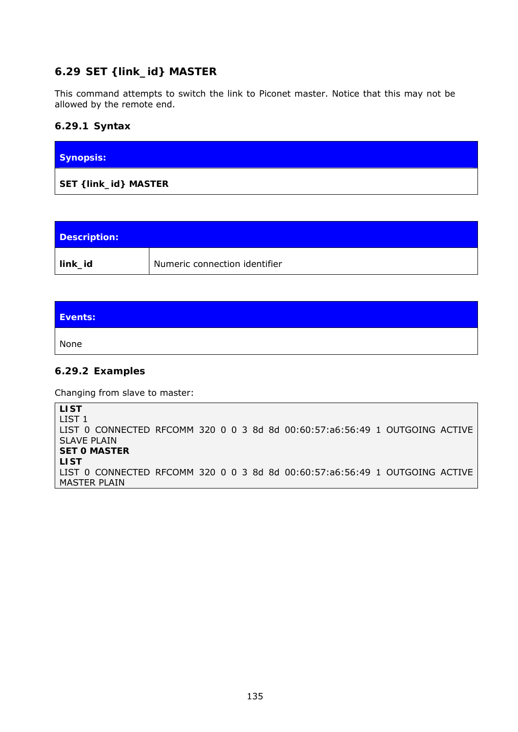## **6.29 SET {link\_id} MASTER**

This command attempts to switch the link to Piconet master. Notice that this may not be allowed by the remote end.

### **6.29.1 Syntax**

| <b>Synopsis:</b>      |  |  |
|-----------------------|--|--|
| SET { link_id} MASTER |  |  |

| Description: |                               |
|--------------|-------------------------------|
| link_id      | Numeric connection identifier |

| Events: |  |
|---------|--|
| None    |  |

#### **6.29.2 Examples**

Changing from slave to master:

**LIST**  LIST 1 LIST 0 CONNECTED RFCOMM 320 0 0 3 8d 8d 00:60:57:a6:56:49 1 OUTGOING ACTIVE SLAVE PLAIN **SET 0 MASTER LIST**  LIST 0 CONNECTED RFCOMM 320 0 0 3 8d 8d 00:60:57:a6:56:49 1 OUTGOING ACTIVE MASTER PLAIN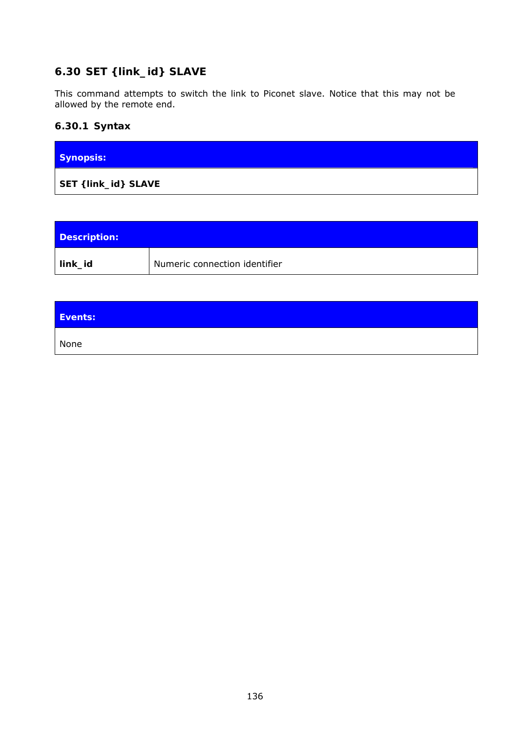# **6.30 SET {link\_id} SLAVE**

This command attempts to switch the link to Piconet slave. Notice that this may not be allowed by the remote end.

## **6.30.1 Syntax**

| <b>Synopsis:</b>     |  |
|----------------------|--|
| SET { link_id} SLAVE |  |

| Description: |                               |
|--------------|-------------------------------|
| link_id      | Numeric connection identifier |

| Events: |  |
|---------|--|
| None    |  |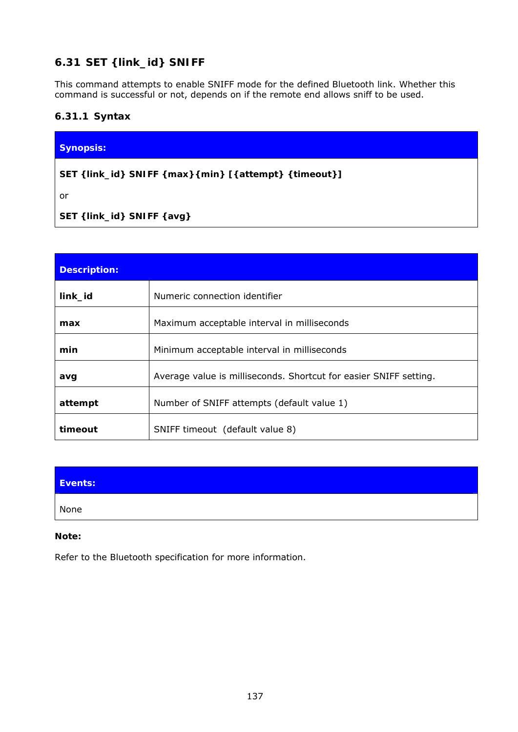# **6.31 SET {link\_id} SNIFF**

This command attempts to enable SNIFF mode for the defined *Bluetooth* link. Whether this command is successful or not, depends on if the remote end allows sniff to be used.

### **6.31.1 Syntax**

| <b>Synopsis:</b>                                               |  |
|----------------------------------------------------------------|--|
| SET { <i>link_id</i> } SNIFF {max} {min} [{attempt} {timeout}] |  |

or

**SET {***link\_id***} SNIFF {avg}** 

| <b>Description:</b> |                                                                   |
|---------------------|-------------------------------------------------------------------|
| link_id             | Numeric connection identifier                                     |
| max                 | Maximum acceptable interval in milliseconds                       |
| min                 | Minimum acceptable interval in milliseconds                       |
| avq                 | Average value is milliseconds. Shortcut for easier SNIFF setting. |
| attempt             | Number of SNIFF attempts (default value 1)                        |
| timeout             | SNIFF timeout (default value 8)                                   |

| Events: |  |
|---------|--|
| None    |  |

#### **Note:**

Refer to the *Bluetooth* specification for more information.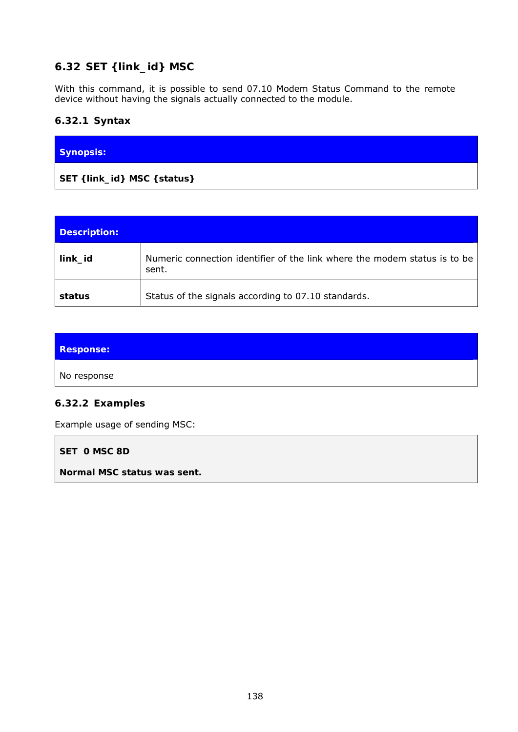# **6.32 SET {link\_id} MSC**

With this command, it is possible to send 07.10 Modem Status Command to the remote device without having the signals actually connected to the module.

## **6.32.1 Syntax**

| Synopsis:                    |  |
|------------------------------|--|
| SET { link_id} MSC { status} |  |

| Description: |                                                                                    |
|--------------|------------------------------------------------------------------------------------|
| link_id      | Numeric connection identifier of the link where the modem status is to be<br>sent. |
| status       | Status of the signals according to 07.10 standards.                                |

| <b>Response:</b> |  |
|------------------|--|
| No response      |  |

### **6.32.2 Examples**

Example usage of sending MSC:

**SET 0 MSC 8D** 

*Normal MSC status was sent.*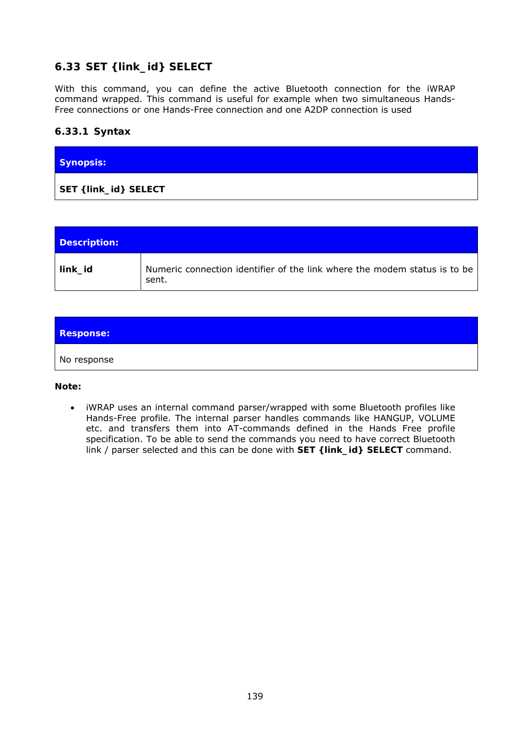# **6.33 SET {link\_id} SELECT**

With this command, you can define the active Bluetooth connection for the iWRAP command wrapped. This command is useful for example when two simultaneous Hands-Free connections or one Hands-Free connection and one A2DP connection is used

### **6.33.1 Syntax**

| <b>Synopsis:</b> |  |  |
|------------------|--|--|
|                  |  |  |

| Description: |                                                                                    |
|--------------|------------------------------------------------------------------------------------|
| link_id      | Numeric connection identifier of the link where the modem status is to be<br>sent. |

| <b>Response:</b> |  |
|------------------|--|
| No response      |  |

**Note:** 

 iWRAP uses an internal command parser/wrapped with some Bluetooth profiles like Hands-Free profile. The internal parser handles commands like HANGUP, VOLUME etc. and transfers them into AT-commands defined in the Hands Free profile specification. To be able to send the commands you need to have correct Bluetooth link / parser selected and this can be done with **SET {link\_id} SELECT** command.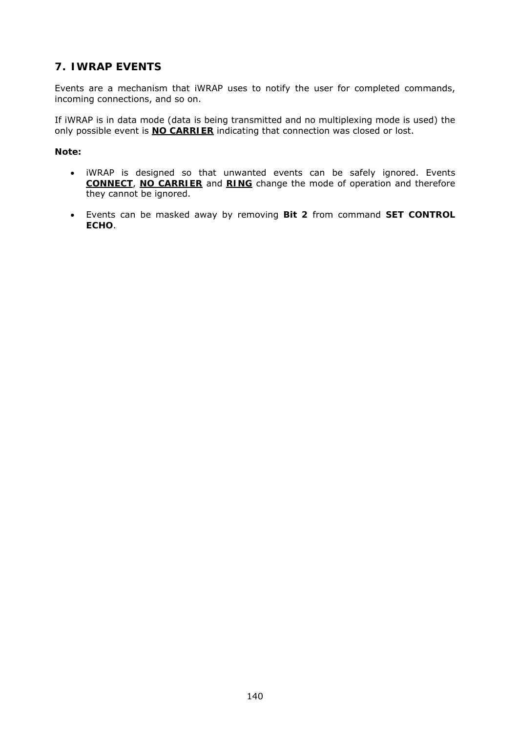# **7. IWRAP EVENTS**

Events are a mechanism that iWRAP uses to notify the user for completed commands, incoming connections, and so on.

If iWRAP is in data mode (data is being transmitted and no multiplexing mode is used) the only possible event is **NO CARRIER** indicating that connection was closed or lost.

#### **Note:**

- iWRAP is designed so that unwanted events can be safely ignored. Events **CONNECT**, **NO CARRIER** and **RING** change the mode of operation and therefore they cannot be ignored.
- Events can be masked away by removing **Bit 2** from command **[SET CONTROL](http://black/beta/ai-manual.html#cmd_set_control_echo#cmd_set_control_echo)  [ECHO](http://black/beta/ai-manual.html#cmd_set_control_echo#cmd_set_control_echo)**.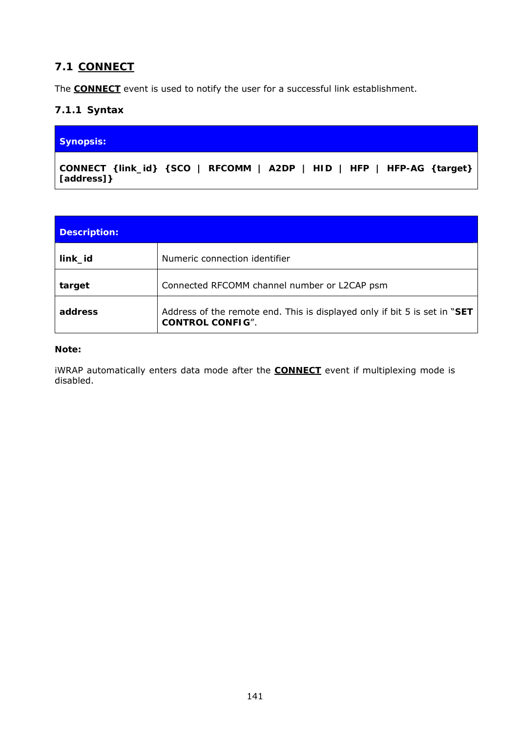# **7.1 CONNECT**

The **CONNECT** event is used to notify the user for a successful link establishment.

### **7.1.1 Syntax**

#### **Synopsis:**

**CONNECT {***link\_id***} {SCO | RFCOMM | A2DP | HID | HFP | HFP-AG {***target***} [***address***]}** 

| <b>Description:</b> |                                                                                                      |
|---------------------|------------------------------------------------------------------------------------------------------|
| link_id             | Numeric connection identifier                                                                        |
| target              | Connected RFCOMM channel number or L2CAP psm                                                         |
| address             | Address of the remote end. This is displayed only if bit 5 is set in "SET<br><b>CONTROL CONFIG".</b> |

#### **Note:**

iWRAP automatically enters data mode after the **CONNECT** event if multiplexing mode is disabled.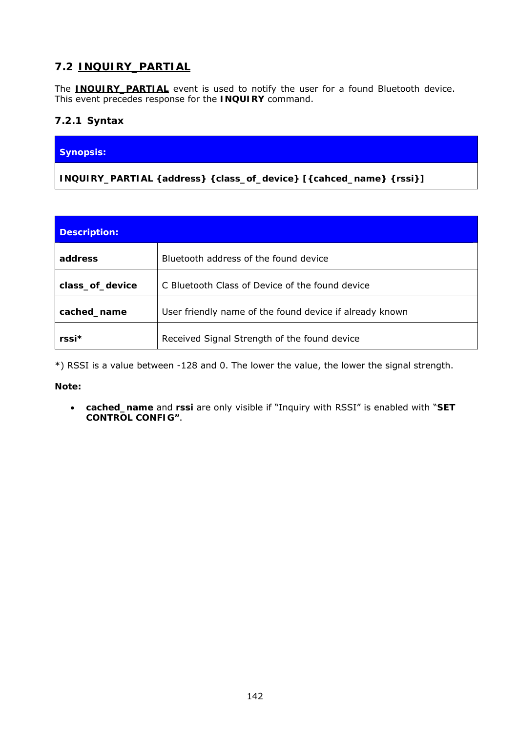# **7.2 INQUIRY\_PARTIAL**

The **INQUIRY PARTIAL** event is used to notify the user for a found *Bluetooth* device. This event precedes response for the **[INQUIRY](http://black/beta/ai-manual.html#cmd_inquiry#cmd_inquiry)** command.

### **7.2.1 Syntax**

### **Synopsis:**

**INQUIRY\_PARTIAL {***address***} {***class\_of\_device***} [{***cahced\_name***} {***rssi***}]** 

| <b>Description:</b> |                                                         |
|---------------------|---------------------------------------------------------|
| address             | <i>Bluetooth</i> address of the found device            |
| class_of_device     | C Bluetooth Class of Device of the found device         |
| cached_name         | User friendly name of the found device if already known |
| $rssi*$             | Received Signal Strength of the found device            |

\*) RSSI is a value between -128 and 0. The lower the value, the lower the signal strength.

**Note:** 

 *cached\_name* and *rssi* are only visible if "Inquiry with RSSI" is enabled with "**SET CONTROL CONFIG"**.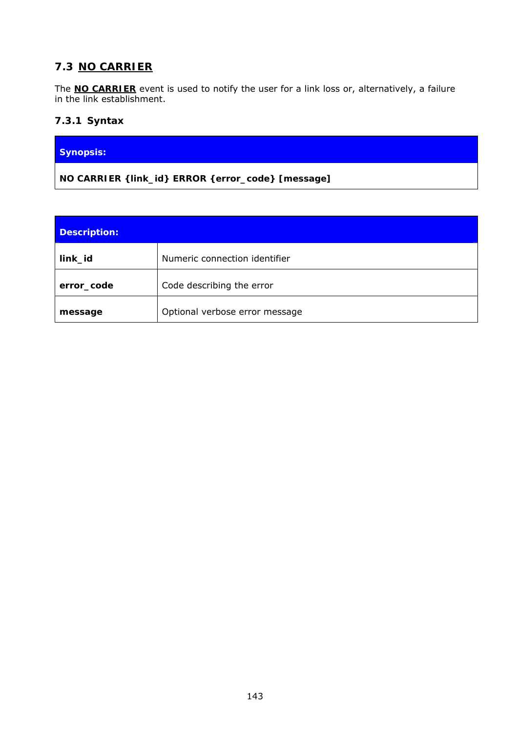# **7.3 NO CARRIER**

The **NO CARRIER** event is used to notify the user for a link loss or, alternatively, a failure in the link establishment.

### **7.3.1 Syntax**

### **Synopsis:**

**NO CARRIER {***link\_id***} ERROR {***error\_code***} [***message***]** 

| <b>Description:</b> |                                |
|---------------------|--------------------------------|
| link_id             | Numeric connection identifier  |
| error_code          | Code describing the error      |
| message             | Optional verbose error message |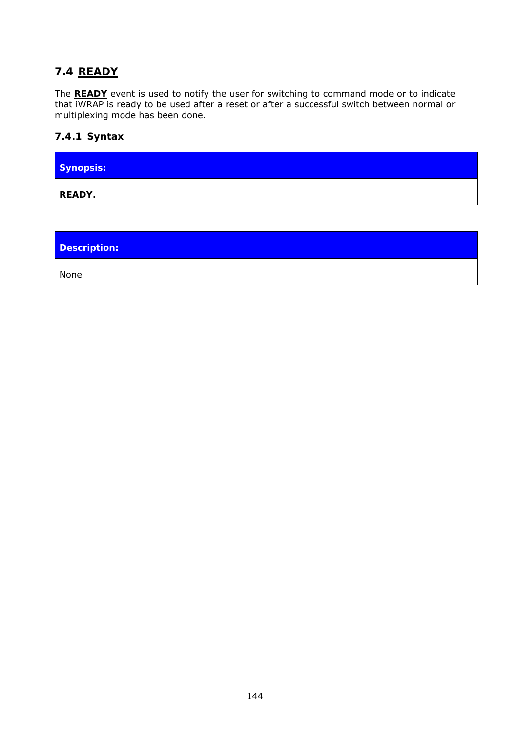## **7.4 READY**

The **READY** event is used to notify the user for switching to command mode or to indicate that iWRAP is ready to be used after a reset or after a successful switch between normal or multiplexing mode has been done.

### **7.4.1 Syntax**

| Synopsis: |  |
|-----------|--|
| READY.    |  |

**Description:** 

None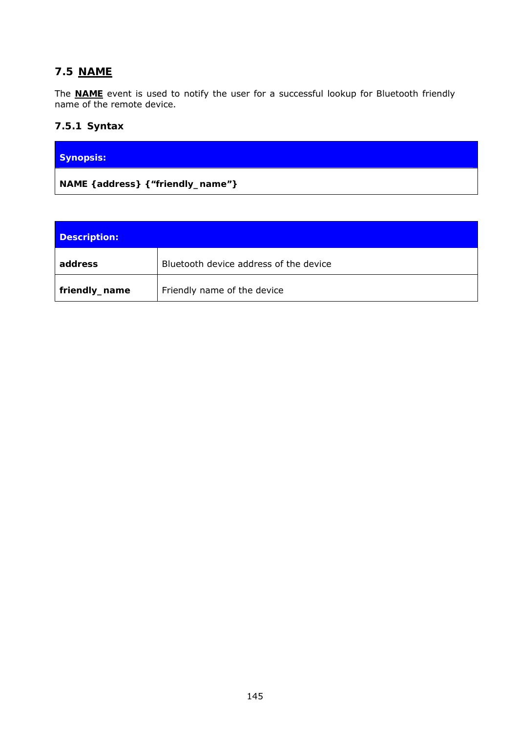# **7.5 NAME**

The **NAME** event is used to notify the user for a successful lookup for *Bluetooth* friendly name of the remote device.

# **7.5.1 Syntax**

| Synopsis:                           |  |
|-------------------------------------|--|
| NAME { address} { "friendly_name" } |  |

| Description:  |                                               |
|---------------|-----------------------------------------------|
| address       | <i>Bluetooth</i> device address of the device |
| friendly_name | Friendly name of the device                   |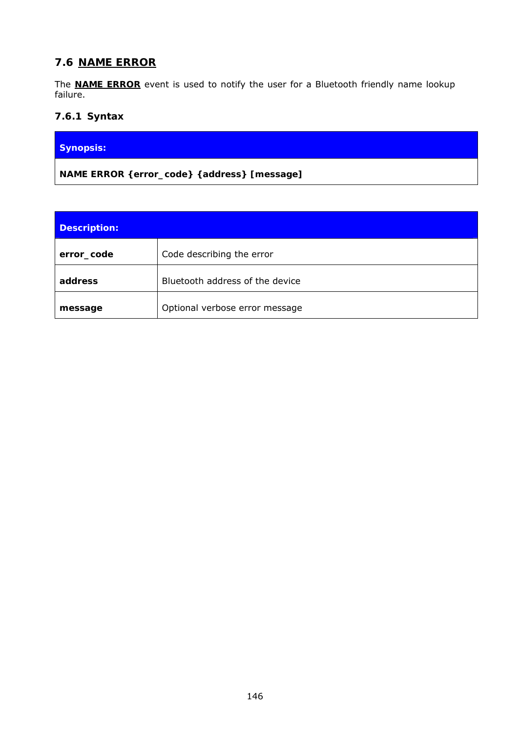### **7.6 NAME ERROR**

The **NAME ERROR** event is used to notify the user for a *Bluetooth* friendly name lookup failure.

### **7.6.1 Syntax**

### **Synopsis:**

**NAME ERROR {***error\_code***} {***address***} [***message***]** 

| <b>Description:</b> |                                 |
|---------------------|---------------------------------|
| error_code          | Code describing the error       |
| address             | Bluetooth address of the device |
| message             | Optional verbose error message  |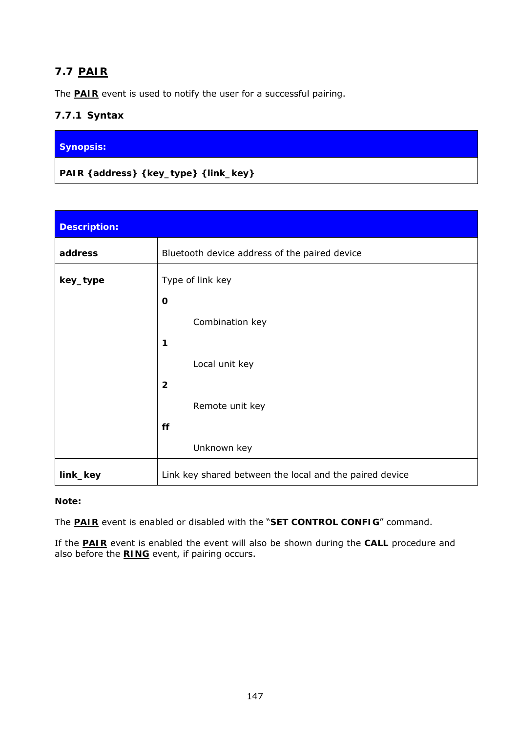# **7.7 PAIR**

The **PAIR** event is used to notify the user for a successful pairing.

# **7.7.1 Syntax**

### **Synopsis:**

**PAIR {***address***} {***key\_type***} {***link\_key***}** 

| <b>Description:</b> |                                                         |  |
|---------------------|---------------------------------------------------------|--|
| address             | Bluetooth device address of the paired device           |  |
| key_type            | Type of link key                                        |  |
|                     | $\mathbf 0$                                             |  |
|                     | Combination key                                         |  |
|                     | 1                                                       |  |
|                     | Local unit key                                          |  |
|                     | $\overline{2}$                                          |  |
|                     | Remote unit key                                         |  |
|                     | ff                                                      |  |
|                     | Unknown key                                             |  |
| link_key            | Link key shared between the local and the paired device |  |

#### **Note:**

The **PAIR** event is enabled or disabled with the "**SET CONTROL CONFIG**" command.

If the **PAIR** event is enabled the event will also be shown during the **CALL** procedure and also before the **RING** event, if pairing occurs.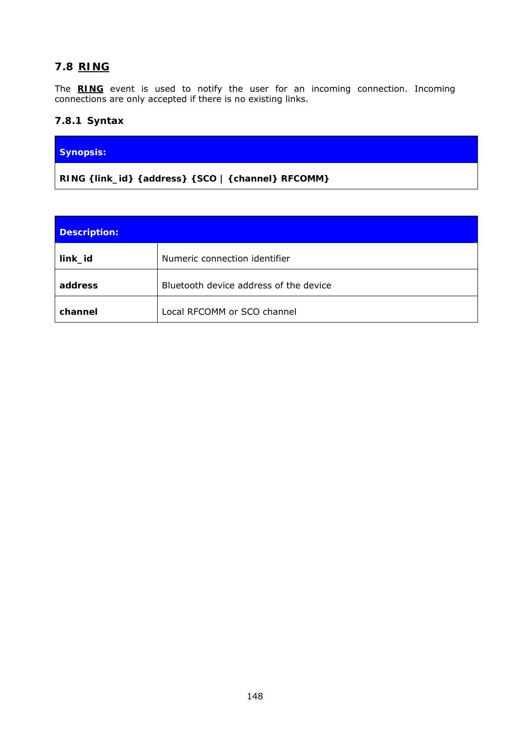# **7.8 RING**

The **RING** event is used to notify the user for an incoming connection. Incoming connections are only accepted if there is no existing links.

### **7.8.1 Syntax**

### **Synopsis:**

**RING {***link\_id***} {***address***} {SCO | {***channel***} RFCOMM}** 

| <b>Description:</b> |                                               |
|---------------------|-----------------------------------------------|
| link_id             | Numeric connection identifier                 |
| address             | <i>Bluetooth</i> device address of the device |
| channel             | Local RFCOMM or SCO channel                   |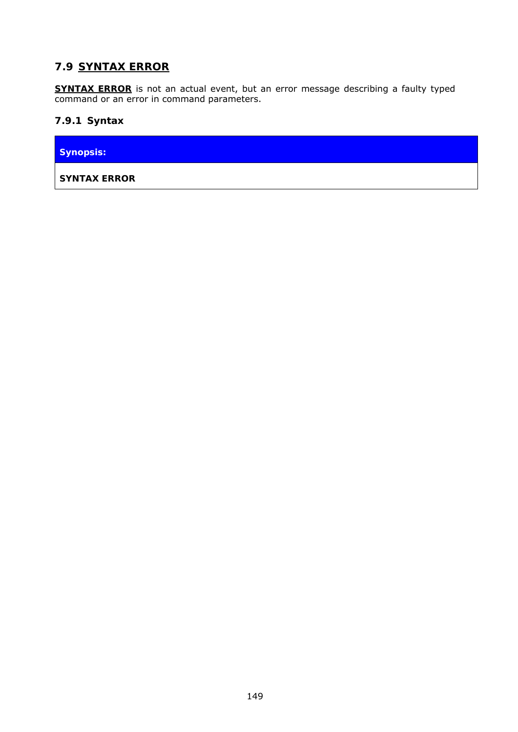# **7.9 SYNTAX ERROR**

**SYNTAX ERROR** is not an actual event, but an error message describing a faulty typed command or an error in command parameters.

### **7.9.1 Syntax**

**Synopsis:** 

**SYNTAX ERROR**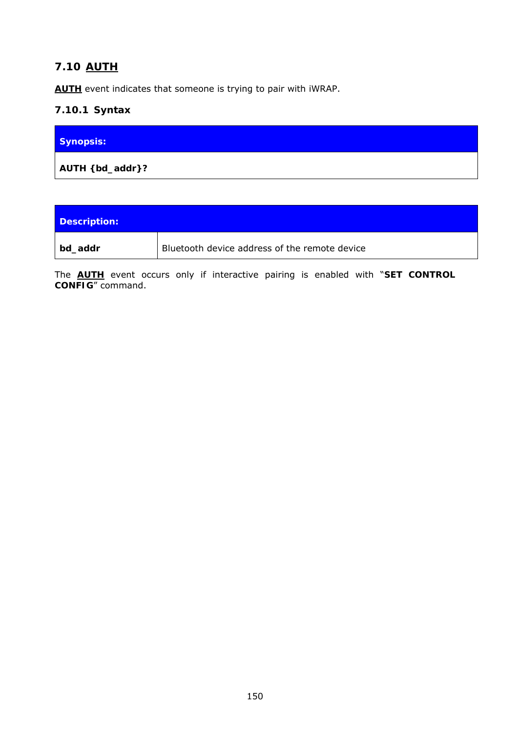# **7.10 AUTH**

**AUTH** event indicates that someone is trying to pair with iWRAP.

### **7.10.1 Syntax**

| <b>Synopsis:</b> |  |
|------------------|--|
| AUTH { bd_addr}? |  |

| Description: |                                               |
|--------------|-----------------------------------------------|
| bd_addr      | Bluetooth device address of the remote device |

The **AUTH** event occurs only if interactive pairing is enabled with "**SET CONTROL CONFIG**" command.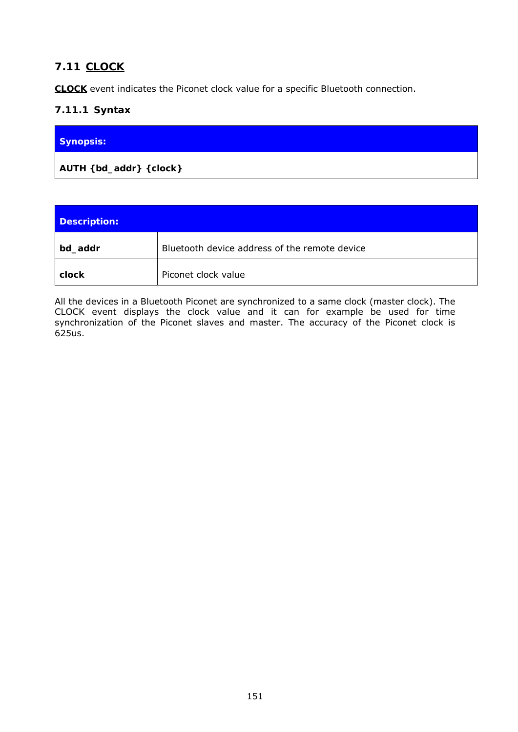# **7.11 CLOCK**

**CLOCK** event indicates the Piconet clock value for a specific *Bluetooth* connection.

# **7.11.1 Syntax**

| Synopsis: |  |
|-----------|--|
|           |  |

| Description: |                                               |  |
|--------------|-----------------------------------------------|--|
| bd_addr      | Bluetooth device address of the remote device |  |
| clock        | Piconet clock value                           |  |

All the devices in a *Bluetooth* Piconet are synchronized to a same clock (master clock). The CLOCK event displays the clock value and it can for example be used for time synchronization of the Piconet slaves and master. The accuracy of the Piconet clock is 625us.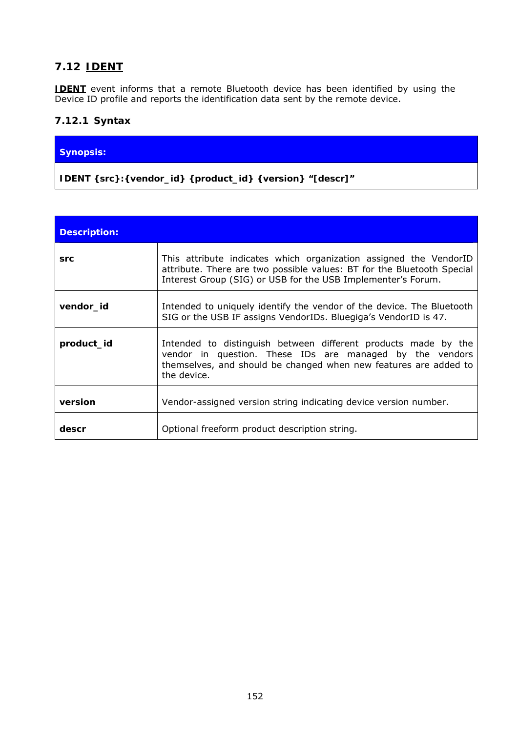# **7.12 IDENT**

**IDENT** event informs that a remote *Bluetooth* device has been identified by using the Device ID profile and reports the identification data sent by the remote device.

### **7.12.1 Syntax**

#### **Synopsis:**

**IDENT {***src***}:{***vendor\_id***} {***product\_id***} {***version***} "[***descr***]"** 

| <b>Description:</b> |                                                                                                                                                                                                               |
|---------------------|---------------------------------------------------------------------------------------------------------------------------------------------------------------------------------------------------------------|
| src                 | This attribute indicates which organization assigned the VendorID<br>attribute. There are two possible values: BT for the Bluetooth Special<br>Interest Group (SIG) or USB for the USB Implementer's Forum.   |
| vendor_id           | Intended to uniquely identify the vendor of the device. The Bluetooth<br>SIG or the USB IF assigns VendorIDs. Bluegiga's VendorID is 47.                                                                      |
| product id          | Intended to distinguish between different products made by the<br>vendor in question. These IDs are managed by the vendors<br>themselves, and should be changed when new features are added to<br>the device. |
| version             | Vendor-assigned version string indicating device version number.                                                                                                                                              |
| descr               | Optional freeform product description string.                                                                                                                                                                 |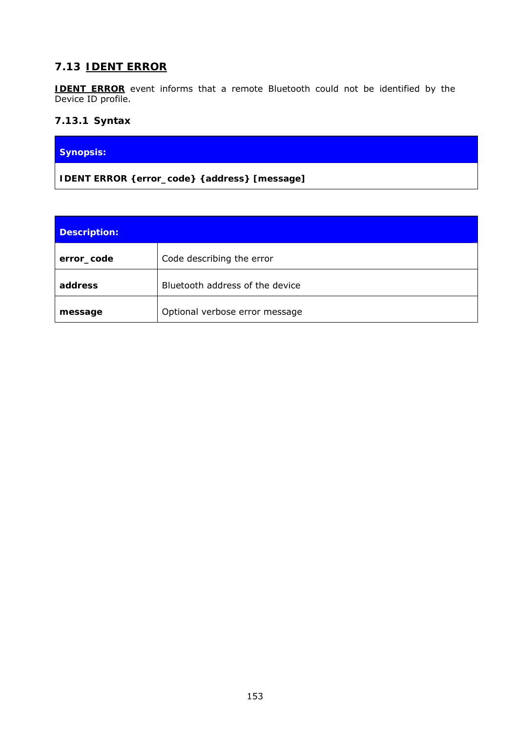# **7.13 IDENT ERROR**

**IDENT ERROR** event informs that a remote *Bluetooth* could not be identified by the Device ID profile.

### **7.13.1 Syntax**

### **Synopsis:**

**IDENT ERROR {***error\_code***} {***address***} [***message***]** 

| <b>Description:</b> |                                 |
|---------------------|---------------------------------|
| error_code          | Code describing the error       |
| address             | Bluetooth address of the device |
| message             | Optional verbose error message  |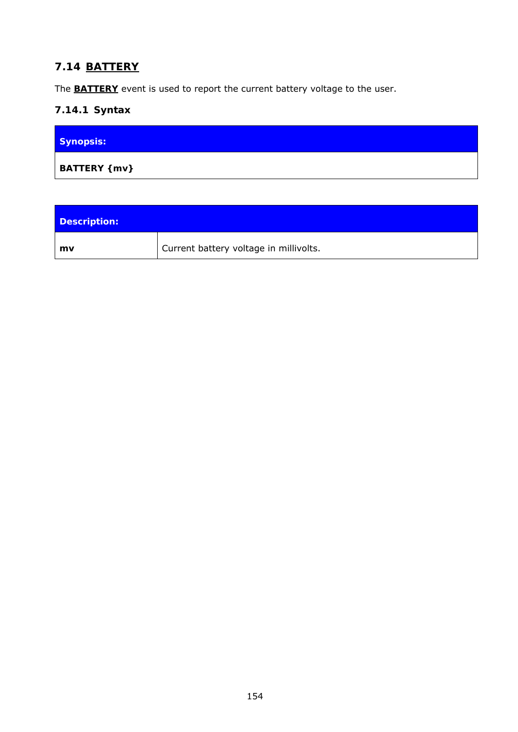# **7.14 BATTERY**

The **BATTERY** event is used to report the current battery voltage to the user.

# **7.14.1 Syntax**

| <b>Synopsis:</b>        |  |
|-------------------------|--|
| <b>BATTERY</b> { $mv$ } |  |

| Description: |                                        |
|--------------|----------------------------------------|
| mv           | Current battery voltage in millivolts. |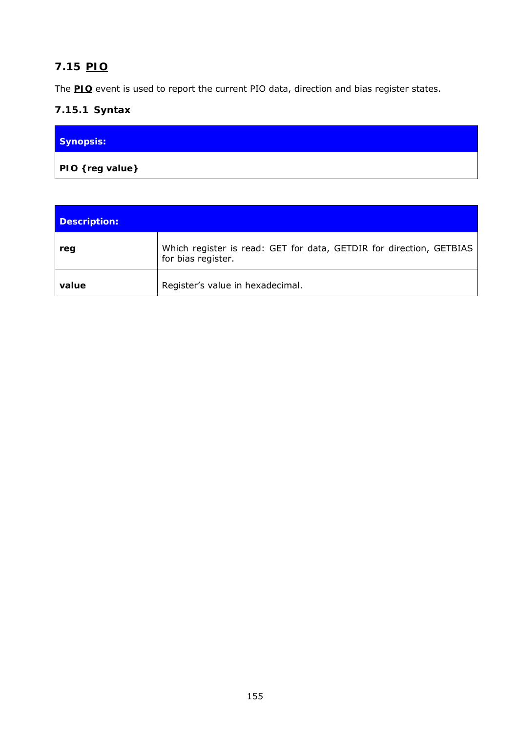# **7.15 PIO**

The **PIO** event is used to report the current PIO data, direction and bias register states.

# **7.15.1 Syntax**

| <b>Synopsis:</b>     |  |
|----------------------|--|
| $ $ PIO { reg value} |  |

| <b>Description:</b> |                                                                                           |
|---------------------|-------------------------------------------------------------------------------------------|
| reg                 | Which register is read: GET for data, GETDIR for direction, GETBIAS<br>for bias register. |
| value               | Register's value in hexadecimal.                                                          |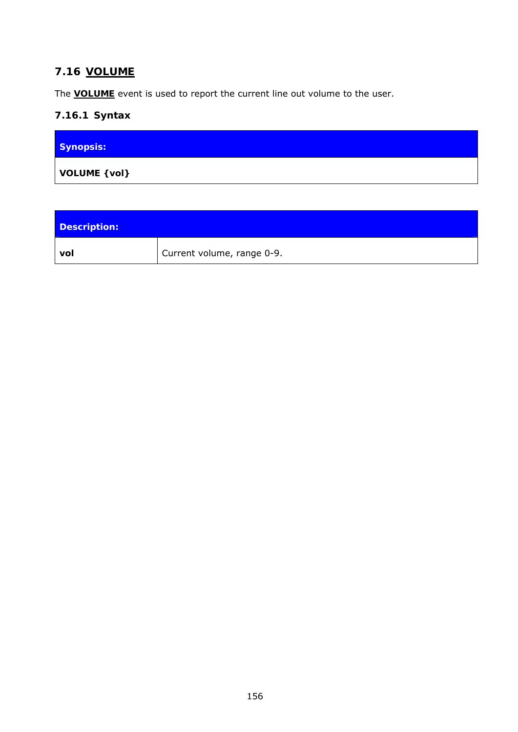# **7.16 VOLUME**

The **VOLUME** event is used to report the current line out volume to the user.

# **7.16.1 Syntax**

| Synopsis:     |  |
|---------------|--|
| VOLUME { vol} |  |

| <b>Description:</b> |                            |
|---------------------|----------------------------|
| vol                 | Current volume, range 0-9. |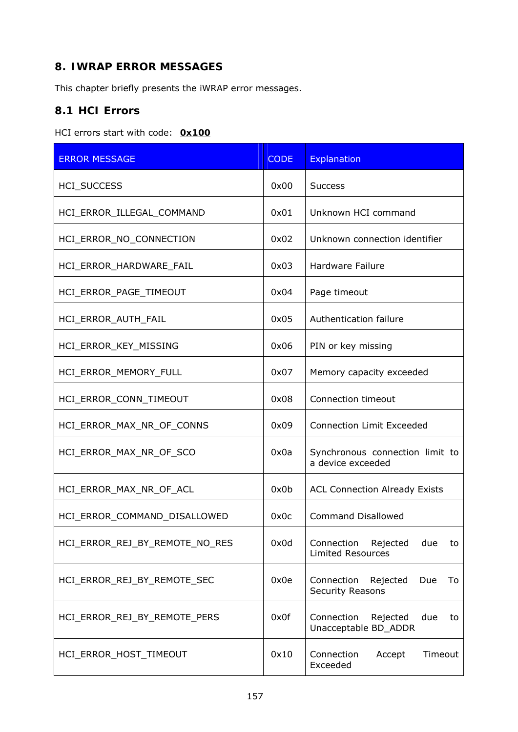# **8. IWRAP ERROR MESSAGES**

This chapter briefly presents the iWRAP error messages.

# **8.1 HCI Errors**

#### HCI errors start with code: *0x100*

| <b>ERROR MESSAGE</b>           | <b>CODE</b> | <b>Explanation</b>                                              |
|--------------------------------|-------------|-----------------------------------------------------------------|
| <b>HCI_SUCCESS</b>             | 0x00        | <b>Success</b>                                                  |
| HCI_ERROR_ILLEGAL_COMMAND      | 0x01        | Unknown HCI command                                             |
| HCI_ERROR_NO_CONNECTION        | 0x02        | Unknown connection identifier                                   |
| HCI_ERROR_HARDWARE_FAIL        | 0x03        | <b>Hardware Failure</b>                                         |
| HCI_ERROR_PAGE_TIMEOUT         | 0x04        | Page timeout                                                    |
| HCI_ERROR_AUTH_FAIL            | 0x05        | Authentication failure                                          |
| HCI ERROR KEY MISSING          | 0x06        | PIN or key missing                                              |
| HCI ERROR MEMORY FULL          | 0x07        | Memory capacity exceeded                                        |
| HCI_ERROR_CONN_TIMEOUT         | 0x08        | Connection timeout                                              |
| HCI_ERROR_MAX_NR_OF_CONNS      | 0x09        | <b>Connection Limit Exceeded</b>                                |
| HCI_ERROR_MAX_NR_OF_SCO        | 0x0a        | Synchronous connection limit to<br>a device exceeded            |
| HCI_ERROR_MAX_NR_OF_ACL        | 0x0b        | <b>ACL Connection Already Exists</b>                            |
| HCI_ERROR_COMMAND_DISALLOWED   | 0x0c        | <b>Command Disallowed</b>                                       |
| HCI ERROR REJ BY REMOTE NO RES | 0x0d        | Connection<br>Rejected<br>due<br>to<br><b>Limited Resources</b> |
| HCI_ERROR_REJ_BY_REMOTE_SEC    | 0x0e        | Connection<br>Rejected<br>Due<br>To<br>Security Reasons         |
| HCI_ERROR_REJ_BY_REMOTE_PERS   | 0x0f        | Connection<br>Rejected<br>due<br>to<br>Unacceptable BD_ADDR     |
| HCI_ERROR_HOST_TIMEOUT         | 0x10        | Connection<br>Accept<br>Timeout<br>Exceeded                     |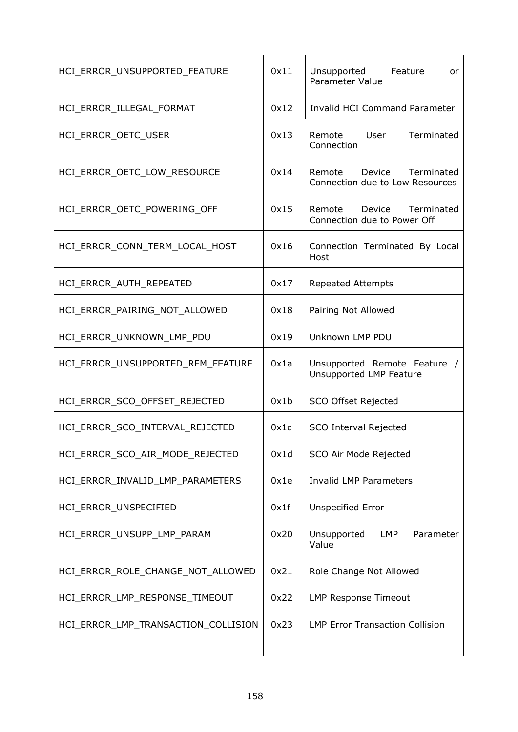| HCI ERROR UNSUPPORTED FEATURE       | 0x11 | Unsupported Feature<br>or.<br>Parameter Value                     |
|-------------------------------------|------|-------------------------------------------------------------------|
| HCI_ERROR_ILLEGAL_FORMAT            | 0x12 | <b>Invalid HCI Command Parameter</b>                              |
| HCI_ERROR_OETC_USER                 | 0x13 | Remote User<br>Terminated<br>Connection                           |
| HCI ERROR OETC LOW RESOURCE         | 0x14 | Terminated<br>Remote<br>Device<br>Connection due to Low Resources |
| HCI_ERROR_OETC_POWERING_OFF         | 0x15 | Device Terminated<br>Remote<br>Connection due to Power Off        |
| HCI_ERROR_CONN_TERM_LOCAL_HOST      | 0x16 | Connection Terminated By Local<br>Host                            |
| HCI_ERROR_AUTH_REPEATED             | 0x17 | <b>Repeated Attempts</b>                                          |
| HCI_ERROR_PAIRING_NOT_ALLOWED       | 0x18 | Pairing Not Allowed                                               |
| HCI_ERROR_UNKNOWN_LMP_PDU           | 0x19 | Unknown LMP PDU                                                   |
| HCI_ERROR_UNSUPPORTED_REM_FEATURE   | 0x1a | Unsupported Remote Feature /<br>Unsupported LMP Feature           |
| HCI ERROR SCO OFFSET REJECTED       | 0x1b | SCO Offset Rejected                                               |
| HCI_ERROR_SCO_INTERVAL_REJECTED     | 0x1c | SCO Interval Rejected                                             |
| HCI_ERROR_SCO_AIR_MODE_REJECTED     | 0x1d | SCO Air Mode Rejected                                             |
| HCI_ERROR_INVALID_LMP_PARAMETERS    | 0x1e | <b>Invalid LMP Parameters</b>                                     |
| HCI_ERROR_UNSPECIFIED               | 0x1f | <b>Unspecified Error</b>                                          |
| HCI_ERROR_UNSUPP_LMP_PARAM          | 0x20 | Unsupported<br>LMP<br>Parameter<br>Value                          |
| HCI_ERROR_ROLE_CHANGE_NOT_ALLOWED   | 0x21 | Role Change Not Allowed                                           |
| HCI_ERROR_LMP_RESPONSE_TIMEOUT      | 0x22 | <b>LMP Response Timeout</b>                                       |
| HCI_ERROR_LMP_TRANSACTION_COLLISION | 0x23 | <b>LMP Error Transaction Collision</b>                            |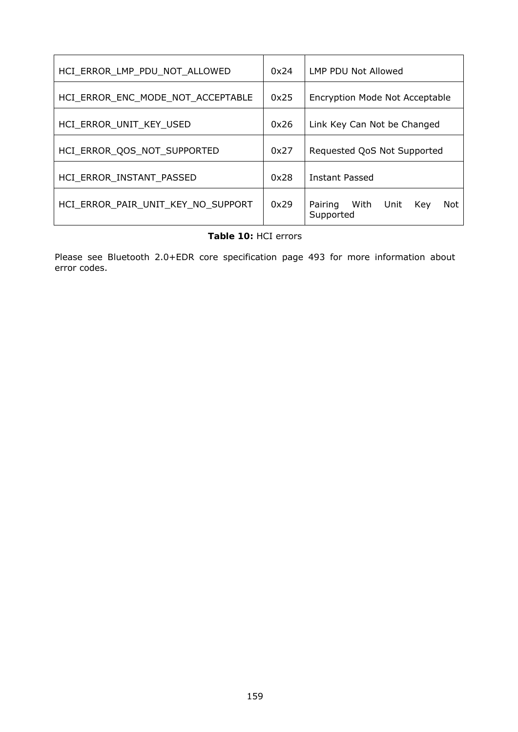| HCI ERROR LMP PDU NOT ALLOWED      | 0x24 | LMP PDU Not Allowed                                |  |
|------------------------------------|------|----------------------------------------------------|--|
| HCI ERROR ENC MODE NOT ACCEPTABLE  | 0x25 | Encryption Mode Not Acceptable                     |  |
| HCI ERROR UNIT KEY USED            | 0x26 | Link Key Can Not be Changed                        |  |
| HCI ERROR QOS NOT SUPPORTED        | 0x27 | Requested QoS Not Supported                        |  |
| HCI ERROR INSTANT PASSED           | 0x28 | Instant Passed                                     |  |
| HCI ERROR PAIR UNIT KEY NO SUPPORT | 0x29 | Pairing<br>With<br>Not<br>Unit<br>Kev<br>Supported |  |

#### **Table 10:** HCI errors

Please see *Bluetooth* 2.0+EDR core specification page 493 for more information about error codes.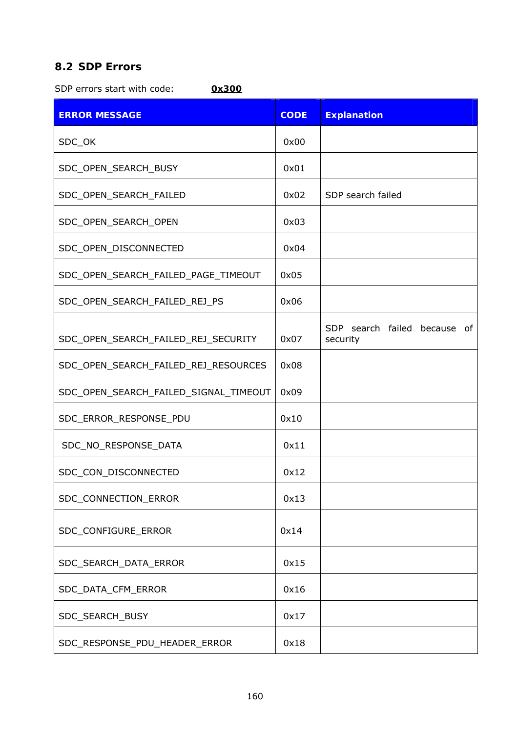# **8.2 SDP Errors**

SDP errors start with code: *0x300*

| <b>ERROR MESSAGE</b>                  | <b>CODE</b> | <b>Explanation</b>                       |
|---------------------------------------|-------------|------------------------------------------|
| SDC_OK                                | 0x00        |                                          |
| SDC_OPEN_SEARCH_BUSY                  | 0x01        |                                          |
| SDC_OPEN_SEARCH_FAILED                | 0x02        | SDP search failed                        |
| SDC_OPEN_SEARCH_OPEN                  | 0x03        |                                          |
| SDC_OPEN_DISCONNECTED                 | 0x04        |                                          |
| SDC_OPEN_SEARCH_FAILED_PAGE_TIMEOUT   | 0x05        |                                          |
| SDC_OPEN_SEARCH_FAILED_REJ_PS         | 0x06        |                                          |
| SDC_OPEN_SEARCH_FAILED_REJ_SECURITY   | 0x07        | SDP search failed because of<br>security |
| SDC_OPEN_SEARCH_FAILED_REJ_RESOURCES  | 0x08        |                                          |
| SDC_OPEN_SEARCH_FAILED_SIGNAL_TIMEOUT | 0x09        |                                          |
| SDC_ERROR_RESPONSE_PDU                | 0x10        |                                          |
| SDC_NO_RESPONSE_DATA                  | 0x11        |                                          |
| SDC_CON_DISCONNECTED                  | 0x12        |                                          |
| SDC_CONNECTION_ERROR                  | 0x13        |                                          |
| SDC_CONFIGURE_ERROR                   | 0x14        |                                          |
| SDC_SEARCH_DATA_ERROR                 | 0x15        |                                          |
| SDC_DATA_CFM_ERROR                    | 0x16        |                                          |
| SDC_SEARCH_BUSY                       | 0x17        |                                          |
| SDC_RESPONSE_PDU_HEADER_ERROR         | 0x18        |                                          |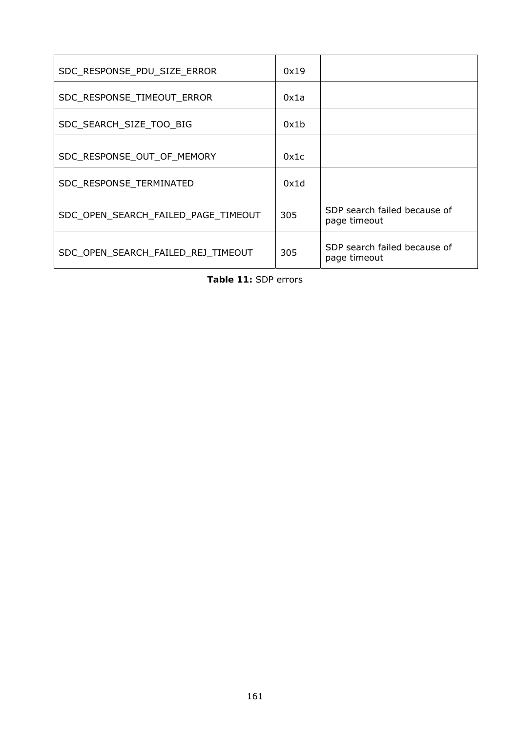| SDC_RESPONSE_PDU_SIZE_ERROR         | 0x19 |                                              |
|-------------------------------------|------|----------------------------------------------|
| SDC_RESPONSE_TIMEOUT_ERROR          | 0x1a |                                              |
| SDC_SEARCH_SIZE_TOO_BIG             | 0x1b |                                              |
| SDC RESPONSE OUT OF MEMORY          | 0x1c |                                              |
| SDC_RESPONSE_TERMINATED             | 0x1d |                                              |
| SDC_OPEN_SEARCH_FAILED_PAGE_TIMEOUT | 305  | SDP search failed because of<br>page timeout |
| SDC_OPEN_SEARCH_FAILED_REJ_TIMEOUT  | 305  | SDP search failed because of<br>page timeout |

**Table 11:** SDP errors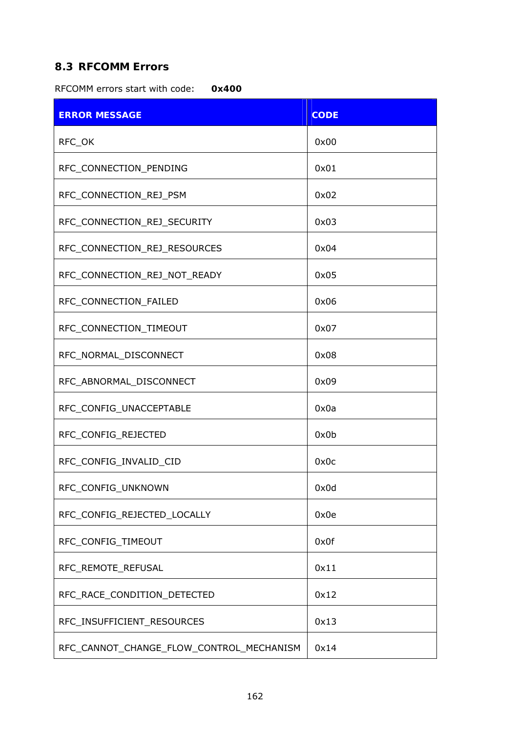# **8.3 RFCOMM Errors**

RFCOMM errors start with code: *0x400* 

| <b>ERROR MESSAGE</b>                     | <b>CODE</b> |
|------------------------------------------|-------------|
| RFC_OK                                   | 0x00        |
| RFC_CONNECTION_PENDING                   | 0x01        |
| RFC_CONNECTION_REJ_PSM                   | 0x02        |
| RFC_CONNECTION_REJ_SECURITY              | 0x03        |
| RFC_CONNECTION_REJ_RESOURCES             | 0x04        |
| RFC_CONNECTION_REJ_NOT_READY             | 0x05        |
| RFC_CONNECTION_FAILED                    | 0x06        |
| RFC CONNECTION TIMEOUT                   | 0x07        |
| RFC_NORMAL_DISCONNECT                    | 0x08        |
| RFC_ABNORMAL_DISCONNECT                  | 0x09        |
| RFC_CONFIG_UNACCEPTABLE                  | 0x0a        |
| RFC_CONFIG_REJECTED                      | 0x0b        |
| RFC_CONFIG_INVALID_CID                   | 0x0c        |
| RFC_CONFIG_UNKNOWN                       | 0x0d        |
| RFC_CONFIG_REJECTED_LOCALLY              | 0x0e        |
| RFC_CONFIG_TIMEOUT                       | 0x0f        |
| RFC_REMOTE_REFUSAL                       | 0x11        |
| RFC_RACE_CONDITION_DETECTED              | 0x12        |
| RFC_INSUFFICIENT_RESOURCES               | 0x13        |
| RFC_CANNOT_CHANGE_FLOW_CONTROL_MECHANISM | 0x14        |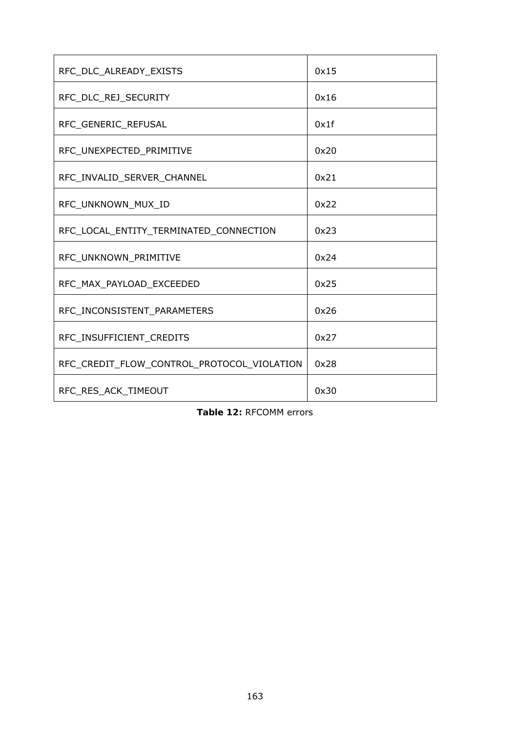| RFC_DLC_ALREADY_EXISTS                     | 0x15 |
|--------------------------------------------|------|
| RFC_DLC_REJ_SECURITY                       | 0x16 |
| RFC_GENERIC_REFUSAL                        | 0x1f |
| RFC_UNEXPECTED_PRIMITIVE                   | 0x20 |
| RFC_INVALID_SERVER_CHANNEL                 | 0x21 |
| RFC_UNKNOWN_MUX_ID                         | 0x22 |
| RFC_LOCAL_ENTITY_TERMINATED_CONNECTION     | 0x23 |
| RFC_UNKNOWN_PRIMITIVE                      | 0x24 |
| RFC_MAX_PAYLOAD_EXCEEDED                   | 0x25 |
| RFC INCONSISTENT PARAMETERS                | 0x26 |
| RFC INSUFFICIENT CREDITS                   | 0x27 |
| RFC_CREDIT_FLOW_CONTROL_PROTOCOL_VIOLATION | 0x28 |
| RFC RES ACK TIMEOUT                        | 0x30 |

|  | Table 12: RFCOMM errors |  |
|--|-------------------------|--|
|--|-------------------------|--|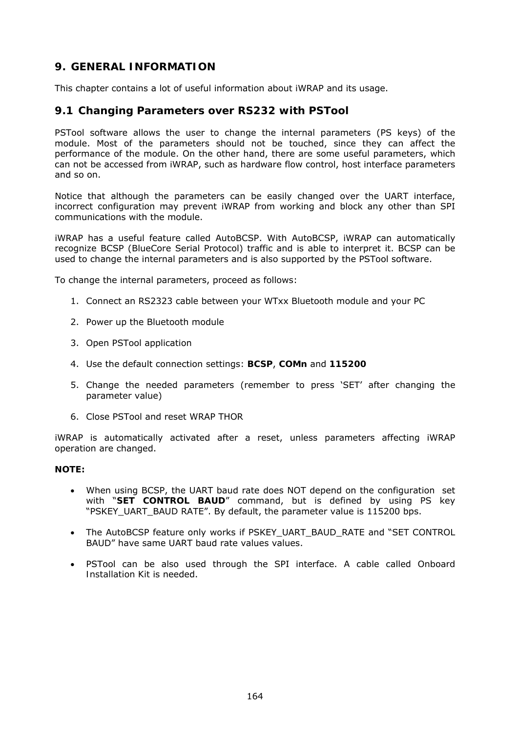# **9. GENERAL INFORMATION**

This chapter contains a lot of useful information about iWRAP and its usage.

#### <span id="page-163-0"></span>**9.1 Changing Parameters over RS232 with PSTool**

PSTool software allows the user to change the internal parameters (PS keys) of the module. Most of the parameters should not be touched, since they can affect the performance of the module. On the other hand, there are some useful parameters, which can not be accessed from iWRAP, such as hardware flow control, host interface parameters and so on.

Notice that although the parameters can be easily changed over the UART interface, incorrect configuration may prevent iWRAP from working and block any other than SPI communications with the module.

iWRAP has a useful feature called AutoBCSP. With AutoBCSP, iWRAP can automatically recognize BCSP (BlueCore Serial Protocol) traffic and is able to interpret it. BCSP can be used to change the internal parameters and is also supported by the PSTool software.

To change the internal parameters, proceed as follows:

- 1. Connect an RS2323 cable between your WTxx Bluetooth module and your PC
- 2. Power up the Bluetooth module
- 3. Open PSTool application
- 4. Use the default connection settings: **BCSP**, **COMn** and **115200**
- 5. Change the needed parameters (remember to press 'SET' after changing the parameter value)
- 6. Close PSTool and reset WRAP THOR

iWRAP is automatically activated after a reset, unless parameters affecting iWRAP operation are changed.

#### **NOTE:**

- When using BCSP, the UART baud rate does NOT depend on the configuration set with "**SET CONTROL BAUD**" command, but is defined by using PS key "PSKEY\_UART\_BAUD RATE". By default, the parameter value is 115200 bps.
- The AutoBCSP feature only works if PSKEY\_UART\_BAUD\_RATE and "SET CONTROL BAUD" have same UART baud rate values values.
- PSTool can be also used through the SPI interface. A cable called *Onboard Installation Kit* is needed.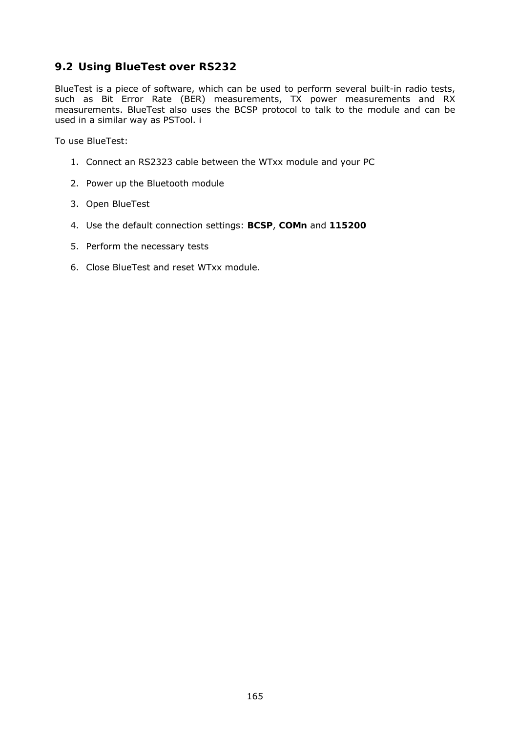# **9.2 Using BlueTest over RS232**

BlueTest is a piece of software, which can be used to perform several built-in radio tests, such as Bit Error Rate (BER) measurements, TX power measurements and RX measurements. BlueTest also uses the BCSP protocol to talk to the module and can be used in a similar way as PSTool. i

To use BlueTest:

- 1. Connect an RS2323 cable between the WTxx module and your PC
- 2. Power up the Bluetooth module
- 3. Open BlueTest
- 4. Use the default connection settings: **BCSP**, **COMn** and **115200**
- 5. Perform the necessary tests
- 6. Close BlueTest and reset WTxx module.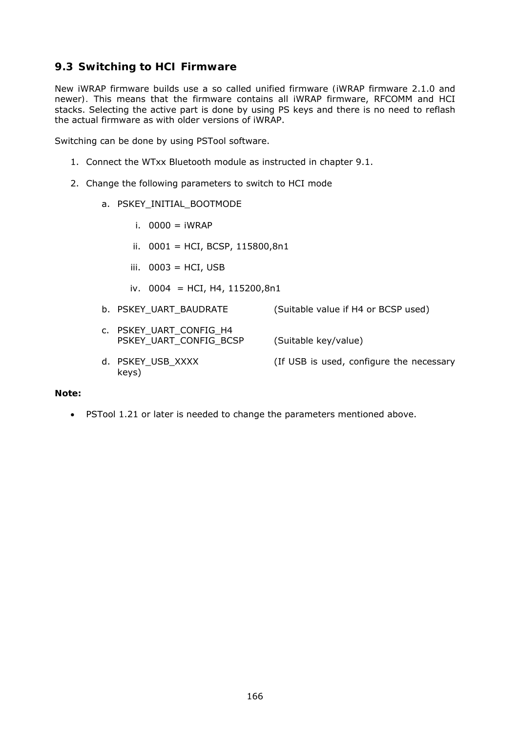# **9.3 Switching to HCI Firmware**

New iWRAP firmware builds use a so called *unified firmware (*iWRAP firmware 2.1.0 and newer*).* This means that the firmware contains all iWRAP firmware, RFCOMM and HCI stacks. Selecting the active part is done by using PS keys and there is no need to reflash the actual firmware as with older versions of iWRAP.

Switching can be done by using PSTool software.

- 1. Connect the WTxx Bluetooth module as instructed in chapter [9.1.](#page-163-0)
- 2. Change the following parameters to switch to HCI mode
	- a. PSKEY\_INITIAL\_BOOTMODE
		- i. 0000 = iWRAP
		- ii. 0001 = HCI, BCSP, 115800,8n1
		- iii.  $0003 = HCI$ , USB
		- iv. 0004 = HCI, H4, 115200,8n1
	- b. PSKEY\_UART\_BAUDRATE (Suitable value if H4 or BCSP used)
	- c. PSKEY\_UART\_CONFIG\_H4 PSKEY\_UART\_CONFIG\_BCSP (Suitable key/value) d. PSKEY\_USB\_XXXX (If USB is used, configure the necessary

#### **Note:**

keys)

PSTool 1.21 or later is needed to change the parameters mentioned above.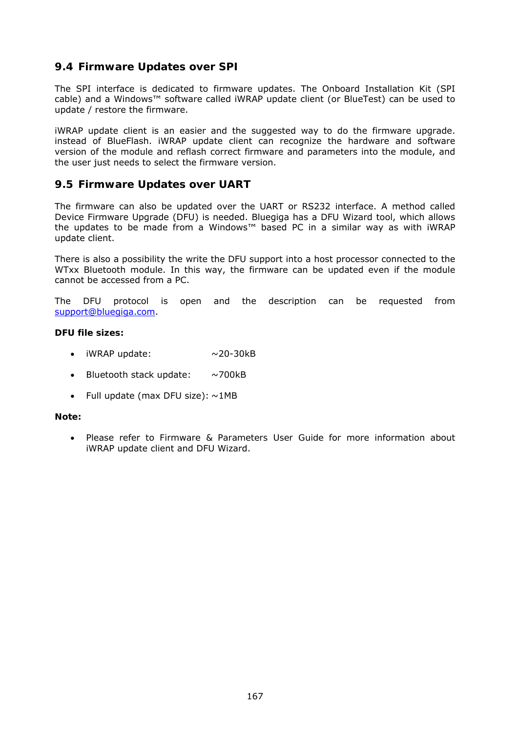# **9.4 Firmware Updates over SPI**

The SPI interface is dedicated to firmware updates. The Onboard Installation Kit (SPI cable) and a Windows™ software called iWRAP update client (or BlueTest) can be used to update / restore the firmware.

iWRAP update client is an easier and the suggested way to do the firmware upgrade. instead of BlueFlash. iWRAP update client can recognize the hardware and software version of the module and reflash correct firmware and parameters into the module, and the user just needs to select the firmware version.

### **9.5 Firmware Updates over UART**

The firmware can also be updated over the UART or RS232 interface. A method called Device Firmware Upgrade (DFU) is needed. Bluegiga has a DFU Wizard tool, which allows the updates to be made from a Windows™ based PC in a similar way as with iWRAP update client.

There is also a possibility the write the DFU support into a host processor connected to the WTxx Bluetooth module. In this way, the firmware can be updated even if the module cannot be accessed from a PC.

The DFU protocol is open and the description can be requested from [support@bluegiga.com](mailto:support@bluegiga.com).

#### **DFU file sizes:**

- $\bullet$  iWRAP update:  $\sim$ 20-30kB
- *Bluetooth* stack update: ~700kB
- Full update (max DFU size):  $\sim$ 1MB

#### **Note:**

 Please refer to *Firmware & Parameters User Guide* for more information about iWRAP update client and DFU Wizard.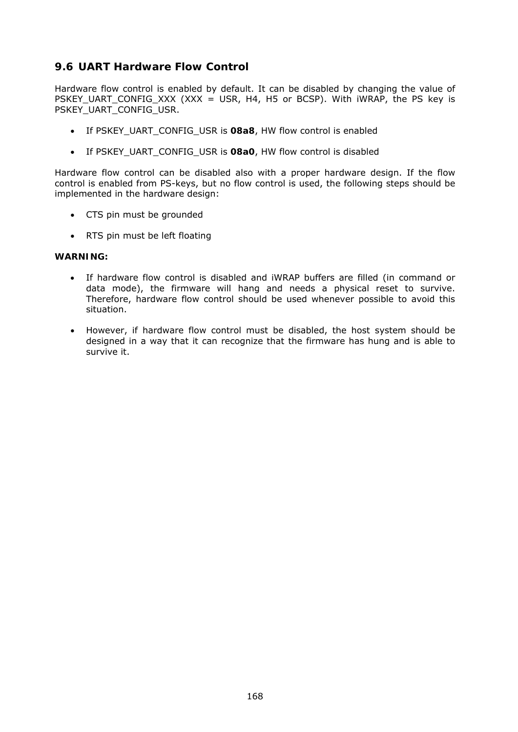# **9.6 UART Hardware Flow Control**

Hardware flow control is enabled by default. It can be disabled by changing the value of PSKEY\_UART\_CONFIG\_XXX (XXX = USR, H4, H5 or BCSP). With iWRAP, the PS key is PSKEY\_UART\_CONFIG\_USR.

- If PSKEY\_UART\_CONFIG\_USR is **08a8**, HW flow control is enabled
- If PSKEY\_UART\_CONFIG\_USR is **08a0**, HW flow control is disabled

Hardware flow control can be disabled also with a proper hardware design. If the flow control is enabled from PS-keys, but no flow control is used, the following steps should be implemented in the hardware design:

- CTS pin must be grounded
- RTS pin must be left floating

#### **WARNING:**

- If hardware flow control is disabled and iWRAP buffers are filled (in command or data mode), the firmware will hang and needs a physical reset to survive. Therefore, hardware flow control should be used whenever possible to avoid this situation.
- However, if hardware flow control must be disabled, the host system should be designed in a way that it can recognize that the firmware has hung and is able to survive it.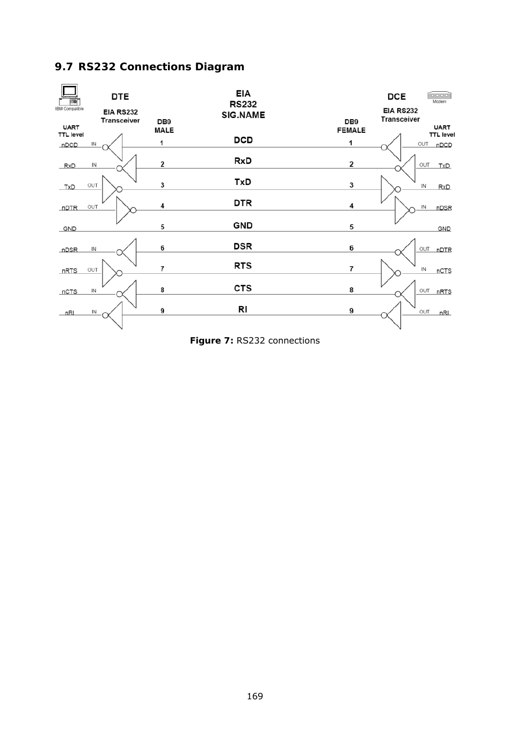# **9.7 RS232 Connections Diagram**



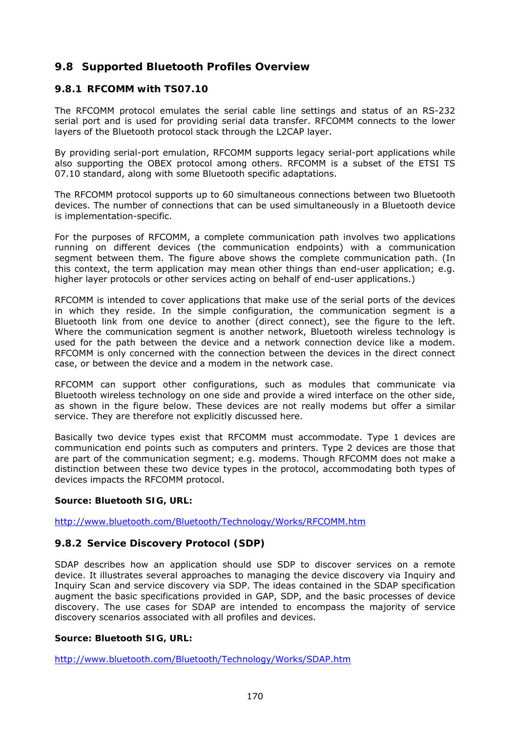## **9.8 Supported** *Bluetooth* **Profiles Overview**

#### **9.8.1 RFCOMM with TS07.10**

The RFCOMM protocol emulates the serial cable line settings and status of an RS-232 serial port and is used for providing serial data transfer. RFCOMM connects to the lower layers of the *Bluetooth* protocol stack through the L2CAP layer.

By providing serial-port emulation, RFCOMM supports legacy serial-port applications while also supporting the OBEX protocol among others. RFCOMM is a subset of the ETSI TS 07.10 standard, along with some *Bluetooth* specific adaptations.

The RFCOMM protocol supports up to 60 simultaneous connections between two *Bluetooth* devices. The number of connections that can be used simultaneously in a *Bluetooth* device is implementation-specific.

For the purposes of RFCOMM, a complete communication path involves two applications running on different devices (the communication endpoints) with a communication segment between them. The figure above shows the complete communication path. (In this context, the term application may mean other things than end-user application; e.g. higher layer protocols or other services acting on behalf of end-user applications.)

RFCOMM is intended to cover applications that make use of the serial ports of the devices in which they reside. In the simple configuration, the communication segment is a Bluetooth link from one device to another (direct connect), see the figure to the left. Where the communication segment is another network, Bluetooth wireless technology is used for the path between the device and a network connection device like a modem. RFCOMM is only concerned with the connection between the devices in the direct connect case, or between the device and a modem in the network case.

RFCOMM can support other configurations, such as modules that communicate via Bluetooth wireless technology on one side and provide a wired interface on the other side, as shown in the figure below. These devices are not really modems but offer a similar service. They are therefore not explicitly discussed here.

Basically two device types exist that RFCOMM must accommodate. Type 1 devices are communication end points such as computers and printers. Type 2 devices are those that are part of the communication segment; e.g. modems. Though RFCOMM does not make a distinction between these two device types in the protocol, accommodating both types of devices impacts the RFCOMM protocol.

#### **Source: Bluetooth SIG, URL:**

<http://www.bluetooth.com/Bluetooth/Technology/Works/RFCOMM.htm>

#### **9.8.2 Service Discovery Protocol (SDP)**

SDAP describes how an application should use SDP to discover services on a remote device. It illustrates several approaches to managing the device discovery via Inquiry and Inquiry Scan and service discovery via SDP. The ideas contained in the SDAP specification augment the basic specifications provided in GAP, SDP, and the basic processes of device discovery. The use cases for SDAP are intended to encompass the majority of service discovery scenarios associated with all profiles and devices.

#### **Source: Bluetooth SIG, URL:**

<http://www.bluetooth.com/Bluetooth/Technology/Works/SDAP.htm>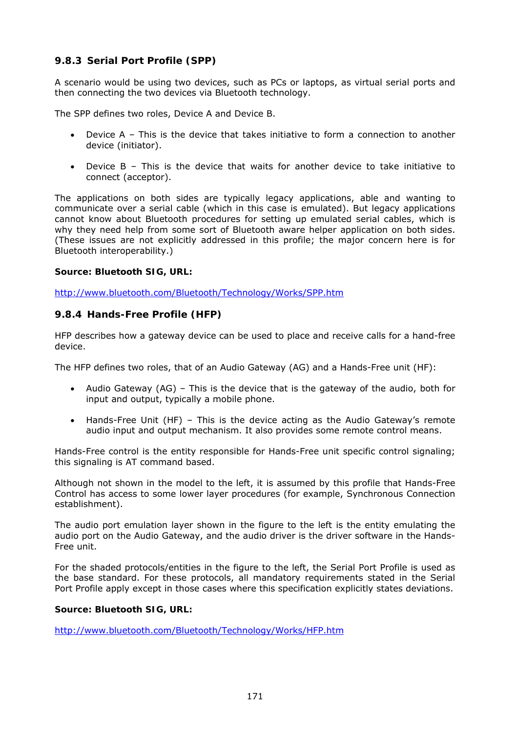### **9.8.3 Serial Port Profile (SPP)**

A scenario would be using two devices, such as PCs or laptops, as virtual serial ports and then connecting the two devices via Bluetooth technology.

The SPP defines two roles, Device A and Device B.

- Device A This is the device that takes initiative to form a connection to another device (initiator).
- Device B This is the device that waits for another device to take initiative to connect (acceptor).

The applications on both sides are typically legacy applications, able and wanting to communicate over a serial cable (which in this case is emulated). But legacy applications cannot know about Bluetooth procedures for setting up emulated serial cables, which is why they need help from some sort of Bluetooth aware helper application on both sides. (These issues are not explicitly addressed in this profile; the major concern here is for Bluetooth interoperability.)

#### **Source: Bluetooth SIG, URL:**

<http://www.bluetooth.com/Bluetooth/Technology/Works/SPP.htm>

#### **9.8.4 Hands-Free Profile (HFP)**

HFP describes how a gateway device can be used to place and receive calls for a hand-free device.

The HFP defines two roles, that of an Audio Gateway (AG) and a Hands-Free unit (HF):

- Audio Gateway (AG) This is the device that is the gateway of the audio, both for input and output, typically a mobile phone.
- Hands-Free Unit (HF) This is the device acting as the Audio Gateway's remote audio input and output mechanism. It also provides some remote control means.

Hands-Free control is the entity responsible for Hands-Free unit specific control signaling; this signaling is AT command based.

Although not shown in the model to the left, it is assumed by this profile that Hands-Free Control has access to some lower layer procedures (for example, Synchronous Connection establishment).

The audio port emulation layer shown in the figure to the left is the entity emulating the audio port on the Audio Gateway, and the audio driver is the driver software in the Hands-Free unit.

For the shaded protocols/entities in the figure to the left, the Serial Port Profile is used as the base standard. For these protocols, all mandatory requirements stated in the Serial Port Profile apply except in those cases where this specification explicitly states deviations.

#### **Source: Bluetooth SIG, URL:**

<http://www.bluetooth.com/Bluetooth/Technology/Works/HFP.htm>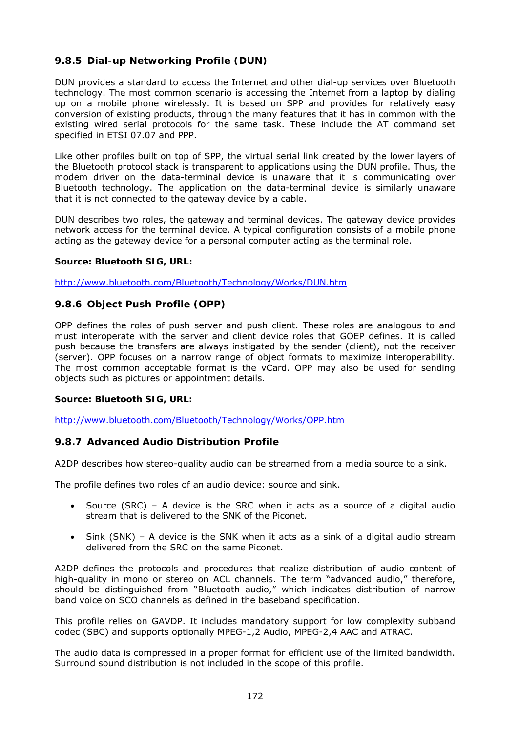### **9.8.5 Dial-up Networking Profile (DUN)**

DUN provides a standard to access the Internet and other dial-up services over *Bluetooth* technology. The most common scenario is accessing the Internet from a laptop by dialing up on a mobile phone wirelessly. It is based on SPP and provides for relatively easy conversion of existing products, through the many features that it has in common with the existing wired serial protocols for the same task. These include the AT command set specified in ETSI 07.07 and PPP.

Like other profiles built on top of SPP, the virtual serial link created by the lower layers of the *Bluetooth* protocol stack is transparent to applications using the DUN profile. Thus, the modem driver on the data-terminal device is unaware that it is communicating over *Bluetooth* technology. The application on the data-terminal device is similarly unaware that it is not connected to the gateway device by a cable.

DUN describes two roles, the gateway and terminal devices. The gateway device provides network access for the terminal device. A typical configuration consists of a mobile phone acting as the gateway device for a personal computer acting as the terminal role.

#### **Source: Bluetooth SIG, URL:**

<http://www.bluetooth.com/Bluetooth/Technology/Works/DUN.htm>

#### **9.8.6 Object Push Profile (OPP)**

OPP defines the roles of push server and push client. These roles are analogous to and must interoperate with the server and client device roles that GOEP defines. It is called push because the transfers are always instigated by the sender (client), not the receiver (server). OPP focuses on a narrow range of object formats to maximize interoperability. The most common acceptable format is the vCard. OPP may also be used for sending objects such as pictures or appointment details.

#### **Source: Bluetooth SIG, URL:**

<http://www.bluetooth.com/Bluetooth/Technology/Works/OPP.htm>

#### **9.8.7 Advanced Audio Distribution Profile**

A2DP describes how stereo-quality audio can be streamed from a media source to a sink.

The profile defines two roles of an audio device: source and sink.

- Source (SRC) A device is the SRC when it acts as a source of a digital audio stream that is delivered to the SNK of the Piconet.
- Sink (SNK) A device is the SNK when it acts as a sink of a digital audio stream delivered from the SRC on the same Piconet.

A2DP defines the protocols and procedures that realize distribution of audio content of high-quality in mono or stereo on ACL channels. The term "advanced audio," therefore, should be distinguished from "Bluetooth audio," which indicates distribution of narrow band voice on SCO channels as defined in the baseband specification.

This profile relies on GAVDP. It includes mandatory support for low complexity subband codec (SBC) and supports optionally MPEG-1,2 Audio, MPEG-2,4 AAC and ATRAC.

The audio data is compressed in a proper format for efficient use of the limited bandwidth. Surround sound distribution is not included in the scope of this profile.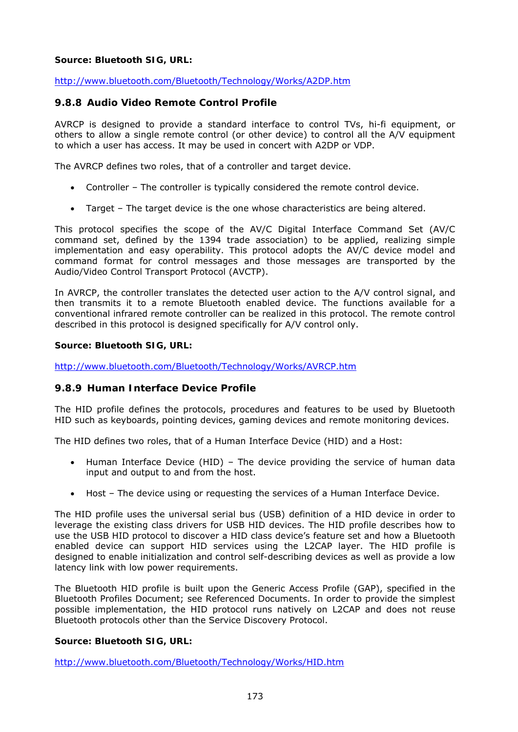#### **Source: Bluetooth SIG, URL:**

<http://www.bluetooth.com/Bluetooth/Technology/Works/A2DP.htm>

#### **9.8.8 Audio Video Remote Control Profile**

AVRCP is designed to provide a standard interface to control TVs, hi-fi equipment, or others to allow a single remote control (or other device) to control all the A/V equipment to which a user has access. It may be used in concert with A2DP or VDP.

The AVRCP defines two roles, that of a controller and target device.

- Controller The controller is typically considered the remote control device.
- Target The target device is the one whose characteristics are being altered.

This protocol specifies the scope of the AV/C Digital Interface Command Set (AV/C command set, defined by the 1394 trade association) to be applied, realizing simple implementation and easy operability. This protocol adopts the AV/C device model and command format for control messages and those messages are transported by the Audio/Video Control Transport Protocol (AVCTP).

In AVRCP, the controller translates the detected user action to the A/V control signal, and then transmits it to a remote Bluetooth enabled device. The functions available for a conventional infrared remote controller can be realized in this protocol. The remote control described in this protocol is designed specifically for A/V control only.

#### **Source: Bluetooth SIG, URL:**

<http://www.bluetooth.com/Bluetooth/Technology/Works/AVRCP.htm>

#### **9.8.9 Human Interface Device Profile**

The HID profile defines the protocols, procedures and features to be used by Bluetooth HID such as keyboards, pointing devices, gaming devices and remote monitoring devices.

The HID defines two roles, that of a Human Interface Device (HID) and a Host:

- Human Interface Device (HID) The device providing the service of human data input and output to and from the host.
- Host The device using or requesting the services of a Human Interface Device.

The HID profile uses the universal serial bus (USB) definition of a HID device in order to leverage the existing class drivers for USB HID devices. The HID profile describes how to use the USB HID protocol to discover a HID class device's feature set and how a Bluetooth enabled device can support HID services using the L2CAP layer. The HID profile is designed to enable initialization and control self-describing devices as well as provide a low latency link with low power requirements.

The Bluetooth HID profile is built upon the Generic Access Profile (GAP), specified in the Bluetooth Profiles Document; see Referenced Documents. In order to provide the simplest possible implementation, the HID protocol runs natively on L2CAP and does not reuse Bluetooth protocols other than the Service Discovery Protocol.

#### **Source: Bluetooth SIG, URL:**

<http://www.bluetooth.com/Bluetooth/Technology/Works/HID.htm>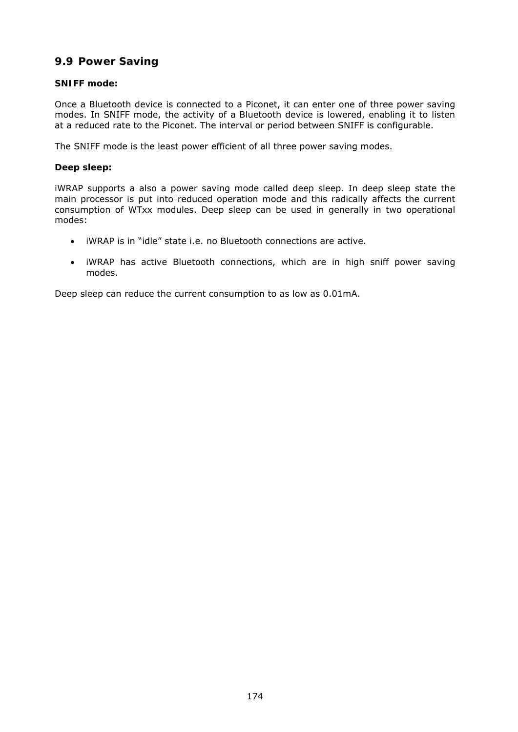### **9.9 Power Saving**

#### **SNIFF mode:**

Once a *Bluetooth* device is connected to a Piconet, it can enter one of three power saving modes. In SNIFF mode, the activity of a *Bluetooth* device is lowered, enabling it to listen at a reduced rate to the Piconet. The interval or period between SNIFF is configurable.

The SNIFF mode is the least power efficient of all three power saving modes.

#### **Deep sleep:**

iWRAP supports a also a power saving mode called deep sleep. In deep sleep state the main processor is put into reduced operation mode and this radically affects the current consumption of WTxx modules. Deep sleep can be used in generally in two operational modes:

- iWRAP is in "idle" state i.e. no Bluetooth connections are active.
- iWRAP has active Bluetooth connections, which are in high sniff power saving modes.

Deep sleep can reduce the current consumption to as low as 0.01mA.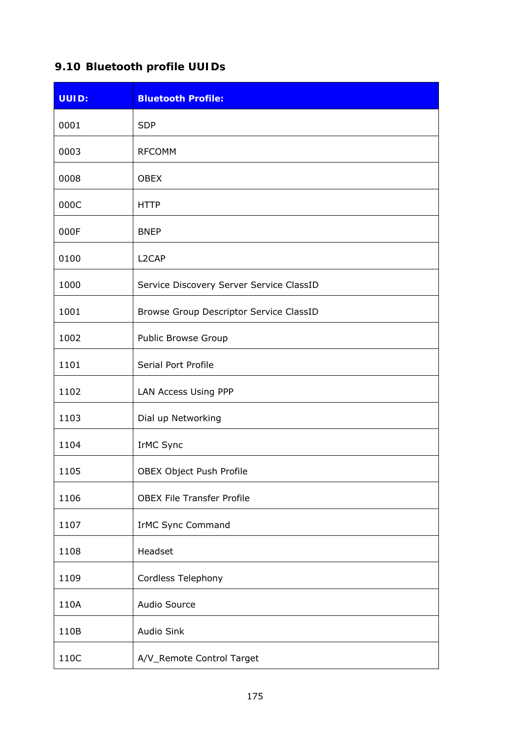# **9.10** *Bluetooth* **profile UUIDs**

| <b>UUID:</b> | <b>Bluetooth Profile:</b>                |
|--------------|------------------------------------------|
| 0001         | <b>SDP</b>                               |
| 0003         | <b>RFCOMM</b>                            |
| 0008         | <b>OBEX</b>                              |
| 000C         | <b>HTTP</b>                              |
| 000F         | <b>BNEP</b>                              |
| 0100         | L <sub>2</sub> CAP                       |
| 1000         | Service Discovery Server Service ClassID |
| 1001         | Browse Group Descriptor Service ClassID  |
| 1002         | Public Browse Group                      |
| 1101         | Serial Port Profile                      |
| 1102         | LAN Access Using PPP                     |
| 1103         | Dial up Networking                       |
| 1104         | IrMC Sync                                |
| 1105         | OBEX Object Push Profile                 |
| 1106         | <b>OBEX File Transfer Profile</b>        |
| 1107         | IrMC Sync Command                        |
| 1108         | Headset                                  |
| 1109         | Cordless Telephony                       |
| 110A         | Audio Source                             |
| 110B         | <b>Audio Sink</b>                        |
| 110C         | A/V_Remote Control Target                |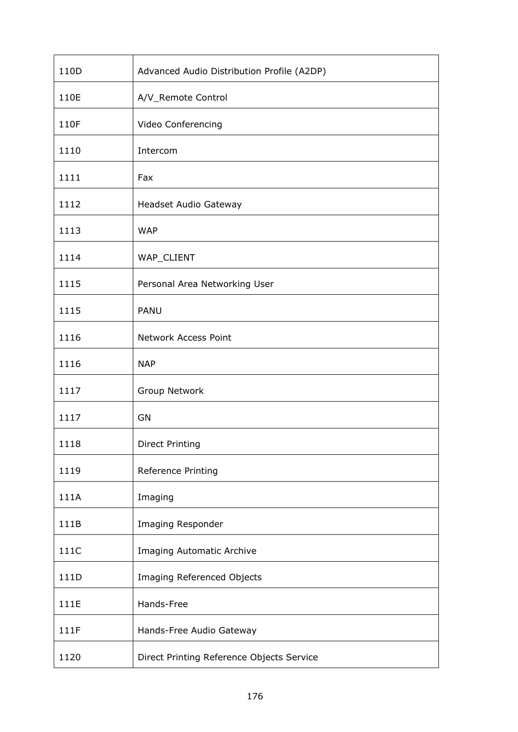| 110D | Advanced Audio Distribution Profile (A2DP) |
|------|--------------------------------------------|
| 110E | A/V_Remote Control                         |
| 110F | Video Conferencing                         |
| 1110 | Intercom                                   |
| 1111 | Fax                                        |
| 1112 | Headset Audio Gateway                      |
| 1113 | <b>WAP</b>                                 |
| 1114 | WAP_CLIENT                                 |
| 1115 | Personal Area Networking User              |
| 1115 | PANU                                       |
| 1116 | <b>Network Access Point</b>                |
| 1116 | <b>NAP</b>                                 |
| 1117 | Group Network                              |
| 1117 | GN                                         |
| 1118 | <b>Direct Printing</b>                     |
| 1119 | Reference Printing                         |
| 111A | Imaging                                    |
| 111B | Imaging Responder                          |
| 111C | Imaging Automatic Archive                  |
| 111D | Imaging Referenced Objects                 |
| 111E | Hands-Free                                 |
| 111F | Hands-Free Audio Gateway                   |
| 1120 | Direct Printing Reference Objects Service  |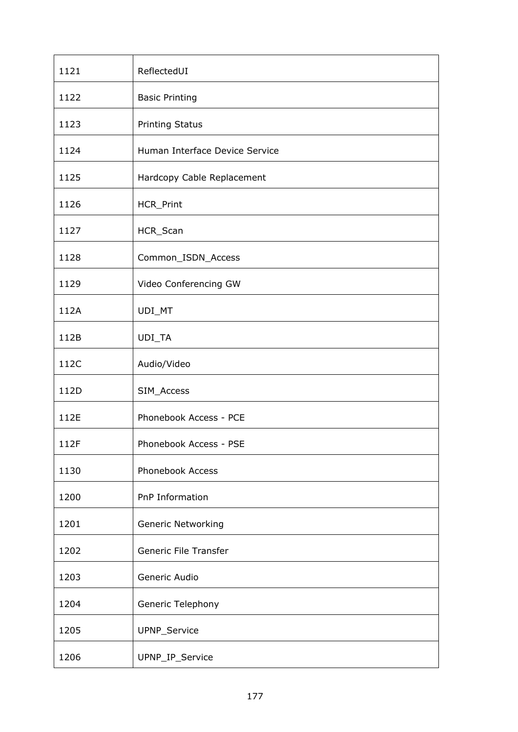| 1121 | ReflectedUI                    |
|------|--------------------------------|
| 1122 | <b>Basic Printing</b>          |
| 1123 | <b>Printing Status</b>         |
| 1124 | Human Interface Device Service |
| 1125 | Hardcopy Cable Replacement     |
| 1126 | HCR_Print                      |
| 1127 | HCR_Scan                       |
| 1128 | Common_ISDN_Access             |
| 1129 | Video Conferencing GW          |
| 112A | UDI_MT                         |
| 112B | UDI_TA                         |
| 112C | Audio/Video                    |
| 112D | SIM_Access                     |
| 112E | Phonebook Access - PCE         |
| 112F | Phonebook Access - PSE         |
| 1130 | Phonebook Access               |
| 1200 | PnP Information                |
| 1201 | <b>Generic Networking</b>      |
| 1202 | Generic File Transfer          |
| 1203 | Generic Audio                  |
| 1204 | Generic Telephony              |
| 1205 | UPNP_Service                   |
| 1206 | UPNP_IP_Service                |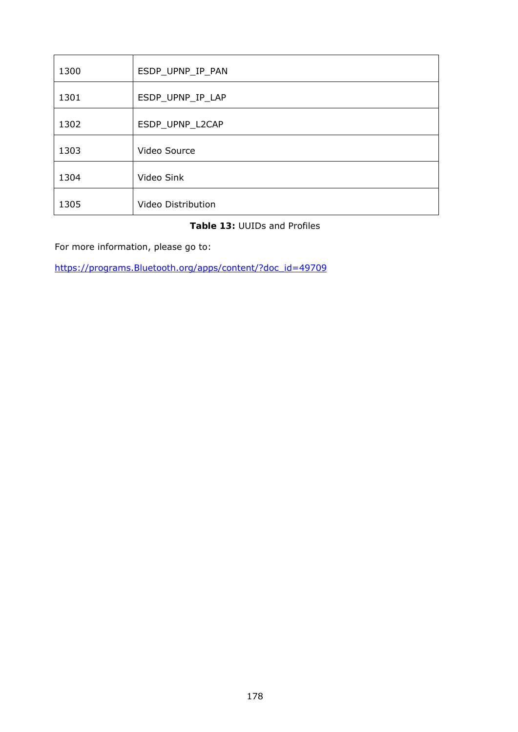| 1300 | ESDP_UPNP_IP_PAN   |
|------|--------------------|
| 1301 | ESDP_UPNP_IP_LAP   |
| 1302 | ESDP_UPNP_L2CAP    |
| 1303 | Video Source       |
| 1304 | Video Sink         |
| 1305 | Video Distribution |

### **Table 13:** UUIDs and Profiles

For more information, please go to:

https://programs.*Bluetooth*[.org/apps/content/?doc\\_id=49709](https://programs.bluetooth.org/apps/content/?doc_id=49709)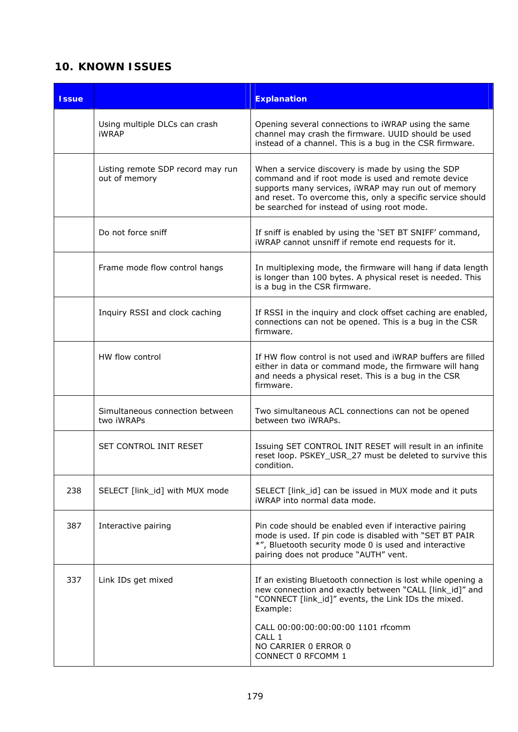# **10. KNOWN ISSUES**

| <b>Issue</b> |                                                    | <b>Explanation</b>                                                                                                                                                                                                                                                           |
|--------------|----------------------------------------------------|------------------------------------------------------------------------------------------------------------------------------------------------------------------------------------------------------------------------------------------------------------------------------|
|              | Using multiple DLCs can crash<br>iWRAP             | Opening several connections to iWRAP using the same<br>channel may crash the firmware. UUID should be used<br>instead of a channel. This is a bug in the CSR firmware.                                                                                                       |
|              | Listing remote SDP record may run<br>out of memory | When a service discovery is made by using the SDP<br>command and if root mode is used and remote device<br>supports many services, iWRAP may run out of memory<br>and reset. To overcome this, only a specific service should<br>be searched for instead of using root mode. |
|              | Do not force sniff                                 | If sniff is enabled by using the 'SET BT SNIFF' command,<br>iWRAP cannot unsniff if remote end requests for it.                                                                                                                                                              |
|              | Frame mode flow control hangs                      | In multiplexing mode, the firmware will hang if data length<br>is longer than 100 bytes. A physical reset is needed. This<br>is a bug in the CSR firmware.                                                                                                                   |
|              | Inquiry RSSI and clock caching                     | If RSSI in the inquiry and clock offset caching are enabled,<br>connections can not be opened. This is a bug in the CSR<br>firmware.                                                                                                                                         |
|              | HW flow control                                    | If HW flow control is not used and iWRAP buffers are filled<br>either in data or command mode, the firmware will hang<br>and needs a physical reset. This is a bug in the CSR<br>firmware.                                                                                   |
|              | Simultaneous connection between<br>two iWRAPs      | Two simultaneous ACL connections can not be opened<br>between two iWRAPs.                                                                                                                                                                                                    |
|              | SET CONTROL INIT RESET                             | Issuing SET CONTROL INIT RESET will result in an infinite<br>reset loop. PSKEY_USR_27 must be deleted to survive this<br>condition.                                                                                                                                          |
| 238          | SELECT [link_id] with MUX mode                     | SELECT [link_id] can be issued in MUX mode and it puts<br>iWRAP into normal data mode.                                                                                                                                                                                       |
| 387          | Interactive pairing                                | Pin code should be enabled even if interactive pairing<br>mode is used. If pin code is disabled with "SET BT PAIR<br>*", Bluetooth security mode 0 is used and interactive<br>pairing does not produce "AUTH" vent.                                                          |
| 337          | Link IDs get mixed                                 | If an existing <i>Bluetooth</i> connection is lost while opening a<br>new connection and exactly between "CALL [link_id]" and<br>"CONNECT [link_id]" events, the Link IDs the mixed.<br>Example:                                                                             |
|              |                                                    | CALL 00:00:00:00:00:00 1101 rfcomm<br>CALL 1<br>NO CARRIER 0 ERROR 0<br>CONNECT 0 RFCOMM 1                                                                                                                                                                                   |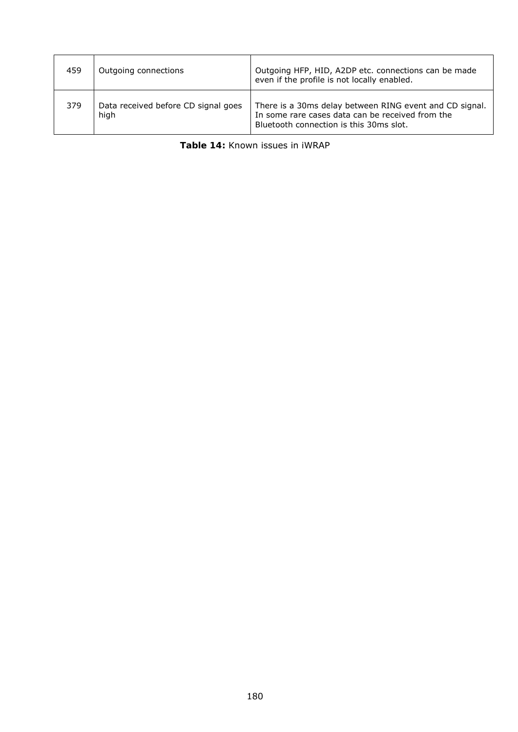| 459 | Outgoing connections                        | Outgoing HFP, HID, A2DP etc. connections can be made<br>even if the profile is not locally enabled.                                                    |
|-----|---------------------------------------------|--------------------------------------------------------------------------------------------------------------------------------------------------------|
| 379 | Data received before CD signal goes<br>high | There is a 30ms delay between RING event and CD signal.<br>In some rare cases data can be received from the<br>Bluetooth connection is this 30ms slot. |

|  | Table 14: Known issues in iWRAP |  |  |
|--|---------------------------------|--|--|
|  |                                 |  |  |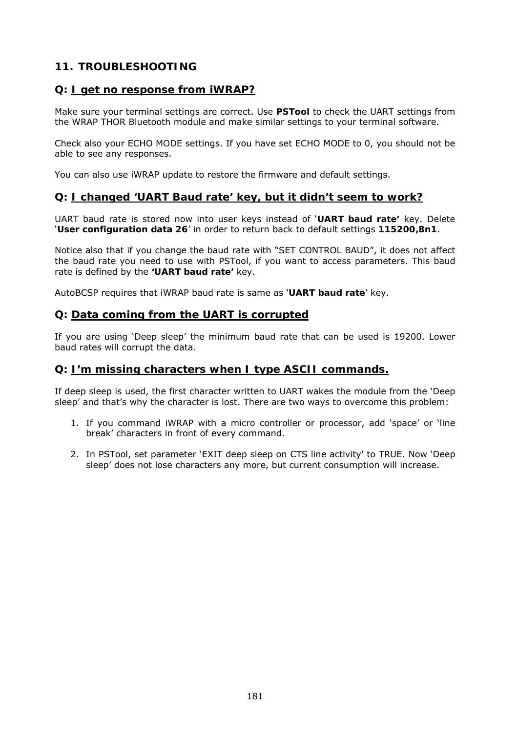# **11. TROUBLESHOOTING**

### **Q: I get no response from iWRAP?**

Make sure your terminal settings are correct. Use *PSTool* to check the UART settings from the WRAP THOR *Bluetooth* module and make similar settings to your terminal software.

Check also your ECHO MODE settings. If you have set ECHO MODE to 0, you should not be able to see any responses.

You can also use iWRAP update to restore the firmware and default settings.

### **Q: I changed 'UART Baud rate' key, but it didn't seem to work?**

UART baud rate is stored now into user keys instead of '*UART baud rate'* key. Delete '*User configuration data 26*' in order to return back to default settings *115200,8n1*.

Notice also that if you change the baud rate with "SET CONTROL BAUD", it does not affect the baud rate you need to use with PSTool, if you want to access parameters. This baud rate is defined by the **'***UART baud rate'* key.

AutoBCSP requires that iWRAP baud rate is same as '*UART baud rate*' key.

#### **Q: Data coming from the UART is corrupted**

If you are using 'Deep sleep' the minimum baud rate that can be used is 19200. Lower baud rates will corrupt the data.

### **Q: I'm missing characters when I type ASCII commands.**

If deep sleep is used, the first character written to UART wakes the module from the 'Deep sleep' and that's why the character is lost. There are two ways to overcome this problem:

- 1. If you command iWRAP with a micro controller or processor, add 'space' or 'line break' characters in front of every command.
- 2. In PSTool, set parameter 'EXIT deep sleep on CTS line activity' to TRUE. Now 'Deep sleep' does not lose characters any more, but current consumption will increase.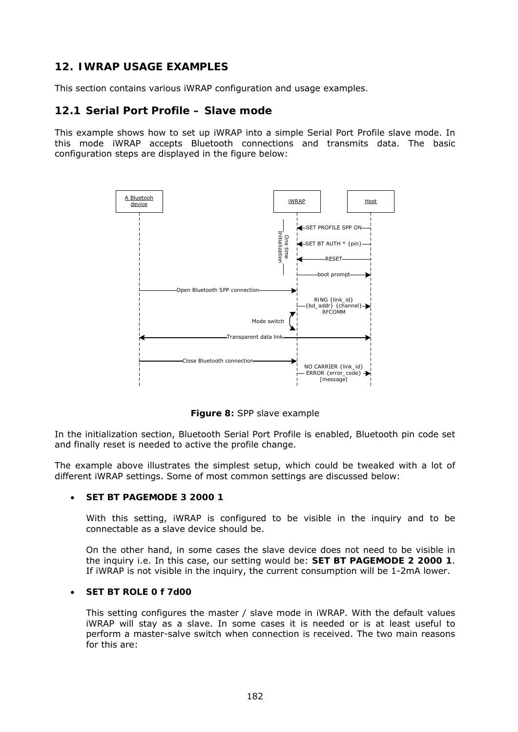## **12. IWRAP USAGE EXAMPLES**

This section contains various iWRAP configuration and usage examples.

### **12.1 Serial Port Profile – Slave mode**

This example shows how to set up iWRAP into a simple Serial Port Profile slave mode. In this mode iWRAP accepts Bluetooth connections and transmits data. The basic configuration steps are displayed in the figure below:



**Figure 8:** SPP slave example

In the initialization section, Bluetooth Serial Port Profile is enabled, Bluetooth pin code set and finally reset is needed to active the profile change.

The example above illustrates the simplest setup, which could be tweaked with a lot of different iWRAP settings. Some of most common settings are discussed below:

#### **SET BT PAGEMODE 3 2000 1**

With this setting, iWRAP is configured to be visible in the inquiry and to be connectable as a slave device should be.

On the other hand, in some cases the slave device does not need to be visible in the inquiry i.e. In this case, our setting would be: **SET BT PAGEMODE 2 2000 1**. If iWRAP is not visible in the inquiry, the current consumption will be 1-2mA lower.

#### **SET BT ROLE 0 f 7d00**

This setting configures the master / slave mode in iWRAP. With the default values iWRAP will stay as a slave. In some cases it is needed or is at least useful to perform a master-salve switch when connection is received. The two main reasons for this are: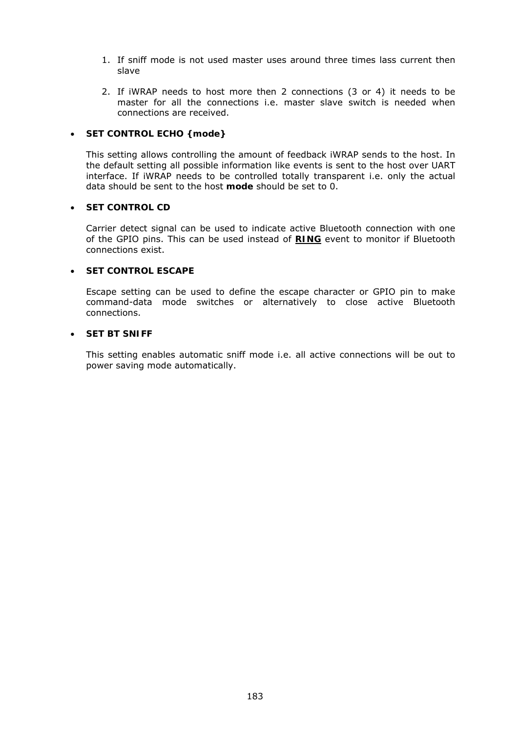- 1. If sniff mode is not used master uses around three times lass current then slave
- 2. If iWRAP needs to host more then 2 connections (3 or 4) it needs to be master for all the connections i.e. master slave switch is needed when connections are received.

#### **SET CONTROL ECHO {***mode}*

This setting allows controlling the amount of feedback iWRAP sends to the host. In the default setting all possible information like events is sent to the host over UART interface. If iWRAP needs to be controlled totally transparent i.e. only the actual data should be sent to the host *mode* should be set to 0.

#### **SET CONTROL CD**

Carrier detect signal can be used to indicate active Bluetooth connection with one of the GPIO pins. This can be used instead of **RING** event to monitor if Bluetooth connections exist.

#### **SET CONTROL ESCAPE**

Escape setting can be used to define the escape character or GPIO pin to make command-data mode switches or alternatively to close active Bluetooth connections.

#### **SET BT SNIFF**

This setting enables automatic sniff mode i.e. all active connections will be out to power saving mode automatically.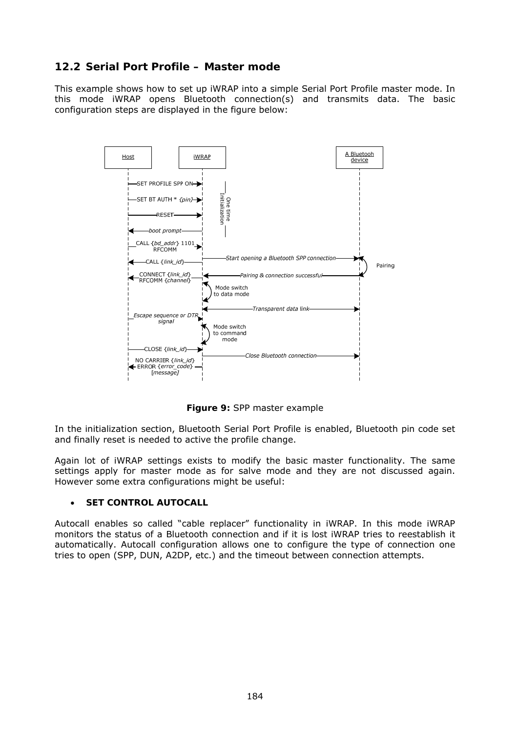## **12.2 Serial Port Profile – Master mode**

This example shows how to set up iWRAP into a simple Serial Port Profile master mode. In this mode iWRAP opens Bluetooth connection(s) and transmits data. The basic configuration steps are displayed in the figure below:



**Figure 9:** SPP master example

In the initialization section, Bluetooth Serial Port Profile is enabled, Bluetooth pin code set and finally reset is needed to active the profile change.

Again lot of iWRAP settings exists to modify the basic master functionality. The same settings apply for master mode as for salve mode and they are not discussed again. However some extra configurations might be useful:

#### **SET CONTROL AUTOCALL**

Autocall enables so called "cable replacer" functionality in iWRAP. In this mode iWRAP monitors the status of a Bluetooth connection and if it is lost iWRAP tries to reestablish it automatically. Autocall configuration allows one to configure the type of connection one tries to open (SPP, DUN, A2DP, etc.) and the timeout between connection attempts.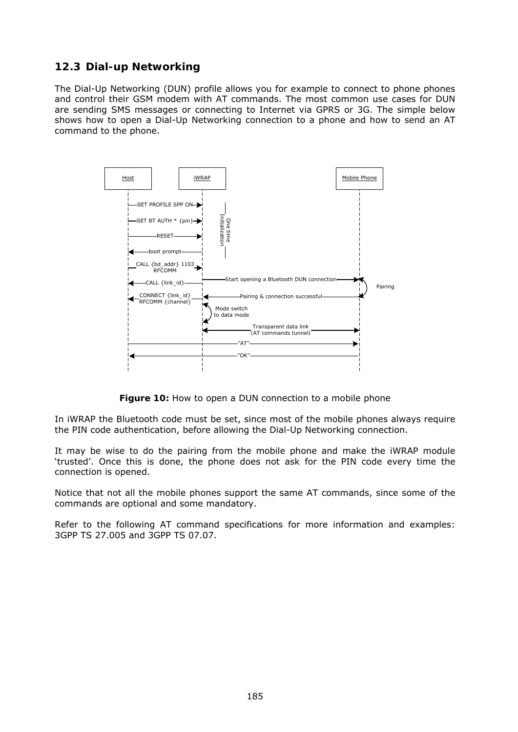# **12.3 Dial-up Networking**

The Dial-Up Networking (DUN) profile allows you for example to connect to phone phones and control their GSM modem with AT commands. The most common use cases for DUN are sending SMS messages or connecting to Internet via GPRS or 3G. The simple below shows how to open a Dial-Up Networking connection to a phone and how to send an AT command to the phone.



**Figure 10:** How to open a DUN connection to a mobile phone

In iWRAP the *Bluetooth* code must be set, since most of the mobile phones always require the PIN code authentication, before allowing the Dial-Up Networking connection.

It may be wise to do the pairing from the mobile phone and make the iWRAP module 'trusted'. Once this is done, the phone does not ask for the PIN code every time the connection is opened.

Notice that not all the mobile phones support the same AT commands, since some of the commands are optional and some mandatory.

Refer to the following AT command specifications for more information and examples: 3GPP TS 27.005 and 3GPP TS 07.07.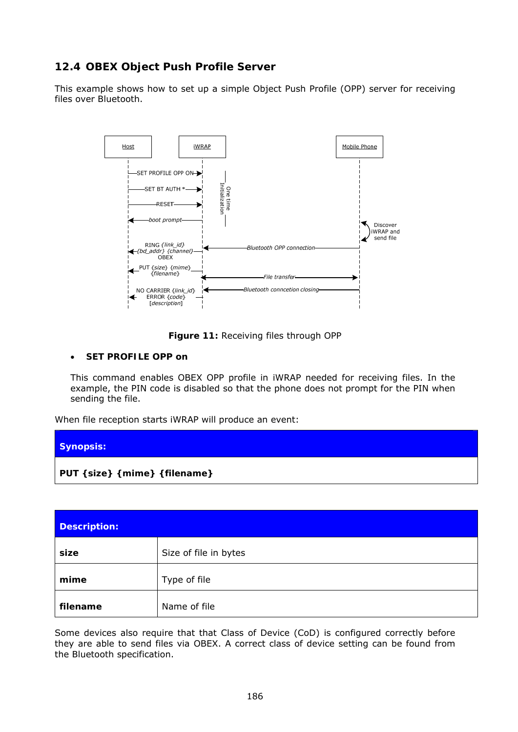# **12.4 OBEX Object Push Profile Server**

This example shows how to set up a simple Object Push Profile (OPP) server for receiving files over *Bluetooth*.



**Figure 11:** Receiving files through OPP

#### **SET PROFILE OPP on**

This command enables OBEX OPP profile in iWRAP needed for receiving files. In the example, the PIN code is disabled so that the phone does not prompt for the PIN when sending the file.

When file reception starts iWRAP will produce an event:



| <b>Description:</b> |                       |
|---------------------|-----------------------|
| size                | Size of file in bytes |
| mime                | Type of file          |
| filename            | Name of file          |

Some devices also require that that Class of Device (CoD) is configured correctly before they are able to send files via OBEX. A correct class of device setting can be found from the *Bluetooth* specification.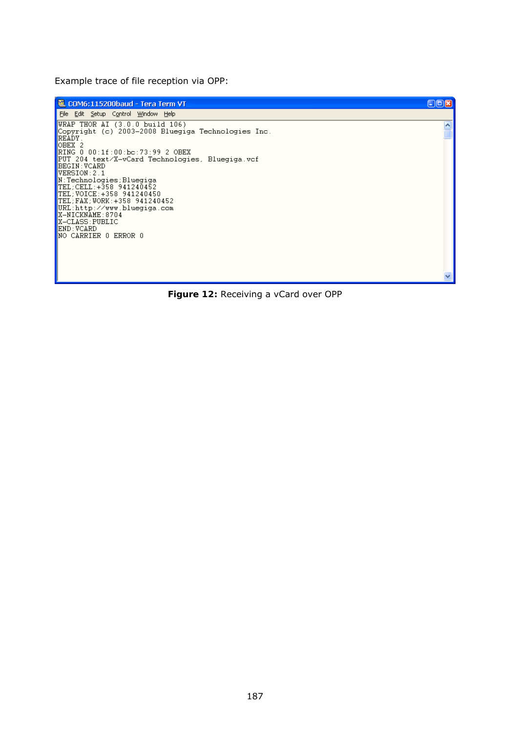Example trace of file reception via OPP:

COM6:115200baud - Tera Term VT  $CDD$ File Edit Setup Control Window Help URAP THOR AI (3.0.0 build 106)<br>Copyright (c) 2003-2008 Bluegiga Technologies Inc.<br>READY.<br>OBEX 2<br>RING 0 00:1f:00:bc:73:99 2 OBEX<br>PUT 204 text/X-vCard Technologies, Bluegiga.vcf<br>BEGIN:VCARD<br>VERSION:2.1<br>VERSION:2.1  $\overline{\mathbf{z}}$ WERSION:2.1<br>N:Technologies;Bluegiga<br>TEL;CELL:+358 941240452<br>TEL;CELL:+358 941240450<br>TEL;WOICE:+358 941240450<br>TEL;FAX;WORK:+358 941240452<br>URL:http://www.bluegiga.com<br>X-NICKNAME:8704<br>X-CLASS:PUBLIC<br>END:VCARD<br>NO CARRIER 0 ERR

**Figure 12:** Receiving a vCard over OPP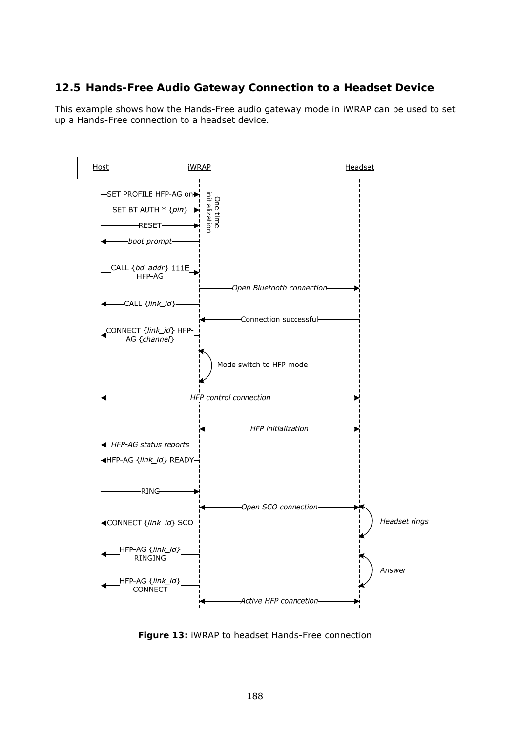## **12.5 Hands-Free Audio Gateway Connection to a Headset Device**

This example shows how the Hands-Free audio gateway mode in iWRAP can be used to set up a Hands-Free connection to a headset device.



**Figure 13:** iWRAP to headset Hands-Free connection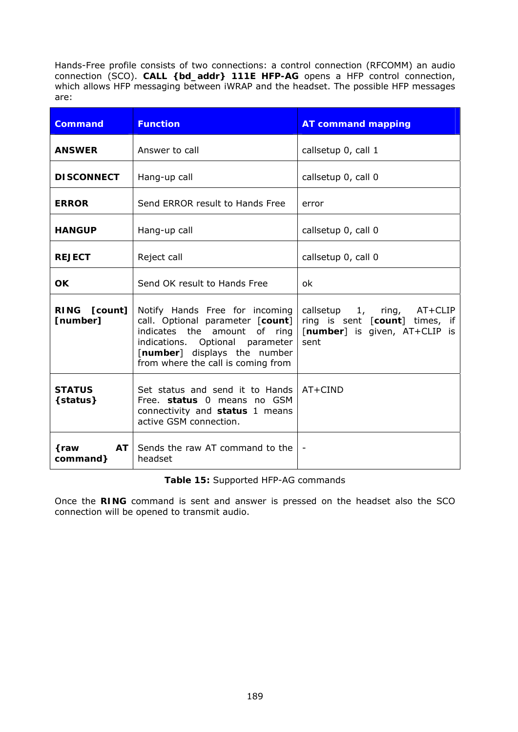Hands-Free profile consists of two connections: a control connection (RFCOMM) an audio connection (SCO). **CALL {***bd\_addr***} 111E HFP-AG** opens a HFP control connection, which allows HFP messaging between iWRAP and the headset. The possible HFP messages are:

| <b>Command</b>                 | <b>Function</b>                                                                                                                                                                                                         | <b>AT command mapping</b>                                                                                      |
|--------------------------------|-------------------------------------------------------------------------------------------------------------------------------------------------------------------------------------------------------------------------|----------------------------------------------------------------------------------------------------------------|
| <b>ANSWER</b>                  | Answer to call                                                                                                                                                                                                          | callsetup 0, call 1                                                                                            |
| <b>DISCONNECT</b>              | Hang-up call                                                                                                                                                                                                            | callsetup 0, call 0                                                                                            |
| <b>ERROR</b>                   | Send ERROR result to Hands Free                                                                                                                                                                                         | error                                                                                                          |
| <b>HANGUP</b>                  | Hang-up call                                                                                                                                                                                                            | callsetup 0, call 0                                                                                            |
| <b>REJECT</b>                  | Reject call                                                                                                                                                                                                             | callsetup 0, call 0                                                                                            |
| <b>OK</b>                      | Send OK result to Hands Free                                                                                                                                                                                            | ok                                                                                                             |
| RING [count]<br>[number]       | Notify Hands Free for incoming<br>call. Optional parameter [count]<br>indicates the amount<br>of ring<br>indications. Optional parameter<br>[ <i>number</i> ] displays the number<br>from where the call is coming from | callsetup 1, ring, AT+CLIP<br>ring is sent [count] times, if<br>[ <i>number</i> ] is given, AT+CLIP is<br>sent |
| <b>STATUS</b><br>{status}      | Set status and send it to Hands<br>Free. status 0 means no GSM<br>connectivity and status 1 means<br>active GSM connection.                                                                                             | AT+CIND                                                                                                        |
| <b>AT</b><br>{raw<br>command } | Sends the raw AT command to the<br>headset                                                                                                                                                                              |                                                                                                                |

#### **Table 15:** Supported HFP-AG commands

Once the **RING** command is sent and answer is pressed on the headset also the SCO connection will be opened to transmit audio.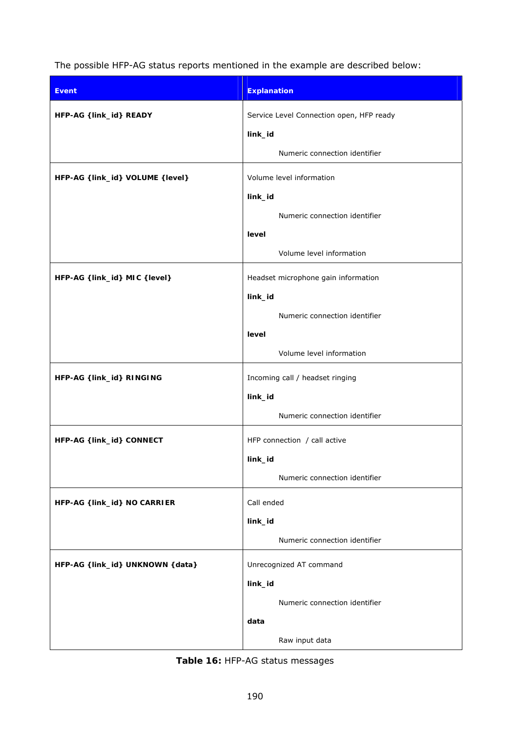The possible HFP-AG status reports mentioned in the example are described below:

| <b>Event</b>                      | <b>Explanation</b>                       |
|-----------------------------------|------------------------------------------|
| HFP-AG {link_id} READY            | Service Level Connection open, HFP ready |
|                                   | link_id                                  |
|                                   | Numeric connection identifier            |
| HFP-AG {link_id} VOLUME {level}   | Volume level information                 |
|                                   | link_id                                  |
|                                   | Numeric connection identifier            |
|                                   | level                                    |
|                                   | Volume level information                 |
| HFP-AG {link_id} MIC {level}      | Headset microphone gain information      |
|                                   | link_id                                  |
|                                   | Numeric connection identifier            |
|                                   | level                                    |
|                                   | Volume level information                 |
| HFP-AG { link_id} RINGING         | Incoming call / headset ringing          |
|                                   | link_id                                  |
|                                   | Numeric connection identifier            |
| HFP-AG { link_id} CONNECT         | HFP connection / call active             |
|                                   | link_id                                  |
|                                   | Numeric connection identifier            |
| HFP-AG { link_id} NO CARRIER      | Call ended                               |
|                                   | link_id                                  |
|                                   | Numeric connection identifier            |
| HFP-AG { link_id} UNKNOWN { data} | Unrecognized AT command                  |
|                                   | link_id                                  |
|                                   | Numeric connection identifier            |
|                                   | data                                     |
|                                   | Raw input data                           |

**Table 16:** HFP-AG status messages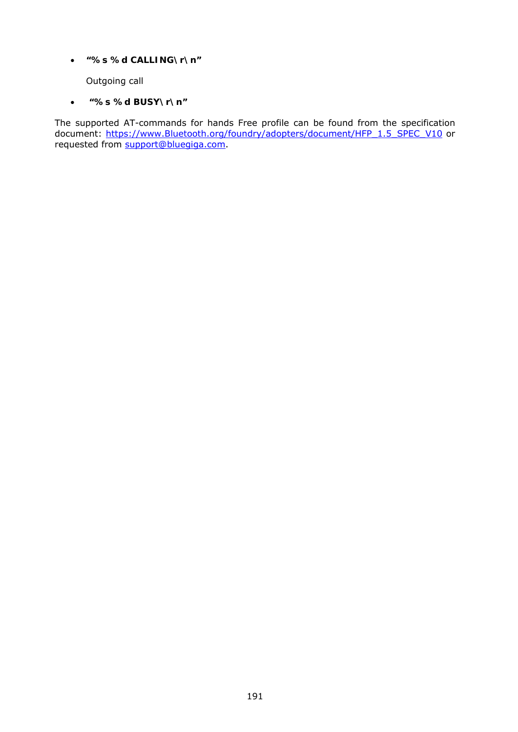*"%s %d CALLING\r\n"* 

Outgoing call

 *"%s %d BUSY\r\n"* 

The supported AT-commands for hands Free profile can be found from the specification document: https://www.*Bluetooth*[.org/foundry/adopters/document/HFP\\_1.5\\_SPEC\\_V10](https://www.bluetooth.org/foundry/adopters/document/HFP_1.5_SPEC_V10) or requested from [support@bluegiga.com](mailto:support@bluegiga.com).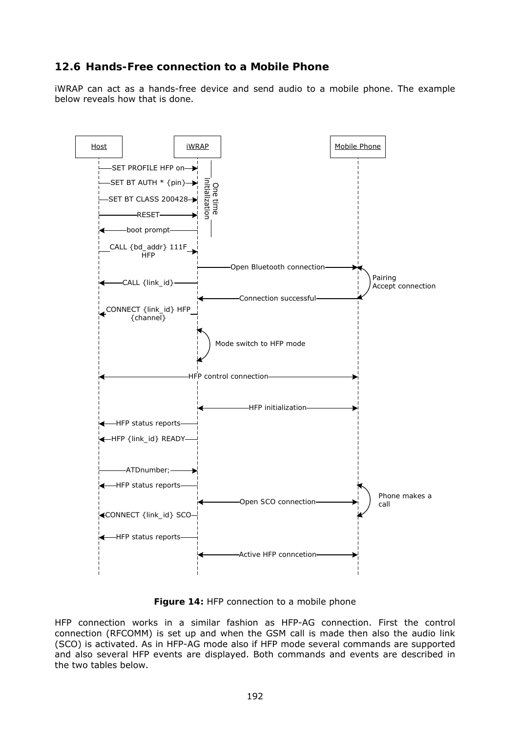## **12.6 Hands-Free connection to a Mobile Phone**

iWRAP can act as a hands-free device and send audio to a mobile phone. The example below reveals how that is done.



**Figure 14:** HFP connection to a mobile phone

HFP connection works in a similar fashion as HFP-AG connection. First the control connection (RFCOMM) is set up and when the GSM call is made then also the audio link (SCO) is activated. As in HFP-AG mode also if HFP mode several commands are supported and also several HFP events are displayed. Both commands and events are described in the two tables below.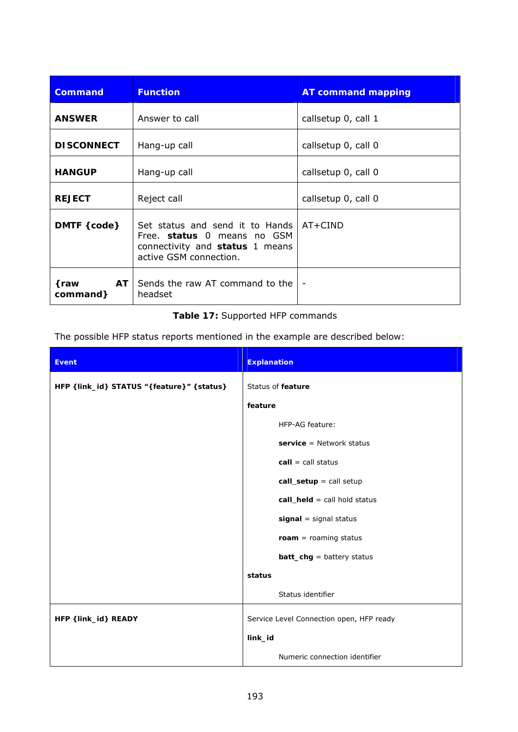| <b>Command</b>          | <b>Function</b>                                                                                                                       | <b>AT command mapping</b> |
|-------------------------|---------------------------------------------------------------------------------------------------------------------------------------|---------------------------|
| <b>ANSWER</b>           | Answer to call                                                                                                                        | callsetup 0, call 1       |
| <b>DISCONNECT</b>       | Hang-up call                                                                                                                          | callsetup 0, call 0       |
| <b>HANGUP</b>           | Hang-up call                                                                                                                          | callsetup 0, call 0       |
| <b>REJECT</b>           | Reject call                                                                                                                           | callsetup 0, call 0       |
| DMTF { code}            | Set status and send it to Hands   AT+CIND<br>Free. status 0 means no GSM<br>connectivity and status 1 means<br>active GSM connection. |                           |
| AT<br>{raw<br>command } | Sends the raw AT command to the<br>headset                                                                                            | $\overline{\phantom{a}}$  |

### **Table 17:** Supported HFP commands

The possible HFP status reports mentioned in the example are described below:

| <b>Event</b>                              | <b>Explanation</b>                       |
|-------------------------------------------|------------------------------------------|
| HFP {link_id} STATUS "{feature}" {status} | Status of <i>feature</i>                 |
|                                           | feature                                  |
|                                           | HFP-AG feature:                          |
|                                           | $s$ ervice = Network status              |
|                                           | $call = call status$                     |
|                                           | $call_setup = call setup$                |
|                                           | $call\_held = call hold status$          |
|                                           | $signal = signal status$                 |
|                                           | $roam = roaming status$                  |
|                                           | $batt_chg = battery status$              |
|                                           | status                                   |
|                                           | Status identifier                        |
| HFP {link_id} READY                       | Service Level Connection open, HFP ready |
|                                           | link_id                                  |
|                                           | Numeric connection identifier            |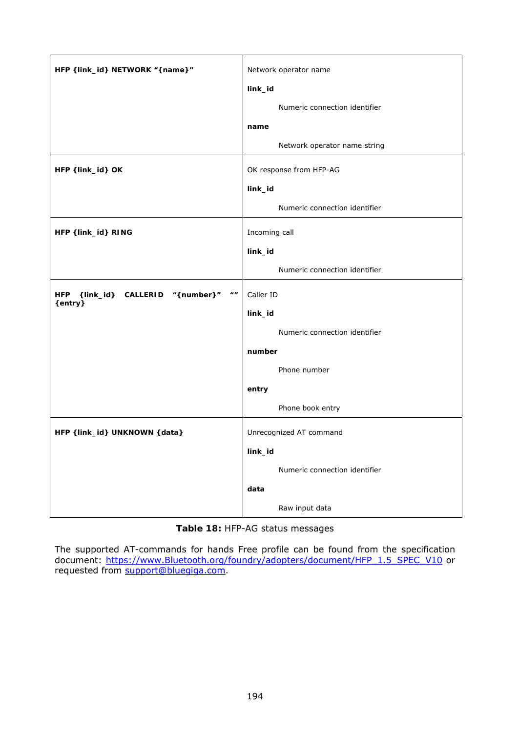| HFP {link_id} NETWORK "{name}"                                             | Network operator name         |
|----------------------------------------------------------------------------|-------------------------------|
|                                                                            | link_id                       |
|                                                                            | Numeric connection identifier |
|                                                                            | name                          |
|                                                                            | Network operator name string  |
| HFP { link_id} OK                                                          | OK response from HFP-AG       |
|                                                                            | link_id                       |
|                                                                            | Numeric connection identifier |
| HFP { link_id} RING                                                        | Incoming call                 |
|                                                                            | link_id                       |
|                                                                            | Numeric connection identifier |
| {link_id} CALLERID "{number}"<br>$\boldsymbol{u}$<br><b>HFP</b><br>{entry} | Caller ID                     |
|                                                                            | link_id                       |
|                                                                            | Numeric connection identifier |
|                                                                            | number                        |
|                                                                            | Phone number                  |
|                                                                            | entry                         |
|                                                                            | Phone book entry              |
| HFP { link_id} UNKNOWN { data}                                             | Unrecognized AT command       |
|                                                                            | link_id                       |
|                                                                            | Numeric connection identifier |
|                                                                            | data                          |
|                                                                            | Raw input data                |

### **Table 18:** HFP-AG status messages

The supported AT-commands for hands Free profile can be found from the specification document: https://www.*Bluetooth*[.org/foundry/adopters/document/HFP\\_1.5\\_SPEC\\_V10](https://www.bluetooth.org/foundry/adopters/document/HFP_1.5_SPEC_V10) or requested from [support@bluegiga.com](mailto:support@bluegiga.com).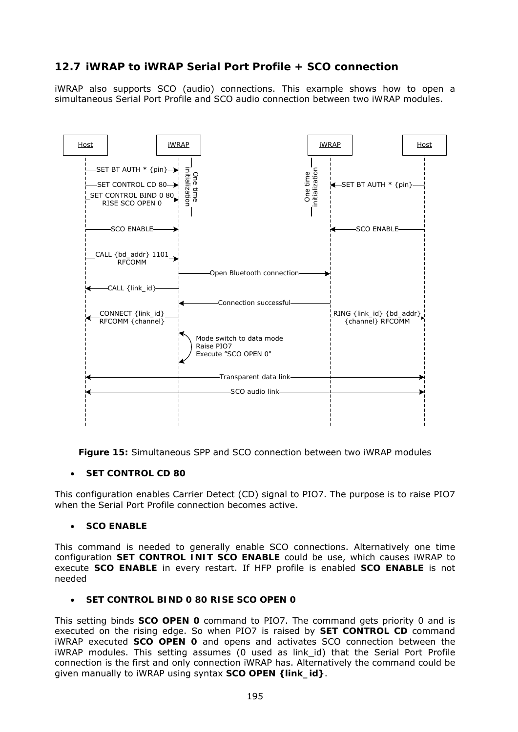# **12.7 iWRAP to iWRAP Serial Port Profile + SCO connection**

iWRAP also supports SCO (audio) connections. This example shows how to open a simultaneous Serial Port Profile and SCO audio connection between two iWRAP modules.



**Figure 15:** Simultaneous SPP and SCO connection between two iWRAP modules

#### **SET CONTROL CD 80**

This configuration enables Carrier Detect (CD) signal to PIO7. The purpose is to raise PIO7 when the Serial Port Profile connection becomes active.

#### **SCO ENABLE**

This command is needed to generally enable SCO connections. Alternatively one time configuration **SET CONTROL INIT SCO ENABLE** could be use, which causes iWRAP to execute **SCO ENABLE** in every restart. If HFP profile is enabled **SCO ENABLE** is not needed

#### **SET CONTROL BIND 0 80 RISE SCO OPEN 0**

This setting binds **SCO OPEN 0** command to PIO7. The command gets priority 0 and is executed on the rising edge. So when PIO7 is raised by **SET CONTROL CD** command iWRAP executed **SCO OPEN 0** and opens and activates SCO connection between the iWRAP modules. This setting assumes (0 used as link id) that the Serial Port Profile connection is the first and only connection iWRAP has. Alternatively the command could be given manually to iWRAP using syntax **SCO OPEN {link\_id}**.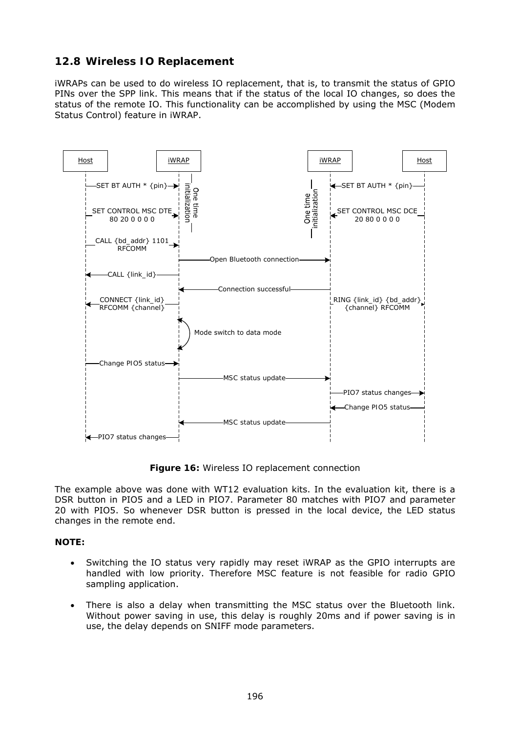### **12.8 Wireless IO Replacement**

iWRAPs can be used to do wireless IO replacement, that is, to transmit the status of GPIO PINs over the SPP link. This means that if the status of the local IO changes, so does the status of the remote IO. This functionality can be accomplished by using the MSC (Modem Status Control) feature in iWRAP.



**Figure 16:** Wireless IO replacement connection

The example above was done with WT12 evaluation kits. In the evaluation kit, there is a DSR button in PIO5 and a LED in PIO7. Parameter 80 matches with PIO7 and parameter 20 with PIO5. So whenever DSR button is pressed in the local device, the LED status changes in the remote end.

#### **NOTE:**

- Switching the IO status very rapidly may reset iWRAP as the GPIO interrupts are handled with low priority. Therefore MSC feature is not feasible for radio GPIO sampling application.
- There is also a delay when transmitting the MSC status over the *Bluetooth* link. Without power saving in use, this delay is roughly 20ms and if power saving is in use, the delay depends on SNIFF mode parameters.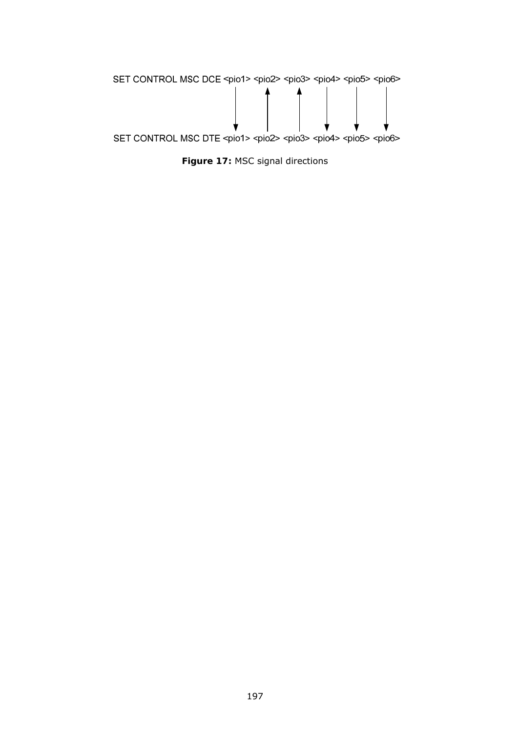

**Figure 17:** MSC signal directions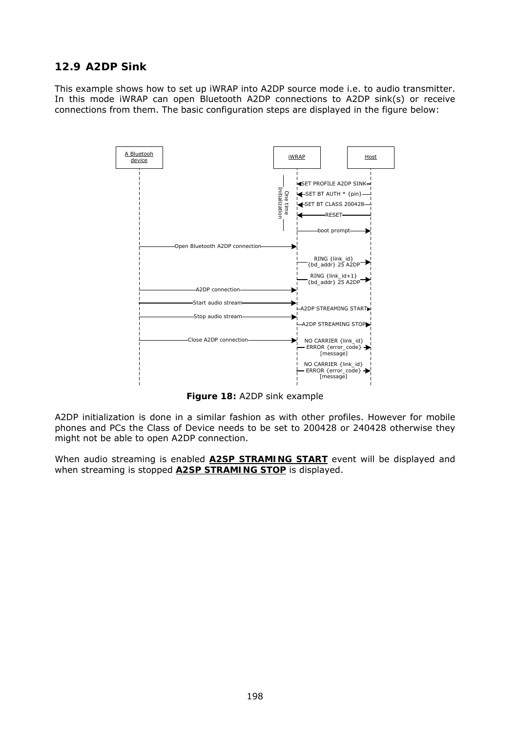## **12.9 A2DP Sink**

This example shows how to set up iWRAP into A2DP source mode i.e. to audio transmitter. In this mode iWRAP can open Bluetooth A2DP connections to A2DP sink(s) or receive connections from them. The basic configuration steps are displayed in the figure below:



**Figure 18:** A2DP sink example

A2DP initialization is done in a similar fashion as with other profiles. However for mobile phones and PCs the Class of Device needs to be set to 200428 or 240428 otherwise they might not be able to open A2DP connection.

When audio streaming is enabled **A2SP STRAMING START** event will be displayed and when streaming is stopped **A2SP STRAMING STOP** is displayed.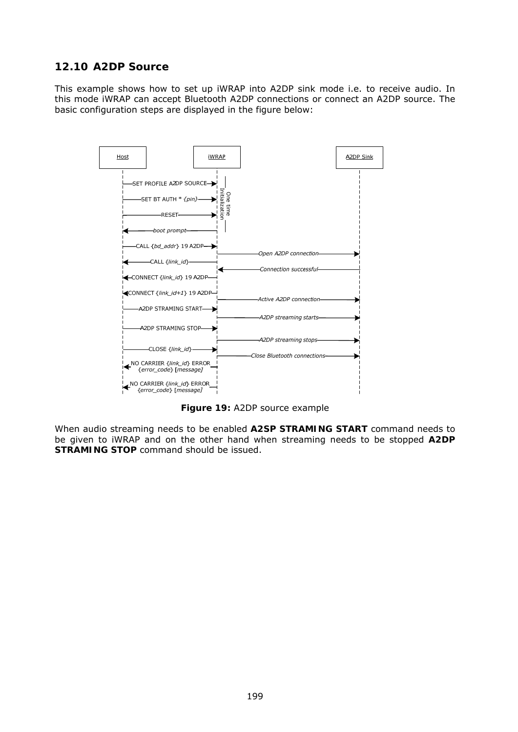## **12.10 A2DP Source**

This example shows how to set up iWRAP into A2DP sink mode i.e. to receive audio. In this mode iWRAP can accept Bluetooth A2DP connections or connect an A2DP source. The basic configuration steps are displayed in the figure below:



**Figure 19:** A2DP source example

When audio streaming needs to be enabled **A2SP STRAMING START** command needs to be given to iWRAP and on the other hand when streaming needs to be stopped **A2DP STRAMING STOP** command should be issued.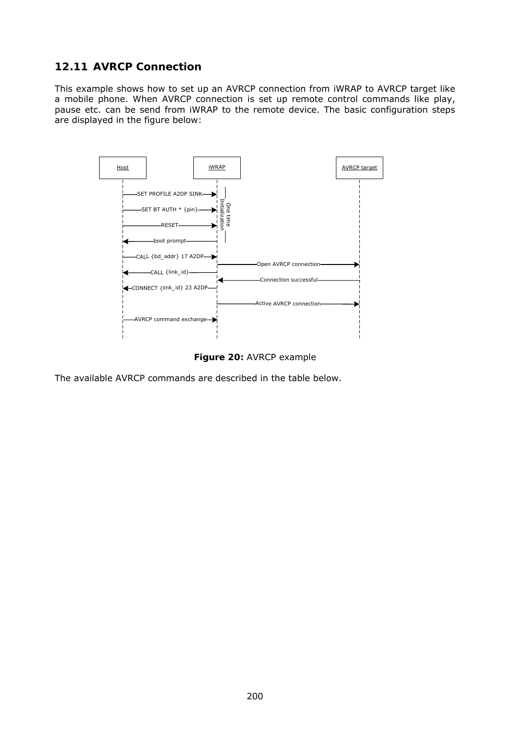# **12.11 AVRCP Connection**

This example shows how to set up an AVRCP connection from iWRAP to AVRCP target like a mobile phone. When AVRCP connection is set up remote control commands like play, pause etc. can be send from iWRAP to the remote device. The basic configuration steps are displayed in the figure below:



**Figure 20:** AVRCP example

The available AVRCP commands are described in the table below.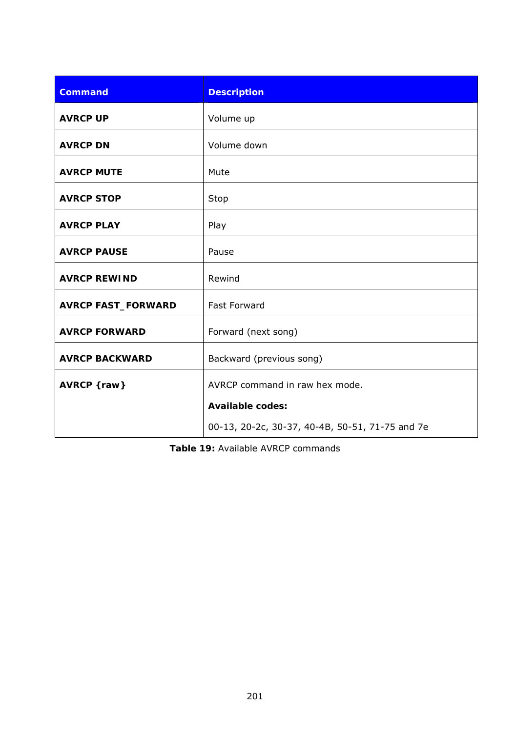| <b>Command</b>            | <b>Description</b>                              |
|---------------------------|-------------------------------------------------|
| <b>AVRCP UP</b>           | Volume up                                       |
| <b>AVRCP DN</b>           | Volume down                                     |
| <b>AVRCP MUTE</b>         | Mute                                            |
| <b>AVRCP STOP</b>         | Stop                                            |
| <b>AVRCP PLAY</b>         | Play                                            |
| <b>AVRCP PAUSE</b>        | Pause                                           |
| <b>AVRCP REWIND</b>       | Rewind                                          |
| <b>AVRCP FAST_FORWARD</b> | <b>Fast Forward</b>                             |
| <b>AVRCP FORWARD</b>      | Forward (next song)                             |
| <b>AVRCP BACKWARD</b>     | Backward (previous song)                        |
| AVRCP {raw}               | AVRCP command in raw hex mode.                  |
|                           | <b>Available codes:</b>                         |
|                           | 00-13, 20-2c, 30-37, 40-4B, 50-51, 71-75 and 7e |

**Table 19:** Available AVRCP commands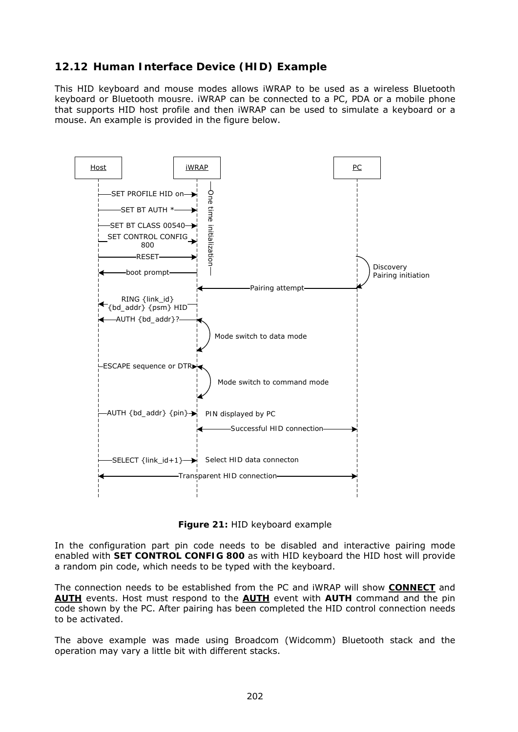# **12.12 Human Interface Device (HID) Example**

This HID keyboard and mouse modes allows iWRAP to be used as a wireless *Bluetooth* keyboard or *Bluetooth* mousre. iWRAP can be connected to a PC, PDA or a mobile phone that supports HID host profile and then iWRAP can be used to simulate a keyboard or a mouse. An example is provided in the figure below.



**Figure 21:** HID keyboard example

In the configuration part pin code needs to be disabled and interactive pairing mode enabled with **SET CONTROL CONFIG 800** as with HID keyboard the HID host will provide a random pin code, which needs to be typed with the keyboard.

The connection needs to be established from the PC and iWRAP will show **CONNECT** and **AUTH** events. Host must respond to the **AUTH** event with **AUTH** command and the pin code shown by the PC. After pairing has been completed the HID control connection needs to be activated.

The above example was made using Broadcom (Widcomm) Bluetooth stack and the operation may vary a little bit with different stacks.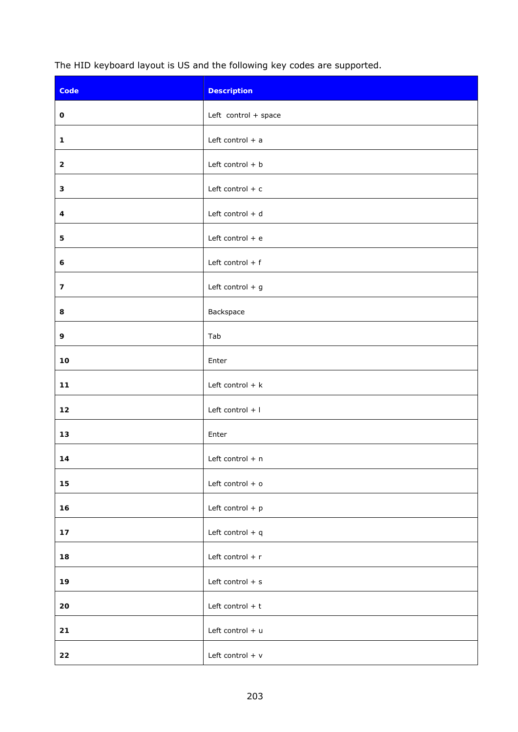The HID keyboard layout is US and the following key codes are supported.

| Code                    | <b>Description</b>   |
|-------------------------|----------------------|
| 0                       | Left control + space |
| $\mathbf{1}$            | Left control $+$ a   |
| $\mathbf{2}$            | Left control $+ b$   |
| 3                       | Left control $+ c$   |
| 4                       | Left control + d     |
| 5                       | Left control $+$ e   |
| 6                       | Left control $+$ f   |
| $\overline{\mathbf{z}}$ | Left control $+$ g   |
| 8                       | Backspace            |
| 9                       | Tab                  |
| $10$                    | Enter                |
| $11$                    | Left control $+ k$   |
| 12                      | Left control + I     |
| 13                      | Enter                |
| 14                      | Left control + n     |
| 15                      | Left control $+$ o   |
| 16                      | Left control $+$ p   |
| $17$                    | Left control + q     |
| 18                      | Left control + r     |
| 19                      | Left control $+$ s   |
| 20                      | Left control $+$ t   |
| 21                      | Left control + u     |
| 22                      | Left control $+$ v   |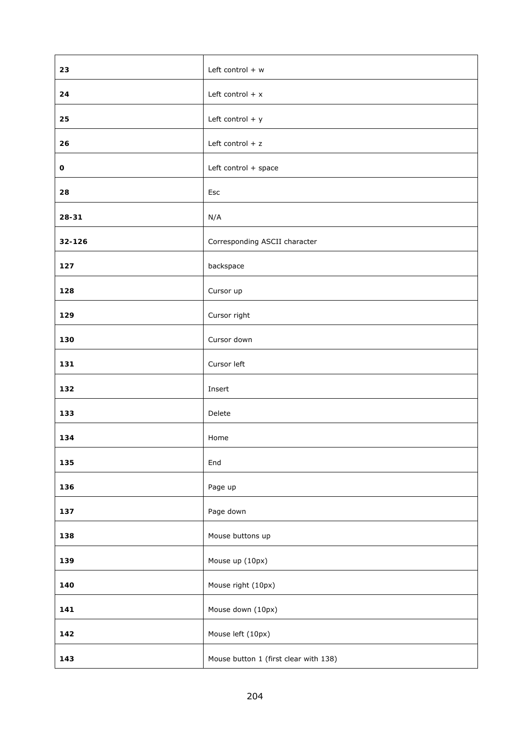| 23     | Left control $+ w$                    |
|--------|---------------------------------------|
| 24     | Left control $+ x$                    |
| 25     | Left control $+$ y                    |
| 26     | Left control $+ z$                    |
| 0      | Left control + space                  |
| 28     | Esc                                   |
| 28-31  | N/A                                   |
| 32-126 | Corresponding ASCII character         |
| 127    | backspace                             |
| 128    | Cursor up                             |
| 129    | Cursor right                          |
| 130    | Cursor down                           |
| 131    | Cursor left                           |
| 132    | Insert                                |
| 133    | Delete                                |
| 134    | Home                                  |
| 135    | End                                   |
| 136    | Page up                               |
| 137    | Page down                             |
| 138    | Mouse buttons up                      |
| 139    | Mouse up (10px)                       |
| 140    | Mouse right (10px)                    |
| 141    | Mouse down (10px)                     |
| 142    | Mouse left (10px)                     |
| 143    | Mouse button 1 (first clear with 138) |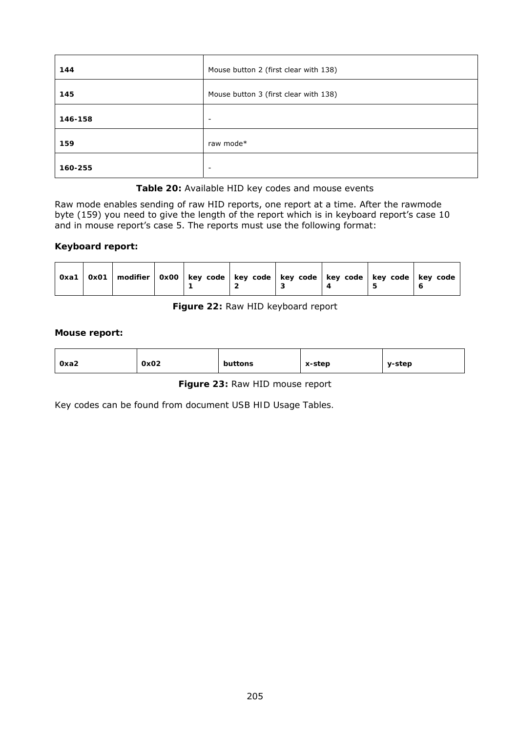| 144     | Mouse button 2 (first clear with 138) |
|---------|---------------------------------------|
| 145     | Mouse button 3 (first clear with 138) |
| 146-158 | $\overline{\phantom{a}}$              |
| 159     | raw mode*                             |
| 160-255 | $\overline{\phantom{a}}$              |

**Table 20:** Available HID key codes and mouse events

Raw mode enables sending of raw HID reports, one report at a time. After the rawmode byte (159) you need to give the length of the report which is in keyboard report's case 10 and in mouse report's case 5. The reports must use the following format:

#### **Keyboard report:**

| 0x01   modifier   0x00   key code   key code   key code   key code   key code   key code<br>Oxa1 |  |  |  |
|--------------------------------------------------------------------------------------------------|--|--|--|
|--------------------------------------------------------------------------------------------------|--|--|--|

### **Figure 22:** Raw HID keyboard report

#### **Mouse report:**

|--|

#### **Figure 23:** Raw HID mouse report

Key codes can be found from document *USB HID Usage Tables.*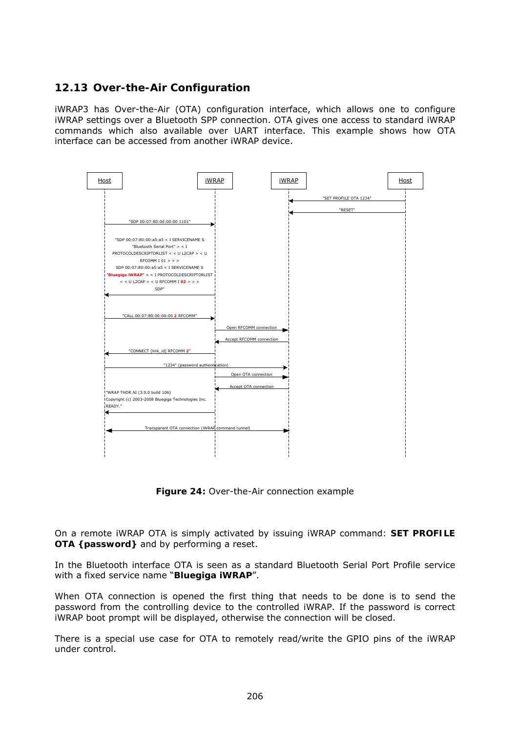# **12.13 Over-the-Air Configuration**

iWRAP3 has Over-the-Air (OTA) configuration interface, which allows one to configure iWRAP settings over a *Bluetooth* SPP connection. OTA gives one access to standard iWRAP commands which also available over UART interface. This example shows how OTA interface can be accessed from another iWRAP device.



**Figure 24:** Over-the-Air connection example

On a remote iWRAP OTA is simply activated by issuing iWRAP command: **SET PROFILE OTA {***password***}** and by performing a reset.

In the *Bluetooth* interface OTA is seen as a standard Bluetooth Serial Port Profile service with a fixed service name "*Bluegiga iWRAP*".

When OTA connection is opened the first thing that needs to be done is to send the password from the controlling device to the controlled iWRAP. If the password is correct iWRAP boot prompt will be displayed, otherwise the connection will be closed.

There is a special use case for OTA to remotely read/write the GPIO pins of the iWRAP under control.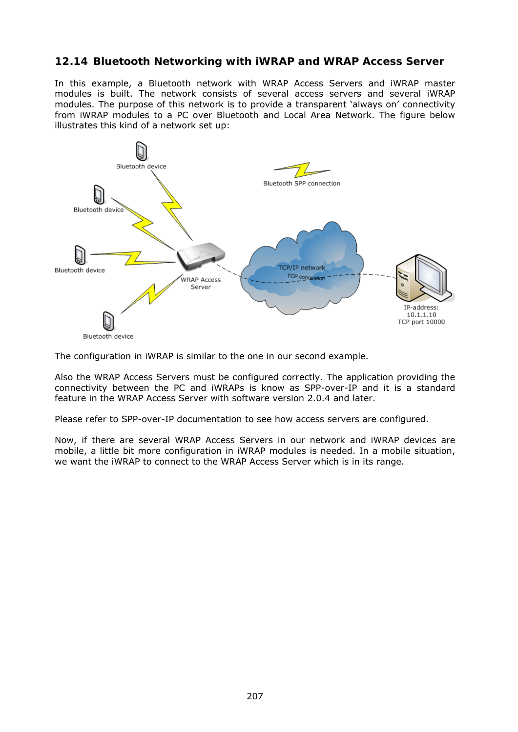### **12.14** *Bluetooth* **Networking with iWRAP and WRAP Access Server**

In this example, a *Bluetooth* network with WRAP Access Servers and iWRAP master modules is built. The network consists of several access servers and several iWRAP modules. The purpose of this network is to provide a transparent 'always on' connectivity from iWRAP modules to a PC over *Bluetooth* and Local Area Network. The figure below illustrates this kind of a network set up:



The configuration in iWRAP is similar to the one in our second example.

Also the WRAP Access Servers must be configured correctly. The application providing the connectivity between the PC and iWRAPs is know as SPP-over-IP and it is a standard feature in the WRAP Access Server with software version 2.0.4 and later.

Please refer to SPP-over-IP documentation to see how access servers are configured.

Now, if there are several WRAP Access Servers in our network and iWRAP devices are mobile, a little bit more configuration in iWRAP modules is needed. In a mobile situation, we want the iWRAP to connect to the WRAP Access Server which is in its range.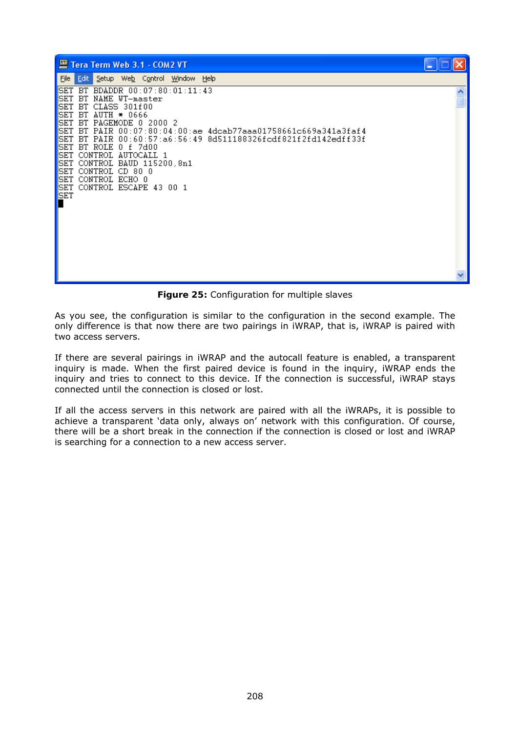| Tera Term Web 3.1 - COM2 VT                                                                                                                                                                                                                                                                                                                                                                                                                                                                     |  |
|-------------------------------------------------------------------------------------------------------------------------------------------------------------------------------------------------------------------------------------------------------------------------------------------------------------------------------------------------------------------------------------------------------------------------------------------------------------------------------------------------|--|
| File Edit<br>Setup Web Control Window Help                                                                                                                                                                                                                                                                                                                                                                                                                                                      |  |
| SET BT BDADDR 00:07:80:01:11:43<br> SET<br>BT NAME WT-master<br> SET<br>BT CLASS 301f00<br>SET<br>$BT$ AUTH $*$ 0666<br> SET<br>BT PAGEMODE 0 2000 2<br>SET<br>BT PAIR 00:07:80:04:00:ae 4dcab77aaa01758661c669a341a3faf4<br><b>SET</b><br>BT PAIR 00:60:57:a6:56:49 8d511188326fcdf821f2fd142edff33f<br> SET<br>BT ROLE 0 f 7d00<br> SET<br>CONTROL AUTOCALL 1<br> SET<br>CONTROL BAUD 115200.8n1<br>SET<br>CONTROL CD 80 0<br>CONTROL ECHO 0<br> SET<br>CONTROL ESCAPE 43 00 1<br> SET<br>SET |  |
|                                                                                                                                                                                                                                                                                                                                                                                                                                                                                                 |  |

**Figure 25:** Configuration for multiple slaves

As you see, the configuration is similar to the configuration in the second example. The only difference is that now there are two pairings in iWRAP, that is, iWRAP is paired with two access servers.

If there are several pairings in iWRAP and the autocall feature is enabled, a transparent inquiry is made. When the first paired device is found in the inquiry, iWRAP ends the inquiry and tries to connect to this device. If the connection is successful, iWRAP stays connected until the connection is closed or lost.

If all the access servers in this network are paired with all the iWRAPs, it is possible to achieve a transparent 'data only, always on' network with this configuration. Of course, there will be a short break in the connection if the connection is closed or lost and iWRAP is searching for a connection to a new access server.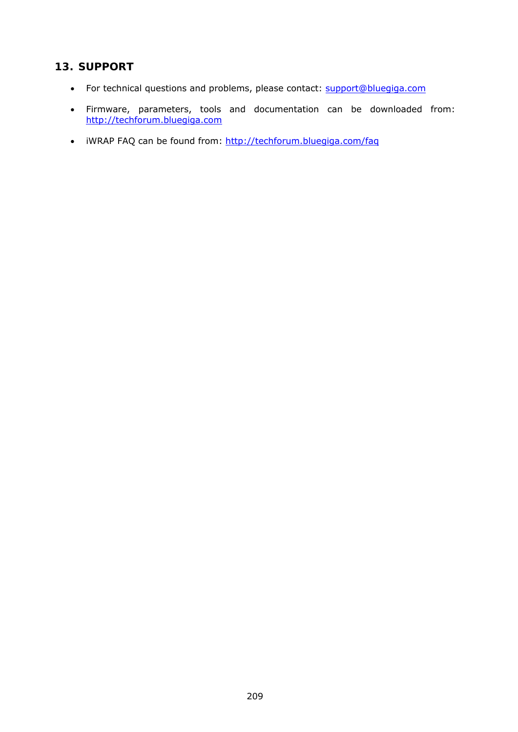# **13. SUPPORT**

- For technical questions and problems, please contact: [support@bluegiga.com](mailto:support@bluegiga.com)
- Firmware, parameters, tools and documentation can be downloaded from: [http://techforum.bluegiga.com](http://techforum.bluegiga.com/)
- iWRAP FAQ can be found from:<http://techforum.bluegiga.com/faq>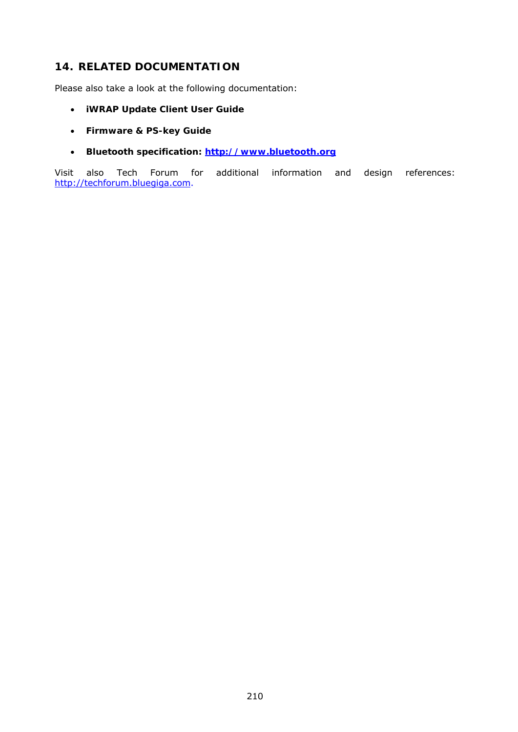## **14. RELATED DOCUMENTATION**

Please also take a look at the following documentation:

- **iWRAP Update Client User Guide**
- **Firmware & PS-key Guide**
- *Bluetooth* **specification: [http://www.bluetooth.org](http://www.bluetooth.org/)**

Visit also Tech Forum for additional information and design references: [http://techforum.bluegiga.com](http://techforum.bluegiga.com/).